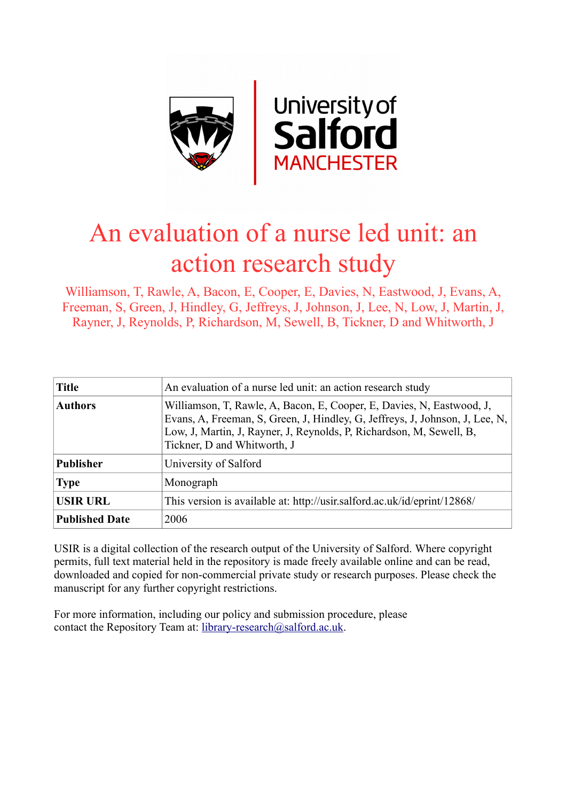

## An evaluation of a nurse led unit: an action research study

Williamson, T, Rawle, A, Bacon, E, Cooper, E, Davies, N, Eastwood, J, Evans, A, Freeman, S, Green, J, Hindley, G, Jeffreys, J, Johnson, J, Lee, N, Low, J, Martin, J, Rayner, J, Reynolds, P, Richardson, M, Sewell, B, Tickner, D and Whitworth, J

| <b>Title</b>          | An evaluation of a nurse led unit: an action research study                                                                                                                                                                                                  |
|-----------------------|--------------------------------------------------------------------------------------------------------------------------------------------------------------------------------------------------------------------------------------------------------------|
| <b>Authors</b>        | Williamson, T, Rawle, A, Bacon, E, Cooper, E, Davies, N, Eastwood, J,<br>Evans, A, Freeman, S, Green, J, Hindley, G, Jeffreys, J, Johnson, J, Lee, N,<br>Low, J, Martin, J, Rayner, J, Reynolds, P, Richardson, M, Sewell, B,<br>Tickner, D and Whitworth, J |
| <b>Publisher</b>      | University of Salford                                                                                                                                                                                                                                        |
| <b>Type</b>           | Monograph                                                                                                                                                                                                                                                    |
| <b>USIR URL</b>       | This version is available at: http://usir.salford.ac.uk/id/eprint/12868/                                                                                                                                                                                     |
| <b>Published Date</b> | 2006                                                                                                                                                                                                                                                         |

USIR is a digital collection of the research output of the University of Salford. Where copyright permits, full text material held in the repository is made freely available online and can be read, downloaded and copied for non-commercial private study or research purposes. Please check the manuscript for any further copyright restrictions.

For more information, including our policy and submission procedure, please contact the Repository Team at: [library-research@salford.ac.uk.](mailto:library-research@salford.ac.uk)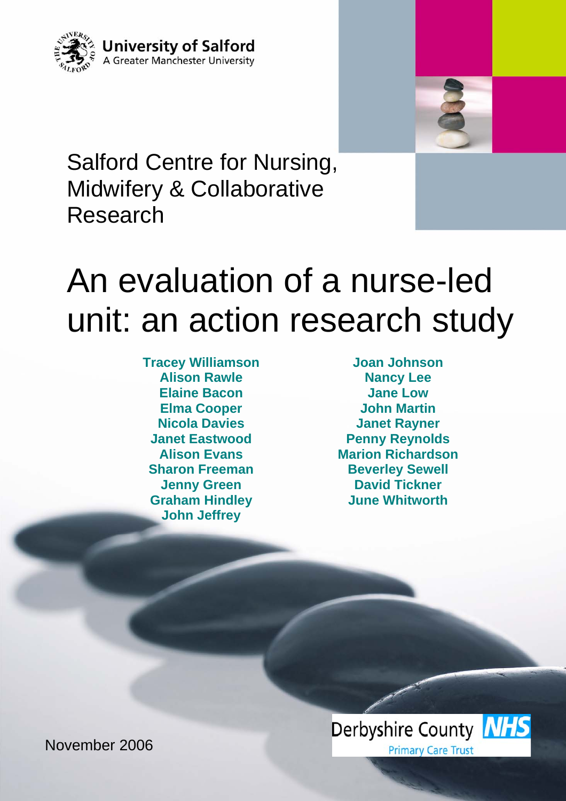



Salford Centre for Nursing, Midwifery & Collaborative Research

# An evaluation of a nurse-led unit: an action research study

**Tracey Williamson Alison Rawle Elaine Bacon Elma Cooper Nicola Davies Janet Eastwood Alison Evans Sharon Freeman Jenny Green Graham Hindley John Jeffrey** 

**Joan Johnson Nancy Lee Jane Low John Martin Janet Rayner Penny Reynolds Marion Richardson Beverley Sewell David Tickner June Whitworth** 



November 2006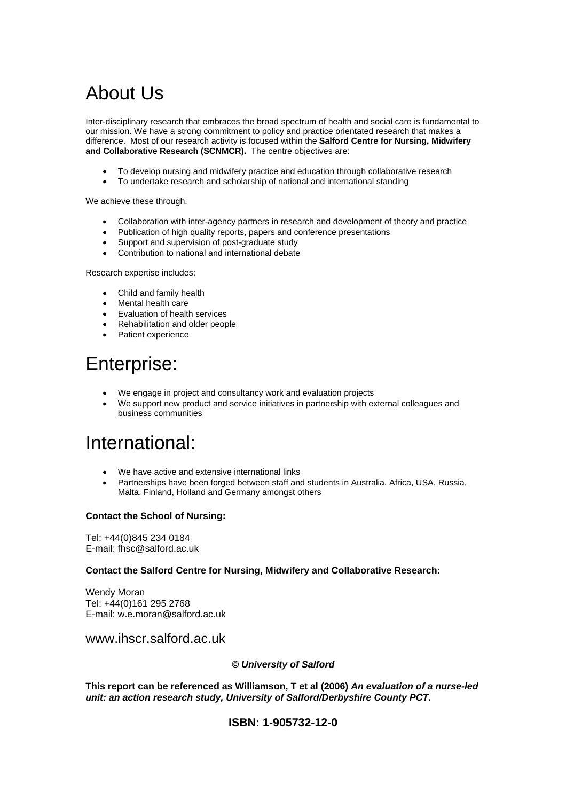### About Us

Inter-disciplinary research that embraces the broad spectrum of health and social care is fundamental to our mission. We have a strong commitment to policy and practice orientated research that makes a difference. Most of our research activity is focused within the **Salford Centre for Nursing, Midwifery and Collaborative Research (SCNMCR).** The centre objectives are:

- To develop nursing and midwifery practice and education through collaborative research
- To undertake research and scholarship of national and international standing

We achieve these through:

- Collaboration with inter-agency partners in research and development of theory and practice
- Publication of high quality reports, papers and conference presentations
- Support and supervision of post-graduate study
- Contribution to national and international debate

Research expertise includes:

- Child and family health
- Mental health care
- Evaluation of health services
- Rehabilitation and older people
- Patient experience

### Enterprise:

- We engage in project and consultancy work and evaluation projects
- We support new product and service initiatives in partnership with external colleagues and business communities

### International:

- We have active and extensive international links
- Partnerships have been forged between staff and students in Australia, Africa, USA, Russia, Malta, Finland, Holland and Germany amongst others

#### **Contact the School of Nursing:**

Tel: +44(0)845 234 0184 E-mail: fhsc@salford.ac.uk

#### **Contact the Salford Centre for Nursing, Midwifery and Collaborative Research:**

Wendy Moran Tel: +44(0)161 295 2768 E-mail: w.e.moran@salford.ac.uk

www.ihscr.salford.ac.uk

#### *© University of Salford*

**This report can be referenced as Williamson, T et al (2006)** *An evaluation of a nurse-led unit: an action research study, University of Salford/Derbyshire County PCT.* 

#### **ISBN: 1-905732-12-0**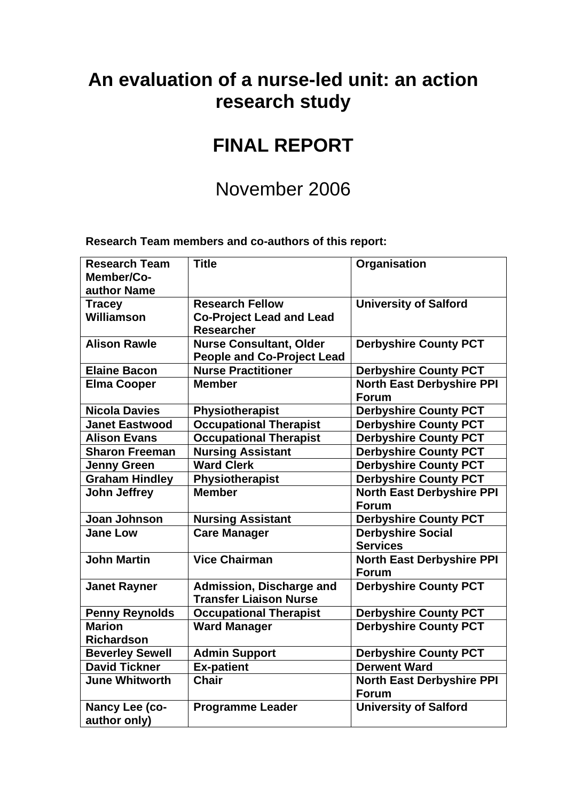### **An evaluation of a nurse-led unit: an action research study**

### **FINAL REPORT**

### November 2006

**Research Team members and co-authors of this report:** 

| <b>Research Team</b><br>Member/Co- | <b>Title</b>                      | Organisation                                     |
|------------------------------------|-----------------------------------|--------------------------------------------------|
| author Name                        |                                   |                                                  |
| <b>Tracey</b>                      | <b>Research Fellow</b>            | <b>University of Salford</b>                     |
| Williamson                         | <b>Co-Project Lead and Lead</b>   |                                                  |
|                                    | <b>Researcher</b>                 |                                                  |
| <b>Alison Rawle</b>                | <b>Nurse Consultant, Older</b>    | <b>Derbyshire County PCT</b>                     |
|                                    | <b>People and Co-Project Lead</b> |                                                  |
| <b>Elaine Bacon</b>                | <b>Nurse Practitioner</b>         | <b>Derbyshire County PCT</b>                     |
| <b>Elma Cooper</b>                 | <b>Member</b>                     | <b>North East Derbyshire PPI</b><br><b>Forum</b> |
| <b>Nicola Davies</b>               | Physiotherapist                   | <b>Derbyshire County PCT</b>                     |
| <b>Janet Eastwood</b>              | <b>Occupational Therapist</b>     | <b>Derbyshire County PCT</b>                     |
| <b>Alison Evans</b>                | <b>Occupational Therapist</b>     | <b>Derbyshire County PCT</b>                     |
| <b>Sharon Freeman</b>              | <b>Nursing Assistant</b>          | <b>Derbyshire County PCT</b>                     |
| <b>Jenny Green</b>                 | <b>Ward Clerk</b>                 | <b>Derbyshire County PCT</b>                     |
| <b>Graham Hindley</b>              | Physiotherapist                   | <b>Derbyshire County PCT</b>                     |
| <b>John Jeffrey</b>                | <b>Member</b>                     | <b>North East Derbyshire PPI</b><br><b>Forum</b> |
| Joan Johnson                       | <b>Nursing Assistant</b>          | <b>Derbyshire County PCT</b>                     |
| <b>Jane Low</b>                    | <b>Care Manager</b>               | <b>Derbyshire Social</b><br><b>Services</b>      |
| <b>John Martin</b>                 | <b>Vice Chairman</b>              | <b>North East Derbyshire PPI</b><br><b>Forum</b> |
| <b>Janet Rayner</b>                | Admission, Discharge and          | <b>Derbyshire County PCT</b>                     |
|                                    | <b>Transfer Liaison Nurse</b>     |                                                  |
| <b>Penny Reynolds</b>              | <b>Occupational Therapist</b>     | <b>Derbyshire County PCT</b>                     |
| <b>Marion</b>                      | <b>Ward Manager</b>               | <b>Derbyshire County PCT</b>                     |
| <b>Richardson</b>                  |                                   |                                                  |
| <b>Beverley Sewell</b>             | <b>Admin Support</b>              | <b>Derbyshire County PCT</b>                     |
| <b>David Tickner</b>               | <b>Ex-patient</b>                 | <b>Derwent Ward</b>                              |
| <b>June Whitworth</b>              | <b>Chair</b>                      | <b>North East Derbyshire PPI</b>                 |
|                                    |                                   | <b>Forum</b>                                     |
| Nancy Lee (co-                     | <b>Programme Leader</b>           | <b>University of Salford</b>                     |
| author only)                       |                                   |                                                  |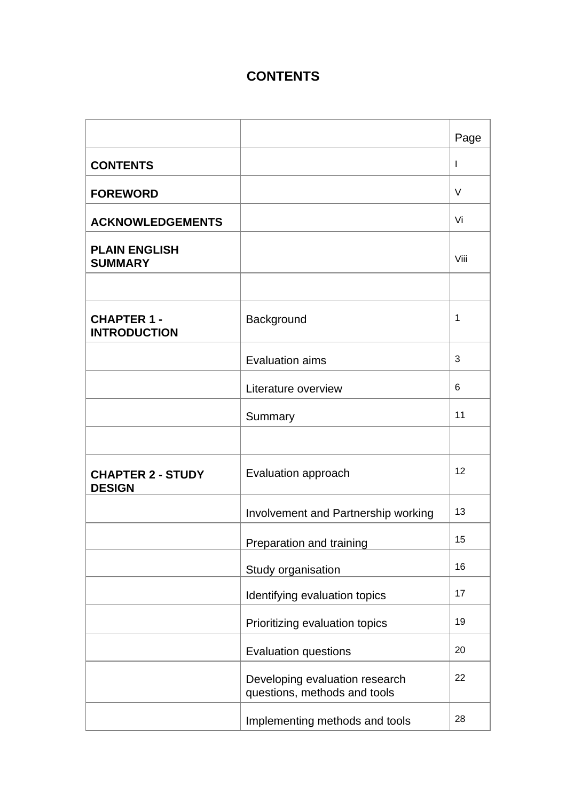### **CONTENTS**

|                                           |                                                                | Page         |
|-------------------------------------------|----------------------------------------------------------------|--------------|
| <b>CONTENTS</b>                           |                                                                | $\mathbf{I}$ |
| <b>FOREWORD</b>                           |                                                                | $\vee$       |
| <b>ACKNOWLEDGEMENTS</b>                   |                                                                | Vi           |
| <b>PLAIN ENGLISH</b><br><b>SUMMARY</b>    |                                                                | Viii         |
| <b>CHAPTER 1-</b><br><b>INTRODUCTION</b>  | Background                                                     | 1            |
|                                           | Evaluation aims                                                | 3            |
|                                           | Literature overview                                            | 6            |
|                                           | Summary                                                        | 11           |
| <b>CHAPTER 2 - STUDY</b><br><b>DESIGN</b> | Evaluation approach                                            | 12           |
|                                           | Involvement and Partnership working                            | 13           |
|                                           | Preparation and training                                       | 15           |
|                                           | Study organisation                                             | 16           |
|                                           | Identifying evaluation topics                                  | 17           |
|                                           | Prioritizing evaluation topics                                 | 19           |
|                                           | Evaluation questions                                           | 20           |
|                                           | Developing evaluation research<br>questions, methods and tools | 22           |
|                                           | Implementing methods and tools                                 | 28           |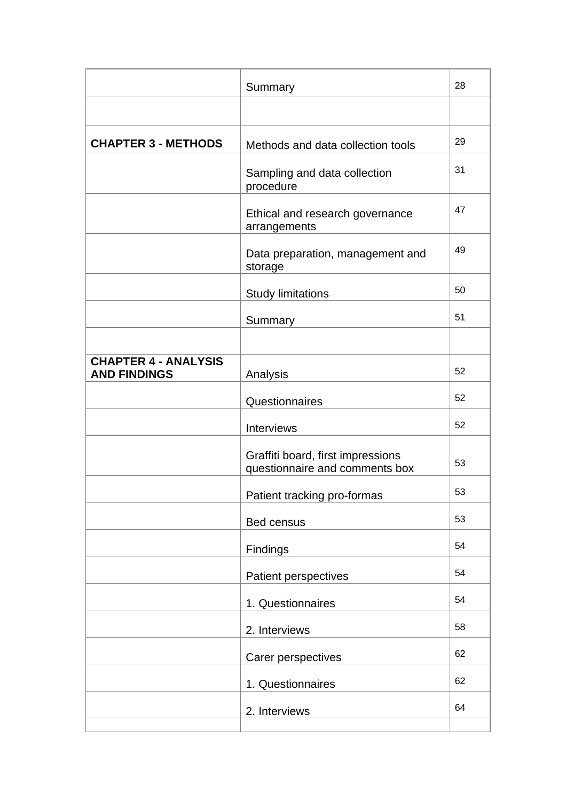|                                                    | Summary                                                             | 28 |
|----------------------------------------------------|---------------------------------------------------------------------|----|
|                                                    |                                                                     |    |
| <b>CHAPTER 3 - METHODS</b>                         | Methods and data collection tools                                   | 29 |
|                                                    | Sampling and data collection<br>procedure                           | 31 |
|                                                    | Ethical and research governance<br>arrangements                     | 47 |
|                                                    | Data preparation, management and<br>storage                         | 49 |
|                                                    | <b>Study limitations</b>                                            | 50 |
|                                                    | Summary                                                             | 51 |
|                                                    |                                                                     |    |
| <b>CHAPTER 4 - ANALYSIS</b><br><b>AND FINDINGS</b> | Analysis                                                            | 52 |
|                                                    | Questionnaires                                                      | 52 |
|                                                    | Interviews                                                          | 52 |
|                                                    | Graffiti board, first impressions<br>questionnaire and comments box | 53 |
|                                                    | Patient tracking pro-formas                                         | 53 |
|                                                    | Bed census                                                          | 53 |
|                                                    | Findings                                                            | 54 |
|                                                    | Patient perspectives                                                | 54 |
|                                                    | 1. Questionnaires                                                   | 54 |
|                                                    | 2. Interviews                                                       | 58 |
|                                                    | Carer perspectives                                                  | 62 |
|                                                    | 1. Questionnaires                                                   | 62 |
|                                                    | 2. Interviews                                                       | 64 |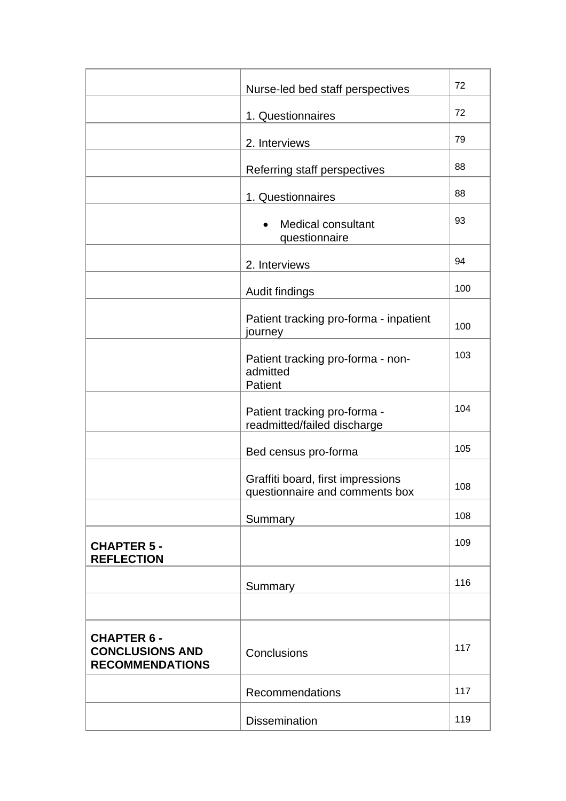| Nurse-led bed staff perspectives                                       |                                                                     | 72  |
|------------------------------------------------------------------------|---------------------------------------------------------------------|-----|
|                                                                        | 1. Questionnaires                                                   | 72  |
|                                                                        | 2. Interviews                                                       | 79  |
|                                                                        | Referring staff perspectives                                        | 88  |
|                                                                        | 1. Questionnaires                                                   | 88  |
|                                                                        | <b>Medical consultant</b><br>questionnaire                          | 93  |
|                                                                        | 2. Interviews                                                       | 94  |
|                                                                        | Audit findings                                                      | 100 |
|                                                                        | Patient tracking pro-forma - inpatient<br>journey                   | 100 |
|                                                                        | Patient tracking pro-forma - non-<br>admitted<br>Patient            | 103 |
|                                                                        | Patient tracking pro-forma -<br>readmitted/failed discharge         | 104 |
|                                                                        | Bed census pro-forma                                                | 105 |
|                                                                        | Graffiti board, first impressions<br>questionnaire and comments box | 108 |
|                                                                        | Summary                                                             | 108 |
| <b>CHAPTER 5 -</b><br><b>REFLECTION</b>                                |                                                                     | 109 |
|                                                                        | Summary                                                             | 116 |
|                                                                        |                                                                     |     |
| <b>CHAPTER 6 -</b><br><b>CONCLUSIONS AND</b><br><b>RECOMMENDATIONS</b> | Conclusions                                                         | 117 |
|                                                                        | Recommendations                                                     | 117 |
|                                                                        | <b>Dissemination</b>                                                | 119 |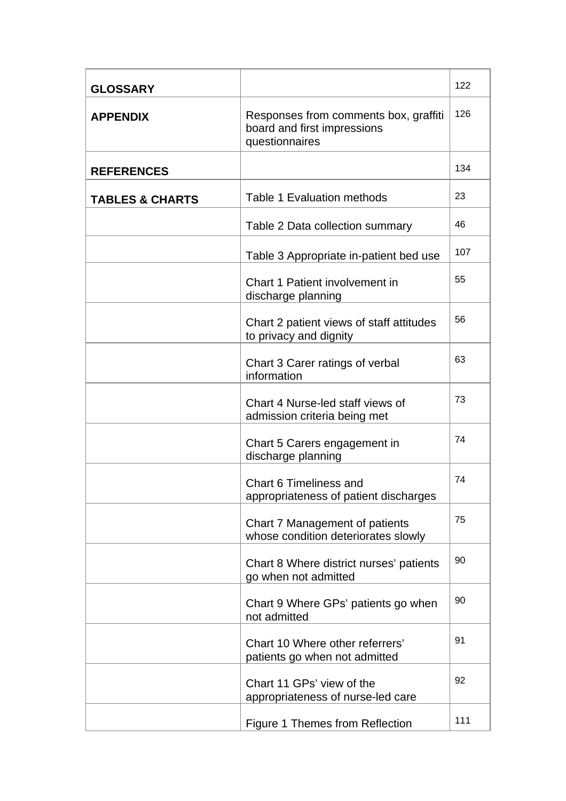| <b>GLOSSARY</b>            |                                                                                        | 122 |
|----------------------------|----------------------------------------------------------------------------------------|-----|
| <b>APPENDIX</b>            | Responses from comments box, graffiti<br>board and first impressions<br>questionnaires | 126 |
| <b>REFERENCES</b>          |                                                                                        | 134 |
| <b>TABLES &amp; CHARTS</b> | <b>Table 1 Evaluation methods</b>                                                      | 23  |
|                            | Table 2 Data collection summary                                                        | 46  |
|                            | Table 3 Appropriate in-patient bed use                                                 | 107 |
|                            | Chart 1 Patient involvement in<br>discharge planning                                   | 55  |
|                            | Chart 2 patient views of staff attitudes<br>to privacy and dignity                     | 56  |
|                            | Chart 3 Carer ratings of verbal<br>information                                         | 63  |
|                            | Chart 4 Nurse-led staff views of<br>admission criteria being met                       | 73  |
|                            | Chart 5 Carers engagement in<br>discharge planning                                     | 74  |
|                            | <b>Chart 6 Timeliness and</b><br>appropriateness of patient discharges                 | 74  |
|                            | Chart 7 Management of patients<br>whose condition deteriorates slowly                  | 75  |
|                            | Chart 8 Where district nurses' patients<br>go when not admitted                        | 90  |
|                            | Chart 9 Where GPs' patients go when<br>not admitted                                    | 90  |
|                            | Chart 10 Where other referrers'<br>patients go when not admitted                       | 91  |
|                            | Chart 11 GPs' view of the<br>appropriateness of nurse-led care                         | 92  |
|                            | Figure 1 Themes from Reflection                                                        | 111 |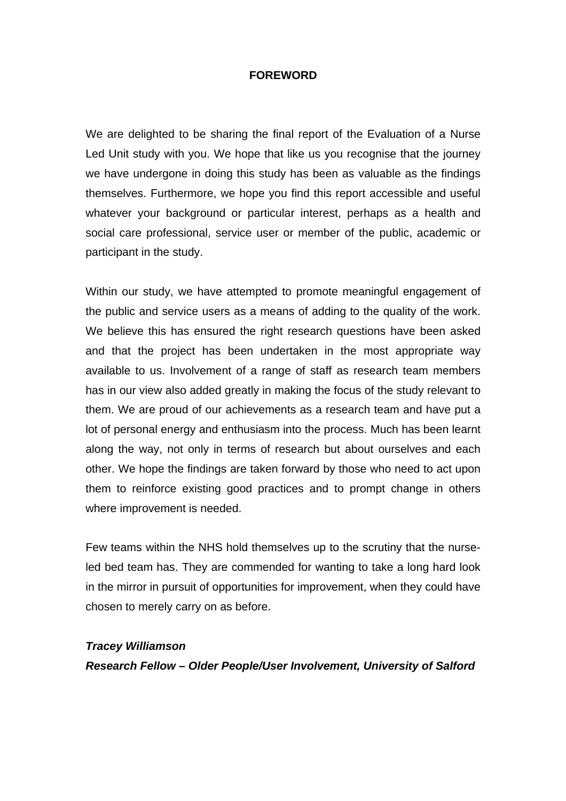#### **FOREWORD**

We are delighted to be sharing the final report of the Evaluation of a Nurse Led Unit study with you. We hope that like us you recognise that the journey we have undergone in doing this study has been as valuable as the findings themselves. Furthermore, we hope you find this report accessible and useful whatever your background or particular interest, perhaps as a health and social care professional, service user or member of the public, academic or participant in the study.

Within our study, we have attempted to promote meaningful engagement of the public and service users as a means of adding to the quality of the work. We believe this has ensured the right research questions have been asked and that the project has been undertaken in the most appropriate way available to us. Involvement of a range of staff as research team members has in our view also added greatly in making the focus of the study relevant to them. We are proud of our achievements as a research team and have put a lot of personal energy and enthusiasm into the process. Much has been learnt along the way, not only in terms of research but about ourselves and each other. We hope the findings are taken forward by those who need to act upon them to reinforce existing good practices and to prompt change in others where improvement is needed.

Few teams within the NHS hold themselves up to the scrutiny that the nurseled bed team has. They are commended for wanting to take a long hard look in the mirror in pursuit of opportunities for improvement, when they could have chosen to merely carry on as before.

#### *Tracey Williamson*

*Research Fellow – Older People/User Involvement, University of Salford*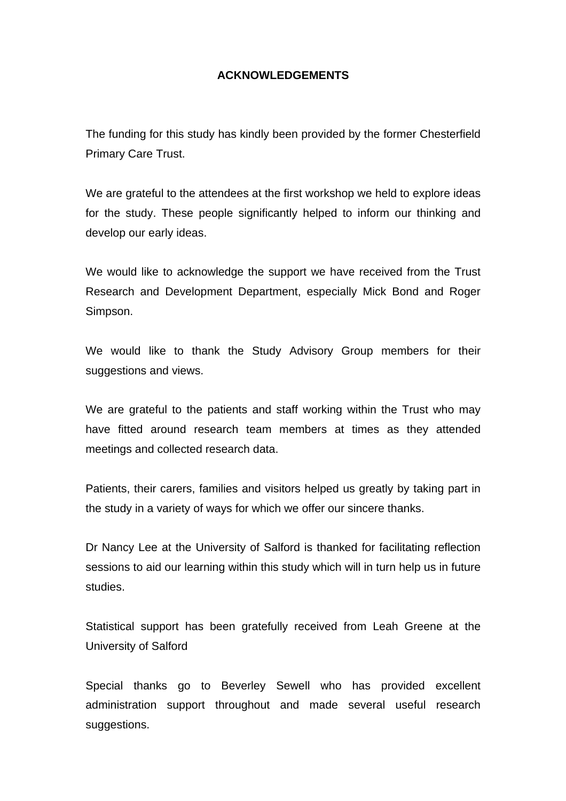#### **ACKNOWLEDGEMENTS**

The funding for this study has kindly been provided by the former Chesterfield Primary Care Trust.

We are grateful to the attendees at the first workshop we held to explore ideas for the study. These people significantly helped to inform our thinking and develop our early ideas.

We would like to acknowledge the support we have received from the Trust Research and Development Department, especially Mick Bond and Roger Simpson.

We would like to thank the Study Advisory Group members for their suggestions and views.

We are grateful to the patients and staff working within the Trust who may have fitted around research team members at times as they attended meetings and collected research data.

Patients, their carers, families and visitors helped us greatly by taking part in the study in a variety of ways for which we offer our sincere thanks.

Dr Nancy Lee at the University of Salford is thanked for facilitating reflection sessions to aid our learning within this study which will in turn help us in future studies.

Statistical support has been gratefully received from Leah Greene at the University of Salford

Special thanks go to Beverley Sewell who has provided excellent administration support throughout and made several useful research suggestions.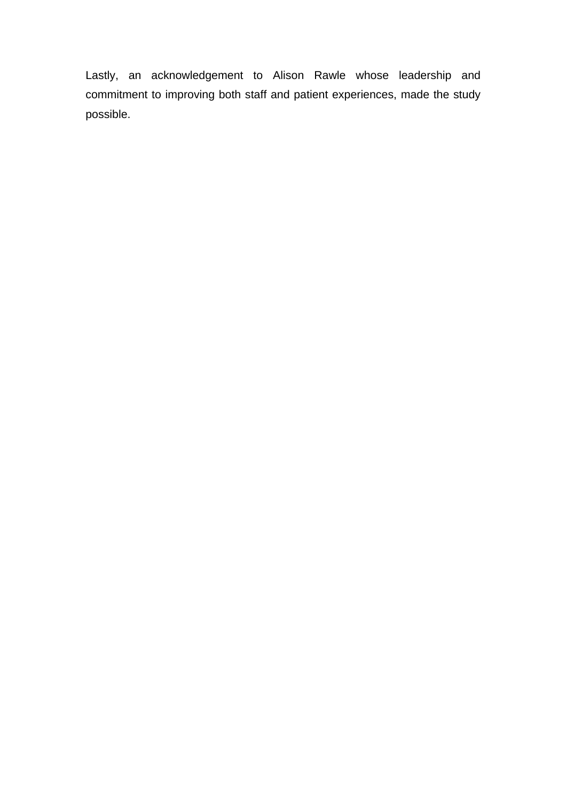Lastly, an acknowledgement to Alison Rawle whose leadership and commitment to improving both staff and patient experiences, made the study possible.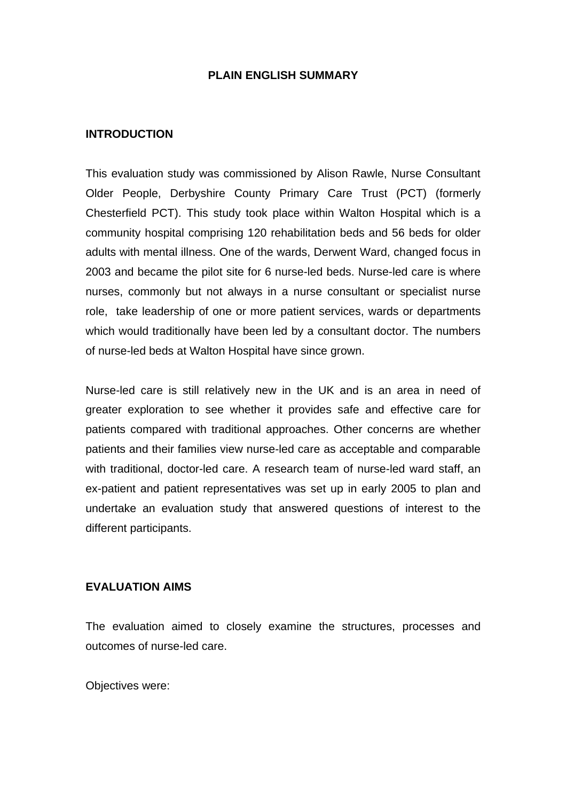#### **PLAIN ENGLISH SUMMARY**

#### **INTRODUCTION**

This evaluation study was commissioned by Alison Rawle, Nurse Consultant Older People, Derbyshire County Primary Care Trust (PCT) (formerly Chesterfield PCT). This study took place within Walton Hospital which is a community hospital comprising 120 rehabilitation beds and 56 beds for older adults with mental illness. One of the wards, Derwent Ward, changed focus in 2003 and became the pilot site for 6 nurse-led beds. Nurse-led care is where nurses, commonly but not always in a nurse consultant or specialist nurse role, take leadership of one or more patient services, wards or departments which would traditionally have been led by a consultant doctor. The numbers of nurse-led beds at Walton Hospital have since grown.

Nurse-led care is still relatively new in the UK and is an area in need of greater exploration to see whether it provides safe and effective care for patients compared with traditional approaches. Other concerns are whether patients and their families view nurse-led care as acceptable and comparable with traditional, doctor-led care. A research team of nurse-led ward staff, an ex-patient and patient representatives was set up in early 2005 to plan and undertake an evaluation study that answered questions of interest to the different participants.

#### **EVALUATION AIMS**

The evaluation aimed to closely examine the structures, processes and outcomes of nurse-led care.

Objectives were: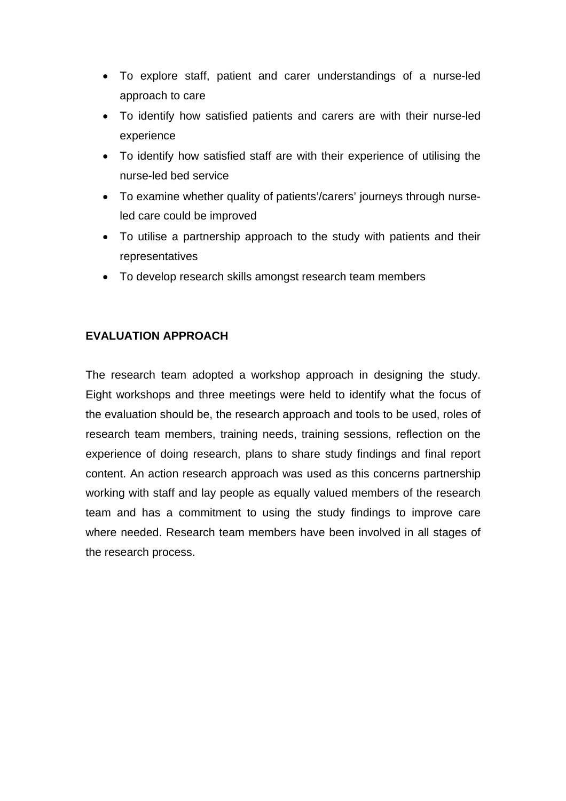- To explore staff, patient and carer understandings of a nurse-led approach to care
- To identify how satisfied patients and carers are with their nurse-led experience
- To identify how satisfied staff are with their experience of utilising the nurse-led bed service
- To examine whether quality of patients'/carers' journeys through nurseled care could be improved
- To utilise a partnership approach to the study with patients and their representatives
- To develop research skills amongst research team members

#### **EVALUATION APPROACH**

The research team adopted a workshop approach in designing the study. Eight workshops and three meetings were held to identify what the focus of the evaluation should be, the research approach and tools to be used, roles of research team members, training needs, training sessions, reflection on the experience of doing research, plans to share study findings and final report content. An action research approach was used as this concerns partnership working with staff and lay people as equally valued members of the research team and has a commitment to using the study findings to improve care where needed. Research team members have been involved in all stages of the research process.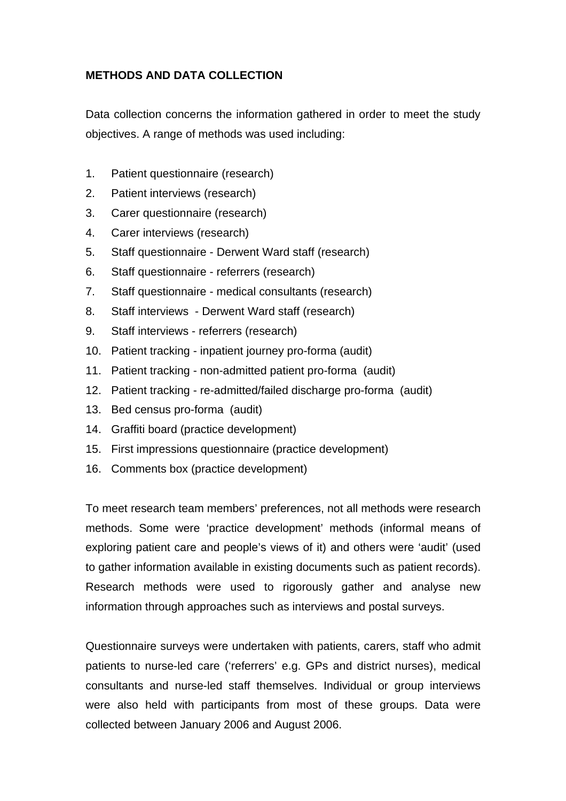#### **METHODS AND DATA COLLECTION**

Data collection concerns the information gathered in order to meet the study objectives. A range of methods was used including:

- 1. Patient questionnaire (research)
- 2. Patient interviews (research)
- 3. Carer questionnaire (research)
- 4. Carer interviews (research)
- 5. Staff questionnaire Derwent Ward staff (research)
- 6. Staff questionnaire referrers (research)
- 7. Staff questionnaire medical consultants (research)
- 8. Staff interviews Derwent Ward staff (research)
- 9. Staff interviews referrers (research)
- 10. Patient tracking inpatient journey pro-forma (audit)
- 11. Patient tracking non-admitted patient pro-forma (audit)
- 12. Patient tracking re-admitted/failed discharge pro-forma (audit)
- 13. Bed census pro-forma (audit)
- 14. Graffiti board (practice development)
- 15. First impressions questionnaire (practice development)
- 16. Comments box (practice development)

To meet research team members' preferences, not all methods were research methods. Some were 'practice development' methods (informal means of exploring patient care and people's views of it) and others were 'audit' (used to gather information available in existing documents such as patient records). Research methods were used to rigorously gather and analyse new information through approaches such as interviews and postal surveys.

Questionnaire surveys were undertaken with patients, carers, staff who admit patients to nurse-led care ('referrers' e.g. GPs and district nurses), medical consultants and nurse-led staff themselves. Individual or group interviews were also held with participants from most of these groups. Data were collected between January 2006 and August 2006.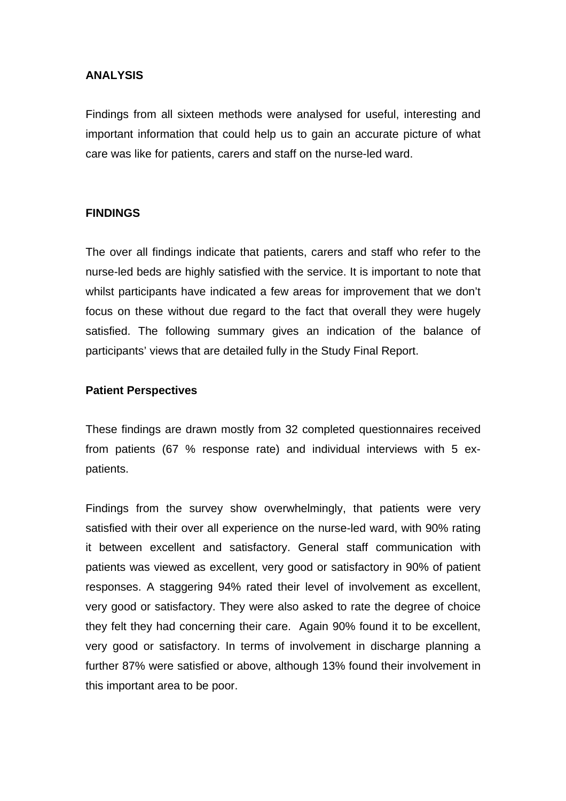#### **ANALYSIS**

Findings from all sixteen methods were analysed for useful, interesting and important information that could help us to gain an accurate picture of what care was like for patients, carers and staff on the nurse-led ward.

#### **FINDINGS**

The over all findings indicate that patients, carers and staff who refer to the nurse-led beds are highly satisfied with the service. It is important to note that whilst participants have indicated a few areas for improvement that we don't focus on these without due regard to the fact that overall they were hugely satisfied. The following summary gives an indication of the balance of participants' views that are detailed fully in the Study Final Report.

#### **Patient Perspectives**

These findings are drawn mostly from 32 completed questionnaires received from patients (67 % response rate) and individual interviews with 5 expatients.

Findings from the survey show overwhelmingly, that patients were very satisfied with their over all experience on the nurse-led ward, with 90% rating it between excellent and satisfactory. General staff communication with patients was viewed as excellent, very good or satisfactory in 90% of patient responses. A staggering 94% rated their level of involvement as excellent, very good or satisfactory. They were also asked to rate the degree of choice they felt they had concerning their care. Again 90% found it to be excellent, very good or satisfactory. In terms of involvement in discharge planning a further 87% were satisfied or above, although 13% found their involvement in this important area to be poor.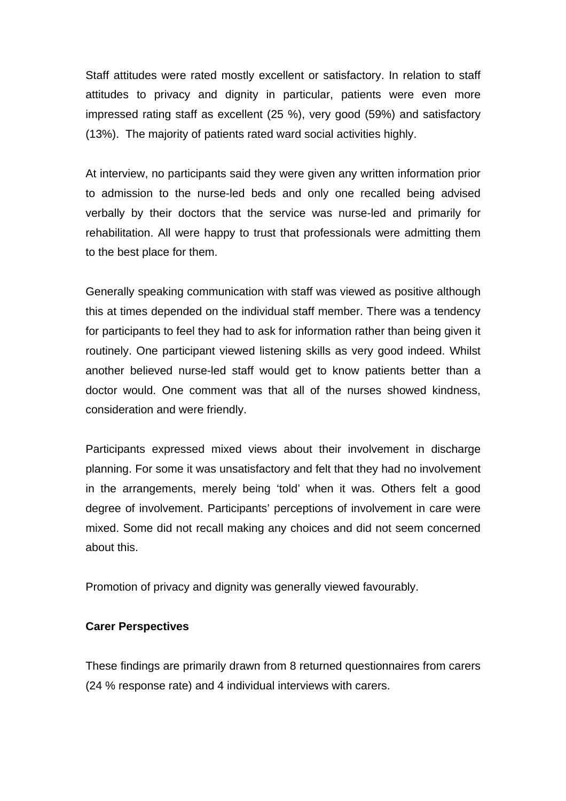Staff attitudes were rated mostly excellent or satisfactory. In relation to staff attitudes to privacy and dignity in particular, patients were even more impressed rating staff as excellent (25 %), very good (59%) and satisfactory (13%). The majority of patients rated ward social activities highly.

At interview, no participants said they were given any written information prior to admission to the nurse-led beds and only one recalled being advised verbally by their doctors that the service was nurse-led and primarily for rehabilitation. All were happy to trust that professionals were admitting them to the best place for them.

Generally speaking communication with staff was viewed as positive although this at times depended on the individual staff member. There was a tendency for participants to feel they had to ask for information rather than being given it routinely. One participant viewed listening skills as very good indeed. Whilst another believed nurse-led staff would get to know patients better than a doctor would. One comment was that all of the nurses showed kindness, consideration and were friendly.

Participants expressed mixed views about their involvement in discharge planning. For some it was unsatisfactory and felt that they had no involvement in the arrangements, merely being 'told' when it was. Others felt a good degree of involvement. Participants' perceptions of involvement in care were mixed. Some did not recall making any choices and did not seem concerned about this.

Promotion of privacy and dignity was generally viewed favourably.

#### **Carer Perspectives**

These findings are primarily drawn from 8 returned questionnaires from carers (24 % response rate) and 4 individual interviews with carers.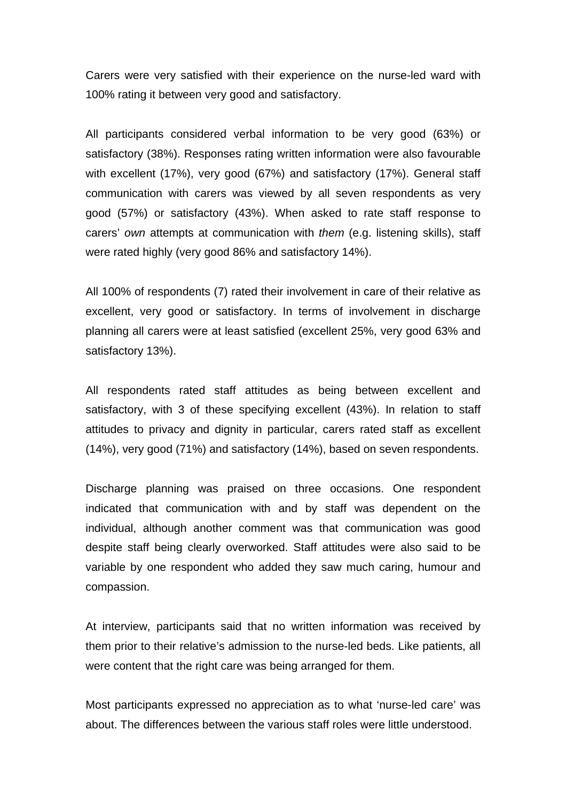Carers were very satisfied with their experience on the nurse-led ward with 100% rating it between very good and satisfactory.

All participants considered verbal information to be very good (63%) or satisfactory (38%). Responses rating written information were also favourable with excellent (17%), very good (67%) and satisfactory (17%). General staff communication with carers was viewed by all seven respondents as very good (57%) or satisfactory (43%). When asked to rate staff response to carers' *own* attempts at communication with *them* (e.g. listening skills), staff were rated highly (very good 86% and satisfactory 14%).

All 100% of respondents (7) rated their involvement in care of their relative as excellent, very good or satisfactory. In terms of involvement in discharge planning all carers were at least satisfied (excellent 25%, very good 63% and satisfactory 13%).

All respondents rated staff attitudes as being between excellent and satisfactory, with 3 of these specifying excellent (43%). In relation to staff attitudes to privacy and dignity in particular, carers rated staff as excellent (14%), very good (71%) and satisfactory (14%), based on seven respondents.

Discharge planning was praised on three occasions. One respondent indicated that communication with and by staff was dependent on the individual, although another comment was that communication was good despite staff being clearly overworked. Staff attitudes were also said to be variable by one respondent who added they saw much caring, humour and compassion.

At interview, participants said that no written information was received by them prior to their relative's admission to the nurse-led beds. Like patients, all were content that the right care was being arranged for them.

Most participants expressed no appreciation as to what 'nurse-led care' was about. The differences between the various staff roles were little understood.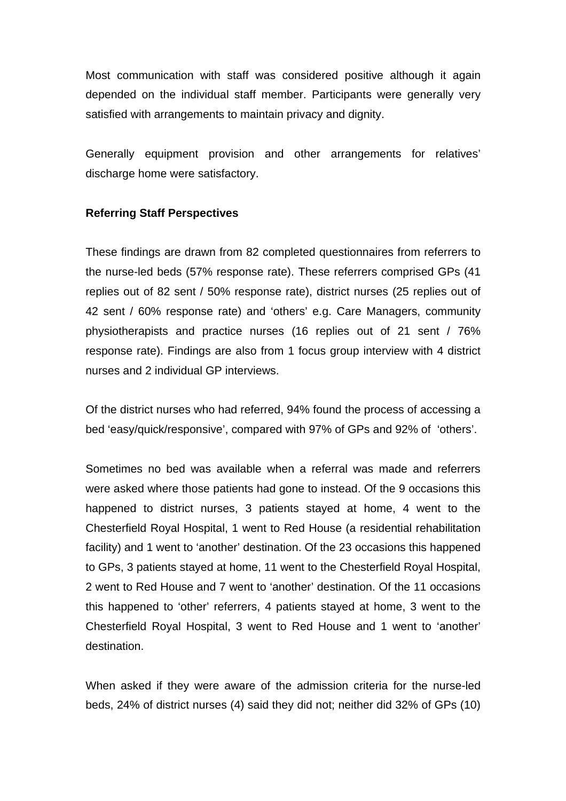Most communication with staff was considered positive although it again depended on the individual staff member. Participants were generally very satisfied with arrangements to maintain privacy and dignity.

Generally equipment provision and other arrangements for relatives' discharge home were satisfactory.

#### **Referring Staff Perspectives**

These findings are drawn from 82 completed questionnaires from referrers to the nurse-led beds (57% response rate). These referrers comprised GPs (41 replies out of 82 sent / 50% response rate), district nurses (25 replies out of 42 sent / 60% response rate) and 'others' e.g. Care Managers, community physiotherapists and practice nurses (16 replies out of 21 sent / 76% response rate). Findings are also from 1 focus group interview with 4 district nurses and 2 individual GP interviews.

Of the district nurses who had referred, 94% found the process of accessing a bed 'easy/quick/responsive', compared with 97% of GPs and 92% of 'others'.

Sometimes no bed was available when a referral was made and referrers were asked where those patients had gone to instead. Of the 9 occasions this happened to district nurses, 3 patients stayed at home, 4 went to the Chesterfield Royal Hospital, 1 went to Red House (a residential rehabilitation facility) and 1 went to 'another' destination. Of the 23 occasions this happened to GPs, 3 patients stayed at home, 11 went to the Chesterfield Royal Hospital, 2 went to Red House and 7 went to 'another' destination. Of the 11 occasions this happened to 'other' referrers, 4 patients stayed at home, 3 went to the Chesterfield Royal Hospital, 3 went to Red House and 1 went to 'another' destination.

When asked if they were aware of the admission criteria for the nurse-led beds, 24% of district nurses (4) said they did not; neither did 32% of GPs (10)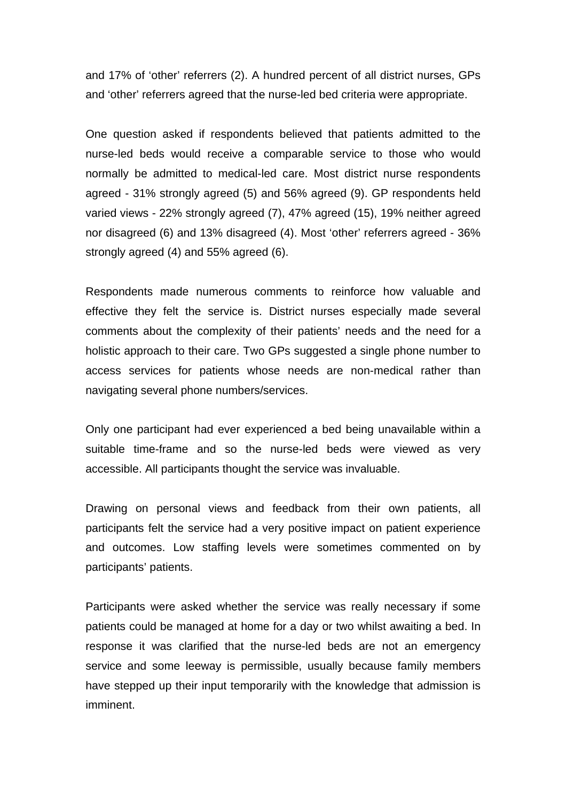and 17% of 'other' referrers (2). A hundred percent of all district nurses, GPs and 'other' referrers agreed that the nurse-led bed criteria were appropriate.

One question asked if respondents believed that patients admitted to the nurse-led beds would receive a comparable service to those who would normally be admitted to medical-led care. Most district nurse respondents agreed - 31% strongly agreed (5) and 56% agreed (9). GP respondents held varied views - 22% strongly agreed (7), 47% agreed (15), 19% neither agreed nor disagreed (6) and 13% disagreed (4). Most 'other' referrers agreed - 36% strongly agreed (4) and 55% agreed (6).

Respondents made numerous comments to reinforce how valuable and effective they felt the service is. District nurses especially made several comments about the complexity of their patients' needs and the need for a holistic approach to their care. Two GPs suggested a single phone number to access services for patients whose needs are non-medical rather than navigating several phone numbers/services.

Only one participant had ever experienced a bed being unavailable within a suitable time-frame and so the nurse-led beds were viewed as very accessible. All participants thought the service was invaluable.

Drawing on personal views and feedback from their own patients, all participants felt the service had a very positive impact on patient experience and outcomes. Low staffing levels were sometimes commented on by participants' patients.

Participants were asked whether the service was really necessary if some patients could be managed at home for a day or two whilst awaiting a bed. In response it was clarified that the nurse-led beds are not an emergency service and some leeway is permissible, usually because family members have stepped up their input temporarily with the knowledge that admission is imminent.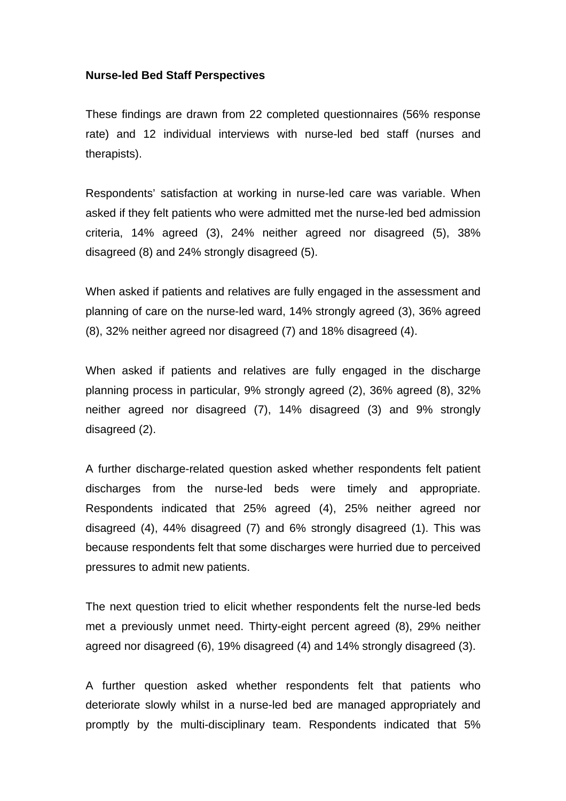#### **Nurse-led Bed Staff Perspectives**

These findings are drawn from 22 completed questionnaires (56% response rate) and 12 individual interviews with nurse-led bed staff (nurses and therapists).

Respondents' satisfaction at working in nurse-led care was variable. When asked if they felt patients who were admitted met the nurse-led bed admission criteria, 14% agreed (3), 24% neither agreed nor disagreed (5), 38% disagreed (8) and 24% strongly disagreed (5).

When asked if patients and relatives are fully engaged in the assessment and planning of care on the nurse-led ward, 14% strongly agreed (3), 36% agreed (8), 32% neither agreed nor disagreed (7) and 18% disagreed (4).

When asked if patients and relatives are fully engaged in the discharge planning process in particular, 9% strongly agreed (2), 36% agreed (8), 32% neither agreed nor disagreed (7), 14% disagreed (3) and 9% strongly disagreed (2).

A further discharge-related question asked whether respondents felt patient discharges from the nurse-led beds were timely and appropriate. Respondents indicated that 25% agreed (4), 25% neither agreed nor disagreed (4), 44% disagreed (7) and 6% strongly disagreed (1). This was because respondents felt that some discharges were hurried due to perceived pressures to admit new patients.

The next question tried to elicit whether respondents felt the nurse-led beds met a previously unmet need. Thirty-eight percent agreed (8), 29% neither agreed nor disagreed (6), 19% disagreed (4) and 14% strongly disagreed (3).

A further question asked whether respondents felt that patients who deteriorate slowly whilst in a nurse-led bed are managed appropriately and promptly by the multi-disciplinary team. Respondents indicated that 5%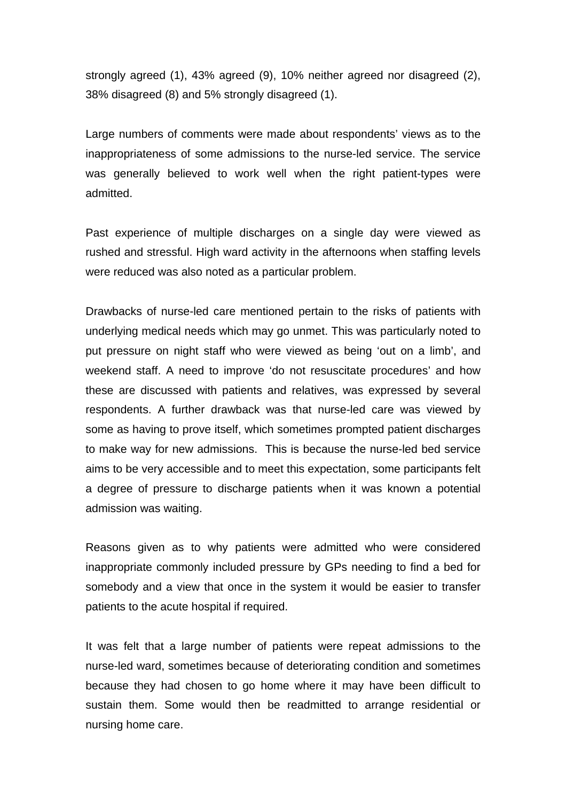strongly agreed (1), 43% agreed (9), 10% neither agreed nor disagreed (2), 38% disagreed (8) and 5% strongly disagreed (1).

Large numbers of comments were made about respondents' views as to the inappropriateness of some admissions to the nurse-led service. The service was generally believed to work well when the right patient-types were admitted.

Past experience of multiple discharges on a single day were viewed as rushed and stressful. High ward activity in the afternoons when staffing levels were reduced was also noted as a particular problem.

Drawbacks of nurse-led care mentioned pertain to the risks of patients with underlying medical needs which may go unmet. This was particularly noted to put pressure on night staff who were viewed as being 'out on a limb', and weekend staff. A need to improve 'do not resuscitate procedures' and how these are discussed with patients and relatives, was expressed by several respondents. A further drawback was that nurse-led care was viewed by some as having to prove itself, which sometimes prompted patient discharges to make way for new admissions. This is because the nurse-led bed service aims to be very accessible and to meet this expectation, some participants felt a degree of pressure to discharge patients when it was known a potential admission was waiting.

Reasons given as to why patients were admitted who were considered inappropriate commonly included pressure by GPs needing to find a bed for somebody and a view that once in the system it would be easier to transfer patients to the acute hospital if required.

It was felt that a large number of patients were repeat admissions to the nurse-led ward, sometimes because of deteriorating condition and sometimes because they had chosen to go home where it may have been difficult to sustain them. Some would then be readmitted to arrange residential or nursing home care.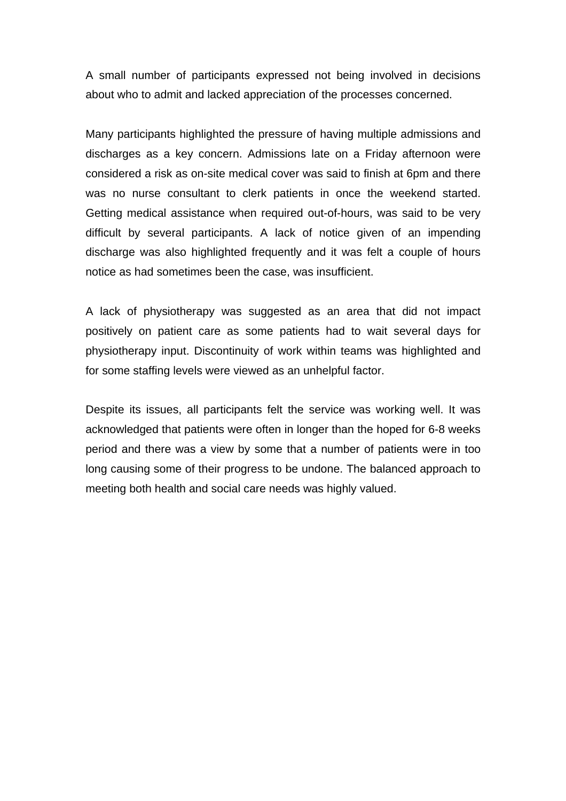A small number of participants expressed not being involved in decisions about who to admit and lacked appreciation of the processes concerned.

Many participants highlighted the pressure of having multiple admissions and discharges as a key concern. Admissions late on a Friday afternoon were considered a risk as on-site medical cover was said to finish at 6pm and there was no nurse consultant to clerk patients in once the weekend started. Getting medical assistance when required out-of-hours, was said to be very difficult by several participants. A lack of notice given of an impending discharge was also highlighted frequently and it was felt a couple of hours notice as had sometimes been the case, was insufficient.

A lack of physiotherapy was suggested as an area that did not impact positively on patient care as some patients had to wait several days for physiotherapy input. Discontinuity of work within teams was highlighted and for some staffing levels were viewed as an unhelpful factor.

Despite its issues, all participants felt the service was working well. It was acknowledged that patients were often in longer than the hoped for 6-8 weeks period and there was a view by some that a number of patients were in too long causing some of their progress to be undone. The balanced approach to meeting both health and social care needs was highly valued.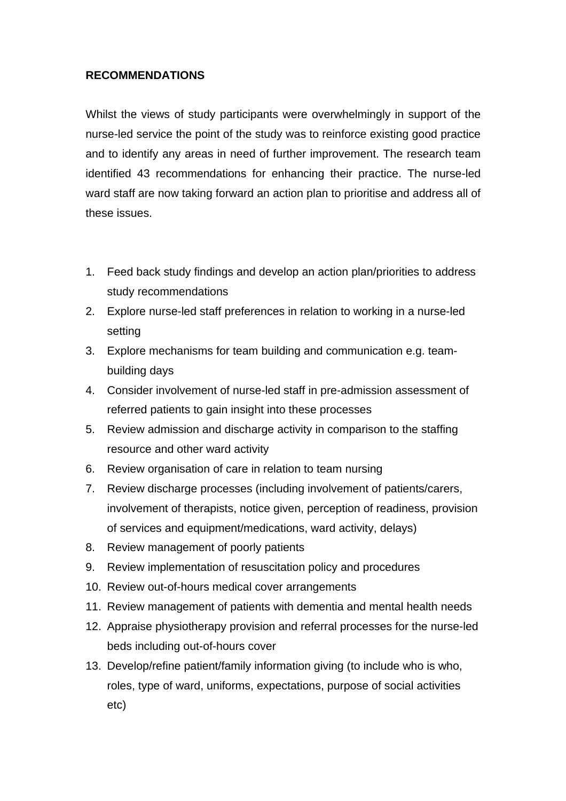#### **RECOMMENDATIONS**

Whilst the views of study participants were overwhelmingly in support of the nurse-led service the point of the study was to reinforce existing good practice and to identify any areas in need of further improvement. The research team identified 43 recommendations for enhancing their practice. The nurse-led ward staff are now taking forward an action plan to prioritise and address all of these issues.

- 1. Feed back study findings and develop an action plan/priorities to address study recommendations
- 2. Explore nurse-led staff preferences in relation to working in a nurse-led setting
- 3. Explore mechanisms for team building and communication e.g. teambuilding days
- 4. Consider involvement of nurse-led staff in pre-admission assessment of referred patients to gain insight into these processes
- 5. Review admission and discharge activity in comparison to the staffing resource and other ward activity
- 6. Review organisation of care in relation to team nursing
- 7. Review discharge processes (including involvement of patients/carers, involvement of therapists, notice given, perception of readiness, provision of services and equipment/medications, ward activity, delays)
- 8. Review management of poorly patients
- 9. Review implementation of resuscitation policy and procedures
- 10. Review out-of-hours medical cover arrangements
- 11. Review management of patients with dementia and mental health needs
- 12. Appraise physiotherapy provision and referral processes for the nurse-led beds including out-of-hours cover
- 13. Develop/refine patient/family information giving (to include who is who, roles, type of ward, uniforms, expectations, purpose of social activities etc)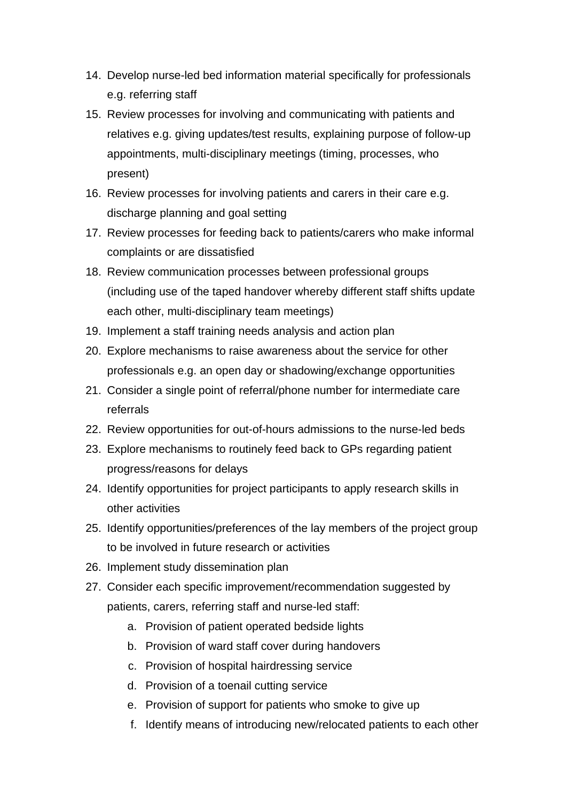- 14. Develop nurse-led bed information material specifically for professionals e.g. referring staff
- 15. Review processes for involving and communicating with patients and relatives e.g. giving updates/test results, explaining purpose of follow-up appointments, multi-disciplinary meetings (timing, processes, who present)
- 16. Review processes for involving patients and carers in their care e.g. discharge planning and goal setting
- 17. Review processes for feeding back to patients/carers who make informal complaints or are dissatisfied
- 18. Review communication processes between professional groups (including use of the taped handover whereby different staff shifts update each other, multi-disciplinary team meetings)
- 19. Implement a staff training needs analysis and action plan
- 20. Explore mechanisms to raise awareness about the service for other professionals e.g. an open day or shadowing/exchange opportunities
- 21. Consider a single point of referral/phone number for intermediate care referrals
- 22. Review opportunities for out-of-hours admissions to the nurse-led beds
- 23. Explore mechanisms to routinely feed back to GPs regarding patient progress/reasons for delays
- 24. Identify opportunities for project participants to apply research skills in other activities
- 25. Identify opportunities/preferences of the lay members of the project group to be involved in future research or activities
- 26. Implement study dissemination plan
- 27. Consider each specific improvement/recommendation suggested by patients, carers, referring staff and nurse-led staff:
	- a. Provision of patient operated bedside lights
	- b. Provision of ward staff cover during handovers
	- c. Provision of hospital hairdressing service
	- d. Provision of a toenail cutting service
	- e. Provision of support for patients who smoke to give up
	- f. Identify means of introducing new/relocated patients to each other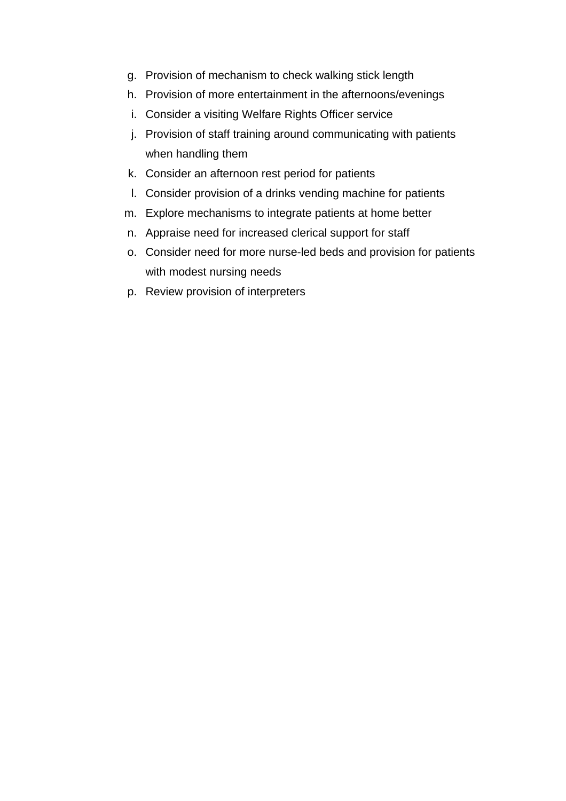- g. Provision of mechanism to check walking stick length
- h. Provision of more entertainment in the afternoons/evenings
- i. Consider a visiting Welfare Rights Officer service
- j. Provision of staff training around communicating with patients when handling them
- k. Consider an afternoon rest period for patients
- l. Consider provision of a drinks vending machine for patients
- m. Explore mechanisms to integrate patients at home better
- n. Appraise need for increased clerical support for staff
- o. Consider need for more nurse-led beds and provision for patients with modest nursing needs
- p. Review provision of interpreters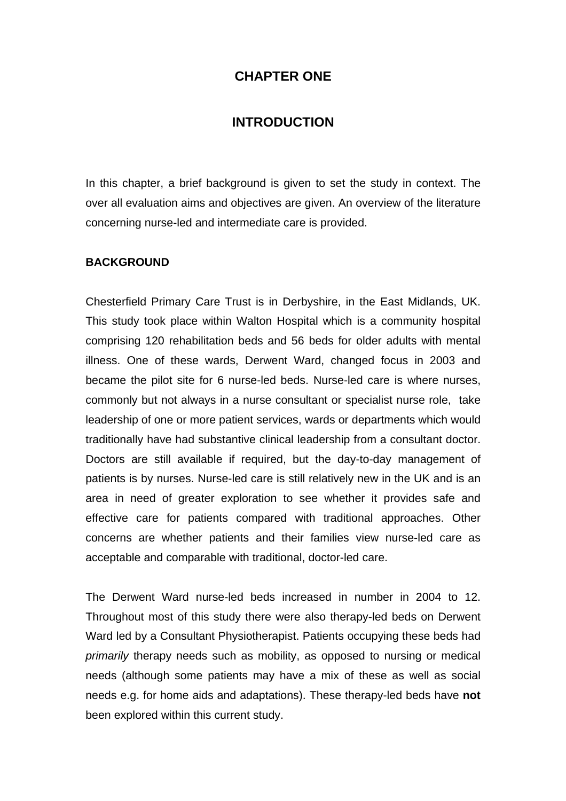#### **CHAPTER ONE**

#### **INTRODUCTION**

In this chapter, a brief background is given to set the study in context. The over all evaluation aims and objectives are given. An overview of the literature concerning nurse-led and intermediate care is provided.

#### **BACKGROUND**

Chesterfield Primary Care Trust is in Derbyshire, in the East Midlands, UK. This study took place within Walton Hospital which is a community hospital comprising 120 rehabilitation beds and 56 beds for older adults with mental illness. One of these wards, Derwent Ward, changed focus in 2003 and became the pilot site for 6 nurse-led beds. Nurse-led care is where nurses, commonly but not always in a nurse consultant or specialist nurse role, take leadership of one or more patient services, wards or departments which would traditionally have had substantive clinical leadership from a consultant doctor. Doctors are still available if required, but the day-to-day management of patients is by nurses. Nurse-led care is still relatively new in the UK and is an area in need of greater exploration to see whether it provides safe and effective care for patients compared with traditional approaches. Other concerns are whether patients and their families view nurse-led care as acceptable and comparable with traditional, doctor-led care.

The Derwent Ward nurse-led beds increased in number in 2004 to 12. Throughout most of this study there were also therapy-led beds on Derwent Ward led by a Consultant Physiotherapist. Patients occupying these beds had *primarily* therapy needs such as mobility, as opposed to nursing or medical needs (although some patients may have a mix of these as well as social needs e.g. for home aids and adaptations). These therapy-led beds have **not** been explored within this current study.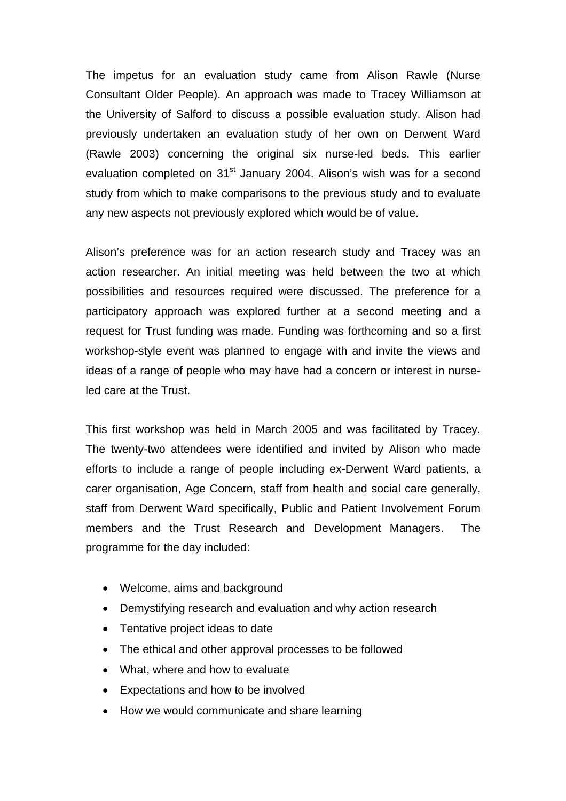The impetus for an evaluation study came from Alison Rawle (Nurse Consultant Older People). An approach was made to Tracey Williamson at the University of Salford to discuss a possible evaluation study. Alison had previously undertaken an evaluation study of her own on Derwent Ward (Rawle 2003) concerning the original six nurse-led beds. This earlier evaluation completed on 31<sup>st</sup> January 2004. Alison's wish was for a second study from which to make comparisons to the previous study and to evaluate any new aspects not previously explored which would be of value.

Alison's preference was for an action research study and Tracey was an action researcher. An initial meeting was held between the two at which possibilities and resources required were discussed. The preference for a participatory approach was explored further at a second meeting and a request for Trust funding was made. Funding was forthcoming and so a first workshop-style event was planned to engage with and invite the views and ideas of a range of people who may have had a concern or interest in nurseled care at the Trust.

This first workshop was held in March 2005 and was facilitated by Tracey. The twenty-two attendees were identified and invited by Alison who made efforts to include a range of people including ex-Derwent Ward patients, a carer organisation, Age Concern, staff from health and social care generally, staff from Derwent Ward specifically, Public and Patient Involvement Forum members and the Trust Research and Development Managers. The programme for the day included:

- Welcome, aims and background
- Demystifying research and evaluation and why action research
- Tentative project ideas to date
- The ethical and other approval processes to be followed
- What, where and how to evaluate
- Expectations and how to be involved
- How we would communicate and share learning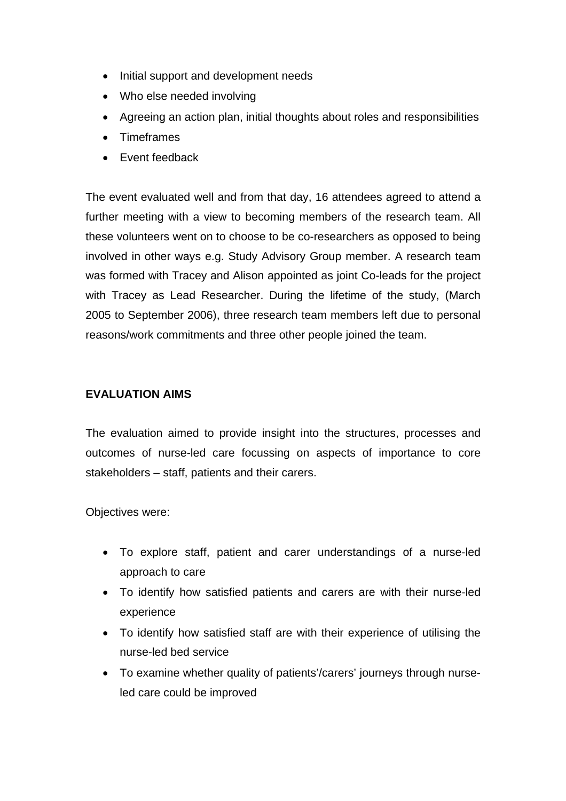- Initial support and development needs
- Who else needed involving
- Agreeing an action plan, initial thoughts about roles and responsibilities
- Timeframes
- Event feedback

The event evaluated well and from that day, 16 attendees agreed to attend a further meeting with a view to becoming members of the research team. All these volunteers went on to choose to be co-researchers as opposed to being involved in other ways e.g. Study Advisory Group member. A research team was formed with Tracey and Alison appointed as joint Co-leads for the project with Tracey as Lead Researcher. During the lifetime of the study, (March 2005 to September 2006), three research team members left due to personal reasons/work commitments and three other people joined the team.

#### **EVALUATION AIMS**

The evaluation aimed to provide insight into the structures, processes and outcomes of nurse-led care focussing on aspects of importance to core stakeholders – staff, patients and their carers.

Objectives were:

- To explore staff, patient and carer understandings of a nurse-led approach to care
- To identify how satisfied patients and carers are with their nurse-led experience
- To identify how satisfied staff are with their experience of utilising the nurse-led bed service
- To examine whether quality of patients'/carers' journeys through nurseled care could be improved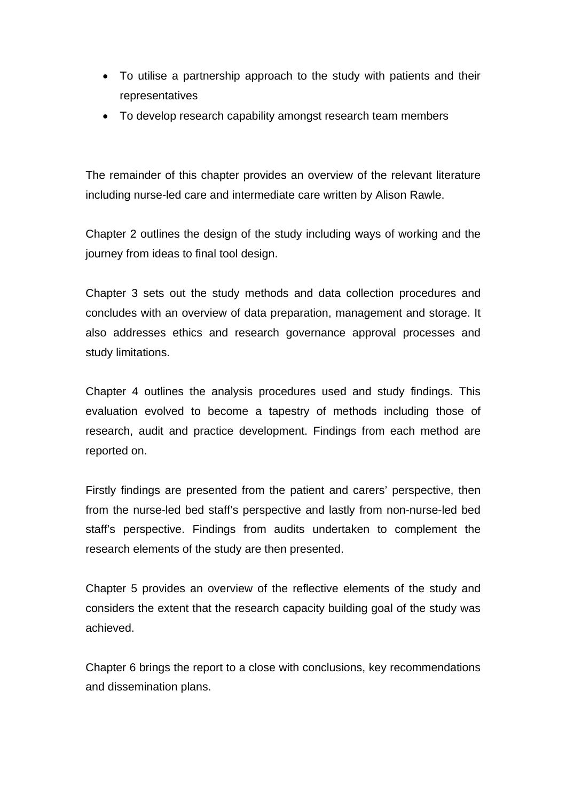- To utilise a partnership approach to the study with patients and their representatives
- To develop research capability amongst research team members

The remainder of this chapter provides an overview of the relevant literature including nurse-led care and intermediate care written by Alison Rawle.

Chapter 2 outlines the design of the study including ways of working and the journey from ideas to final tool design.

Chapter 3 sets out the study methods and data collection procedures and concludes with an overview of data preparation, management and storage. It also addresses ethics and research governance approval processes and study limitations.

Chapter 4 outlines the analysis procedures used and study findings. This evaluation evolved to become a tapestry of methods including those of research, audit and practice development. Findings from each method are reported on.

Firstly findings are presented from the patient and carers' perspective, then from the nurse-led bed staff's perspective and lastly from non-nurse-led bed staff's perspective. Findings from audits undertaken to complement the research elements of the study are then presented.

Chapter 5 provides an overview of the reflective elements of the study and considers the extent that the research capacity building goal of the study was achieved.

Chapter 6 brings the report to a close with conclusions, key recommendations and dissemination plans.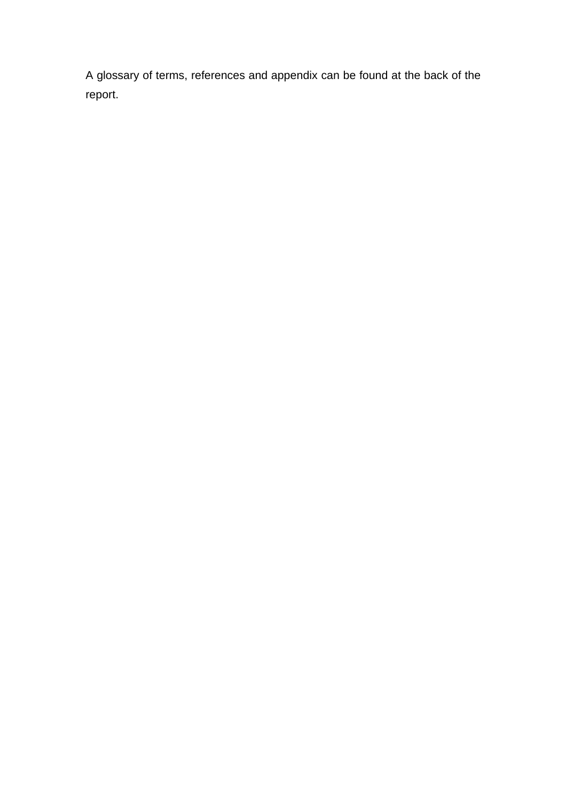A glossary of terms, references and appendix can be found at the back of the report.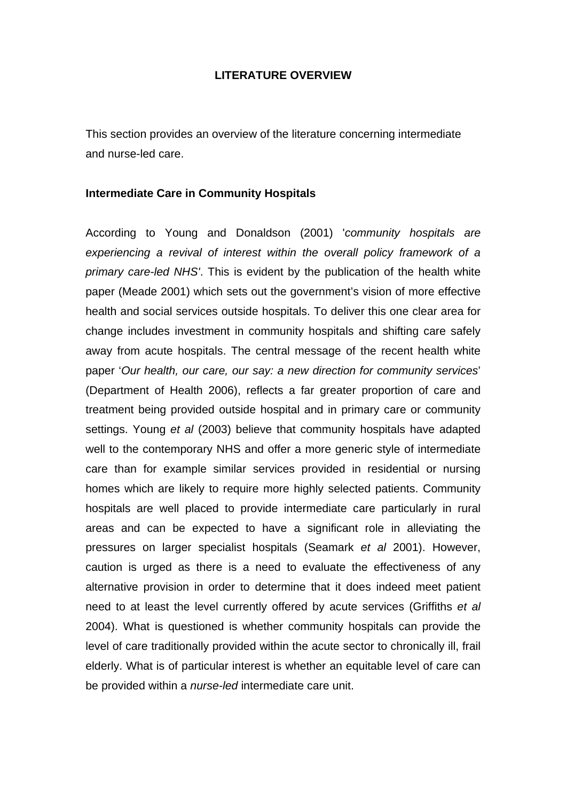#### **LITERATURE OVERVIEW**

This section provides an overview of the literature concerning intermediate and nurse-led care.

#### **Intermediate Care in Community Hospitals**

According to Young and Donaldson (2001) '*community hospitals are experiencing a revival of interest within the overall policy framework of a primary care-led NHS'*. This is evident by the publication of the health white paper (Meade 2001) which sets out the government's vision of more effective health and social services outside hospitals. To deliver this one clear area for change includes investment in community hospitals and shifting care safely away from acute hospitals. The central message of the recent health white paper '*Our health, our care, our say: a new direction for community services*' (Department of Health 2006), reflects a far greater proportion of care and treatment being provided outside hospital and in primary care or community settings. Young *et al* (2003) believe that community hospitals have adapted well to the contemporary NHS and offer a more generic style of intermediate care than for example similar services provided in residential or nursing homes which are likely to require more highly selected patients. Community hospitals are well placed to provide intermediate care particularly in rural areas and can be expected to have a significant role in alleviating the pressures on larger specialist hospitals (Seamark *et al* 2001). However, caution is urged as there is a need to evaluate the effectiveness of any alternative provision in order to determine that it does indeed meet patient need to at least the level currently offered by acute services (Griffiths *et al* 2004). What is questioned is whether community hospitals can provide the level of care traditionally provided within the acute sector to chronically ill, frail elderly. What is of particular interest is whether an equitable level of care can be provided within a *nurse-led* intermediate care unit.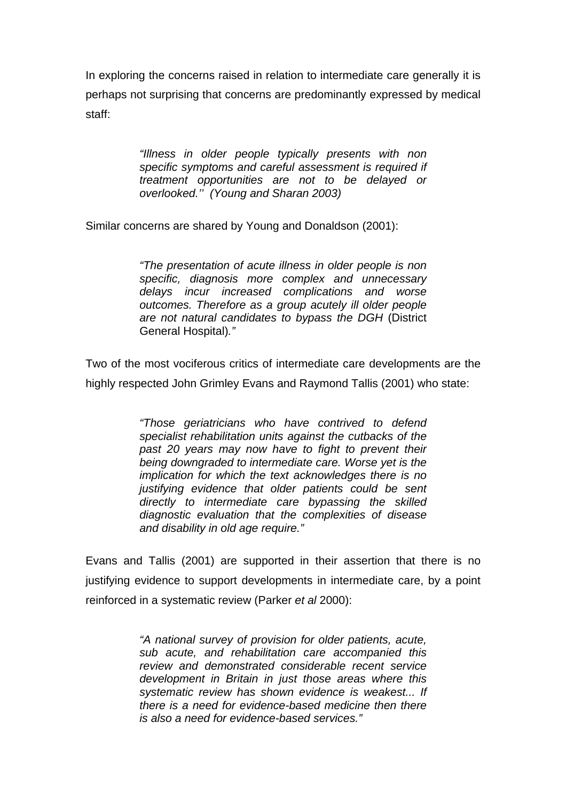In exploring the concerns raised in relation to intermediate care generally it is perhaps not surprising that concerns are predominantly expressed by medical staff:

> *"Illness in older people typically presents with non specific symptoms and careful assessment is required if treatment opportunities are not to be delayed or overlooked.'' (Young and Sharan 2003)*

Similar concerns are shared by Young and Donaldson (2001):

*"The presentation of acute illness in older people is non specific, diagnosis more complex and unnecessary delays incur increased complications and worse outcomes. Therefore as a group acutely ill older people are not natural candidates to bypass the DGH* (District General Hospital)*."* 

Two of the most vociferous critics of intermediate care developments are the highly respected John Grimley Evans and Raymond Tallis (2001) who state:

> *"Those geriatricians who have contrived to defend specialist rehabilitation units against the cutbacks of the past 20 years may now have to fight to prevent their being downgraded to intermediate care. Worse yet is the implication for which the text acknowledges there is no justifying evidence that older patients could be sent directly to intermediate care bypassing the skilled diagnostic evaluation that the complexities of disease and disability in old age require."*

Evans and Tallis (2001) are supported in their assertion that there is no justifying evidence to support developments in intermediate care, by a point reinforced in a systematic review (Parker *et al* 2000):

> *"A national survey of provision for older patients, acute, sub acute, and rehabilitation care accompanied this review and demonstrated considerable recent service development in Britain in just those areas where this systematic review has shown evidence is weakest... If there is a need for evidence-based medicine then there is also a need for evidence-based services."*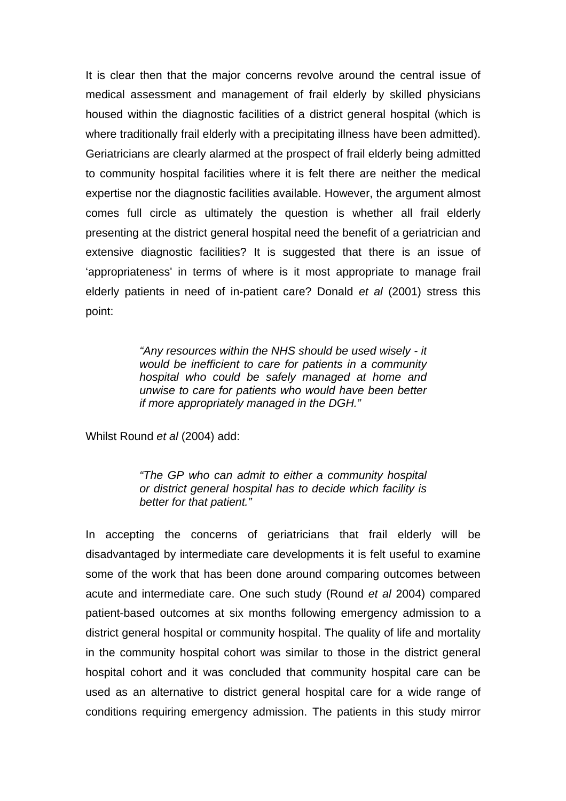It is clear then that the major concerns revolve around the central issue of medical assessment and management of frail elderly by skilled physicians housed within the diagnostic facilities of a district general hospital (which is where traditionally frail elderly with a precipitating illness have been admitted). Geriatricians are clearly alarmed at the prospect of frail elderly being admitted to community hospital facilities where it is felt there are neither the medical expertise nor the diagnostic facilities available. However, the argument almost comes full circle as ultimately the question is whether all frail elderly presenting at the district general hospital need the benefit of a geriatrician and extensive diagnostic facilities? It is suggested that there is an issue of 'appropriateness' in terms of where is it most appropriate to manage frail elderly patients in need of in-patient care? Donald *et al* (2001) stress this point:

> *"Any resources within the NHS should be used wisely - it would be inefficient to care for patients in a community hospital who could be safely managed at home and unwise to care for patients who would have been better if more appropriately managed in the DGH."*

Whilst Round *et al* (2004) add:

*"The GP who can admit to either a community hospital or district general hospital has to decide which facility is better for that patient."* 

In accepting the concerns of geriatricians that frail elderly will be disadvantaged by intermediate care developments it is felt useful to examine some of the work that has been done around comparing outcomes between acute and intermediate care. One such study (Round *et al* 2004) compared patient-based outcomes at six months following emergency admission to a district general hospital or community hospital. The quality of life and mortality in the community hospital cohort was similar to those in the district general hospital cohort and it was concluded that community hospital care can be used as an alternative to district general hospital care for a wide range of conditions requiring emergency admission. The patients in this study mirror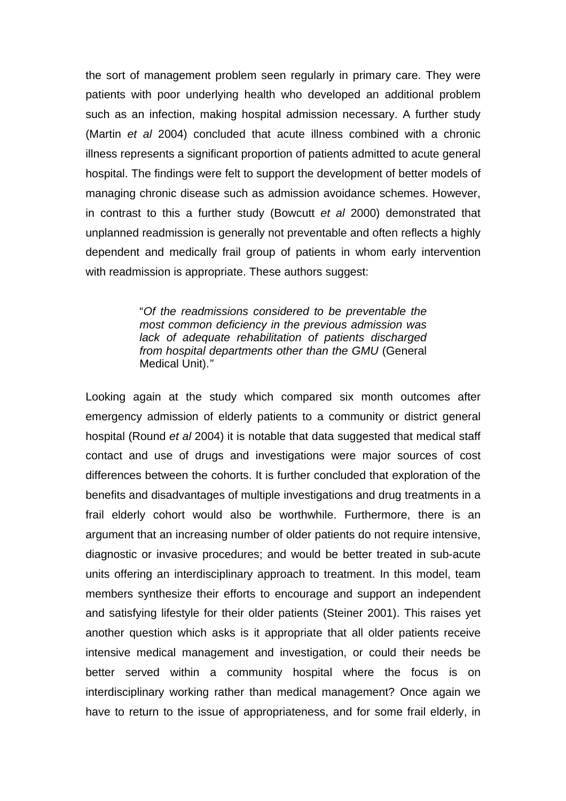the sort of management problem seen regularly in primary care. They were patients with poor underlying health who developed an additional problem such as an infection, making hospital admission necessary. A further study (Martin *et al* 2004) concluded that acute illness combined with a chronic illness represents a significant proportion of patients admitted to acute general hospital. The findings were felt to support the development of better models of managing chronic disease such as admission avoidance schemes. However, in contrast to this a further study (Bowcutt *et al* 2000) demonstrated that unplanned readmission is generally not preventable and often reflects a highly dependent and medically frail group of patients in whom early intervention with readmission is appropriate. These authors suggest:

> "*Of the readmissions considered to be preventable the most common deficiency in the previous admission was lack of adequate rehabilitation of patients discharged from hospital departments other than the GMU* (General Medical Unit).*"*

Looking again at the study which compared six month outcomes after emergency admission of elderly patients to a community or district general hospital (Round *et al* 2004) it is notable that data suggested that medical staff contact and use of drugs and investigations were major sources of cost differences between the cohorts. It is further concluded that exploration of the benefits and disadvantages of multiple investigations and drug treatments in a frail elderly cohort would also be worthwhile. Furthermore, there is an argument that an increasing number of older patients do not require intensive, diagnostic or invasive procedures; and would be better treated in sub-acute units offering an interdisciplinary approach to treatment. In this model, team members synthesize their efforts to encourage and support an independent and satisfying lifestyle for their older patients (Steiner 2001). This raises yet another question which asks is it appropriate that all older patients receive intensive medical management and investigation, or could their needs be better served within a community hospital where the focus is on interdisciplinary working rather than medical management? Once again we have to return to the issue of appropriateness, and for some frail elderly, in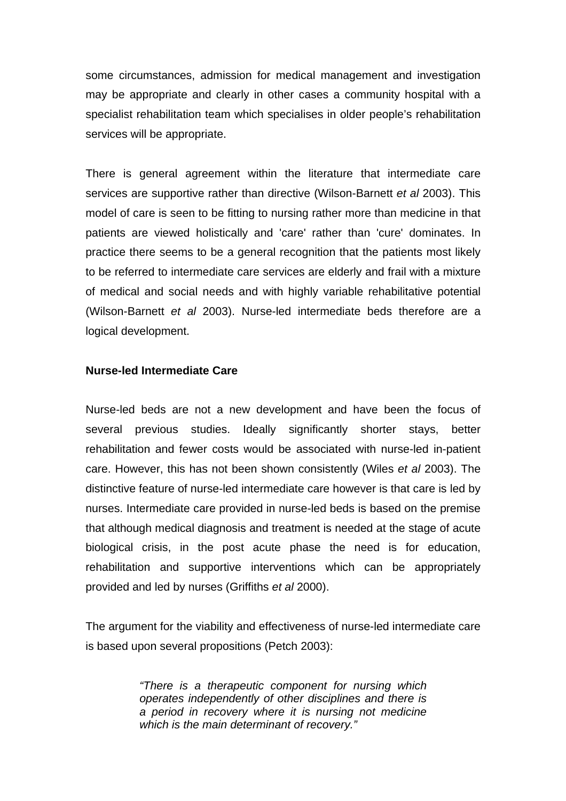some circumstances, admission for medical management and investigation may be appropriate and clearly in other cases a community hospital with a specialist rehabilitation team which specialises in older people's rehabilitation services will be appropriate.

There is general agreement within the literature that intermediate care services are supportive rather than directive (Wilson-Barnett *et al* 2003). This model of care is seen to be fitting to nursing rather more than medicine in that patients are viewed holistically and 'care' rather than 'cure' dominates. In practice there seems to be a general recognition that the patients most likely to be referred to intermediate care services are elderly and frail with a mixture of medical and social needs and with highly variable rehabilitative potential (Wilson-Barnett *et al* 2003). Nurse-led intermediate beds therefore are a logical development.

#### **Nurse-led Intermediate Care**

Nurse-led beds are not a new development and have been the focus of several previous studies. Ideally significantly shorter stays, better rehabilitation and fewer costs would be associated with nurse-led in-patient care. However, this has not been shown consistently (Wiles *et al* 2003). The distinctive feature of nurse-led intermediate care however is that care is led by nurses. Intermediate care provided in nurse-led beds is based on the premise that although medical diagnosis and treatment is needed at the stage of acute biological crisis, in the post acute phase the need is for education, rehabilitation and supportive interventions which can be appropriately provided and led by nurses (Griffiths *et al* 2000).

The argument for the viability and effectiveness of nurse-led intermediate care is based upon several propositions (Petch 2003):

> *"There is a therapeutic component for nursing which operates independently of other disciplines and there is a period in recovery where it is nursing not medicine which is the main determinant of recovery."*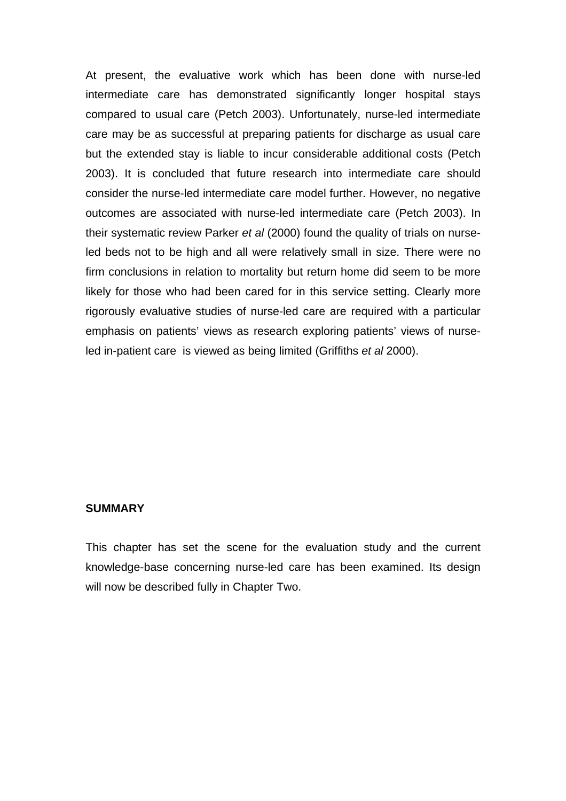At present, the evaluative work which has been done with nurse-led intermediate care has demonstrated significantly longer hospital stays compared to usual care (Petch 2003). Unfortunately, nurse-led intermediate care may be as successful at preparing patients for discharge as usual care but the extended stay is liable to incur considerable additional costs (Petch 2003). It is concluded that future research into intermediate care should consider the nurse-led intermediate care model further. However, no negative outcomes are associated with nurse-led intermediate care (Petch 2003). In their systematic review Parker *et al* (2000) found the quality of trials on nurseled beds not to be high and all were relatively small in size. There were no firm conclusions in relation to mortality but return home did seem to be more likely for those who had been cared for in this service setting. Clearly more rigorously evaluative studies of nurse-led care are required with a particular emphasis on patients' views as research exploring patients' views of nurseled in-patient care is viewed as being limited (Griffiths *et al* 2000).

#### **SUMMARY**

This chapter has set the scene for the evaluation study and the current knowledge-base concerning nurse-led care has been examined. Its design will now be described fully in Chapter Two.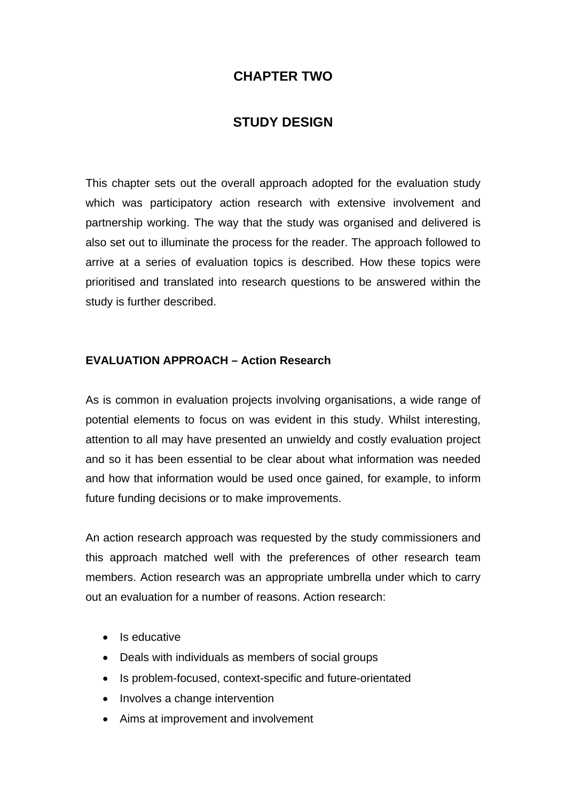# **CHAPTER TWO**

# **STUDY DESIGN**

This chapter sets out the overall approach adopted for the evaluation study which was participatory action research with extensive involvement and partnership working. The way that the study was organised and delivered is also set out to illuminate the process for the reader. The approach followed to arrive at a series of evaluation topics is described. How these topics were prioritised and translated into research questions to be answered within the study is further described.

### **EVALUATION APPROACH – Action Research**

As is common in evaluation projects involving organisations, a wide range of potential elements to focus on was evident in this study. Whilst interesting, attention to all may have presented an unwieldy and costly evaluation project and so it has been essential to be clear about what information was needed and how that information would be used once gained, for example, to inform future funding decisions or to make improvements.

An action research approach was requested by the study commissioners and this approach matched well with the preferences of other research team members. Action research was an appropriate umbrella under which to carry out an evaluation for a number of reasons. Action research:

- Is educative
- Deals with individuals as members of social groups
- Is problem-focused, context-specific and future-orientated
- Involves a change intervention
- Aims at improvement and involvement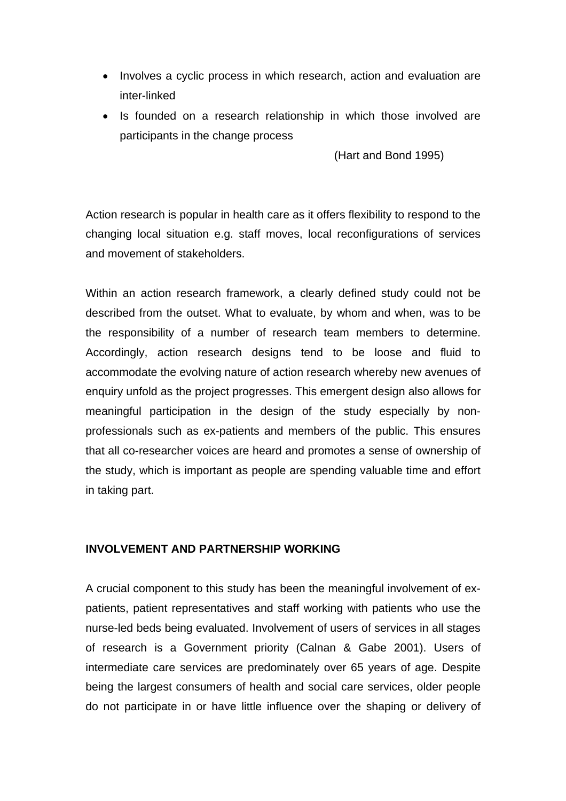- Involves a cyclic process in which research, action and evaluation are inter-linked
- Is founded on a research relationship in which those involved are participants in the change process

(Hart and Bond 1995)

Action research is popular in health care as it offers flexibility to respond to the changing local situation e.g. staff moves, local reconfigurations of services and movement of stakeholders.

Within an action research framework, a clearly defined study could not be described from the outset. What to evaluate, by whom and when, was to be the responsibility of a number of research team members to determine. Accordingly, action research designs tend to be loose and fluid to accommodate the evolving nature of action research whereby new avenues of enquiry unfold as the project progresses. This emergent design also allows for meaningful participation in the design of the study especially by nonprofessionals such as ex-patients and members of the public. This ensures that all co-researcher voices are heard and promotes a sense of ownership of the study, which is important as people are spending valuable time and effort in taking part.

### **INVOLVEMENT AND PARTNERSHIP WORKING**

A crucial component to this study has been the meaningful involvement of expatients, patient representatives and staff working with patients who use the nurse-led beds being evaluated. Involvement of users of services in all stages of research is a Government priority (Calnan & Gabe 2001). Users of intermediate care services are predominately over 65 years of age. Despite being the largest consumers of health and social care services, older people do not participate in or have little influence over the shaping or delivery of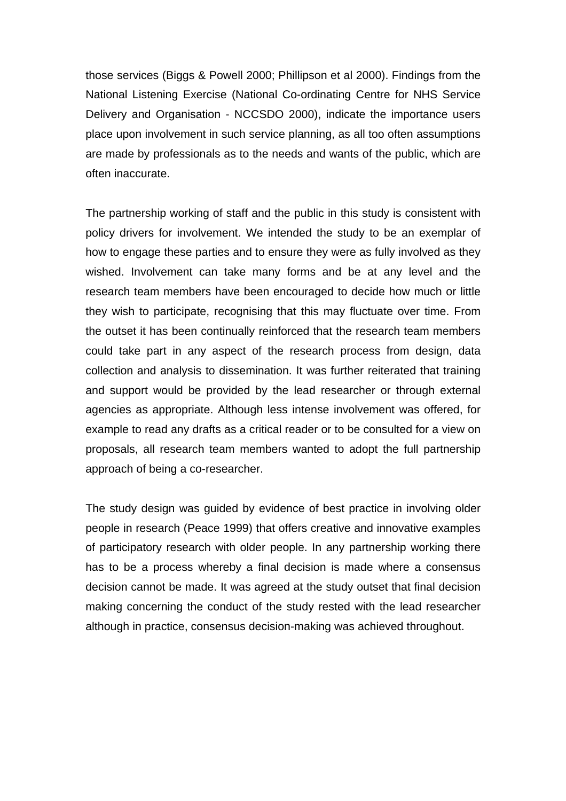those services (Biggs & Powell 2000; Phillipson et al 2000). Findings from the National Listening Exercise (National Co-ordinating Centre for NHS Service Delivery and Organisation - NCCSDO 2000), indicate the importance users place upon involvement in such service planning, as all too often assumptions are made by professionals as to the needs and wants of the public, which are often inaccurate.

The partnership working of staff and the public in this study is consistent with policy drivers for involvement. We intended the study to be an exemplar of how to engage these parties and to ensure they were as fully involved as they wished. Involvement can take many forms and be at any level and the research team members have been encouraged to decide how much or little they wish to participate, recognising that this may fluctuate over time. From the outset it has been continually reinforced that the research team members could take part in any aspect of the research process from design, data collection and analysis to dissemination. It was further reiterated that training and support would be provided by the lead researcher or through external agencies as appropriate. Although less intense involvement was offered, for example to read any drafts as a critical reader or to be consulted for a view on proposals, all research team members wanted to adopt the full partnership approach of being a co-researcher.

The study design was guided by evidence of best practice in involving older people in research (Peace 1999) that offers creative and innovative examples of participatory research with older people. In any partnership working there has to be a process whereby a final decision is made where a consensus decision cannot be made. It was agreed at the study outset that final decision making concerning the conduct of the study rested with the lead researcher although in practice, consensus decision-making was achieved throughout.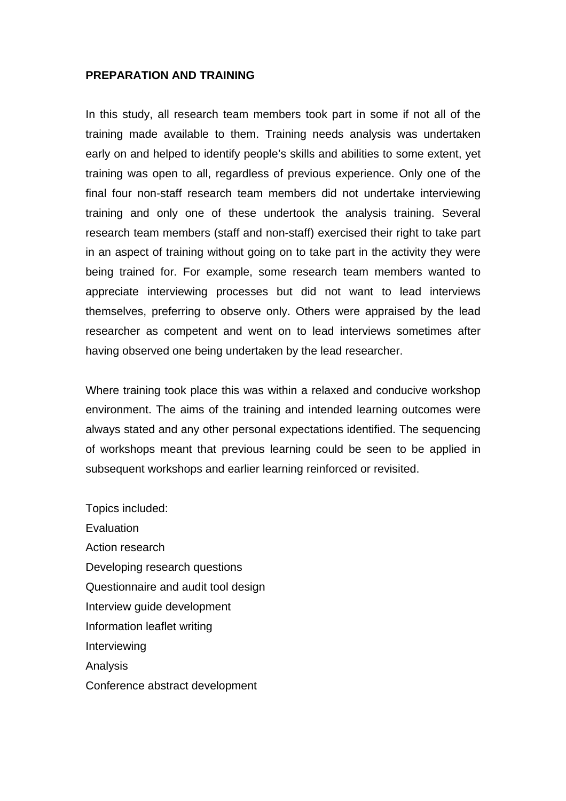#### **PREPARATION AND TRAINING**

In this study, all research team members took part in some if not all of the training made available to them. Training needs analysis was undertaken early on and helped to identify people's skills and abilities to some extent, yet training was open to all, regardless of previous experience. Only one of the final four non-staff research team members did not undertake interviewing training and only one of these undertook the analysis training. Several research team members (staff and non-staff) exercised their right to take part in an aspect of training without going on to take part in the activity they were being trained for. For example, some research team members wanted to appreciate interviewing processes but did not want to lead interviews themselves, preferring to observe only. Others were appraised by the lead researcher as competent and went on to lead interviews sometimes after having observed one being undertaken by the lead researcher.

Where training took place this was within a relaxed and conducive workshop environment. The aims of the training and intended learning outcomes were always stated and any other personal expectations identified. The sequencing of workshops meant that previous learning could be seen to be applied in subsequent workshops and earlier learning reinforced or revisited.

Topics included: **Evaluation** Action research Developing research questions Questionnaire and audit tool design Interview guide development Information leaflet writing **Interviewing** Analysis Conference abstract development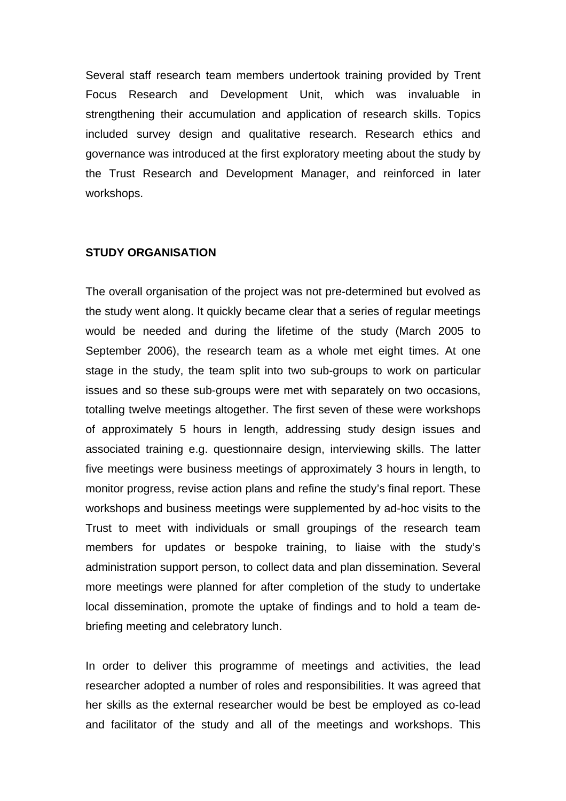Several staff research team members undertook training provided by Trent Focus Research and Development Unit, which was invaluable in strengthening their accumulation and application of research skills. Topics included survey design and qualitative research. Research ethics and governance was introduced at the first exploratory meeting about the study by the Trust Research and Development Manager, and reinforced in later workshops.

#### **STUDY ORGANISATION**

The overall organisation of the project was not pre-determined but evolved as the study went along. It quickly became clear that a series of regular meetings would be needed and during the lifetime of the study (March 2005 to September 2006), the research team as a whole met eight times. At one stage in the study, the team split into two sub-groups to work on particular issues and so these sub-groups were met with separately on two occasions, totalling twelve meetings altogether. The first seven of these were workshops of approximately 5 hours in length, addressing study design issues and associated training e.g. questionnaire design, interviewing skills. The latter five meetings were business meetings of approximately 3 hours in length, to monitor progress, revise action plans and refine the study's final report. These workshops and business meetings were supplemented by ad-hoc visits to the Trust to meet with individuals or small groupings of the research team members for updates or bespoke training, to liaise with the study's administration support person, to collect data and plan dissemination. Several more meetings were planned for after completion of the study to undertake local dissemination, promote the uptake of findings and to hold a team debriefing meeting and celebratory lunch.

In order to deliver this programme of meetings and activities, the lead researcher adopted a number of roles and responsibilities. It was agreed that her skills as the external researcher would be best be employed as co-lead and facilitator of the study and all of the meetings and workshops. This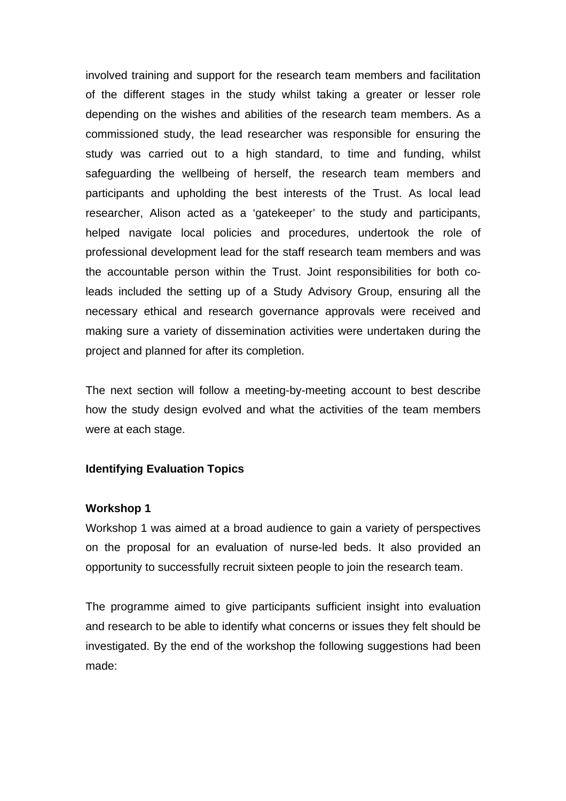involved training and support for the research team members and facilitation of the different stages in the study whilst taking a greater or lesser role depending on the wishes and abilities of the research team members. As a commissioned study, the lead researcher was responsible for ensuring the study was carried out to a high standard, to time and funding, whilst safeguarding the wellbeing of herself, the research team members and participants and upholding the best interests of the Trust. As local lead researcher, Alison acted as a 'gatekeeper' to the study and participants, helped navigate local policies and procedures, undertook the role of professional development lead for the staff research team members and was the accountable person within the Trust. Joint responsibilities for both coleads included the setting up of a Study Advisory Group, ensuring all the necessary ethical and research governance approvals were received and making sure a variety of dissemination activities were undertaken during the project and planned for after its completion.

The next section will follow a meeting-by-meeting account to best describe how the study design evolved and what the activities of the team members were at each stage.

#### **Identifying Evaluation Topics**

#### **Workshop 1**

Workshop 1 was aimed at a broad audience to gain a variety of perspectives on the proposal for an evaluation of nurse-led beds. It also provided an opportunity to successfully recruit sixteen people to join the research team.

The programme aimed to give participants sufficient insight into evaluation and research to be able to identify what concerns or issues they felt should be investigated. By the end of the workshop the following suggestions had been made: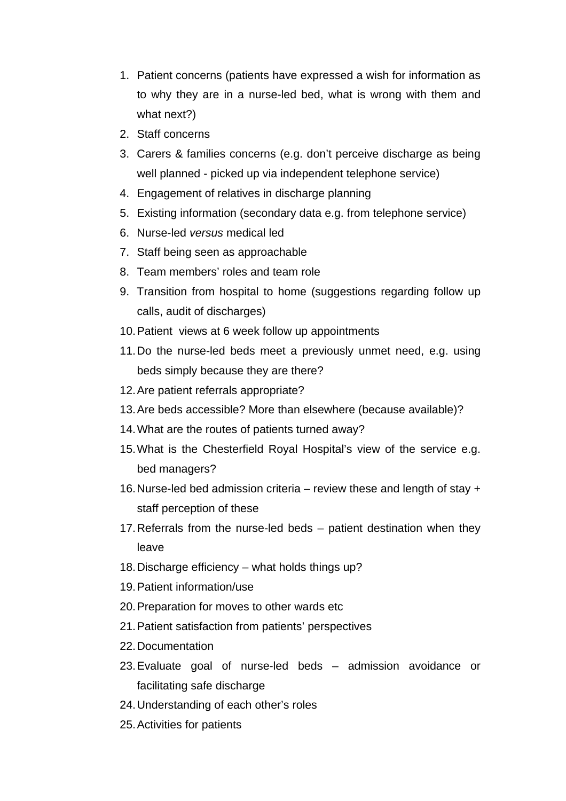- 1. Patient concerns (patients have expressed a wish for information as to why they are in a nurse-led bed, what is wrong with them and what next?)
- 2. Staff concerns
- 3. Carers & families concerns (e.g. don't perceive discharge as being well planned - picked up via independent telephone service)
- 4. Engagement of relatives in discharge planning
- 5. Existing information (secondary data e.g. from telephone service)
- 6. Nurse-led *versus* medical led
- 7. Staff being seen as approachable
- 8. Team members' roles and team role
- 9. Transition from hospital to home (suggestions regarding follow up calls, audit of discharges)
- 10. Patient views at 6 week follow up appointments
- 11. Do the nurse-led beds meet a previously unmet need, e.g. using beds simply because they are there?
- 12. Are patient referrals appropriate?
- 13. Are beds accessible? More than elsewhere (because available)?
- 14. What are the routes of patients turned away?
- 15. What is the Chesterfield Royal Hospital's view of the service e.g. bed managers?
- 16. Nurse-led bed admission criteria review these and length of stay + staff perception of these
- 17. Referrals from the nurse-led beds patient destination when they leave
- 18. Discharge efficiency what holds things up?
- 19. Patient information/use
- 20. Preparation for moves to other wards etc
- 21. Patient satisfaction from patients' perspectives
- 22. Documentation
- 23. Evaluate goal of nurse-led beds admission avoidance or facilitating safe discharge
- 24. Understanding of each other's roles
- 25. Activities for patients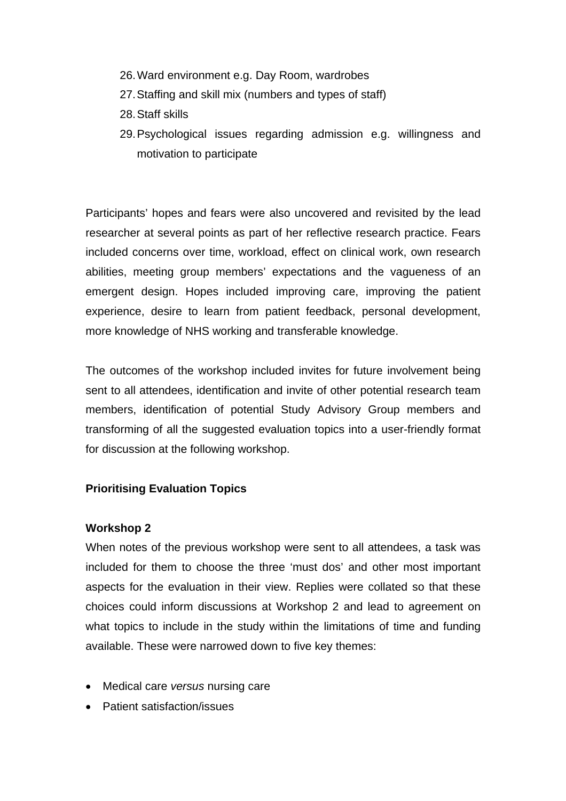- 26. Ward environment e.g. Day Room, wardrobes
- 27. Staffing and skill mix (numbers and types of staff)
- 28. Staff skills
- 29. Psychological issues regarding admission e.g. willingness and motivation to participate

Participants' hopes and fears were also uncovered and revisited by the lead researcher at several points as part of her reflective research practice. Fears included concerns over time, workload, effect on clinical work, own research abilities, meeting group members' expectations and the vagueness of an emergent design. Hopes included improving care, improving the patient experience, desire to learn from patient feedback, personal development, more knowledge of NHS working and transferable knowledge.

The outcomes of the workshop included invites for future involvement being sent to all attendees, identification and invite of other potential research team members, identification of potential Study Advisory Group members and transforming of all the suggested evaluation topics into a user-friendly format for discussion at the following workshop.

### **Prioritising Evaluation Topics**

### **Workshop 2**

When notes of the previous workshop were sent to all attendees, a task was included for them to choose the three 'must dos' and other most important aspects for the evaluation in their view. Replies were collated so that these choices could inform discussions at Workshop 2 and lead to agreement on what topics to include in the study within the limitations of time and funding available. These were narrowed down to five key themes:

- Medical care *versus* nursing care
- Patient satisfaction/issues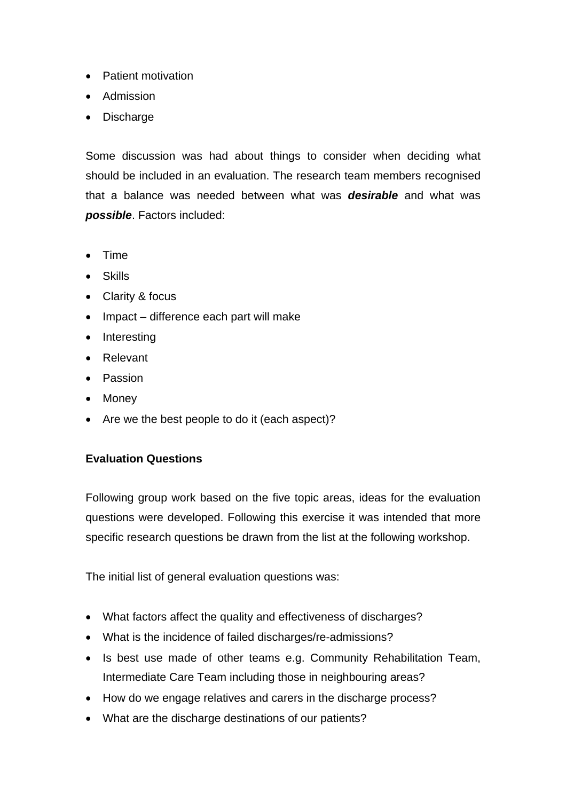- Patient motivation
- Admission
- Discharge

Some discussion was had about things to consider when deciding what should be included in an evaluation. The research team members recognised that a balance was needed between what was *desirable* and what was *possible*. Factors included:

- Time
- Skills
- Clarity & focus
- Impact difference each part will make
- Interesting
- Relevant
- Passion
- Money
- Are we the best people to do it (each aspect)?

### **Evaluation Questions**

Following group work based on the five topic areas, ideas for the evaluation questions were developed. Following this exercise it was intended that more specific research questions be drawn from the list at the following workshop.

The initial list of general evaluation questions was:

- What factors affect the quality and effectiveness of discharges?
- What is the incidence of failed discharges/re-admissions?
- Is best use made of other teams e.g. Community Rehabilitation Team, Intermediate Care Team including those in neighbouring areas?
- How do we engage relatives and carers in the discharge process?
- What are the discharge destinations of our patients?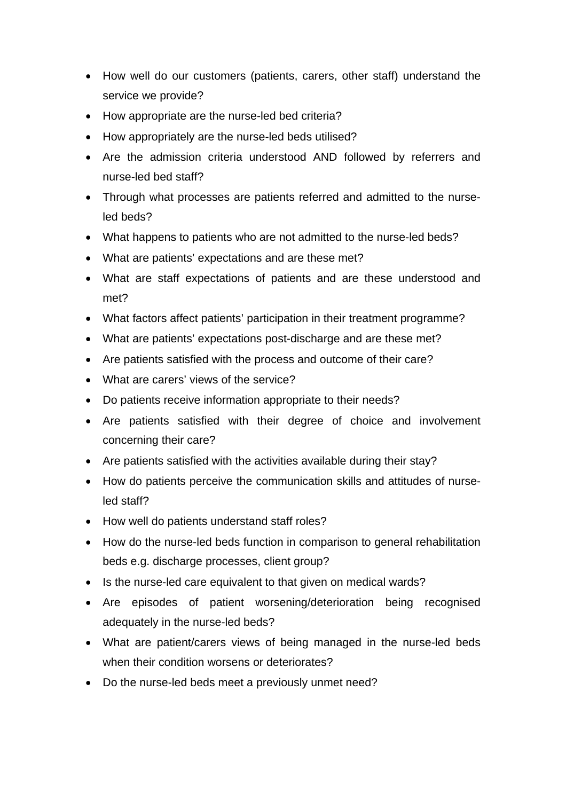- How well do our customers (patients, carers, other staff) understand the service we provide?
- How appropriate are the nurse-led bed criteria?
- How appropriately are the nurse-led beds utilised?
- Are the admission criteria understood AND followed by referrers and nurse-led bed staff?
- Through what processes are patients referred and admitted to the nurseled beds?
- What happens to patients who are not admitted to the nurse-led beds?
- What are patients' expectations and are these met?
- What are staff expectations of patients and are these understood and met?
- What factors affect patients' participation in their treatment programme?
- What are patients' expectations post-discharge and are these met?
- Are patients satisfied with the process and outcome of their care?
- What are carers' views of the service?
- Do patients receive information appropriate to their needs?
- Are patients satisfied with their degree of choice and involvement concerning their care?
- Are patients satisfied with the activities available during their stay?
- How do patients perceive the communication skills and attitudes of nurseled staff?
- How well do patients understand staff roles?
- How do the nurse-led beds function in comparison to general rehabilitation beds e.g. discharge processes, client group?
- Is the nurse-led care equivalent to that given on medical wards?
- Are episodes of patient worsening/deterioration being recognised adequately in the nurse-led beds?
- What are patient/carers views of being managed in the nurse-led beds when their condition worsens or deteriorates?
- Do the nurse-led beds meet a previously unmet need?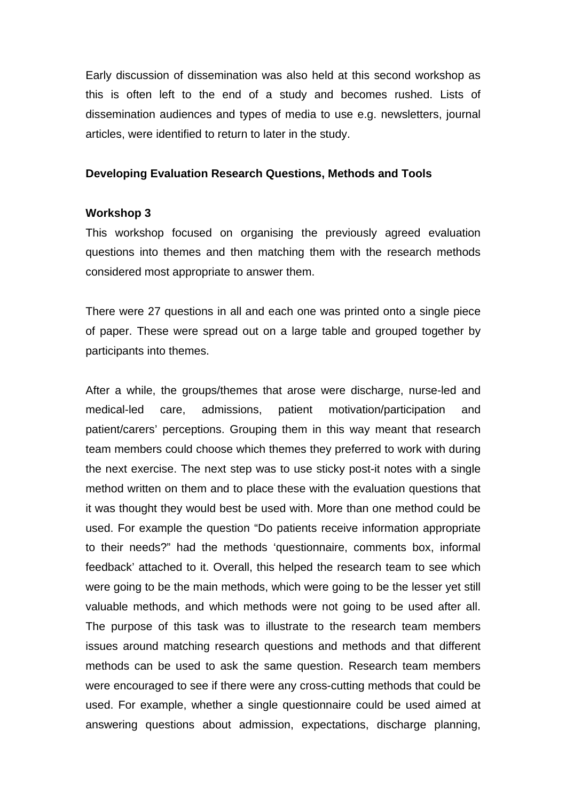Early discussion of dissemination was also held at this second workshop as this is often left to the end of a study and becomes rushed. Lists of dissemination audiences and types of media to use e.g. newsletters, journal articles, were identified to return to later in the study.

#### **Developing Evaluation Research Questions, Methods and Tools**

#### **Workshop 3**

This workshop focused on organising the previously agreed evaluation questions into themes and then matching them with the research methods considered most appropriate to answer them.

There were 27 questions in all and each one was printed onto a single piece of paper. These were spread out on a large table and grouped together by participants into themes.

After a while, the groups/themes that arose were discharge, nurse-led and medical-led care, admissions, patient motivation/participation and patient/carers' perceptions. Grouping them in this way meant that research team members could choose which themes they preferred to work with during the next exercise. The next step was to use sticky post-it notes with a single method written on them and to place these with the evaluation questions that it was thought they would best be used with. More than one method could be used. For example the question "Do patients receive information appropriate to their needs?" had the methods 'questionnaire, comments box, informal feedback' attached to it. Overall, this helped the research team to see which were going to be the main methods, which were going to be the lesser yet still valuable methods, and which methods were not going to be used after all. The purpose of this task was to illustrate to the research team members issues around matching research questions and methods and that different methods can be used to ask the same question. Research team members were encouraged to see if there were any cross-cutting methods that could be used. For example, whether a single questionnaire could be used aimed at answering questions about admission, expectations, discharge planning,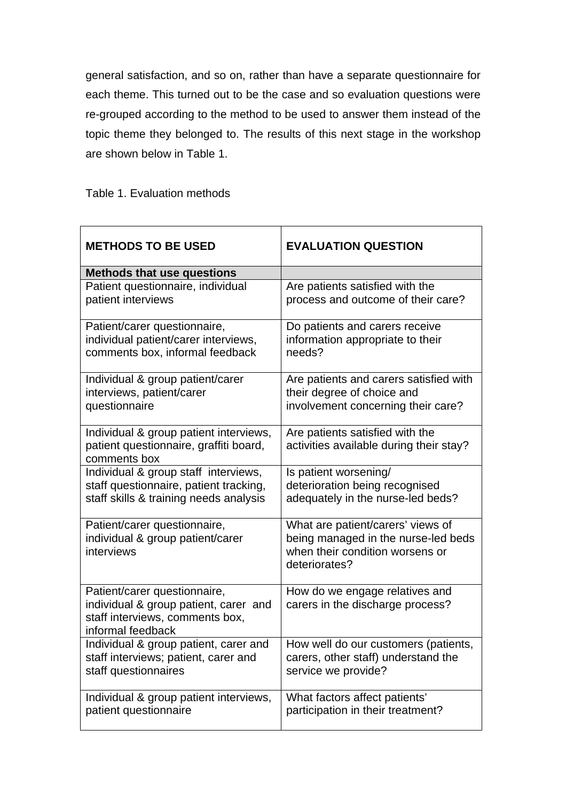general satisfaction, and so on, rather than have a separate questionnaire for each theme. This turned out to be the case and so evaluation questions were re-grouped according to the method to be used to answer them instead of the topic theme they belonged to. The results of this next stage in the workshop are shown below in Table 1.

Table 1. Evaluation methods

| <b>METHODS TO BE USED</b>                                                                                                     | <b>EVALUATION QUESTION</b>                                                                                                   |  |  |  |  |
|-------------------------------------------------------------------------------------------------------------------------------|------------------------------------------------------------------------------------------------------------------------------|--|--|--|--|
| <b>Methods that use questions</b>                                                                                             |                                                                                                                              |  |  |  |  |
| Patient questionnaire, individual                                                                                             | Are patients satisfied with the                                                                                              |  |  |  |  |
| patient interviews                                                                                                            | process and outcome of their care?                                                                                           |  |  |  |  |
| Patient/carer questionnaire,                                                                                                  | Do patients and carers receive                                                                                               |  |  |  |  |
| individual patient/carer interviews,                                                                                          | information appropriate to their                                                                                             |  |  |  |  |
| comments box, informal feedback                                                                                               | needs?                                                                                                                       |  |  |  |  |
| Individual & group patient/carer                                                                                              | Are patients and carers satisfied with                                                                                       |  |  |  |  |
| interviews, patient/carer                                                                                                     | their degree of choice and                                                                                                   |  |  |  |  |
| questionnaire                                                                                                                 | involvement concerning their care?                                                                                           |  |  |  |  |
| Individual & group patient interviews,<br>patient questionnaire, graffiti board,<br>comments box                              | Are patients satisfied with the<br>activities available during their stay?                                                   |  |  |  |  |
| Individual & group staff interviews,                                                                                          | Is patient worsening/                                                                                                        |  |  |  |  |
| staff questionnaire, patient tracking,                                                                                        | deterioration being recognised                                                                                               |  |  |  |  |
| staff skills & training needs analysis                                                                                        | adequately in the nurse-led beds?                                                                                            |  |  |  |  |
| Patient/carer questionnaire,<br>individual & group patient/carer<br>interviews                                                | What are patient/carers' views of<br>being managed in the nurse-led beds<br>when their condition worsens or<br>deteriorates? |  |  |  |  |
| Patient/carer questionnaire,<br>individual & group patient, carer and<br>staff interviews, comments box,<br>informal feedback | How do we engage relatives and<br>carers in the discharge process?                                                           |  |  |  |  |
| Individual & group patient, carer and                                                                                         | How well do our customers (patients,                                                                                         |  |  |  |  |
| staff interviews; patient, carer and                                                                                          | carers, other staff) understand the                                                                                          |  |  |  |  |
| staff questionnaires                                                                                                          | service we provide?                                                                                                          |  |  |  |  |
| Individual & group patient interviews,                                                                                        | What factors affect patients'                                                                                                |  |  |  |  |
| patient questionnaire                                                                                                         | participation in their treatment?                                                                                            |  |  |  |  |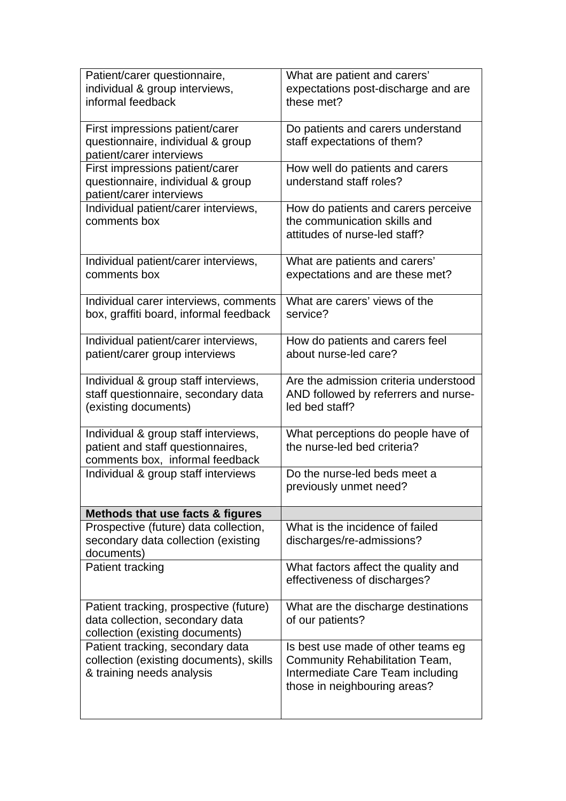| Patient/carer questionnaire,<br>individual & group interviews,<br>informal feedback                          | What are patient and carers'<br>expectations post-discharge and are<br>these met?                                                        |
|--------------------------------------------------------------------------------------------------------------|------------------------------------------------------------------------------------------------------------------------------------------|
| First impressions patient/carer<br>questionnaire, individual & group<br>patient/carer interviews             | Do patients and carers understand<br>staff expectations of them?                                                                         |
| First impressions patient/carer<br>questionnaire, individual & group<br>patient/carer interviews             | How well do patients and carers<br>understand staff roles?                                                                               |
| Individual patient/carer interviews,<br>comments box                                                         | How do patients and carers perceive<br>the communication skills and<br>attitudes of nurse-led staff?                                     |
| Individual patient/carer interviews,<br>comments box                                                         | What are patients and carers'<br>expectations and are these met?                                                                         |
| Individual carer interviews, comments<br>box, graffiti board, informal feedback                              | What are carers' views of the<br>service?                                                                                                |
| Individual patient/carer interviews,<br>patient/carer group interviews                                       | How do patients and carers feel<br>about nurse-led care?                                                                                 |
| Individual & group staff interviews,<br>staff questionnaire, secondary data<br>(existing documents)          | Are the admission criteria understood<br>AND followed by referrers and nurse-<br>led bed staff?                                          |
| Individual & group staff interviews,<br>patient and staff questionnaires,<br>comments box, informal feedback | What perceptions do people have of<br>the nurse-led bed criteria?                                                                        |
| Individual & group staff interviews                                                                          | Do the nurse-led beds meet a<br>previously unmet need?                                                                                   |
| Methods that use facts & figures                                                                             |                                                                                                                                          |
| Prospective (future) data collection,<br>secondary data collection (existing<br>documents)                   | What is the incidence of failed<br>discharges/re-admissions?                                                                             |
| Patient tracking                                                                                             | What factors affect the quality and<br>effectiveness of discharges?                                                                      |
| Patient tracking, prospective (future)<br>data collection, secondary data<br>collection (existing documents) | What are the discharge destinations<br>of our patients?                                                                                  |
| Patient tracking, secondary data<br>collection (existing documents), skills<br>& training needs analysis     | Is best use made of other teams eg<br>Community Rehabilitation Team,<br>Intermediate Care Team including<br>those in neighbouring areas? |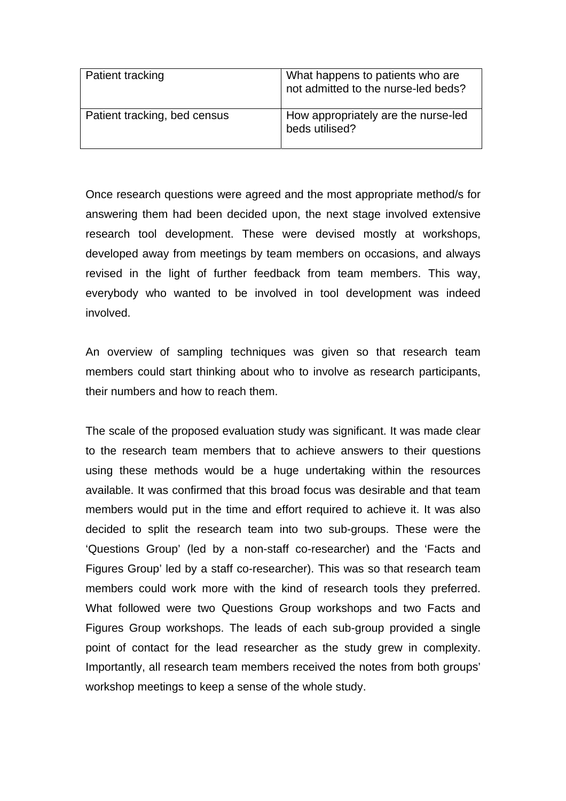| Patient tracking             | What happens to patients who are<br>not admitted to the nurse-led beds? |
|------------------------------|-------------------------------------------------------------------------|
| Patient tracking, bed census | How appropriately are the nurse-led<br>beds utilised?                   |

Once research questions were agreed and the most appropriate method/s for answering them had been decided upon, the next stage involved extensive research tool development. These were devised mostly at workshops, developed away from meetings by team members on occasions, and always revised in the light of further feedback from team members. This way, everybody who wanted to be involved in tool development was indeed involved.

An overview of sampling techniques was given so that research team members could start thinking about who to involve as research participants, their numbers and how to reach them.

The scale of the proposed evaluation study was significant. It was made clear to the research team members that to achieve answers to their questions using these methods would be a huge undertaking within the resources available. It was confirmed that this broad focus was desirable and that team members would put in the time and effort required to achieve it. It was also decided to split the research team into two sub-groups. These were the 'Questions Group' (led by a non-staff co-researcher) and the 'Facts and Figures Group' led by a staff co-researcher). This was so that research team members could work more with the kind of research tools they preferred. What followed were two Questions Group workshops and two Facts and Figures Group workshops. The leads of each sub-group provided a single point of contact for the lead researcher as the study grew in complexity. Importantly, all research team members received the notes from both groups' workshop meetings to keep a sense of the whole study.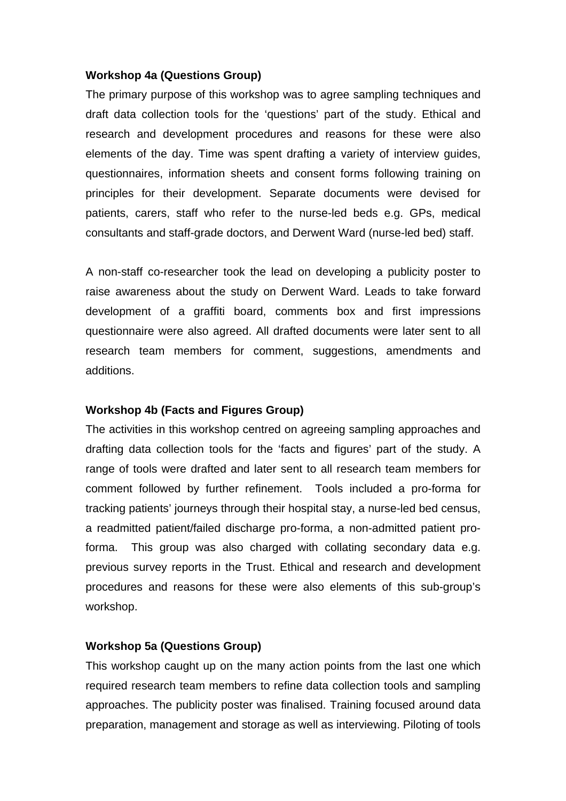#### **Workshop 4a (Questions Group)**

The primary purpose of this workshop was to agree sampling techniques and draft data collection tools for the 'questions' part of the study. Ethical and research and development procedures and reasons for these were also elements of the day. Time was spent drafting a variety of interview guides, questionnaires, information sheets and consent forms following training on principles for their development. Separate documents were devised for patients, carers, staff who refer to the nurse-led beds e.g. GPs, medical consultants and staff-grade doctors, and Derwent Ward (nurse-led bed) staff.

A non-staff co-researcher took the lead on developing a publicity poster to raise awareness about the study on Derwent Ward. Leads to take forward development of a graffiti board, comments box and first impressions questionnaire were also agreed. All drafted documents were later sent to all research team members for comment, suggestions, amendments and additions.

### **Workshop 4b (Facts and Figures Group)**

The activities in this workshop centred on agreeing sampling approaches and drafting data collection tools for the 'facts and figures' part of the study. A range of tools were drafted and later sent to all research team members for comment followed by further refinement. Tools included a pro-forma for tracking patients' journeys through their hospital stay, a nurse-led bed census, a readmitted patient/failed discharge pro-forma, a non-admitted patient proforma. This group was also charged with collating secondary data e.g. previous survey reports in the Trust. Ethical and research and development procedures and reasons for these were also elements of this sub-group's workshop.

### **Workshop 5a (Questions Group)**

This workshop caught up on the many action points from the last one which required research team members to refine data collection tools and sampling approaches. The publicity poster was finalised. Training focused around data preparation, management and storage as well as interviewing. Piloting of tools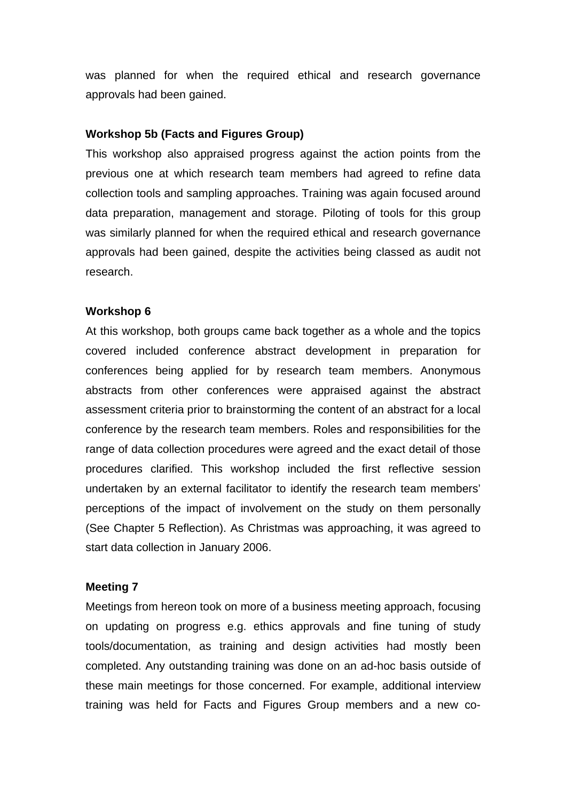was planned for when the required ethical and research governance approvals had been gained.

#### **Workshop 5b (Facts and Figures Group)**

This workshop also appraised progress against the action points from the previous one at which research team members had agreed to refine data collection tools and sampling approaches. Training was again focused around data preparation, management and storage. Piloting of tools for this group was similarly planned for when the required ethical and research governance approvals had been gained, despite the activities being classed as audit not research.

#### **Workshop 6**

At this workshop, both groups came back together as a whole and the topics covered included conference abstract development in preparation for conferences being applied for by research team members. Anonymous abstracts from other conferences were appraised against the abstract assessment criteria prior to brainstorming the content of an abstract for a local conference by the research team members. Roles and responsibilities for the range of data collection procedures were agreed and the exact detail of those procedures clarified. This workshop included the first reflective session undertaken by an external facilitator to identify the research team members' perceptions of the impact of involvement on the study on them personally (See Chapter 5 Reflection). As Christmas was approaching, it was agreed to start data collection in January 2006.

### **Meeting 7**

Meetings from hereon took on more of a business meeting approach, focusing on updating on progress e.g. ethics approvals and fine tuning of study tools/documentation, as training and design activities had mostly been completed. Any outstanding training was done on an ad-hoc basis outside of these main meetings for those concerned. For example, additional interview training was held for Facts and Figures Group members and a new co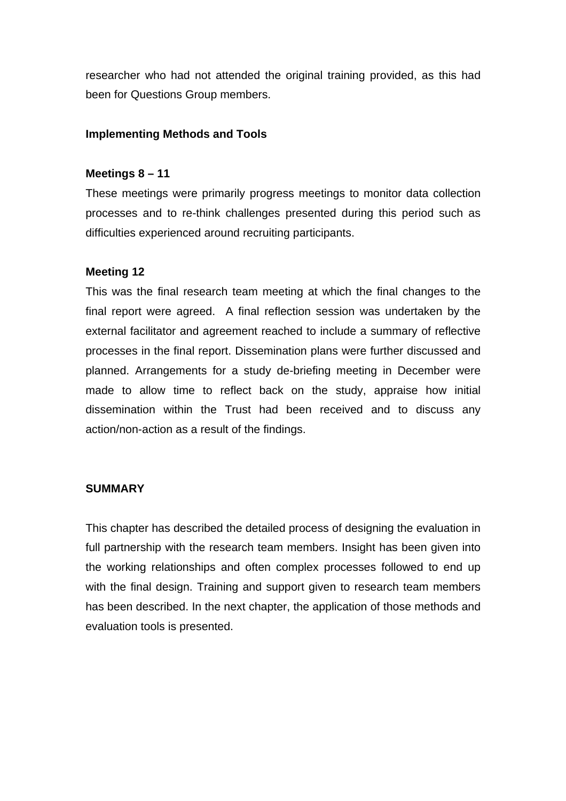researcher who had not attended the original training provided, as this had been for Questions Group members.

#### **Implementing Methods and Tools**

#### **Meetings 8 – 11**

These meetings were primarily progress meetings to monitor data collection processes and to re-think challenges presented during this period such as difficulties experienced around recruiting participants.

#### **Meeting 12**

This was the final research team meeting at which the final changes to the final report were agreed. A final reflection session was undertaken by the external facilitator and agreement reached to include a summary of reflective processes in the final report. Dissemination plans were further discussed and planned. Arrangements for a study de-briefing meeting in December were made to allow time to reflect back on the study, appraise how initial dissemination within the Trust had been received and to discuss any action/non-action as a result of the findings.

#### **SUMMARY**

This chapter has described the detailed process of designing the evaluation in full partnership with the research team members. Insight has been given into the working relationships and often complex processes followed to end up with the final design. Training and support given to research team members has been described. In the next chapter, the application of those methods and evaluation tools is presented.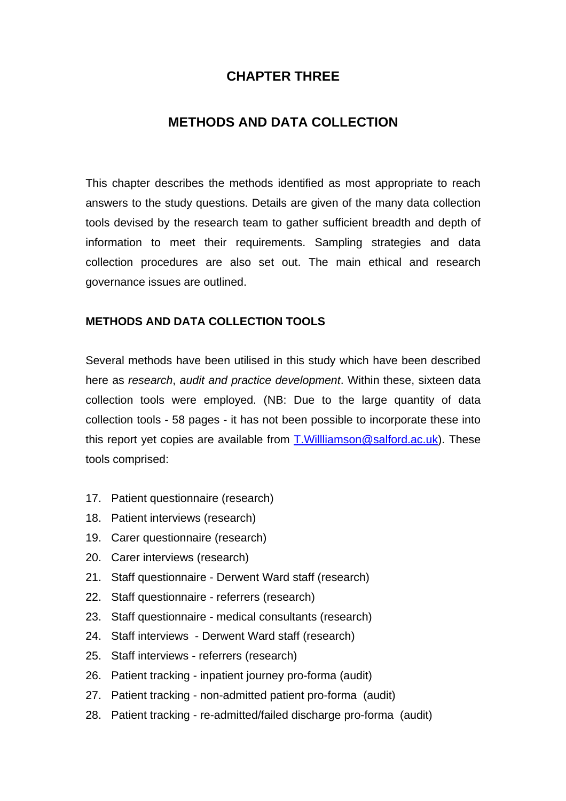# **CHAPTER THREE**

# **METHODS AND DATA COLLECTION**

This chapter describes the methods identified as most appropriate to reach answers to the study questions. Details are given of the many data collection tools devised by the research team to gather sufficient breadth and depth of information to meet their requirements. Sampling strategies and data collection procedures are also set out. The main ethical and research governance issues are outlined.

### **METHODS AND DATA COLLECTION TOOLS**

Several methods have been utilised in this study which have been described here as *research*, *audit and practice development*. Within these, sixteen data collection tools were employed. (NB: Due to the large quantity of data collection tools - 58 pages - it has not been possible to incorporate these into this report yet copies are available from T.Willliamson@salford.ac.uk). These tools comprised:

- 17. Patient questionnaire (research)
- 18. Patient interviews (research)
- 19. Carer questionnaire (research)
- 20. Carer interviews (research)
- 21. Staff questionnaire Derwent Ward staff (research)
- 22. Staff questionnaire referrers (research)
- 23. Staff questionnaire medical consultants (research)
- 24. Staff interviews Derwent Ward staff (research)
- 25. Staff interviews referrers (research)
- 26. Patient tracking inpatient journey pro-forma (audit)
- 27. Patient tracking non-admitted patient pro-forma (audit)
- 28. Patient tracking re-admitted/failed discharge pro-forma (audit)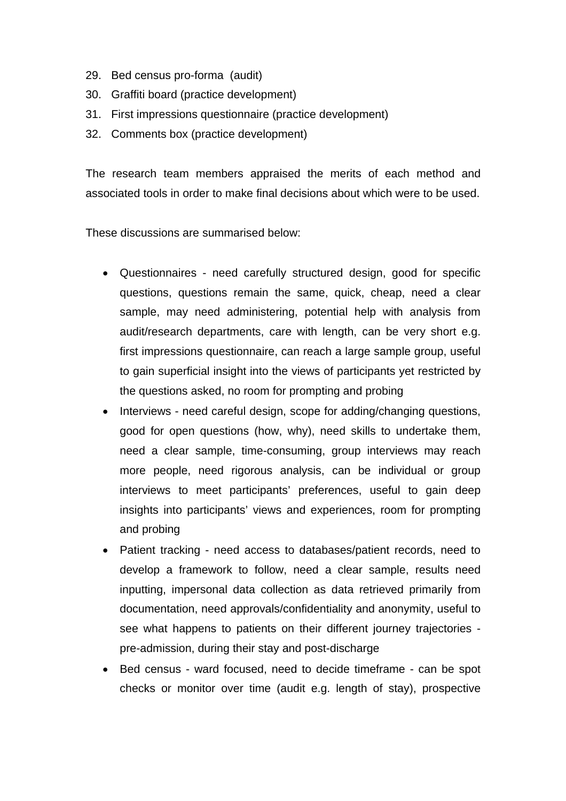- 29. Bed census pro-forma (audit)
- 30. Graffiti board (practice development)
- 31. First impressions questionnaire (practice development)
- 32. Comments box (practice development)

The research team members appraised the merits of each method and associated tools in order to make final decisions about which were to be used.

These discussions are summarised below:

- Questionnaires need carefully structured design, good for specific questions, questions remain the same, quick, cheap, need a clear sample, may need administering, potential help with analysis from audit/research departments, care with length, can be very short e.g. first impressions questionnaire, can reach a large sample group, useful to gain superficial insight into the views of participants yet restricted by the questions asked, no room for prompting and probing
- Interviews need careful design, scope for adding/changing questions, good for open questions (how, why), need skills to undertake them, need a clear sample, time-consuming, group interviews may reach more people, need rigorous analysis, can be individual or group interviews to meet participants' preferences, useful to gain deep insights into participants' views and experiences, room for prompting and probing
- Patient tracking need access to databases/patient records, need to develop a framework to follow, need a clear sample, results need inputting, impersonal data collection as data retrieved primarily from documentation, need approvals/confidentiality and anonymity, useful to see what happens to patients on their different journey trajectories pre-admission, during their stay and post-discharge
- Bed census ward focused, need to decide timeframe can be spot checks or monitor over time (audit e.g. length of stay), prospective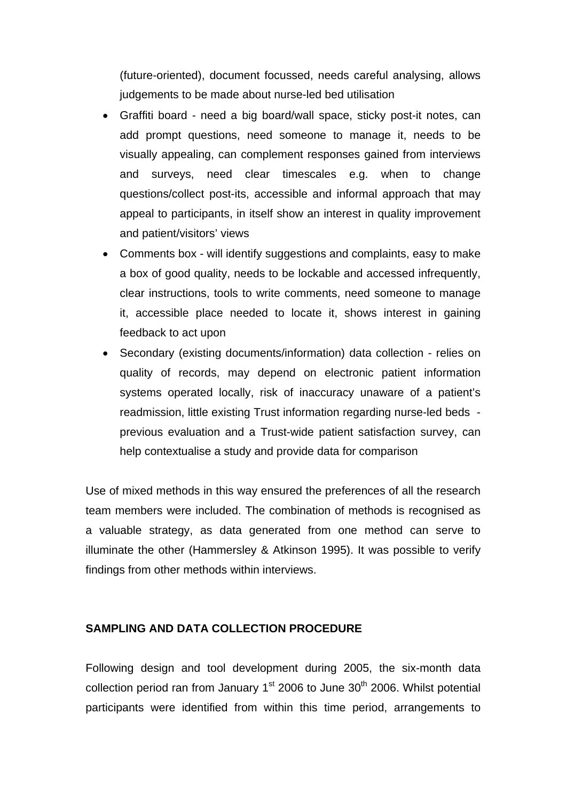(future-oriented), document focussed, needs careful analysing, allows judgements to be made about nurse-led bed utilisation

- Graffiti board need a big board/wall space, sticky post-it notes, can add prompt questions, need someone to manage it, needs to be visually appealing, can complement responses gained from interviews and surveys, need clear timescales e.g. when to change questions/collect post-its, accessible and informal approach that may appeal to participants, in itself show an interest in quality improvement and patient/visitors' views
- Comments box will identify suggestions and complaints, easy to make a box of good quality, needs to be lockable and accessed infrequently, clear instructions, tools to write comments, need someone to manage it, accessible place needed to locate it, shows interest in gaining feedback to act upon
- Secondary (existing documents/information) data collection relies on quality of records, may depend on electronic patient information systems operated locally, risk of inaccuracy unaware of a patient's readmission, little existing Trust information regarding nurse-led beds previous evaluation and a Trust-wide patient satisfaction survey, can help contextualise a study and provide data for comparison

Use of mixed methods in this way ensured the preferences of all the research team members were included. The combination of methods is recognised as a valuable strategy, as data generated from one method can serve to illuminate the other (Hammersley & Atkinson 1995). It was possible to verify findings from other methods within interviews.

# **SAMPLING AND DATA COLLECTION PROCEDURE**

Following design and tool development during 2005, the six-month data collection period ran from January  $1<sup>st</sup>$  2006 to June 30<sup>th</sup> 2006. Whilst potential participants were identified from within this time period, arrangements to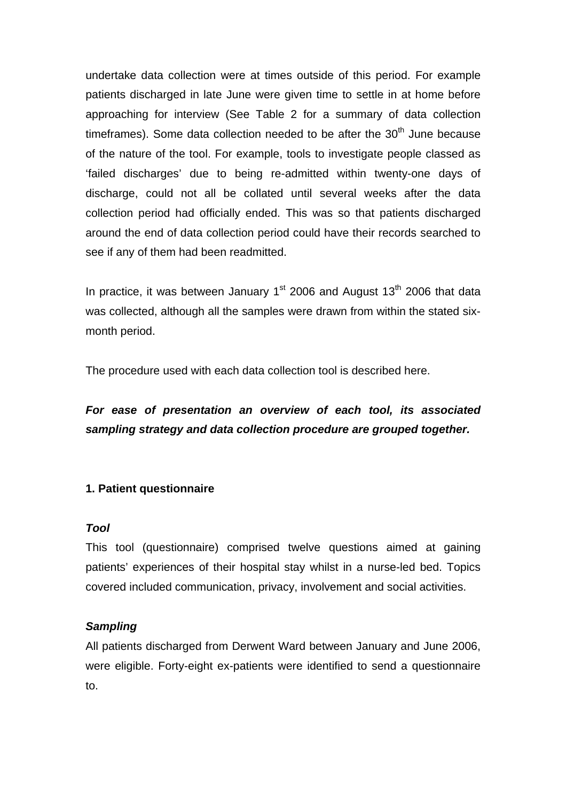undertake data collection were at times outside of this period. For example patients discharged in late June were given time to settle in at home before approaching for interview (See Table 2 for a summary of data collection timeframes). Some data collection needed to be after the  $30<sup>th</sup>$  June because of the nature of the tool. For example, tools to investigate people classed as 'failed discharges' due to being re-admitted within twenty-one days of discharge, could not all be collated until several weeks after the data collection period had officially ended. This was so that patients discharged around the end of data collection period could have their records searched to see if any of them had been readmitted.

In practice, it was between January  $1<sup>st</sup>$  2006 and August  $13<sup>th</sup>$  2006 that data was collected, although all the samples were drawn from within the stated sixmonth period.

The procedure used with each data collection tool is described here.

# *For ease of presentation an overview of each tool, its associated sampling strategy and data collection procedure are grouped together.*

#### **1. Patient questionnaire**

#### *Tool*

This tool (questionnaire) comprised twelve questions aimed at gaining patients' experiences of their hospital stay whilst in a nurse-led bed. Topics covered included communication, privacy, involvement and social activities.

#### *Sampling*

All patients discharged from Derwent Ward between January and June 2006, were eligible. Forty-eight ex-patients were identified to send a questionnaire to.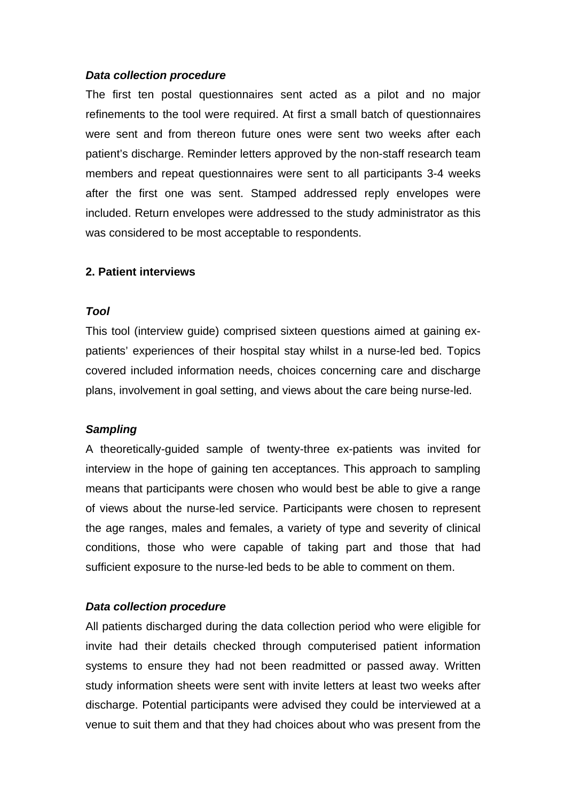The first ten postal questionnaires sent acted as a pilot and no major refinements to the tool were required. At first a small batch of questionnaires were sent and from thereon future ones were sent two weeks after each patient's discharge. Reminder letters approved by the non-staff research team members and repeat questionnaires were sent to all participants 3-4 weeks after the first one was sent. Stamped addressed reply envelopes were included. Return envelopes were addressed to the study administrator as this was considered to be most acceptable to respondents.

#### **2. Patient interviews**

#### *Tool*

This tool (interview guide) comprised sixteen questions aimed at gaining expatients' experiences of their hospital stay whilst in a nurse-led bed. Topics covered included information needs, choices concerning care and discharge plans, involvement in goal setting, and views about the care being nurse-led.

#### *Sampling*

A theoretically-guided sample of twenty-three ex-patients was invited for interview in the hope of gaining ten acceptances. This approach to sampling means that participants were chosen who would best be able to give a range of views about the nurse-led service. Participants were chosen to represent the age ranges, males and females, a variety of type and severity of clinical conditions, those who were capable of taking part and those that had sufficient exposure to the nurse-led beds to be able to comment on them.

#### *Data collection procedure*

All patients discharged during the data collection period who were eligible for invite had their details checked through computerised patient information systems to ensure they had not been readmitted or passed away. Written study information sheets were sent with invite letters at least two weeks after discharge. Potential participants were advised they could be interviewed at a venue to suit them and that they had choices about who was present from the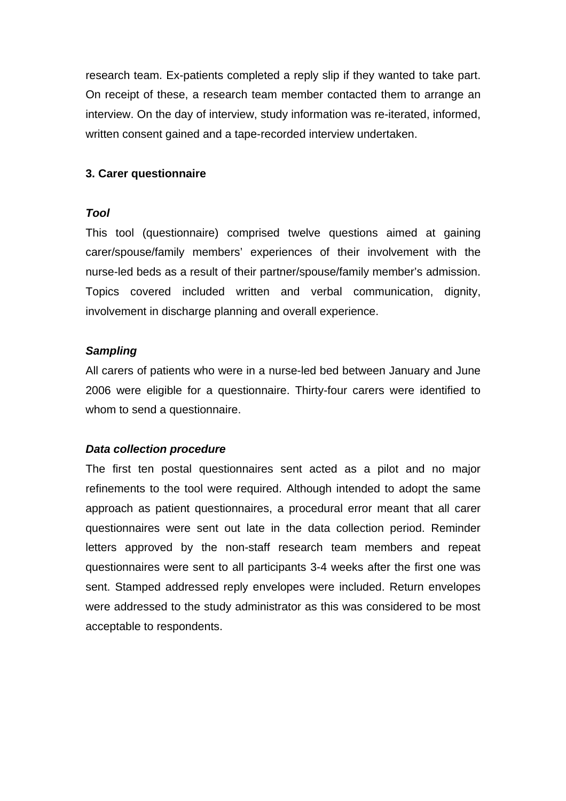research team. Ex-patients completed a reply slip if they wanted to take part. On receipt of these, a research team member contacted them to arrange an interview. On the day of interview, study information was re-iterated, informed, written consent gained and a tape-recorded interview undertaken.

# **3. Carer questionnaire**

### *Tool*

This tool (questionnaire) comprised twelve questions aimed at gaining carer/spouse/family members' experiences of their involvement with the nurse-led beds as a result of their partner/spouse/family member's admission. Topics covered included written and verbal communication, dignity, involvement in discharge planning and overall experience.

### *Sampling*

All carers of patients who were in a nurse-led bed between January and June 2006 were eligible for a questionnaire. Thirty-four carers were identified to whom to send a questionnaire.

### *Data collection procedure*

The first ten postal questionnaires sent acted as a pilot and no major refinements to the tool were required. Although intended to adopt the same approach as patient questionnaires, a procedural error meant that all carer questionnaires were sent out late in the data collection period. Reminder letters approved by the non-staff research team members and repeat questionnaires were sent to all participants 3-4 weeks after the first one was sent. Stamped addressed reply envelopes were included. Return envelopes were addressed to the study administrator as this was considered to be most acceptable to respondents.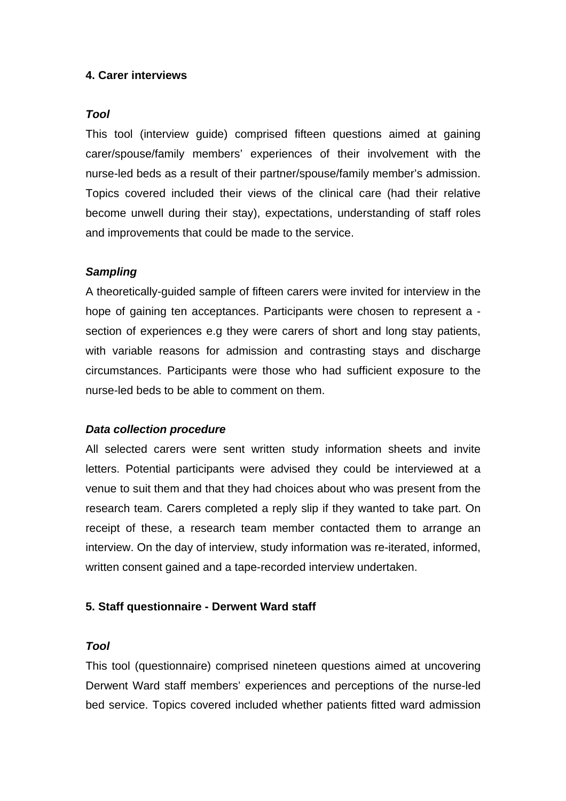# **4. Carer interviews**

#### *Tool*

This tool (interview guide) comprised fifteen questions aimed at gaining carer/spouse/family members' experiences of their involvement with the nurse-led beds as a result of their partner/spouse/family member's admission. Topics covered included their views of the clinical care (had their relative become unwell during their stay), expectations, understanding of staff roles and improvements that could be made to the service.

### *Sampling*

A theoretically-guided sample of fifteen carers were invited for interview in the hope of gaining ten acceptances. Participants were chosen to represent a section of experiences e.g they were carers of short and long stay patients, with variable reasons for admission and contrasting stays and discharge circumstances. Participants were those who had sufficient exposure to the nurse-led beds to be able to comment on them.

#### *Data collection procedure*

All selected carers were sent written study information sheets and invite letters. Potential participants were advised they could be interviewed at a venue to suit them and that they had choices about who was present from the research team. Carers completed a reply slip if they wanted to take part. On receipt of these, a research team member contacted them to arrange an interview. On the day of interview, study information was re-iterated, informed, written consent gained and a tape-recorded interview undertaken.

#### **5. Staff questionnaire - Derwent Ward staff**

#### *Tool*

This tool (questionnaire) comprised nineteen questions aimed at uncovering Derwent Ward staff members' experiences and perceptions of the nurse-led bed service. Topics covered included whether patients fitted ward admission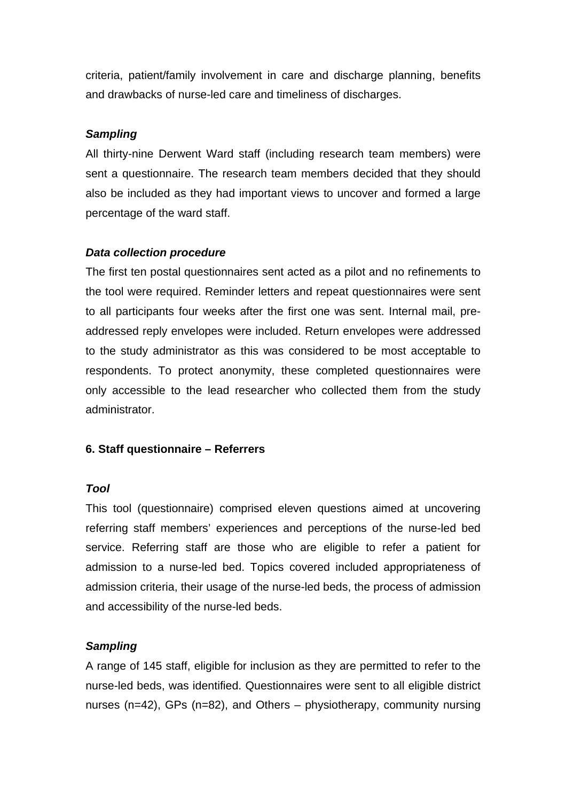criteria, patient/family involvement in care and discharge planning, benefits and drawbacks of nurse-led care and timeliness of discharges.

### *Sampling*

All thirty-nine Derwent Ward staff (including research team members) were sent a questionnaire. The research team members decided that they should also be included as they had important views to uncover and formed a large percentage of the ward staff.

# *Data collection procedure*

The first ten postal questionnaires sent acted as a pilot and no refinements to the tool were required. Reminder letters and repeat questionnaires were sent to all participants four weeks after the first one was sent. Internal mail, preaddressed reply envelopes were included. Return envelopes were addressed to the study administrator as this was considered to be most acceptable to respondents. To protect anonymity, these completed questionnaires were only accessible to the lead researcher who collected them from the study administrator.

# **6. Staff questionnaire – Referrers**

### *Tool*

This tool (questionnaire) comprised eleven questions aimed at uncovering referring staff members' experiences and perceptions of the nurse-led bed service. Referring staff are those who are eligible to refer a patient for admission to a nurse-led bed. Topics covered included appropriateness of admission criteria, their usage of the nurse-led beds, the process of admission and accessibility of the nurse-led beds.

# *Sampling*

A range of 145 staff, eligible for inclusion as they are permitted to refer to the nurse-led beds, was identified. Questionnaires were sent to all eligible district nurses (n=42), GPs (n=82), and Others – physiotherapy, community nursing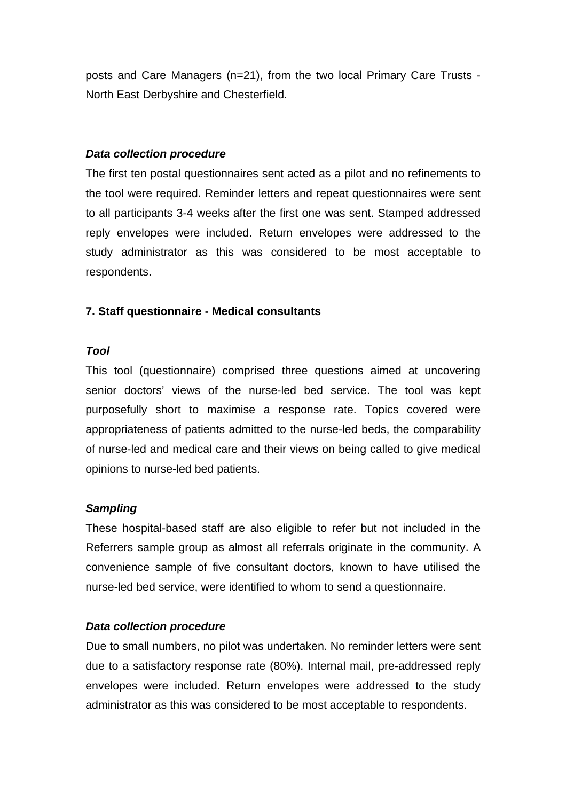posts and Care Managers (n=21), from the two local Primary Care Trusts - North East Derbyshire and Chesterfield.

### *Data collection procedure*

The first ten postal questionnaires sent acted as a pilot and no refinements to the tool were required. Reminder letters and repeat questionnaires were sent to all participants 3-4 weeks after the first one was sent. Stamped addressed reply envelopes were included. Return envelopes were addressed to the study administrator as this was considered to be most acceptable to respondents.

### **7. Staff questionnaire - Medical consultants**

#### *Tool*

This tool (questionnaire) comprised three questions aimed at uncovering senior doctors' views of the nurse-led bed service. The tool was kept purposefully short to maximise a response rate. Topics covered were appropriateness of patients admitted to the nurse-led beds, the comparability of nurse-led and medical care and their views on being called to give medical opinions to nurse-led bed patients.

#### *Sampling*

These hospital-based staff are also eligible to refer but not included in the Referrers sample group as almost all referrals originate in the community. A convenience sample of five consultant doctors, known to have utilised the nurse-led bed service, were identified to whom to send a questionnaire.

#### *Data collection procedure*

Due to small numbers, no pilot was undertaken. No reminder letters were sent due to a satisfactory response rate (80%). Internal mail, pre-addressed reply envelopes were included. Return envelopes were addressed to the study administrator as this was considered to be most acceptable to respondents.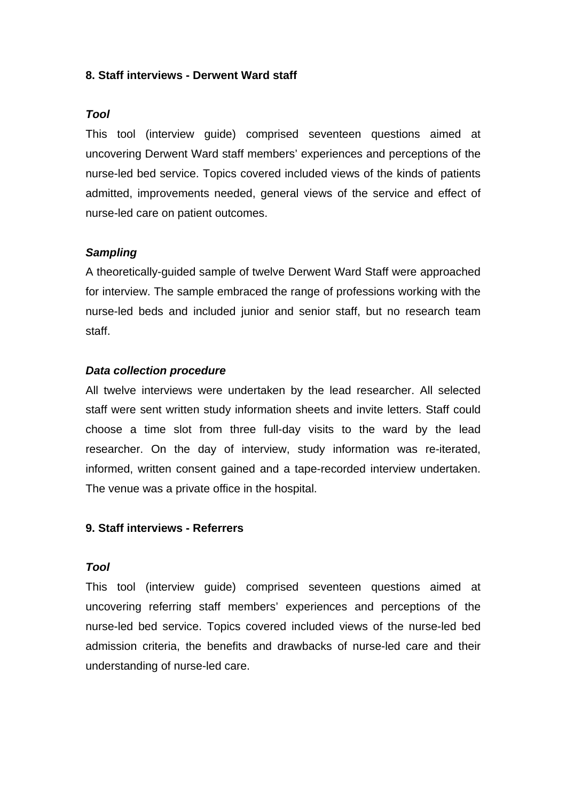#### **8. Staff interviews - Derwent Ward staff**

#### *Tool*

This tool (interview guide) comprised seventeen questions aimed at uncovering Derwent Ward staff members' experiences and perceptions of the nurse-led bed service. Topics covered included views of the kinds of patients admitted, improvements needed, general views of the service and effect of nurse-led care on patient outcomes.

### *Sampling*

A theoretically-guided sample of twelve Derwent Ward Staff were approached for interview. The sample embraced the range of professions working with the nurse-led beds and included junior and senior staff, but no research team staff.

#### *Data collection procedure*

All twelve interviews were undertaken by the lead researcher. All selected staff were sent written study information sheets and invite letters. Staff could choose a time slot from three full-day visits to the ward by the lead researcher. On the day of interview, study information was re-iterated, informed, written consent gained and a tape-recorded interview undertaken. The venue was a private office in the hospital.

#### **9. Staff interviews - Referrers**

#### *Tool*

This tool (interview guide) comprised seventeen questions aimed at uncovering referring staff members' experiences and perceptions of the nurse-led bed service. Topics covered included views of the nurse-led bed admission criteria, the benefits and drawbacks of nurse-led care and their understanding of nurse-led care.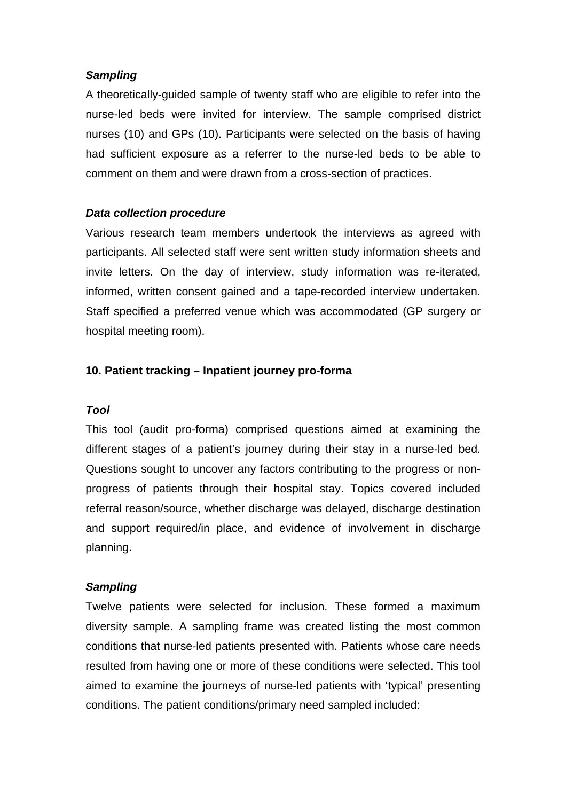### *Sampling*

A theoretically-guided sample of twenty staff who are eligible to refer into the nurse-led beds were invited for interview. The sample comprised district nurses (10) and GPs (10). Participants were selected on the basis of having had sufficient exposure as a referrer to the nurse-led beds to be able to comment on them and were drawn from a cross-section of practices.

### *Data collection procedure*

Various research team members undertook the interviews as agreed with participants. All selected staff were sent written study information sheets and invite letters. On the day of interview, study information was re-iterated, informed, written consent gained and a tape-recorded interview undertaken. Staff specified a preferred venue which was accommodated (GP surgery or hospital meeting room).

### **10. Patient tracking – Inpatient journey pro-forma**

### *Tool*

This tool (audit pro-forma) comprised questions aimed at examining the different stages of a patient's journey during their stay in a nurse-led bed. Questions sought to uncover any factors contributing to the progress or nonprogress of patients through their hospital stay. Topics covered included referral reason/source, whether discharge was delayed, discharge destination and support required/in place, and evidence of involvement in discharge planning.

### *Sampling*

Twelve patients were selected for inclusion. These formed a maximum diversity sample. A sampling frame was created listing the most common conditions that nurse-led patients presented with. Patients whose care needs resulted from having one or more of these conditions were selected. This tool aimed to examine the journeys of nurse-led patients with 'typical' presenting conditions. The patient conditions/primary need sampled included: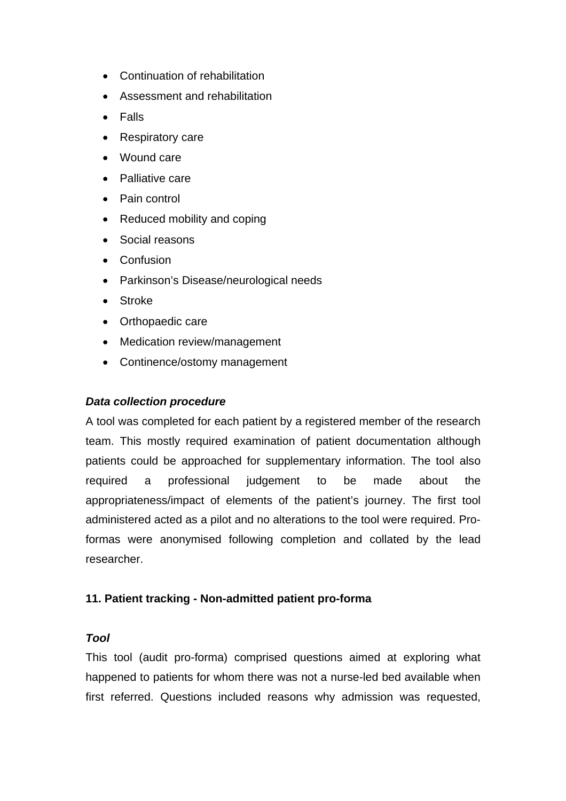- Continuation of rehabilitation
- Assessment and rehabilitation
- Falls
- Respiratory care
- Wound care
- Palliative care
- Pain control
- Reduced mobility and coping
- Social reasons
- Confusion
- Parkinson's Disease/neurological needs
- **Stroke**
- Orthopaedic care
- Medication review/management
- Continence/ostomy management

A tool was completed for each patient by a registered member of the research team. This mostly required examination of patient documentation although patients could be approached for supplementary information. The tool also required a professional judgement to be made about the appropriateness/impact of elements of the patient's journey. The first tool administered acted as a pilot and no alterations to the tool were required. Proformas were anonymised following completion and collated by the lead researcher.

# **11. Patient tracking - Non-admitted patient pro-forma**

# *Tool*

This tool (audit pro-forma) comprised questions aimed at exploring what happened to patients for whom there was not a nurse-led bed available when first referred. Questions included reasons why admission was requested,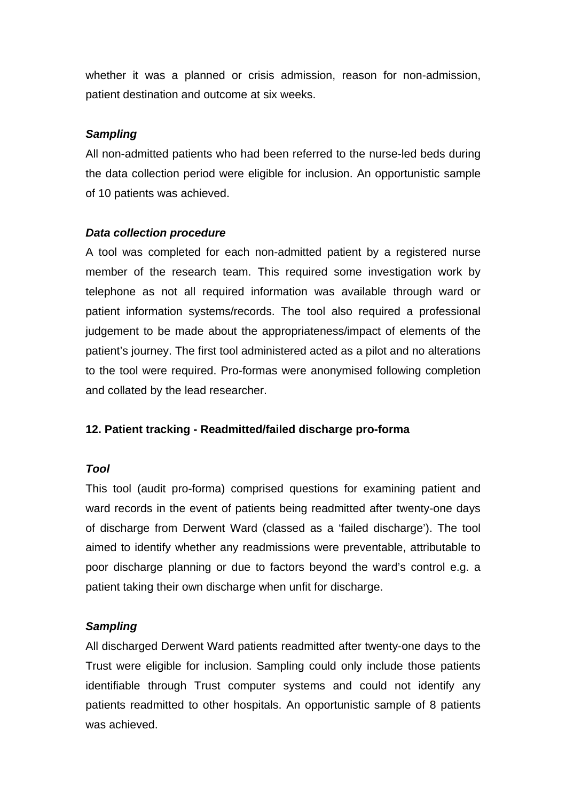whether it was a planned or crisis admission, reason for non-admission, patient destination and outcome at six weeks.

# *Sampling*

All non-admitted patients who had been referred to the nurse-led beds during the data collection period were eligible for inclusion. An opportunistic sample of 10 patients was achieved.

# *Data collection procedure*

A tool was completed for each non-admitted patient by a registered nurse member of the research team. This required some investigation work by telephone as not all required information was available through ward or patient information systems/records. The tool also required a professional judgement to be made about the appropriateness/impact of elements of the patient's journey. The first tool administered acted as a pilot and no alterations to the tool were required. Pro-formas were anonymised following completion and collated by the lead researcher.

# **12. Patient tracking - Readmitted/failed discharge pro-forma**

# *Tool*

This tool (audit pro-forma) comprised questions for examining patient and ward records in the event of patients being readmitted after twenty-one days of discharge from Derwent Ward (classed as a 'failed discharge'). The tool aimed to identify whether any readmissions were preventable, attributable to poor discharge planning or due to factors beyond the ward's control e.g. a patient taking their own discharge when unfit for discharge.

# *Sampling*

All discharged Derwent Ward patients readmitted after twenty-one days to the Trust were eligible for inclusion. Sampling could only include those patients identifiable through Trust computer systems and could not identify any patients readmitted to other hospitals. An opportunistic sample of 8 patients was achieved.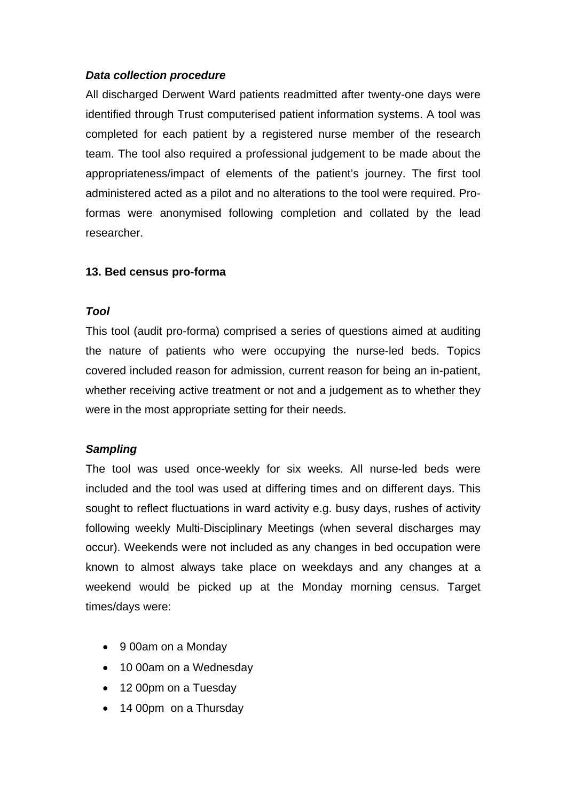All discharged Derwent Ward patients readmitted after twenty-one days were identified through Trust computerised patient information systems. A tool was completed for each patient by a registered nurse member of the research team. The tool also required a professional judgement to be made about the appropriateness/impact of elements of the patient's journey. The first tool administered acted as a pilot and no alterations to the tool were required. Proformas were anonymised following completion and collated by the lead researcher.

# **13. Bed census pro-forma**

### *Tool*

This tool (audit pro-forma) comprised a series of questions aimed at auditing the nature of patients who were occupying the nurse-led beds. Topics covered included reason for admission, current reason for being an in-patient, whether receiving active treatment or not and a judgement as to whether they were in the most appropriate setting for their needs.

# *Sampling*

The tool was used once-weekly for six weeks. All nurse-led beds were included and the tool was used at differing times and on different days. This sought to reflect fluctuations in ward activity e.g. busy days, rushes of activity following weekly Multi-Disciplinary Meetings (when several discharges may occur). Weekends were not included as any changes in bed occupation were known to almost always take place on weekdays and any changes at a weekend would be picked up at the Monday morning census. Target times/days were:

- 9 00am on a Monday
- 10 00am on a Wednesday
- 12 00pm on a Tuesday
- 14 00pm on a Thursday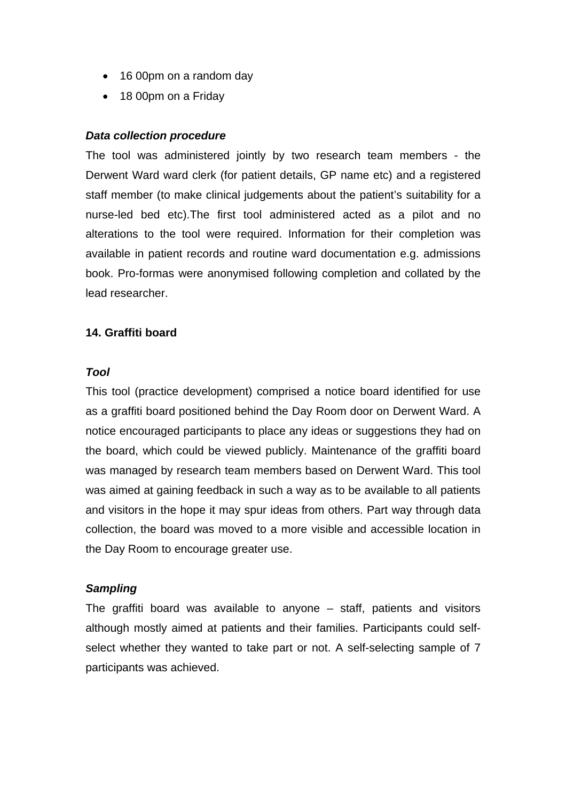- 16 00pm on a random day
- 18 00pm on a Friday

The tool was administered jointly by two research team members - the Derwent Ward ward clerk (for patient details, GP name etc) and a registered staff member (to make clinical judgements about the patient's suitability for a nurse-led bed etc).The first tool administered acted as a pilot and no alterations to the tool were required. Information for their completion was available in patient records and routine ward documentation e.g. admissions book. Pro-formas were anonymised following completion and collated by the lead researcher.

### **14. Graffiti board**

#### *Tool*

This tool (practice development) comprised a notice board identified for use as a graffiti board positioned behind the Day Room door on Derwent Ward. A notice encouraged participants to place any ideas or suggestions they had on the board, which could be viewed publicly. Maintenance of the graffiti board was managed by research team members based on Derwent Ward. This tool was aimed at gaining feedback in such a way as to be available to all patients and visitors in the hope it may spur ideas from others. Part way through data collection, the board was moved to a more visible and accessible location in the Day Room to encourage greater use.

#### *Sampling*

The graffiti board was available to anyone – staff, patients and visitors although mostly aimed at patients and their families. Participants could selfselect whether they wanted to take part or not. A self-selecting sample of 7 participants was achieved.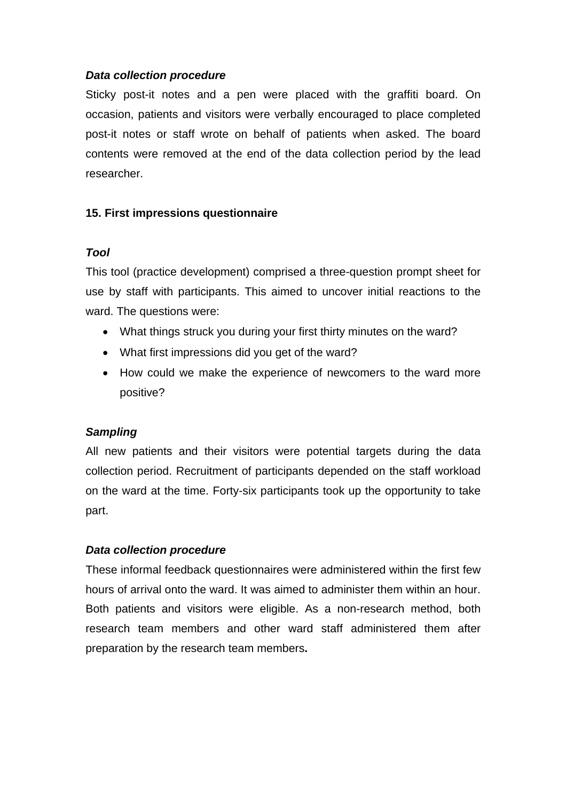Sticky post-it notes and a pen were placed with the graffiti board. On occasion, patients and visitors were verbally encouraged to place completed post-it notes or staff wrote on behalf of patients when asked. The board contents were removed at the end of the data collection period by the lead researcher.

# **15. First impressions questionnaire**

# *Tool*

This tool (practice development) comprised a three-question prompt sheet for use by staff with participants. This aimed to uncover initial reactions to the ward. The questions were:

- What things struck you during your first thirty minutes on the ward?
- What first impressions did you get of the ward?
- How could we make the experience of newcomers to the ward more positive?

# *Sampling*

All new patients and their visitors were potential targets during the data collection period. Recruitment of participants depended on the staff workload on the ward at the time. Forty-six participants took up the opportunity to take part.

# *Data collection procedure*

These informal feedback questionnaires were administered within the first few hours of arrival onto the ward. It was aimed to administer them within an hour. Both patients and visitors were eligible. As a non-research method, both research team members and other ward staff administered them after preparation by the research team members**.**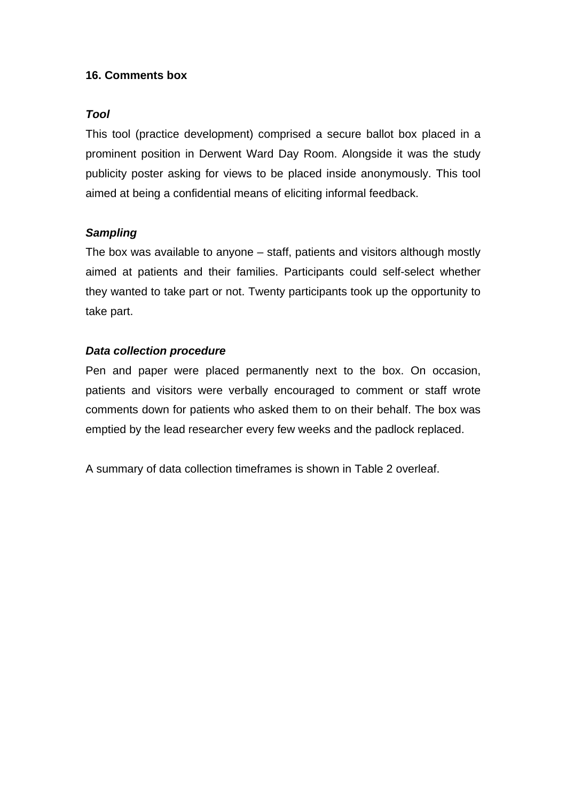# **16. Comments box**

### *Tool*

This tool (practice development) comprised a secure ballot box placed in a prominent position in Derwent Ward Day Room. Alongside it was the study publicity poster asking for views to be placed inside anonymously. This tool aimed at being a confidential means of eliciting informal feedback.

# *Sampling*

The box was available to anyone – staff, patients and visitors although mostly aimed at patients and their families. Participants could self-select whether they wanted to take part or not. Twenty participants took up the opportunity to take part.

# *Data collection procedure*

Pen and paper were placed permanently next to the box. On occasion, patients and visitors were verbally encouraged to comment or staff wrote comments down for patients who asked them to on their behalf. The box was emptied by the lead researcher every few weeks and the padlock replaced.

A summary of data collection timeframes is shown in Table 2 overleaf.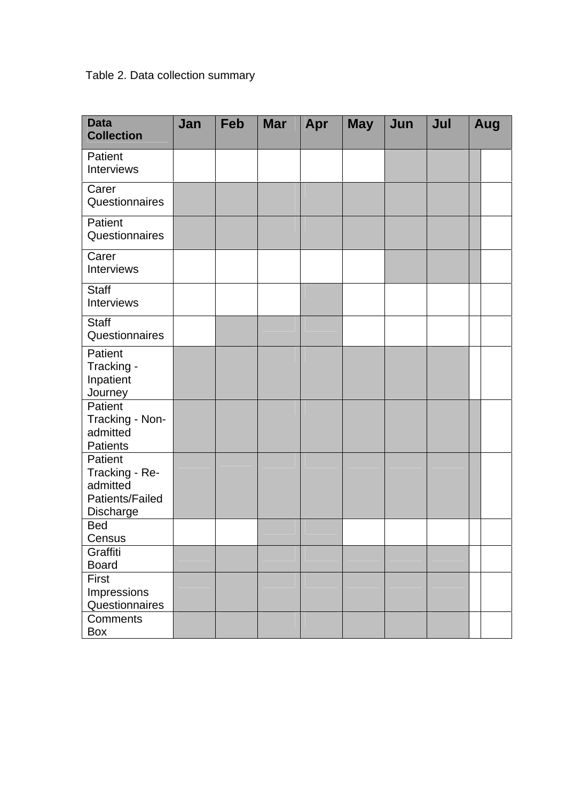# Table 2. Data collection summary

| <b>Data</b><br><b>Collection</b>                                      | Jan | Feb | <b>Mar</b> | Apr | <b>May</b> | Jun | Jul | Aug |  |
|-----------------------------------------------------------------------|-----|-----|------------|-----|------------|-----|-----|-----|--|
| Patient<br>Interviews                                                 |     |     |            |     |            |     |     |     |  |
| Carer<br>Questionnaires                                               |     |     |            |     |            |     |     |     |  |
| Patient<br>Questionnaires                                             |     |     |            |     |            |     |     |     |  |
| Carer<br>Interviews                                                   |     |     |            |     |            |     |     |     |  |
| <b>Staff</b><br>Interviews                                            |     |     |            |     |            |     |     |     |  |
| Staff<br>Questionnaires                                               |     |     |            |     |            |     |     |     |  |
| Patient<br>Tracking -<br>Inpatient<br>Journey                         |     |     |            |     |            |     |     |     |  |
| Patient<br>Tracking - Non-<br>admitted<br><b>Patients</b>             |     |     |            |     |            |     |     |     |  |
| Patient<br>Tracking - Re-<br>admitted<br>Patients/Failed<br>Discharge |     |     |            |     |            |     |     |     |  |
| <b>Bed</b><br>Census                                                  |     |     |            |     |            |     |     |     |  |
| Graffiti<br><b>Board</b>                                              |     |     |            |     |            |     |     |     |  |
| First<br>Impressions<br>Questionnaires                                |     |     |            |     |            |     |     |     |  |
| Comments<br>Box                                                       |     |     |            |     |            |     |     |     |  |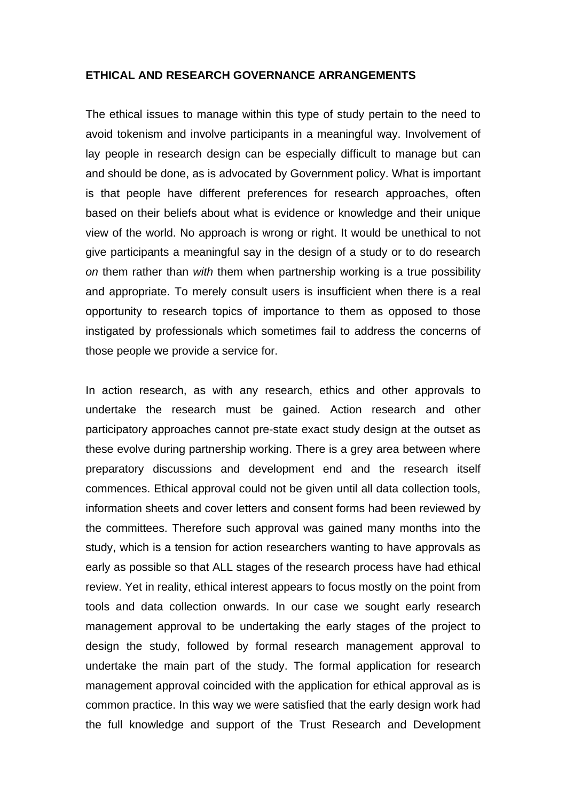#### **ETHICAL AND RESEARCH GOVERNANCE ARRANGEMENTS**

The ethical issues to manage within this type of study pertain to the need to avoid tokenism and involve participants in a meaningful way. Involvement of lay people in research design can be especially difficult to manage but can and should be done, as is advocated by Government policy. What is important is that people have different preferences for research approaches, often based on their beliefs about what is evidence or knowledge and their unique view of the world. No approach is wrong or right. It would be unethical to not give participants a meaningful say in the design of a study or to do research *on* them rather than *with* them when partnership working is a true possibility and appropriate. To merely consult users is insufficient when there is a real opportunity to research topics of importance to them as opposed to those instigated by professionals which sometimes fail to address the concerns of those people we provide a service for.

In action research, as with any research, ethics and other approvals to undertake the research must be gained. Action research and other participatory approaches cannot pre-state exact study design at the outset as these evolve during partnership working. There is a grey area between where preparatory discussions and development end and the research itself commences. Ethical approval could not be given until all data collection tools, information sheets and cover letters and consent forms had been reviewed by the committees. Therefore such approval was gained many months into the study, which is a tension for action researchers wanting to have approvals as early as possible so that ALL stages of the research process have had ethical review. Yet in reality, ethical interest appears to focus mostly on the point from tools and data collection onwards. In our case we sought early research management approval to be undertaking the early stages of the project to design the study, followed by formal research management approval to undertake the main part of the study. The formal application for research management approval coincided with the application for ethical approval as is common practice. In this way we were satisfied that the early design work had the full knowledge and support of the Trust Research and Development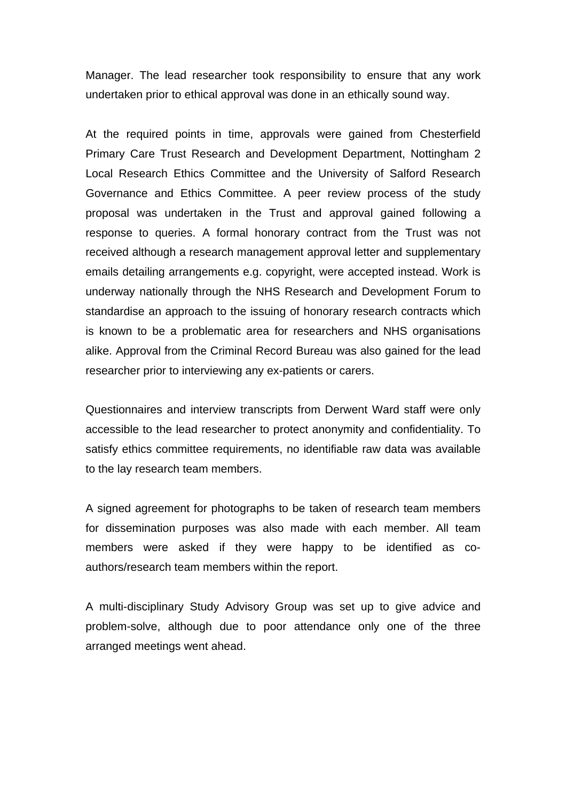Manager. The lead researcher took responsibility to ensure that any work undertaken prior to ethical approval was done in an ethically sound way.

At the required points in time, approvals were gained from Chesterfield Primary Care Trust Research and Development Department, Nottingham 2 Local Research Ethics Committee and the University of Salford Research Governance and Ethics Committee. A peer review process of the study proposal was undertaken in the Trust and approval gained following a response to queries. A formal honorary contract from the Trust was not received although a research management approval letter and supplementary emails detailing arrangements e.g. copyright, were accepted instead. Work is underway nationally through the NHS Research and Development Forum to standardise an approach to the issuing of honorary research contracts which is known to be a problematic area for researchers and NHS organisations alike. Approval from the Criminal Record Bureau was also gained for the lead researcher prior to interviewing any ex-patients or carers.

Questionnaires and interview transcripts from Derwent Ward staff were only accessible to the lead researcher to protect anonymity and confidentiality. To satisfy ethics committee requirements, no identifiable raw data was available to the lay research team members.

A signed agreement for photographs to be taken of research team members for dissemination purposes was also made with each member. All team members were asked if they were happy to be identified as coauthors/research team members within the report.

A multi-disciplinary Study Advisory Group was set up to give advice and problem-solve, although due to poor attendance only one of the three arranged meetings went ahead.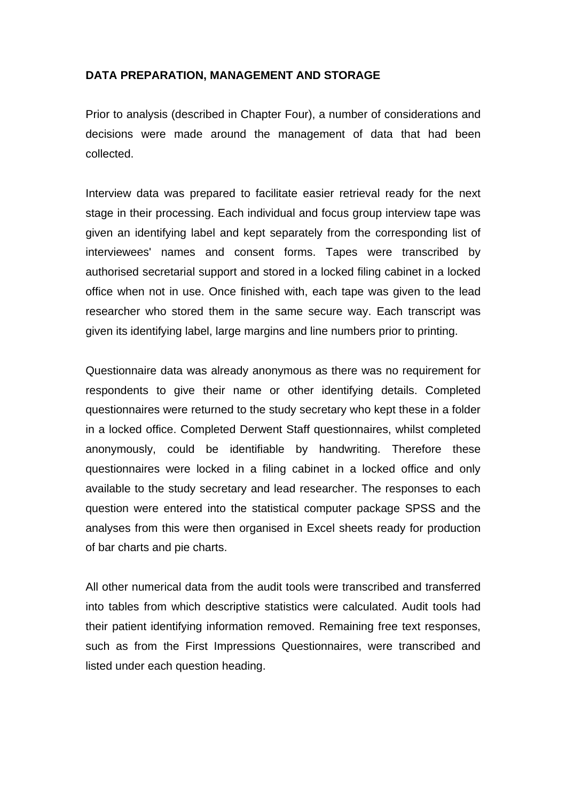# **DATA PREPARATION, MANAGEMENT AND STORAGE**

Prior to analysis (described in Chapter Four), a number of considerations and decisions were made around the management of data that had been collected.

Interview data was prepared to facilitate easier retrieval ready for the next stage in their processing. Each individual and focus group interview tape was given an identifying label and kept separately from the corresponding list of interviewees' names and consent forms. Tapes were transcribed by authorised secretarial support and stored in a locked filing cabinet in a locked office when not in use. Once finished with, each tape was given to the lead researcher who stored them in the same secure way. Each transcript was given its identifying label, large margins and line numbers prior to printing.

Questionnaire data was already anonymous as there was no requirement for respondents to give their name or other identifying details. Completed questionnaires were returned to the study secretary who kept these in a folder in a locked office. Completed Derwent Staff questionnaires, whilst completed anonymously, could be identifiable by handwriting. Therefore these questionnaires were locked in a filing cabinet in a locked office and only available to the study secretary and lead researcher. The responses to each question were entered into the statistical computer package SPSS and the analyses from this were then organised in Excel sheets ready for production of bar charts and pie charts.

All other numerical data from the audit tools were transcribed and transferred into tables from which descriptive statistics were calculated. Audit tools had their patient identifying information removed. Remaining free text responses, such as from the First Impressions Questionnaires, were transcribed and listed under each question heading.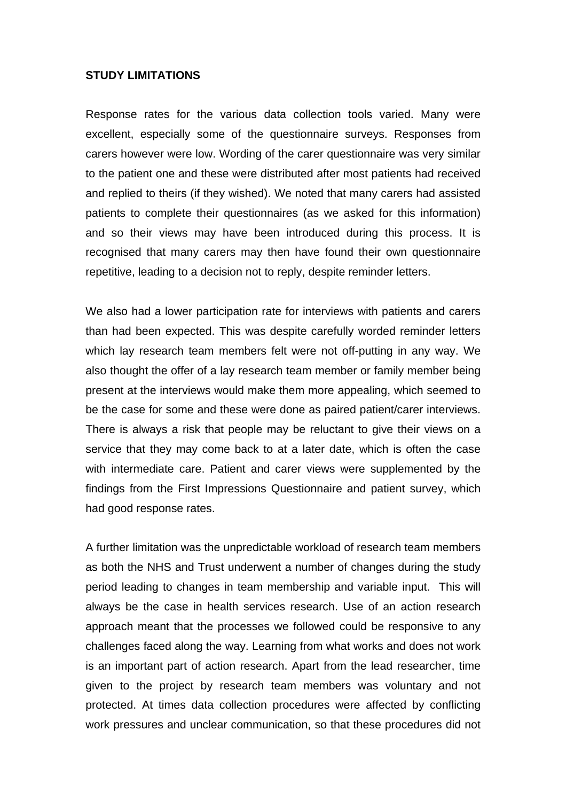#### **STUDY LIMITATIONS**

Response rates for the various data collection tools varied. Many were excellent, especially some of the questionnaire surveys. Responses from carers however were low. Wording of the carer questionnaire was very similar to the patient one and these were distributed after most patients had received and replied to theirs (if they wished). We noted that many carers had assisted patients to complete their questionnaires (as we asked for this information) and so their views may have been introduced during this process. It is recognised that many carers may then have found their own questionnaire repetitive, leading to a decision not to reply, despite reminder letters.

We also had a lower participation rate for interviews with patients and carers than had been expected. This was despite carefully worded reminder letters which lay research team members felt were not off-putting in any way. We also thought the offer of a lay research team member or family member being present at the interviews would make them more appealing, which seemed to be the case for some and these were done as paired patient/carer interviews. There is always a risk that people may be reluctant to give their views on a service that they may come back to at a later date, which is often the case with intermediate care. Patient and carer views were supplemented by the findings from the First Impressions Questionnaire and patient survey, which had good response rates.

A further limitation was the unpredictable workload of research team members as both the NHS and Trust underwent a number of changes during the study period leading to changes in team membership and variable input. This will always be the case in health services research. Use of an action research approach meant that the processes we followed could be responsive to any challenges faced along the way. Learning from what works and does not work is an important part of action research. Apart from the lead researcher, time given to the project by research team members was voluntary and not protected. At times data collection procedures were affected by conflicting work pressures and unclear communication, so that these procedures did not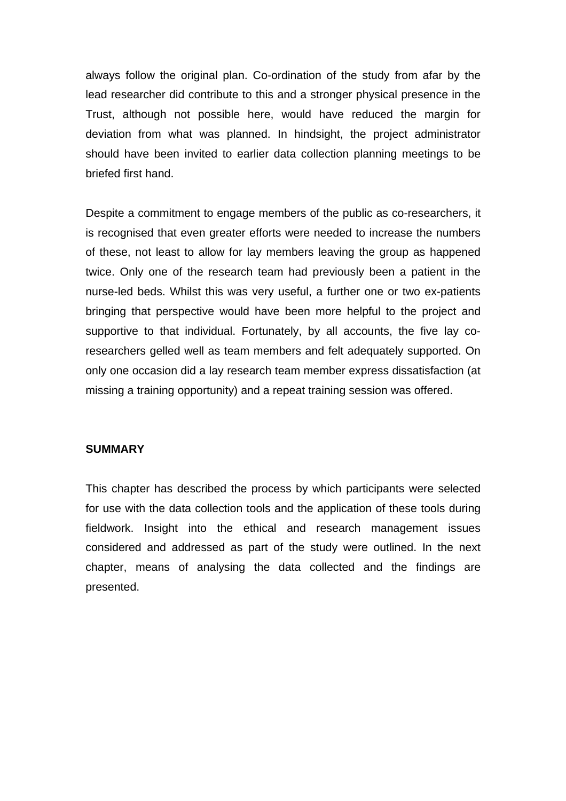always follow the original plan. Co-ordination of the study from afar by the lead researcher did contribute to this and a stronger physical presence in the Trust, although not possible here, would have reduced the margin for deviation from what was planned. In hindsight, the project administrator should have been invited to earlier data collection planning meetings to be briefed first hand.

Despite a commitment to engage members of the public as co-researchers, it is recognised that even greater efforts were needed to increase the numbers of these, not least to allow for lay members leaving the group as happened twice. Only one of the research team had previously been a patient in the nurse-led beds. Whilst this was very useful, a further one or two ex-patients bringing that perspective would have been more helpful to the project and supportive to that individual. Fortunately, by all accounts, the five lay coresearchers gelled well as team members and felt adequately supported. On only one occasion did a lay research team member express dissatisfaction (at missing a training opportunity) and a repeat training session was offered.

#### **SUMMARY**

This chapter has described the process by which participants were selected for use with the data collection tools and the application of these tools during fieldwork. Insight into the ethical and research management issues considered and addressed as part of the study were outlined. In the next chapter, means of analysing the data collected and the findings are presented.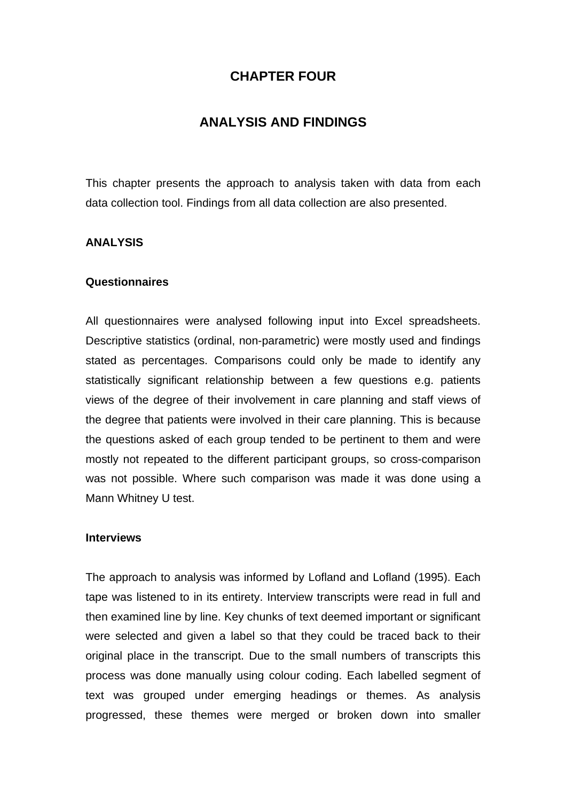# **CHAPTER FOUR**

# **ANALYSIS AND FINDINGS**

This chapter presents the approach to analysis taken with data from each data collection tool. Findings from all data collection are also presented.

#### **ANALYSIS**

#### **Questionnaires**

All questionnaires were analysed following input into Excel spreadsheets. Descriptive statistics (ordinal, non-parametric) were mostly used and findings stated as percentages. Comparisons could only be made to identify any statistically significant relationship between a few questions e.g. patients views of the degree of their involvement in care planning and staff views of the degree that patients were involved in their care planning. This is because the questions asked of each group tended to be pertinent to them and were mostly not repeated to the different participant groups, so cross-comparison was not possible. Where such comparison was made it was done using a Mann Whitney U test.

#### **Interviews**

The approach to analysis was informed by Lofland and Lofland (1995). Each tape was listened to in its entirety. Interview transcripts were read in full and then examined line by line. Key chunks of text deemed important or significant were selected and given a label so that they could be traced back to their original place in the transcript. Due to the small numbers of transcripts this process was done manually using colour coding. Each labelled segment of text was grouped under emerging headings or themes. As analysis progressed, these themes were merged or broken down into smaller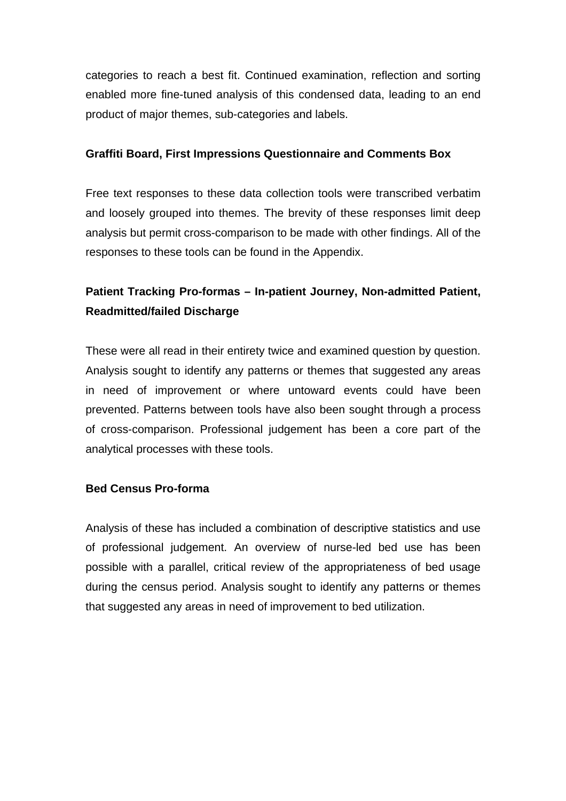categories to reach a best fit. Continued examination, reflection and sorting enabled more fine-tuned analysis of this condensed data, leading to an end product of major themes, sub-categories and labels.

# **Graffiti Board, First Impressions Questionnaire and Comments Box**

Free text responses to these data collection tools were transcribed verbatim and loosely grouped into themes. The brevity of these responses limit deep analysis but permit cross-comparison to be made with other findings. All of the responses to these tools can be found in the Appendix.

# **Patient Tracking Pro-formas – In-patient Journey, Non-admitted Patient, Readmitted/failed Discharge**

These were all read in their entirety twice and examined question by question. Analysis sought to identify any patterns or themes that suggested any areas in need of improvement or where untoward events could have been prevented. Patterns between tools have also been sought through a process of cross-comparison. Professional judgement has been a core part of the analytical processes with these tools.

# **Bed Census Pro-forma**

Analysis of these has included a combination of descriptive statistics and use of professional judgement. An overview of nurse-led bed use has been possible with a parallel, critical review of the appropriateness of bed usage during the census period. Analysis sought to identify any patterns or themes that suggested any areas in need of improvement to bed utilization.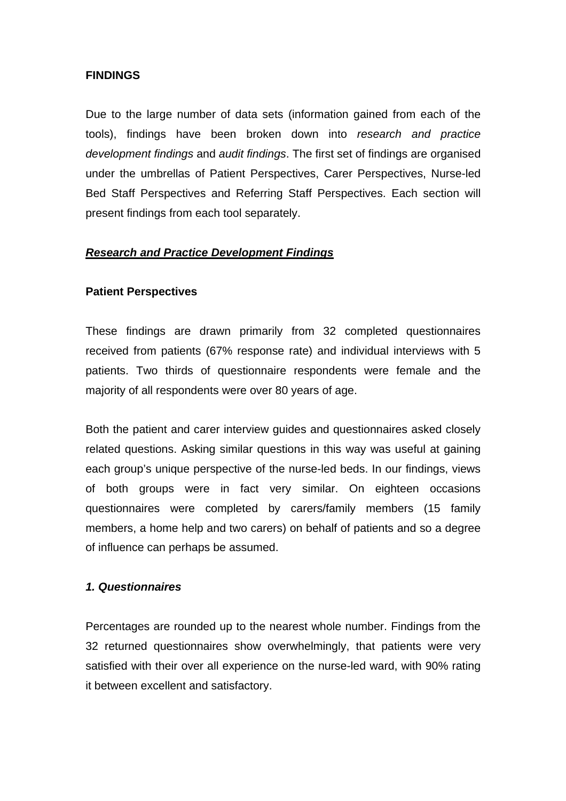# **FINDINGS**

Due to the large number of data sets (information gained from each of the tools), findings have been broken down into *research and practice development findings* and *audit findings*. The first set of findings are organised under the umbrellas of Patient Perspectives, Carer Perspectives, Nurse-led Bed Staff Perspectives and Referring Staff Perspectives. Each section will present findings from each tool separately.

#### *Research and Practice Development Findings*

#### **Patient Perspectives**

These findings are drawn primarily from 32 completed questionnaires received from patients (67% response rate) and individual interviews with 5 patients. Two thirds of questionnaire respondents were female and the majority of all respondents were over 80 years of age.

Both the patient and carer interview guides and questionnaires asked closely related questions. Asking similar questions in this way was useful at gaining each group's unique perspective of the nurse-led beds. In our findings, views of both groups were in fact very similar. On eighteen occasions questionnaires were completed by carers/family members (15 family members, a home help and two carers) on behalf of patients and so a degree of influence can perhaps be assumed.

#### *1. Questionnaires*

Percentages are rounded up to the nearest whole number. Findings from the 32 returned questionnaires show overwhelmingly, that patients were very satisfied with their over all experience on the nurse-led ward, with 90% rating it between excellent and satisfactory.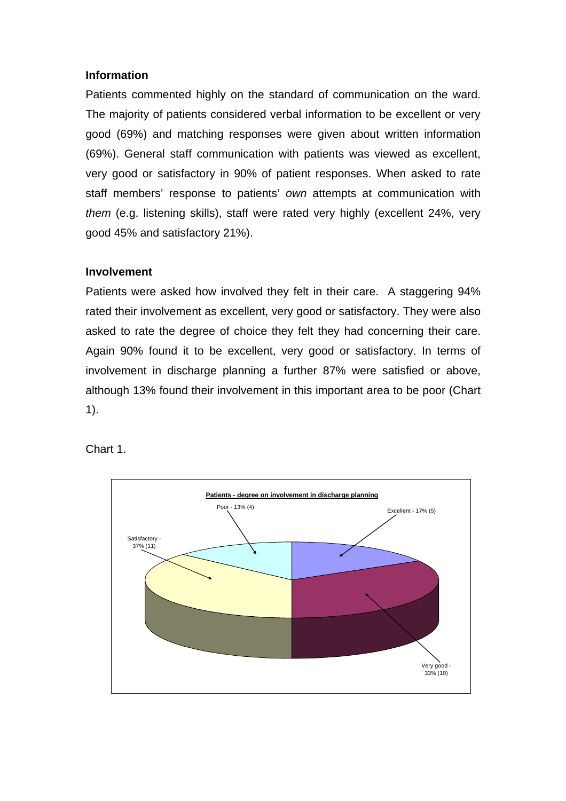# **Information**

Patients commented highly on the standard of communication on the ward. The majority of patients considered verbal information to be excellent or very good (69%) and matching responses were given about written information (69%). General staff communication with patients was viewed as excellent, very good or satisfactory in 90% of patient responses. When asked to rate staff members' response to patients' *own* attempts at communication with *them* (e.g. listening skills), staff were rated very highly (excellent 24%, very good 45% and satisfactory 21%).

# **Involvement**

Patients were asked how involved they felt in their care. A staggering 94% rated their involvement as excellent, very good or satisfactory. They were also asked to rate the degree of choice they felt they had concerning their care. Again 90% found it to be excellent, very good or satisfactory. In terms of involvement in discharge planning a further 87% were satisfied or above, although 13% found their involvement in this important area to be poor (Chart 1).

Chart 1.

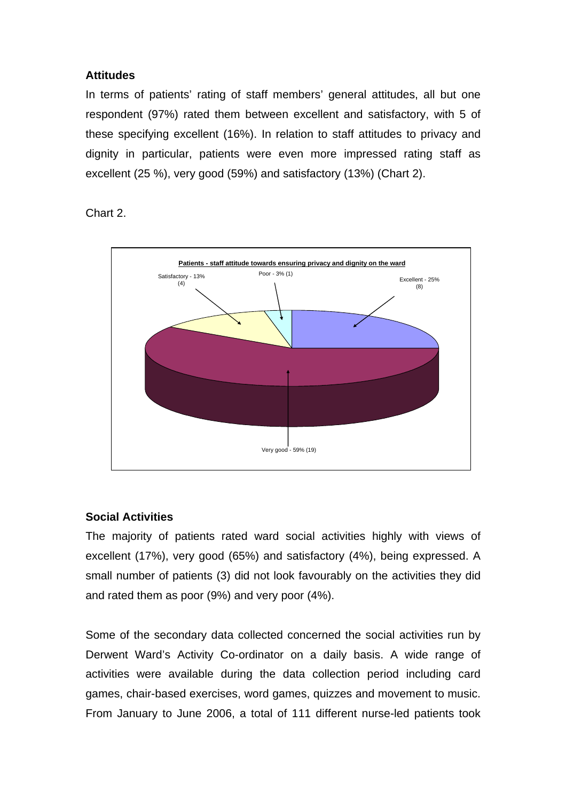# **Attitudes**

In terms of patients' rating of staff members' general attitudes, all but one respondent (97%) rated them between excellent and satisfactory, with 5 of these specifying excellent (16%). In relation to staff attitudes to privacy and dignity in particular, patients were even more impressed rating staff as excellent (25 %), very good (59%) and satisfactory (13%) (Chart 2).

Chart 2.



# **Social Activities**

The majority of patients rated ward social activities highly with views of excellent (17%), very good (65%) and satisfactory (4%), being expressed. A small number of patients (3) did not look favourably on the activities they did and rated them as poor (9%) and very poor (4%).

Some of the secondary data collected concerned the social activities run by Derwent Ward's Activity Co-ordinator on a daily basis. A wide range of activities were available during the data collection period including card games, chair-based exercises, word games, quizzes and movement to music. From January to June 2006, a total of 111 different nurse-led patients took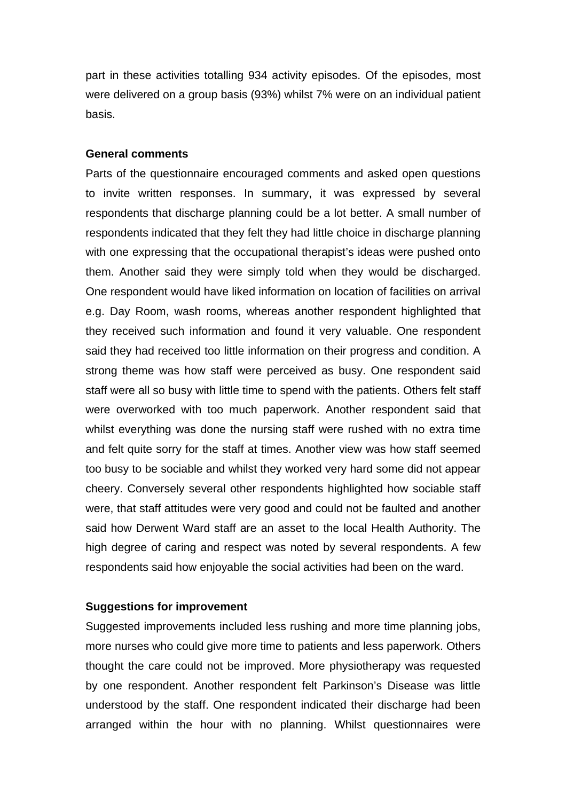part in these activities totalling 934 activity episodes. Of the episodes, most were delivered on a group basis (93%) whilst 7% were on an individual patient basis.

#### **General comments**

Parts of the questionnaire encouraged comments and asked open questions to invite written responses. In summary, it was expressed by several respondents that discharge planning could be a lot better. A small number of respondents indicated that they felt they had little choice in discharge planning with one expressing that the occupational therapist's ideas were pushed onto them. Another said they were simply told when they would be discharged. One respondent would have liked information on location of facilities on arrival e.g. Day Room, wash rooms, whereas another respondent highlighted that they received such information and found it very valuable. One respondent said they had received too little information on their progress and condition. A strong theme was how staff were perceived as busy. One respondent said staff were all so busy with little time to spend with the patients. Others felt staff were overworked with too much paperwork. Another respondent said that whilst everything was done the nursing staff were rushed with no extra time and felt quite sorry for the staff at times. Another view was how staff seemed too busy to be sociable and whilst they worked very hard some did not appear cheery. Conversely several other respondents highlighted how sociable staff were, that staff attitudes were very good and could not be faulted and another said how Derwent Ward staff are an asset to the local Health Authority. The high degree of caring and respect was noted by several respondents. A few respondents said how enjoyable the social activities had been on the ward.

#### **Suggestions for improvement**

Suggested improvements included less rushing and more time planning jobs, more nurses who could give more time to patients and less paperwork. Others thought the care could not be improved. More physiotherapy was requested by one respondent. Another respondent felt Parkinson's Disease was little understood by the staff. One respondent indicated their discharge had been arranged within the hour with no planning. Whilst questionnaires were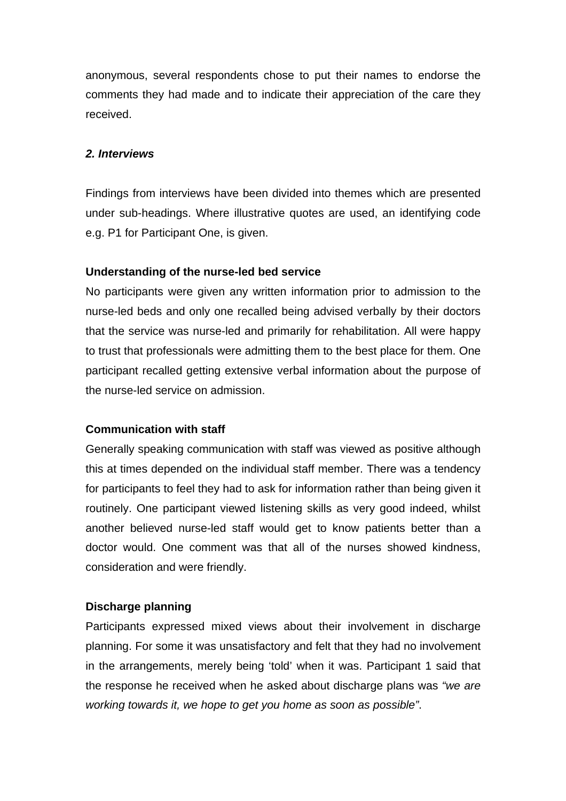anonymous, several respondents chose to put their names to endorse the comments they had made and to indicate their appreciation of the care they received.

# *2. Interviews*

Findings from interviews have been divided into themes which are presented under sub-headings. Where illustrative quotes are used, an identifying code e.g. P1 for Participant One, is given.

#### **Understanding of the nurse-led bed service**

No participants were given any written information prior to admission to the nurse-led beds and only one recalled being advised verbally by their doctors that the service was nurse-led and primarily for rehabilitation. All were happy to trust that professionals were admitting them to the best place for them. One participant recalled getting extensive verbal information about the purpose of the nurse-led service on admission.

#### **Communication with staff**

Generally speaking communication with staff was viewed as positive although this at times depended on the individual staff member. There was a tendency for participants to feel they had to ask for information rather than being given it routinely. One participant viewed listening skills as very good indeed, whilst another believed nurse-led staff would get to know patients better than a doctor would. One comment was that all of the nurses showed kindness, consideration and were friendly.

#### **Discharge planning**

Participants expressed mixed views about their involvement in discharge planning. For some it was unsatisfactory and felt that they had no involvement in the arrangements, merely being 'told' when it was. Participant 1 said that the response he received when he asked about discharge plans was *"we are working towards it, we hope to get you home as soon as possible"*.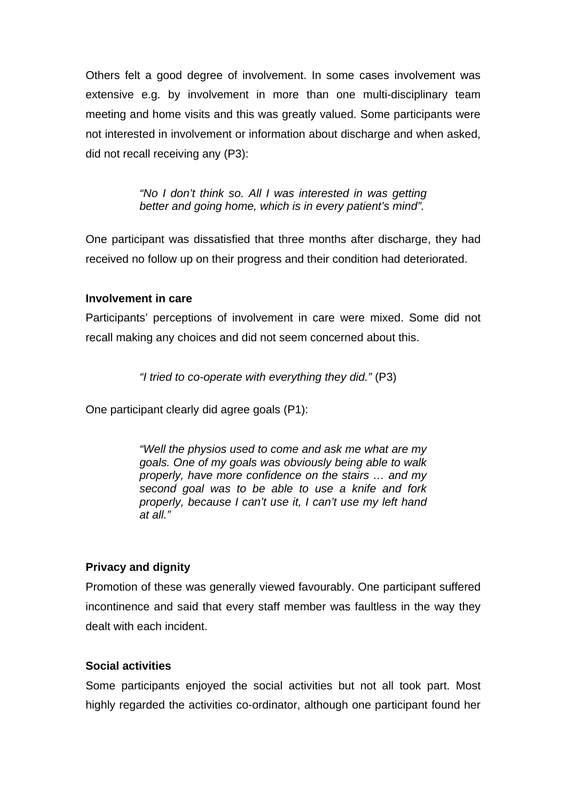Others felt a good degree of involvement. In some cases involvement was extensive e.g. by involvement in more than one multi-disciplinary team meeting and home visits and this was greatly valued. Some participants were not interested in involvement or information about discharge and when asked, did not recall receiving any (P3):

> *"No I don't think so. All I was interested in was getting better and going home, which is in every patient's mind".*

One participant was dissatisfied that three months after discharge, they had received no follow up on their progress and their condition had deteriorated.

# **Involvement in care**

Participants' perceptions of involvement in care were mixed. Some did not recall making any choices and did not seem concerned about this.

*"I tried to co-operate with everything they did."* (P3)

One participant clearly did agree goals (P1):

*"Well the physios used to come and ask me what are my goals. One of my goals was obviously being able to walk properly, have more confidence on the stairs … and my second goal was to be able to use a knife and fork properly, because I can't use it, I can't use my left hand at all."* 

# **Privacy and dignity**

Promotion of these was generally viewed favourably. One participant suffered incontinence and said that every staff member was faultless in the way they dealt with each incident.

#### **Social activities**

Some participants enjoyed the social activities but not all took part. Most highly regarded the activities co-ordinator, although one participant found her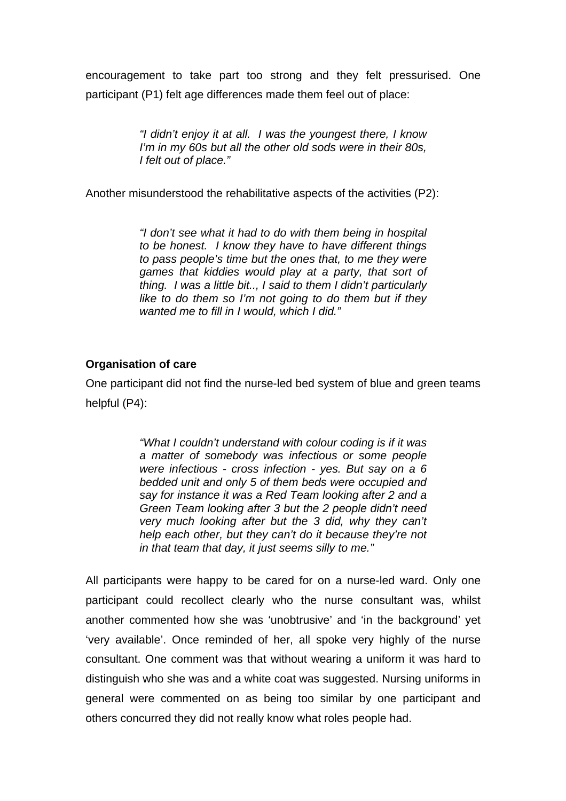encouragement to take part too strong and they felt pressurised. One participant (P1) felt age differences made them feel out of place:

> *"I didn't enjoy it at all. I was the youngest there, I know I'm in my 60s but all the other old sods were in their 80s, I felt out of place."*

Another misunderstood the rehabilitative aspects of the activities (P2):

*"I don't see what it had to do with them being in hospital to be honest. I know they have to have different things to pass people's time but the ones that, to me they were games that kiddies would play at a party, that sort of thing. I was a little bit.., I said to them I didn't particularly like to do them so I'm not going to do them but if they wanted me to fill in I would, which I did."* 

#### **Organisation of care**

One participant did not find the nurse-led bed system of blue and green teams helpful (P4):

> *"What I couldn't understand with colour coding is if it was a matter of somebody was infectious or some people were infectious - cross infection - yes. But say on a 6 bedded unit and only 5 of them beds were occupied and say for instance it was a Red Team looking after 2 and a Green Team looking after 3 but the 2 people didn't need very much looking after but the 3 did, why they can't help each other, but they can't do it because they're not in that team that day, it just seems silly to me."*

All participants were happy to be cared for on a nurse-led ward. Only one participant could recollect clearly who the nurse consultant was, whilst another commented how she was 'unobtrusive' and 'in the background' yet 'very available'. Once reminded of her, all spoke very highly of the nurse consultant. One comment was that without wearing a uniform it was hard to distinguish who she was and a white coat was suggested. Nursing uniforms in general were commented on as being too similar by one participant and others concurred they did not really know what roles people had.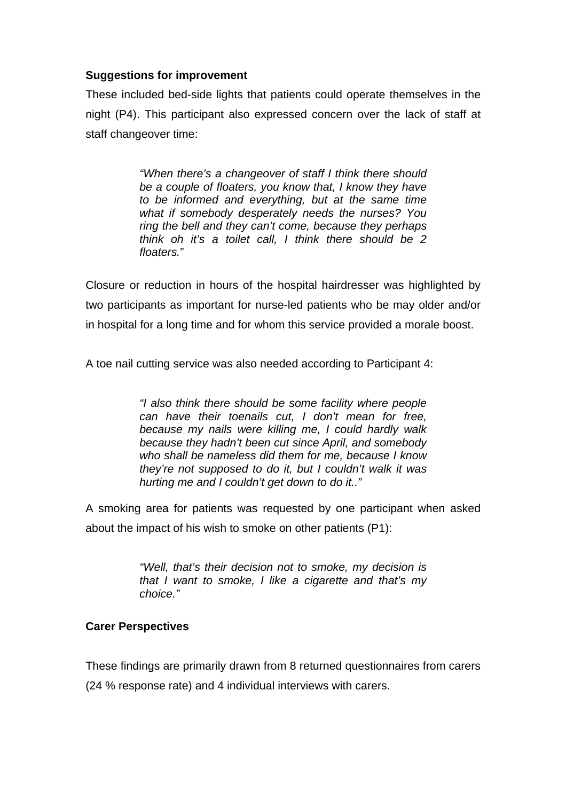# **Suggestions for improvement**

These included bed-side lights that patients could operate themselves in the night (P4). This participant also expressed concern over the lack of staff at staff changeover time:

> *"When there's a changeover of staff I think there should be a couple of floaters, you know that, I know they have to be informed and everything, but at the same time what if somebody desperately needs the nurses? You ring the bell and they can't come, because they perhaps think oh it's a toilet call, I think there should be 2 floaters.*"

Closure or reduction in hours of the hospital hairdresser was highlighted by two participants as important for nurse-led patients who be may older and/or in hospital for a long time and for whom this service provided a morale boost.

A toe nail cutting service was also needed according to Participant 4:

*"I also think there should be some facility where people can have their toenails cut, I don't mean for free, because my nails were killing me, I could hardly walk because they hadn't been cut since April, and somebody who shall be nameless did them for me, because I know they're not supposed to do it, but I couldn't walk it was hurting me and I couldn't get down to do it.."*

A smoking area for patients was requested by one participant when asked about the impact of his wish to smoke on other patients (P1):

> *"Well, that's their decision not to smoke, my decision is that I want to smoke, I like a cigarette and that's my choice."*

# **Carer Perspectives**

These findings are primarily drawn from 8 returned questionnaires from carers

(24 % response rate) and 4 individual interviews with carers.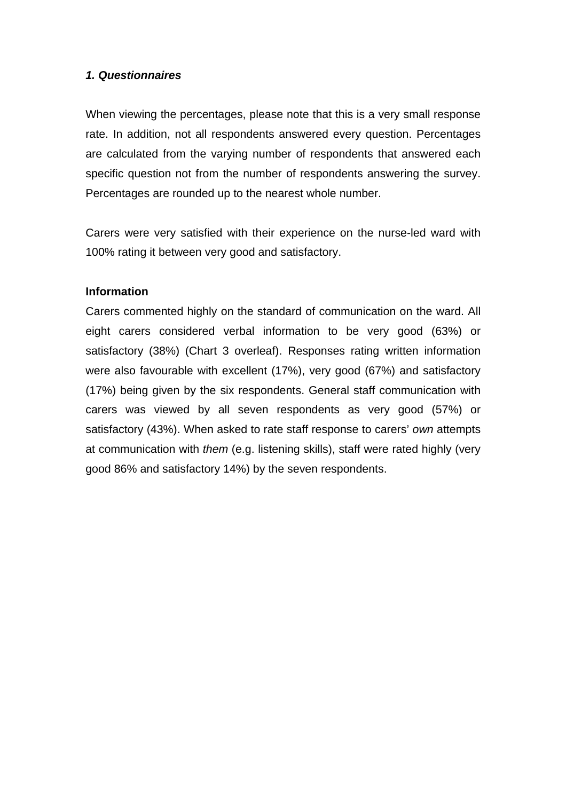### *1. Questionnaires*

When viewing the percentages, please note that this is a very small response rate. In addition, not all respondents answered every question. Percentages are calculated from the varying number of respondents that answered each specific question not from the number of respondents answering the survey. Percentages are rounded up to the nearest whole number.

Carers were very satisfied with their experience on the nurse-led ward with 100% rating it between very good and satisfactory.

#### **Information**

Carers commented highly on the standard of communication on the ward. All eight carers considered verbal information to be very good (63%) or satisfactory (38%) (Chart 3 overleaf). Responses rating written information were also favourable with excellent (17%), very good (67%) and satisfactory (17%) being given by the six respondents. General staff communication with carers was viewed by all seven respondents as very good (57%) or satisfactory (43%). When asked to rate staff response to carers' *own* attempts at communication with *them* (e.g. listening skills), staff were rated highly (very good 86% and satisfactory 14%) by the seven respondents.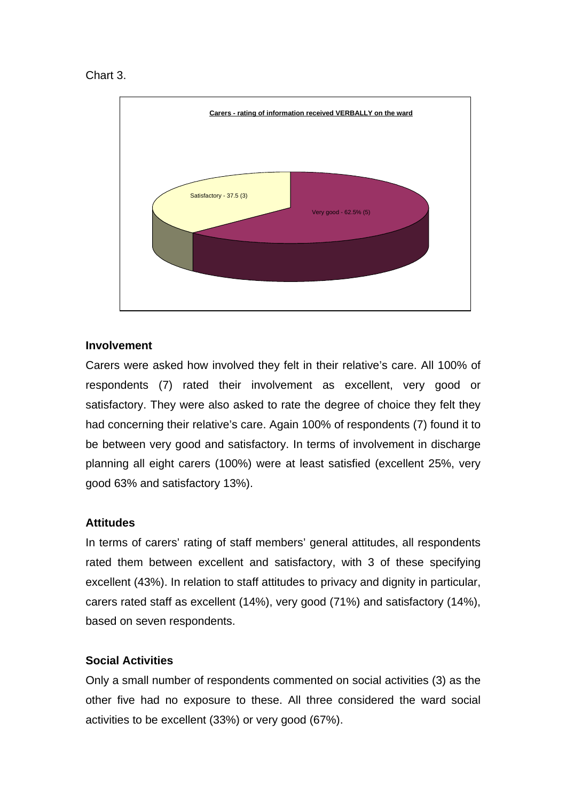



# **Involvement**

Carers were asked how involved they felt in their relative's care. All 100% of respondents (7) rated their involvement as excellent, very good or satisfactory. They were also asked to rate the degree of choice they felt they had concerning their relative's care. Again 100% of respondents (7) found it to be between very good and satisfactory. In terms of involvement in discharge planning all eight carers (100%) were at least satisfied (excellent 25%, very good 63% and satisfactory 13%).

#### **Attitudes**

In terms of carers' rating of staff members' general attitudes, all respondents rated them between excellent and satisfactory, with 3 of these specifying excellent (43%). In relation to staff attitudes to privacy and dignity in particular, carers rated staff as excellent (14%), very good (71%) and satisfactory (14%), based on seven respondents.

#### **Social Activities**

Only a small number of respondents commented on social activities (3) as the other five had no exposure to these. All three considered the ward social activities to be excellent (33%) or very good (67%).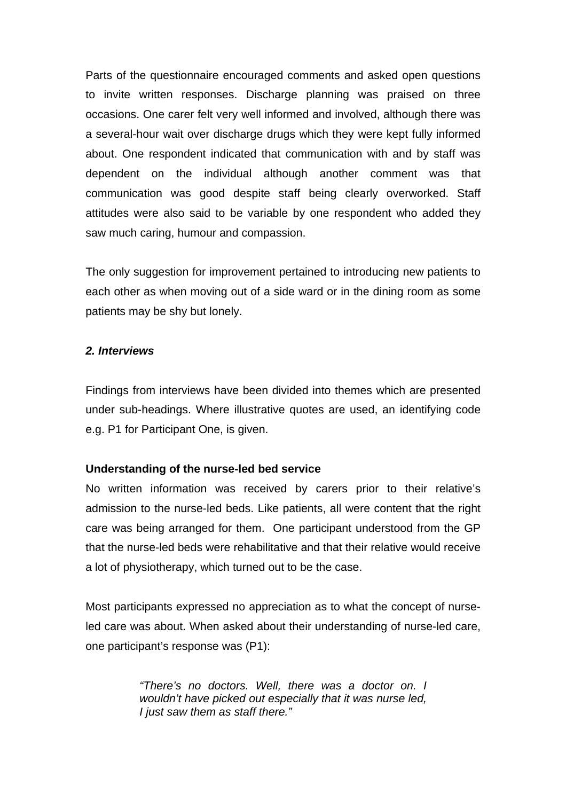Parts of the questionnaire encouraged comments and asked open questions to invite written responses. Discharge planning was praised on three occasions. One carer felt very well informed and involved, although there was a several-hour wait over discharge drugs which they were kept fully informed about. One respondent indicated that communication with and by staff was dependent on the individual although another comment was that communication was good despite staff being clearly overworked. Staff attitudes were also said to be variable by one respondent who added they saw much caring, humour and compassion.

The only suggestion for improvement pertained to introducing new patients to each other as when moving out of a side ward or in the dining room as some patients may be shy but lonely.

# *2. Interviews*

Findings from interviews have been divided into themes which are presented under sub-headings. Where illustrative quotes are used, an identifying code e.g. P1 for Participant One, is given.

# **Understanding of the nurse-led bed service**

No written information was received by carers prior to their relative's admission to the nurse-led beds. Like patients, all were content that the right care was being arranged for them. One participant understood from the GP that the nurse-led beds were rehabilitative and that their relative would receive a lot of physiotherapy, which turned out to be the case.

Most participants expressed no appreciation as to what the concept of nurseled care was about. When asked about their understanding of nurse-led care, one participant's response was (P1):

> *"There's no doctors. Well, there was a doctor on. I wouldn't have picked out especially that it was nurse led, I just saw them as staff there."*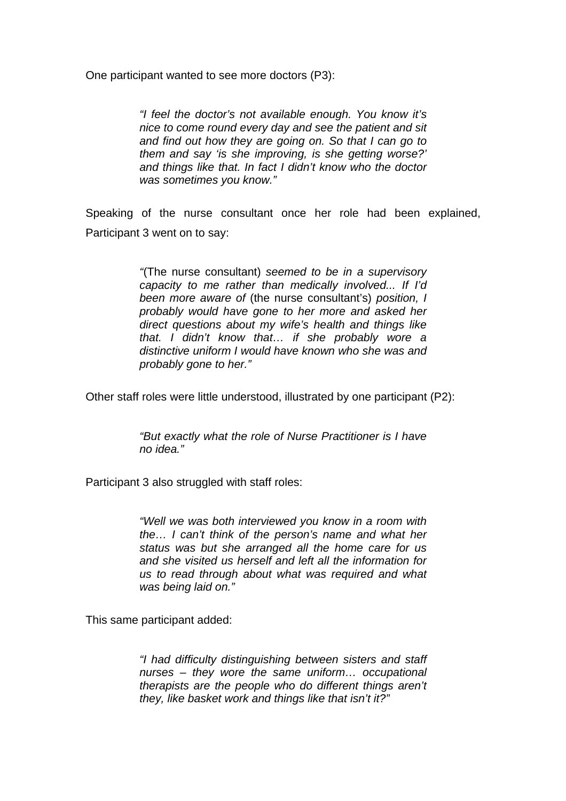One participant wanted to see more doctors (P3):

*"I feel the doctor's not available enough. You know it's nice to come round every day and see the patient and sit and find out how they are going on. So that I can go to them and say 'is she improving, is she getting worse?' and things like that. In fact I didn't know who the doctor was sometimes you know."* 

Speaking of the nurse consultant once her role had been explained, Participant 3 went on to say:

> *"*(The nurse consultant) *seemed to be in a supervisory capacity to me rather than medically involved... If I'd been more aware of* (the nurse consultant's) *position, I probably would have gone to her more and asked her direct questions about my wife's health and things like that. I didn't know that… if she probably wore a distinctive uniform I would have known who she was and probably gone to her."*

Other staff roles were little understood, illustrated by one participant (P2):

*"But exactly what the role of Nurse Practitioner is I have no idea."*

Participant 3 also struggled with staff roles:

*"Well we was both interviewed you know in a room with the… I can't think of the person's name and what her status was but she arranged all the home care for us and she visited us herself and left all the information for us to read through about what was required and what was being laid on."* 

This same participant added:

*"I had difficulty distinguishing between sisters and staff nurses – they wore the same uniform… occupational therapists are the people who do different things aren't they, like basket work and things like that isn't it?"*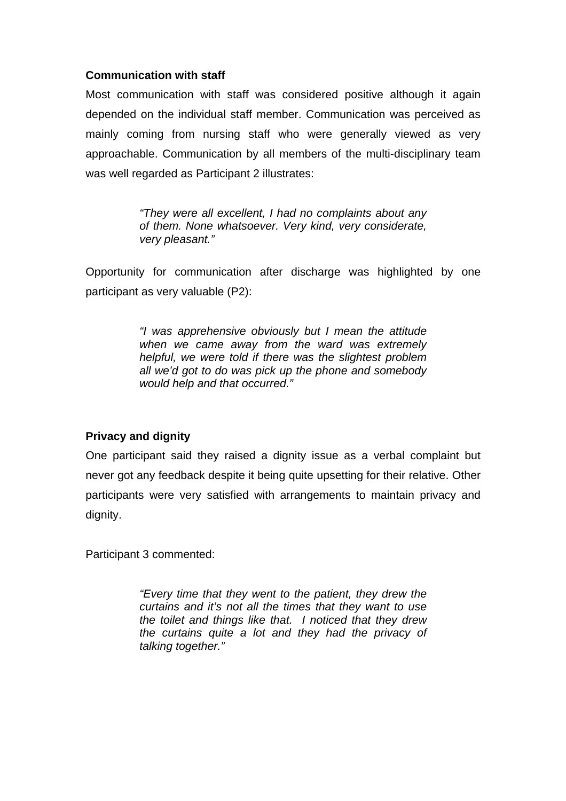# **Communication with staff**

Most communication with staff was considered positive although it again depended on the individual staff member. Communication was perceived as mainly coming from nursing staff who were generally viewed as very approachable. Communication by all members of the multi-disciplinary team was well regarded as Participant 2 illustrates:

> *"They were all excellent, I had no complaints about any of them. None whatsoever. Very kind, very considerate, very pleasant."*

Opportunity for communication after discharge was highlighted by one participant as very valuable (P2):

> *"I was apprehensive obviously but I mean the attitude when we came away from the ward was extremely helpful, we were told if there was the slightest problem all we'd got to do was pick up the phone and somebody would help and that occurred."*

# **Privacy and dignity**

One participant said they raised a dignity issue as a verbal complaint but never got any feedback despite it being quite upsetting for their relative. Other participants were very satisfied with arrangements to maintain privacy and dignity.

Participant 3 commented:

*"Every time that they went to the patient, they drew the curtains and it's not all the times that they want to use the toilet and things like that. I noticed that they drew the curtains quite a lot and they had the privacy of talking together."*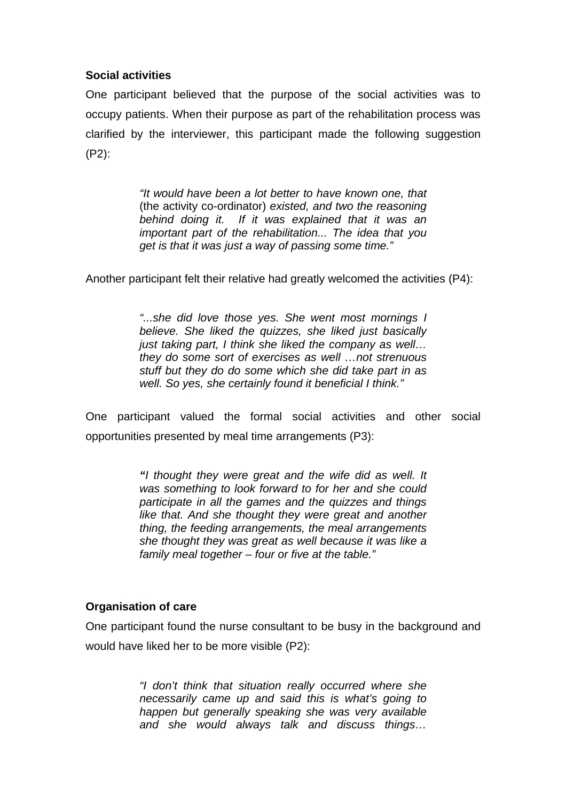# **Social activities**

One participant believed that the purpose of the social activities was to occupy patients. When their purpose as part of the rehabilitation process was clarified by the interviewer, this participant made the following suggestion (P2):

> *"It would have been a lot better to have known one, that*  (the activity co-ordinator) *existed, and two the reasoning behind doing it. If it was explained that it was an important part of the rehabilitation... The idea that you get is that it was just a way of passing some time."*

Another participant felt their relative had greatly welcomed the activities (P4):

*"...she did love those yes. She went most mornings I believe. She liked the quizzes, she liked just basically just taking part, I think she liked the company as well… they do some sort of exercises as well …not strenuous stuff but they do do some which she did take part in as well. So yes, she certainly found it beneficial I think."* 

One participant valued the formal social activities and other social opportunities presented by meal time arrangements (P3):

> *"I thought they were great and the wife did as well. It was something to look forward to for her and she could participate in all the games and the quizzes and things like that. And she thought they were great and another thing, the feeding arrangements, the meal arrangements she thought they was great as well because it was like a family meal together – four or five at the table."*

# **Organisation of care**

One participant found the nurse consultant to be busy in the background and would have liked her to be more visible (P2):

> *"I don't think that situation really occurred where she necessarily came up and said this is what's going to happen but generally speaking she was very available and she would always talk and discuss things…*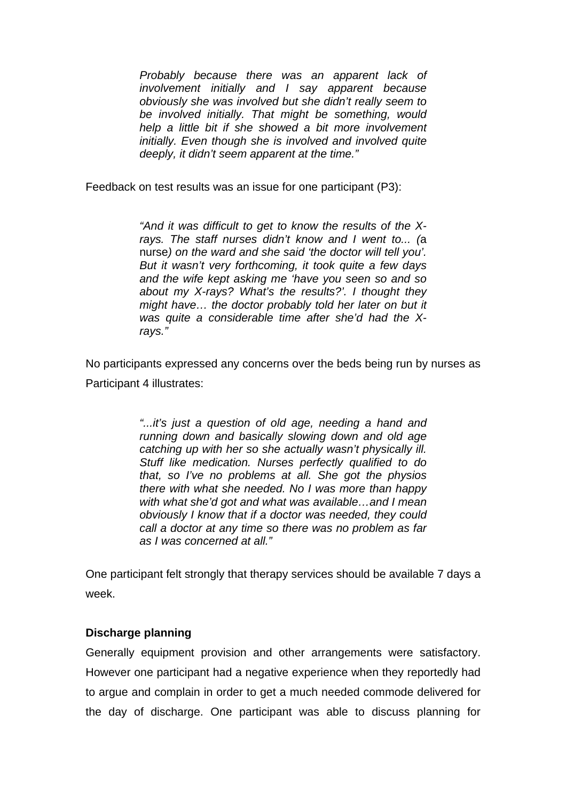*Probably because there was an apparent lack of involvement initially and I say apparent because obviously she was involved but she didn't really seem to be involved initially. That might be something, would help a little bit if she showed a bit more involvement initially. Even though she is involved and involved quite deeply, it didn't seem apparent at the time."* 

Feedback on test results was an issue for one participant (P3):

*"And it was difficult to get to know the results of the Xrays. The staff nurses didn't know and I went to... (*a nurse*) on the ward and she said 'the doctor will tell you'. But it wasn't very forthcoming, it took quite a few days and the wife kept asking me 'have you seen so and so about my X-rays? What's the results?'. I thought they might have… the doctor probably told her later on but it was quite a considerable time after she'd had the Xrays."* 

No participants expressed any concerns over the beds being run by nurses as Participant 4 illustrates:

> *"...it's just a question of old age, needing a hand and running down and basically slowing down and old age catching up with her so she actually wasn't physically ill. Stuff like medication. Nurses perfectly qualified to do that, so I've no problems at all. She got the physios there with what she needed. No I was more than happy with what she'd got and what was available…and I mean obviously I know that if a doctor was needed, they could call a doctor at any time so there was no problem as far as I was concerned at all."*

One participant felt strongly that therapy services should be available 7 days a week.

# **Discharge planning**

Generally equipment provision and other arrangements were satisfactory. However one participant had a negative experience when they reportedly had to argue and complain in order to get a much needed commode delivered for the day of discharge. One participant was able to discuss planning for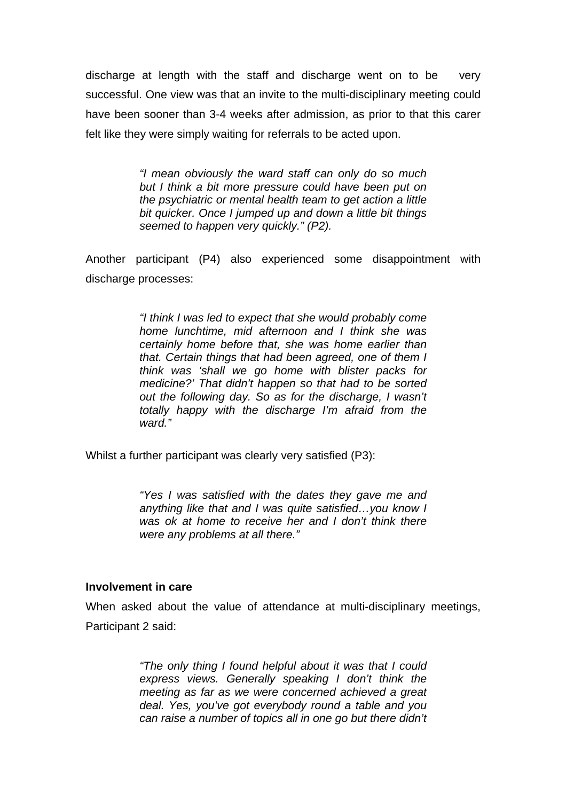discharge at length with the staff and discharge went on to be very successful. One view was that an invite to the multi-disciplinary meeting could have been sooner than 3-4 weeks after admission, as prior to that this carer felt like they were simply waiting for referrals to be acted upon.

> *"I mean obviously the ward staff can only do so much but I think a bit more pressure could have been put on the psychiatric or mental health team to get action a little bit quicker. Once I jumped up and down a little bit things seemed to happen very quickly." (P2).*

Another participant (P4) also experienced some disappointment with discharge processes:

> *"I think I was led to expect that she would probably come home lunchtime, mid afternoon and I think she was certainly home before that, she was home earlier than that. Certain things that had been agreed, one of them I think was 'shall we go home with blister packs for medicine?' That didn't happen so that had to be sorted out the following day. So as for the discharge, I wasn't totally happy with the discharge I'm afraid from the ward."*

Whilst a further participant was clearly very satisfied (P3):

*"Yes I was satisfied with the dates they gave me and anything like that and I was quite satisfied…you know I was ok at home to receive her and I don't think there were any problems at all there."* 

#### **Involvement in care**

When asked about the value of attendance at multi-disciplinary meetings, Participant 2 said:

> *"The only thing I found helpful about it was that I could express views. Generally speaking I don't think the meeting as far as we were concerned achieved a great deal. Yes, you've got everybody round a table and you can raise a number of topics all in one go but there didn't*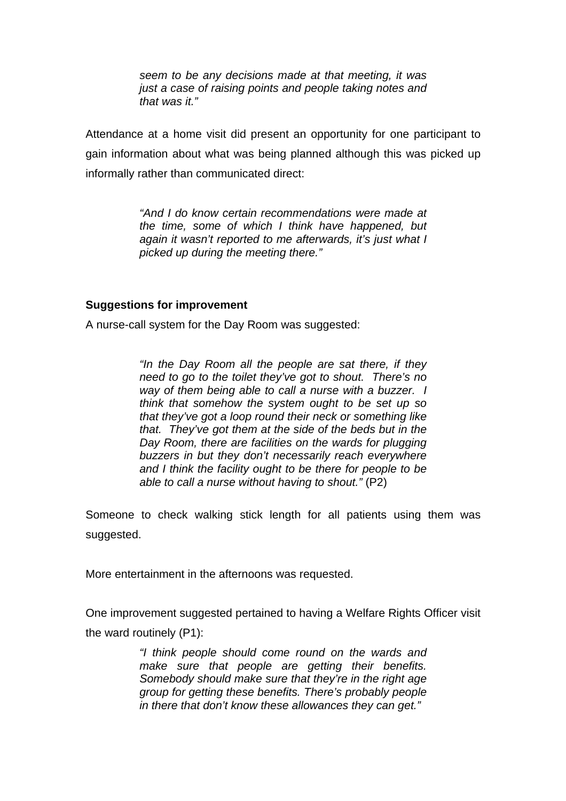*seem to be any decisions made at that meeting, it was just a case of raising points and people taking notes and that was it."* 

Attendance at a home visit did present an opportunity for one participant to gain information about what was being planned although this was picked up informally rather than communicated direct:

> *"And I do know certain recommendations were made at the time, some of which I think have happened, but again it wasn't reported to me afterwards, it's just what I picked up during the meeting there."*

#### **Suggestions for improvement**

A nurse-call system for the Day Room was suggested:

*"In the Day Room all the people are sat there, if they need to go to the toilet they've got to shout. There's no way of them being able to call a nurse with a buzzer. I think that somehow the system ought to be set up so that they've got a loop round their neck or something like that. They've got them at the side of the beds but in the Day Room, there are facilities on the wards for plugging buzzers in but they don't necessarily reach everywhere and I think the facility ought to be there for people to be able to call a nurse without having to shout."* (P2)

Someone to check walking stick length for all patients using them was suggested.

More entertainment in the afternoons was requested.

One improvement suggested pertained to having a Welfare Rights Officer visit the ward routinely (P1):

> *"I think people should come round on the wards and make sure that people are getting their benefits. Somebody should make sure that they're in the right age group for getting these benefits. There's probably people in there that don't know these allowances they can get."*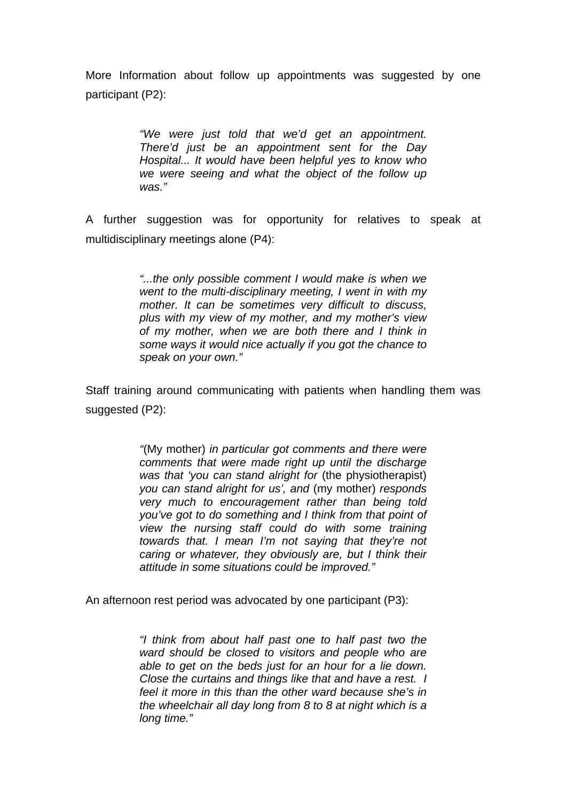More Information about follow up appointments was suggested by one participant (P2):

> *"We were just told that we'd get an appointment. There'd just be an appointment sent for the Day Hospital... It would have been helpful yes to know who we were seeing and what the object of the follow up was."*

A further suggestion was for opportunity for relatives to speak at multidisciplinary meetings alone (P4):

> *"...the only possible comment I would make is when we went to the multi-disciplinary meeting, I went in with my mother. It can be sometimes very difficult to discuss, plus with my view of my mother, and my mother's view of my mother, when we are both there and I think in some ways it would nice actually if you got the chance to speak on your own."*

Staff training around communicating with patients when handling them was suggested (P2):

> *"*(My mother) *in particular got comments and there were comments that were made right up until the discharge was that 'you can stand alright for* (the physiotherapist) *you can stand alright for us', and* (my mother) *responds very much to encouragement rather than being told you've got to do something and I think from that point of view the nursing staff could do with some training towards that. I mean I'm not saying that they're not caring or whatever, they obviously are, but I think their attitude in some situations could be improved."*

An afternoon rest period was advocated by one participant (P3):

*"I think from about half past one to half past two the ward should be closed to visitors and people who are able to get on the beds just for an hour for a lie down. Close the curtains and things like that and have a rest. I feel it more in this than the other ward because she's in the wheelchair all day long from 8 to 8 at night which is a long time."*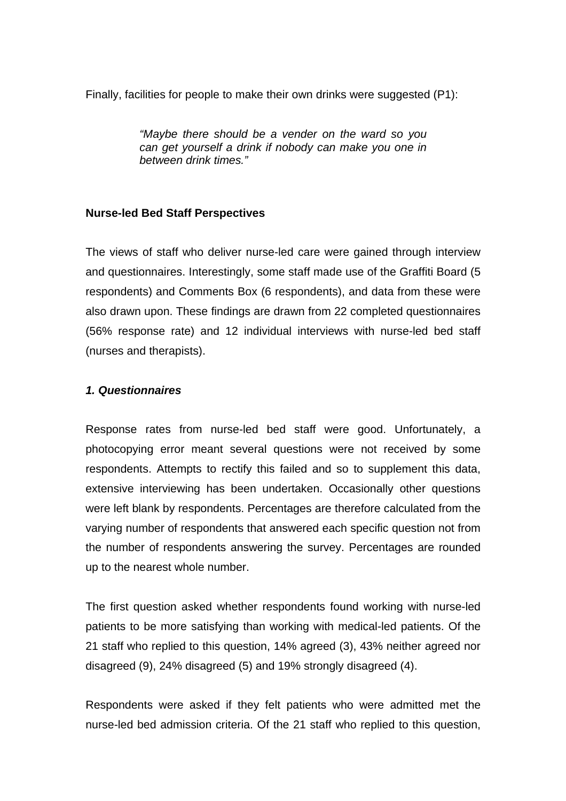Finally, facilities for people to make their own drinks were suggested (P1):

*"Maybe there should be a vender on the ward so you can get yourself a drink if nobody can make you one in between drink times."* 

# **Nurse-led Bed Staff Perspectives**

The views of staff who deliver nurse-led care were gained through interview and questionnaires. Interestingly, some staff made use of the Graffiti Board (5 respondents) and Comments Box (6 respondents), and data from these were also drawn upon. These findings are drawn from 22 completed questionnaires (56% response rate) and 12 individual interviews with nurse-led bed staff (nurses and therapists).

# *1. Questionnaires*

Response rates from nurse-led bed staff were good. Unfortunately, a photocopying error meant several questions were not received by some respondents. Attempts to rectify this failed and so to supplement this data, extensive interviewing has been undertaken. Occasionally other questions were left blank by respondents. Percentages are therefore calculated from the varying number of respondents that answered each specific question not from the number of respondents answering the survey. Percentages are rounded up to the nearest whole number.

The first question asked whether respondents found working with nurse-led patients to be more satisfying than working with medical-led patients. Of the 21 staff who replied to this question, 14% agreed (3), 43% neither agreed nor disagreed (9), 24% disagreed (5) and 19% strongly disagreed (4).

Respondents were asked if they felt patients who were admitted met the nurse-led bed admission criteria. Of the 21 staff who replied to this question,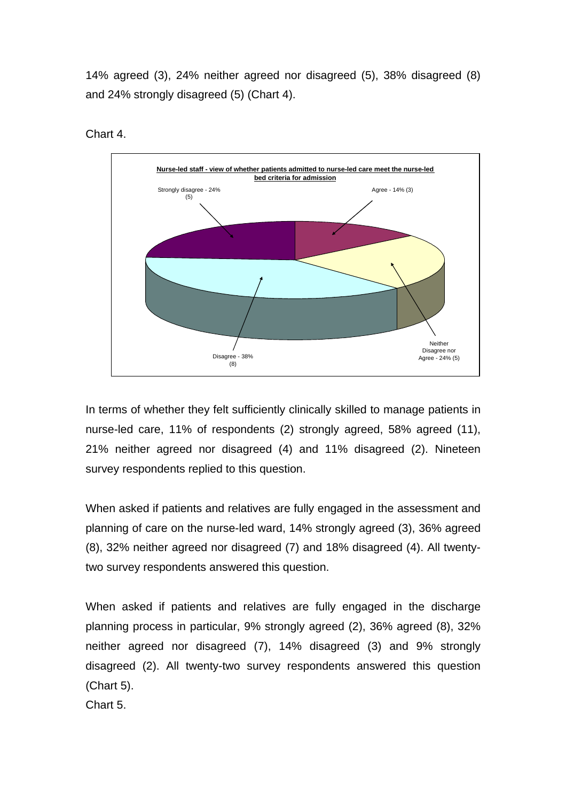14% agreed (3), 24% neither agreed nor disagreed (5), 38% disagreed (8) and 24% strongly disagreed (5) (Chart 4).



Chart 4.

In terms of whether they felt sufficiently clinically skilled to manage patients in nurse-led care, 11% of respondents (2) strongly agreed, 58% agreed (11), 21% neither agreed nor disagreed (4) and 11% disagreed (2). Nineteen survey respondents replied to this question.

When asked if patients and relatives are fully engaged in the assessment and planning of care on the nurse-led ward, 14% strongly agreed (3), 36% agreed (8), 32% neither agreed nor disagreed (7) and 18% disagreed (4). All twentytwo survey respondents answered this question.

When asked if patients and relatives are fully engaged in the discharge planning process in particular, 9% strongly agreed (2), 36% agreed (8), 32% neither agreed nor disagreed (7), 14% disagreed (3) and 9% strongly disagreed (2). All twenty-two survey respondents answered this question (Chart 5).

Chart 5.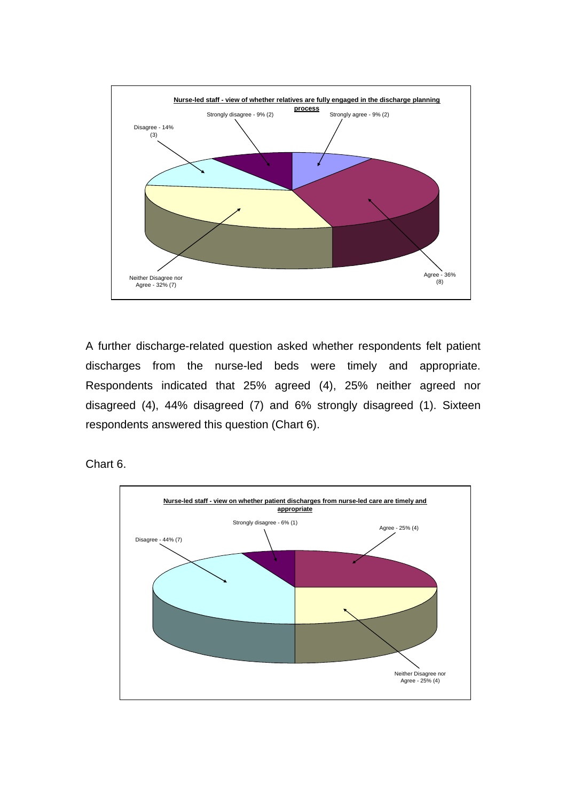

A further discharge-related question asked whether respondents felt patient discharges from the nurse-led beds were timely and appropriate. Respondents indicated that 25% agreed (4), 25% neither agreed nor disagreed (4), 44% disagreed (7) and 6% strongly disagreed (1). Sixteen respondents answered this question (Chart 6).

Chart 6.

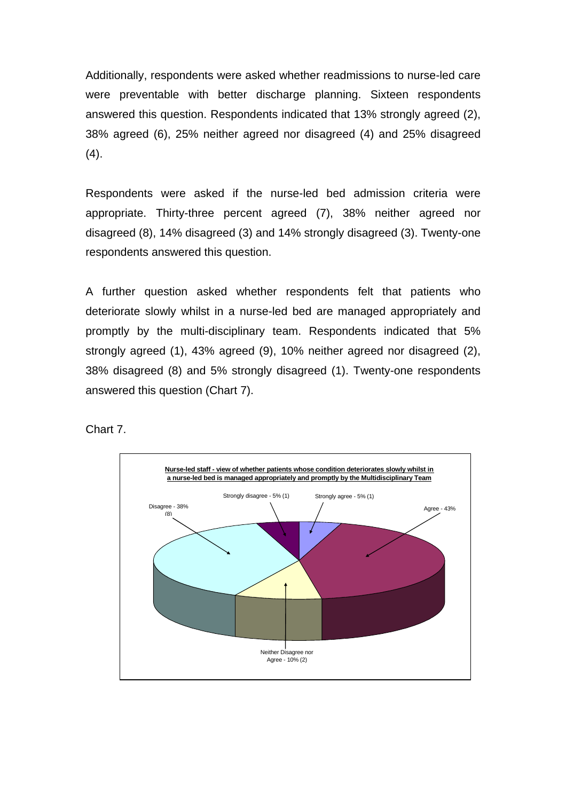Additionally, respondents were asked whether readmissions to nurse-led care were preventable with better discharge planning. Sixteen respondents answered this question. Respondents indicated that 13% strongly agreed (2), 38% agreed (6), 25% neither agreed nor disagreed (4) and 25% disagreed  $(4).$ 

Respondents were asked if the nurse-led bed admission criteria were appropriate. Thirty-three percent agreed (7), 38% neither agreed nor disagreed (8), 14% disagreed (3) and 14% strongly disagreed (3). Twenty-one respondents answered this question.

A further question asked whether respondents felt that patients who deteriorate slowly whilst in a nurse-led bed are managed appropriately and promptly by the multi-disciplinary team. Respondents indicated that 5% strongly agreed (1), 43% agreed (9), 10% neither agreed nor disagreed (2), 38% disagreed (8) and 5% strongly disagreed (1). Twenty-one respondents answered this question (Chart 7).

Chart 7.

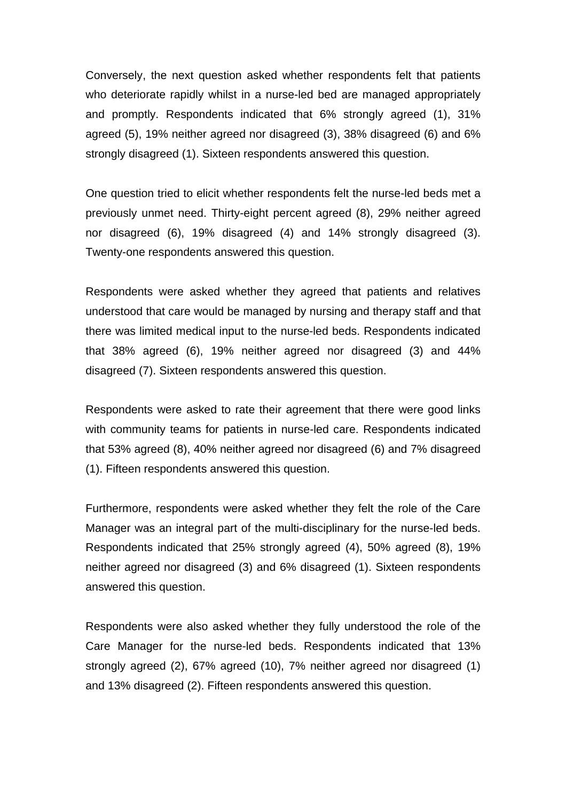Conversely, the next question asked whether respondents felt that patients who deteriorate rapidly whilst in a nurse-led bed are managed appropriately and promptly. Respondents indicated that 6% strongly agreed (1), 31% agreed (5), 19% neither agreed nor disagreed (3), 38% disagreed (6) and 6% strongly disagreed (1). Sixteen respondents answered this question.

One question tried to elicit whether respondents felt the nurse-led beds met a previously unmet need. Thirty-eight percent agreed (8), 29% neither agreed nor disagreed (6), 19% disagreed (4) and 14% strongly disagreed (3). Twenty-one respondents answered this question.

Respondents were asked whether they agreed that patients and relatives understood that care would be managed by nursing and therapy staff and that there was limited medical input to the nurse-led beds. Respondents indicated that 38% agreed (6), 19% neither agreed nor disagreed (3) and 44% disagreed (7). Sixteen respondents answered this question.

Respondents were asked to rate their agreement that there were good links with community teams for patients in nurse-led care. Respondents indicated that 53% agreed (8), 40% neither agreed nor disagreed (6) and 7% disagreed (1). Fifteen respondents answered this question.

Furthermore, respondents were asked whether they felt the role of the Care Manager was an integral part of the multi-disciplinary for the nurse-led beds. Respondents indicated that 25% strongly agreed (4), 50% agreed (8), 19% neither agreed nor disagreed (3) and 6% disagreed (1). Sixteen respondents answered this question.

Respondents were also asked whether they fully understood the role of the Care Manager for the nurse-led beds. Respondents indicated that 13% strongly agreed (2), 67% agreed (10), 7% neither agreed nor disagreed (1) and 13% disagreed (2). Fifteen respondents answered this question.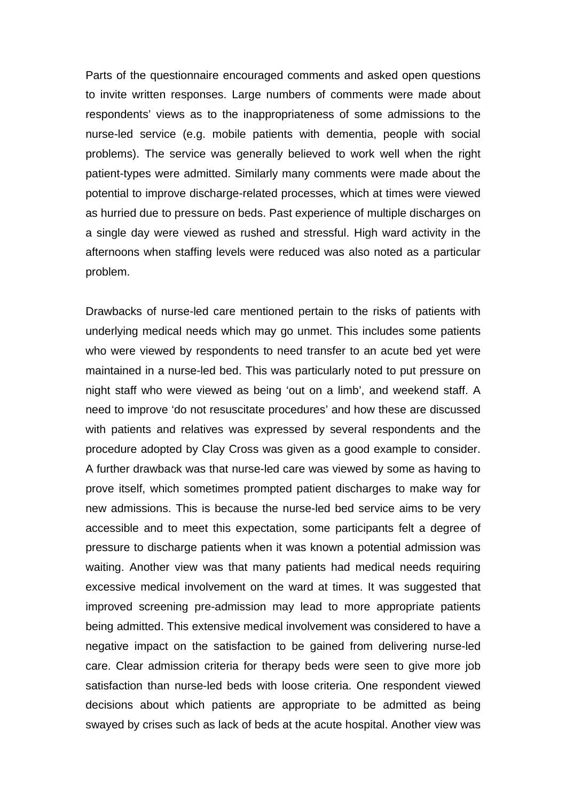Parts of the questionnaire encouraged comments and asked open questions to invite written responses. Large numbers of comments were made about respondents' views as to the inappropriateness of some admissions to the nurse-led service (e.g. mobile patients with dementia, people with social problems). The service was generally believed to work well when the right patient-types were admitted. Similarly many comments were made about the potential to improve discharge-related processes, which at times were viewed as hurried due to pressure on beds. Past experience of multiple discharges on a single day were viewed as rushed and stressful. High ward activity in the afternoons when staffing levels were reduced was also noted as a particular problem.

Drawbacks of nurse-led care mentioned pertain to the risks of patients with underlying medical needs which may go unmet. This includes some patients who were viewed by respondents to need transfer to an acute bed yet were maintained in a nurse-led bed. This was particularly noted to put pressure on night staff who were viewed as being 'out on a limb', and weekend staff. A need to improve 'do not resuscitate procedures' and how these are discussed with patients and relatives was expressed by several respondents and the procedure adopted by Clay Cross was given as a good example to consider. A further drawback was that nurse-led care was viewed by some as having to prove itself, which sometimes prompted patient discharges to make way for new admissions. This is because the nurse-led bed service aims to be very accessible and to meet this expectation, some participants felt a degree of pressure to discharge patients when it was known a potential admission was waiting. Another view was that many patients had medical needs requiring excessive medical involvement on the ward at times. It was suggested that improved screening pre-admission may lead to more appropriate patients being admitted. This extensive medical involvement was considered to have a negative impact on the satisfaction to be gained from delivering nurse-led care. Clear admission criteria for therapy beds were seen to give more job satisfaction than nurse-led beds with loose criteria. One respondent viewed decisions about which patients are appropriate to be admitted as being swayed by crises such as lack of beds at the acute hospital. Another view was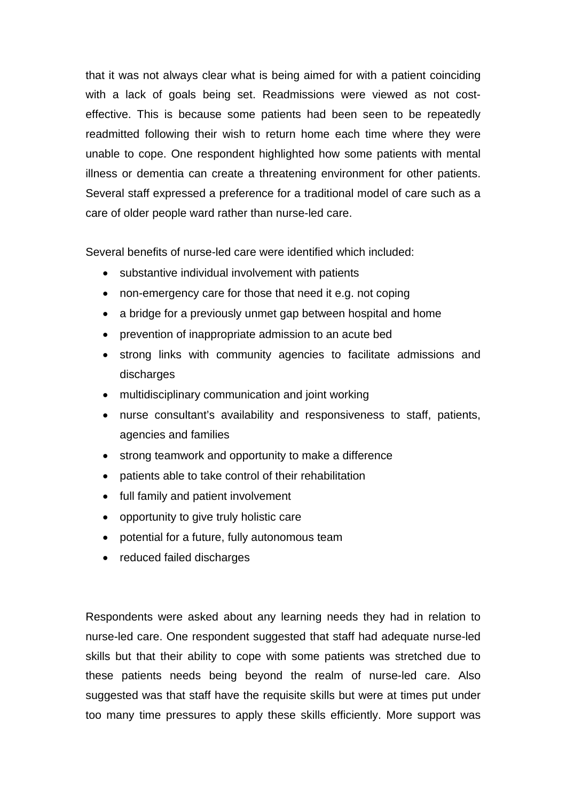that it was not always clear what is being aimed for with a patient coinciding with a lack of goals being set. Readmissions were viewed as not costeffective. This is because some patients had been seen to be repeatedly readmitted following their wish to return home each time where they were unable to cope. One respondent highlighted how some patients with mental illness or dementia can create a threatening environment for other patients. Several staff expressed a preference for a traditional model of care such as a care of older people ward rather than nurse-led care.

Several benefits of nurse-led care were identified which included:

- substantive individual involvement with patients
- non-emergency care for those that need it e.g. not coping
- a bridge for a previously unmet gap between hospital and home
- prevention of inappropriate admission to an acute bed
- strong links with community agencies to facilitate admissions and discharges
- multidisciplinary communication and joint working
- nurse consultant's availability and responsiveness to staff, patients, agencies and families
- strong teamwork and opportunity to make a difference
- patients able to take control of their rehabilitation
- full family and patient involvement
- opportunity to give truly holistic care
- potential for a future, fully autonomous team
- reduced failed discharges

Respondents were asked about any learning needs they had in relation to nurse-led care. One respondent suggested that staff had adequate nurse-led skills but that their ability to cope with some patients was stretched due to these patients needs being beyond the realm of nurse-led care. Also suggested was that staff have the requisite skills but were at times put under too many time pressures to apply these skills efficiently. More support was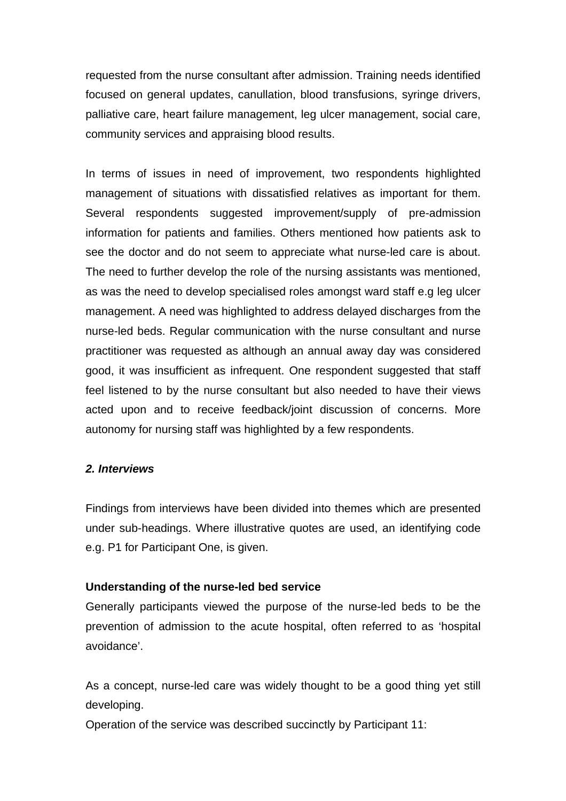requested from the nurse consultant after admission. Training needs identified focused on general updates, canullation, blood transfusions, syringe drivers, palliative care, heart failure management, leg ulcer management, social care, community services and appraising blood results.

In terms of issues in need of improvement, two respondents highlighted management of situations with dissatisfied relatives as important for them. Several respondents suggested improvement/supply of pre-admission information for patients and families. Others mentioned how patients ask to see the doctor and do not seem to appreciate what nurse-led care is about. The need to further develop the role of the nursing assistants was mentioned, as was the need to develop specialised roles amongst ward staff e.g leg ulcer management. A need was highlighted to address delayed discharges from the nurse-led beds. Regular communication with the nurse consultant and nurse practitioner was requested as although an annual away day was considered good, it was insufficient as infrequent. One respondent suggested that staff feel listened to by the nurse consultant but also needed to have their views acted upon and to receive feedback/joint discussion of concerns. More autonomy for nursing staff was highlighted by a few respondents.

# *2. Interviews*

Findings from interviews have been divided into themes which are presented under sub-headings. Where illustrative quotes are used, an identifying code e.g. P1 for Participant One, is given.

# **Understanding of the nurse-led bed service**

Generally participants viewed the purpose of the nurse-led beds to be the prevention of admission to the acute hospital, often referred to as 'hospital avoidance'.

As a concept, nurse-led care was widely thought to be a good thing yet still developing.

Operation of the service was described succinctly by Participant 11: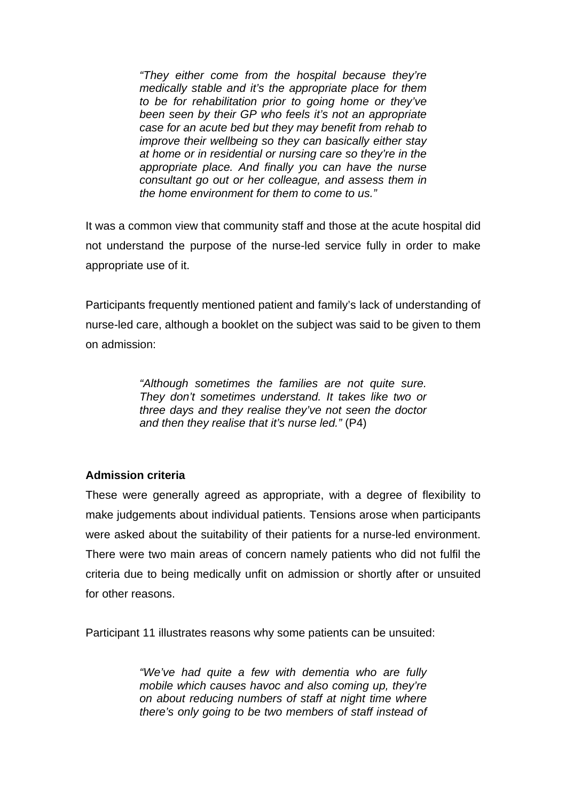*"They either come from the hospital because they're medically stable and it's the appropriate place for them to be for rehabilitation prior to going home or they've been seen by their GP who feels it's not an appropriate case for an acute bed but they may benefit from rehab to improve their wellbeing so they can basically either stay at home or in residential or nursing care so they're in the appropriate place. And finally you can have the nurse consultant go out or her colleague, and assess them in the home environment for them to come to us."* 

It was a common view that community staff and those at the acute hospital did not understand the purpose of the nurse-led service fully in order to make appropriate use of it.

Participants frequently mentioned patient and family's lack of understanding of nurse-led care, although a booklet on the subject was said to be given to them on admission:

> *"Although sometimes the families are not quite sure. They don't sometimes understand. It takes like two or three days and they realise they've not seen the doctor and then they realise that it's nurse led."* (P4)

# **Admission criteria**

These were generally agreed as appropriate, with a degree of flexibility to make judgements about individual patients. Tensions arose when participants were asked about the suitability of their patients for a nurse-led environment. There were two main areas of concern namely patients who did not fulfil the criteria due to being medically unfit on admission or shortly after or unsuited for other reasons.

Participant 11 illustrates reasons why some patients can be unsuited:

*"We've had quite a few with dementia who are fully mobile which causes havoc and also coming up, they're on about reducing numbers of staff at night time where there's only going to be two members of staff instead of*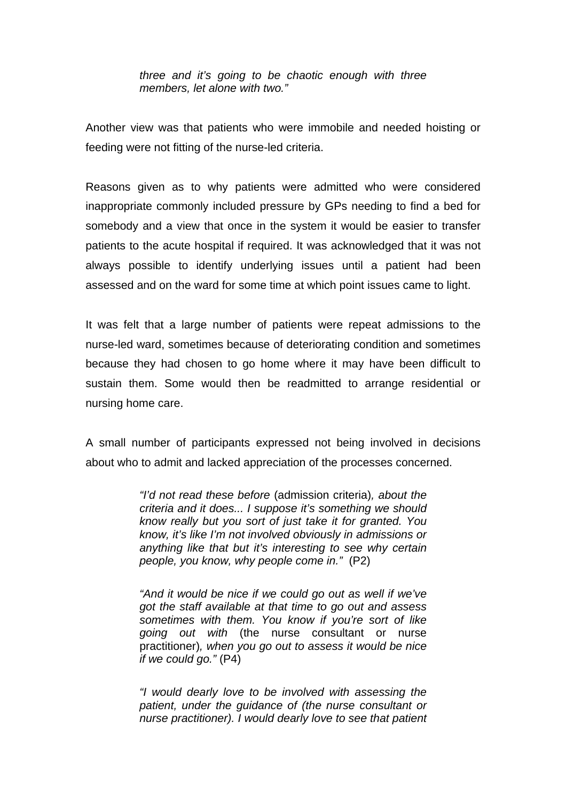*three and it's going to be chaotic enough with three members, let alone with two."* 

Another view was that patients who were immobile and needed hoisting or feeding were not fitting of the nurse-led criteria.

Reasons given as to why patients were admitted who were considered inappropriate commonly included pressure by GPs needing to find a bed for somebody and a view that once in the system it would be easier to transfer patients to the acute hospital if required. It was acknowledged that it was not always possible to identify underlying issues until a patient had been assessed and on the ward for some time at which point issues came to light.

It was felt that a large number of patients were repeat admissions to the nurse-led ward, sometimes because of deteriorating condition and sometimes because they had chosen to go home where it may have been difficult to sustain them. Some would then be readmitted to arrange residential or nursing home care.

A small number of participants expressed not being involved in decisions about who to admit and lacked appreciation of the processes concerned.

> *"I'd not read these before* (admission criteria)*, about the criteria and it does... I suppose it's something we should know really but you sort of just take it for granted. You know, it's like I'm not involved obviously in admissions or anything like that but it's interesting to see why certain people, you know, why people come in."* (P2)

> *"And it would be nice if we could go out as well if we've got the staff available at that time to go out and assess sometimes with them. You know if you're sort of like going out with* (the nurse consultant or nurse practitioner)*, when you go out to assess it would be nice if we could go."* (P4)

> *"I would dearly love to be involved with assessing the patient, under the guidance of (the nurse consultant or nurse practitioner). I would dearly love to see that patient*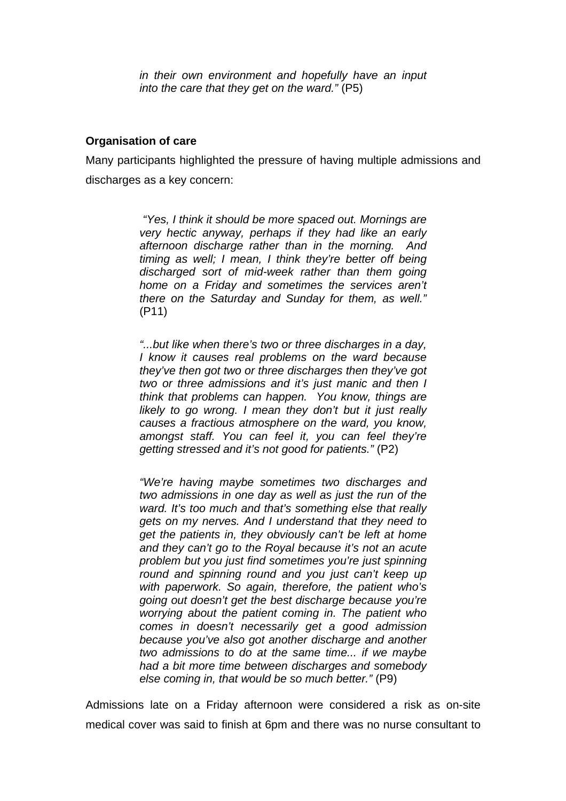*in their own environment and hopefully have an input into the care that they get on the ward."* (P5)

# **Organisation of care**

Many participants highlighted the pressure of having multiple admissions and discharges as a key concern:

> *"Yes, I think it should be more spaced out. Mornings are very hectic anyway, perhaps if they had like an early afternoon discharge rather than in the morning. And timing as well; I mean, I think they're better off being discharged sort of mid-week rather than them going home on a Friday and sometimes the services aren't there on the Saturday and Sunday for them, as well."*  (P11)

> *"...but like when there's two or three discharges in a day, I know it causes real problems on the ward because they've then got two or three discharges then they've got two or three admissions and it's just manic and then I think that problems can happen. You know, things are likely to go wrong. I mean they don't but it just really causes a fractious atmosphere on the ward, you know, amongst staff. You can feel it, you can feel they're getting stressed and it's not good for patients."* (P2)

> *"We're having maybe sometimes two discharges and two admissions in one day as well as just the run of the ward. It's too much and that's something else that really gets on my nerves. And I understand that they need to get the patients in, they obviously can't be left at home and they can't go to the Royal because it's not an acute problem but you just find sometimes you're just spinning round and spinning round and you just can't keep up with paperwork. So again, therefore, the patient who's going out doesn't get the best discharge because you're worrying about the patient coming in. The patient who comes in doesn't necessarily get a good admission because you've also got another discharge and another two admissions to do at the same time... if we maybe had a bit more time between discharges and somebody else coming in, that would be so much better."* (P9)

Admissions late on a Friday afternoon were considered a risk as on-site medical cover was said to finish at 6pm and there was no nurse consultant to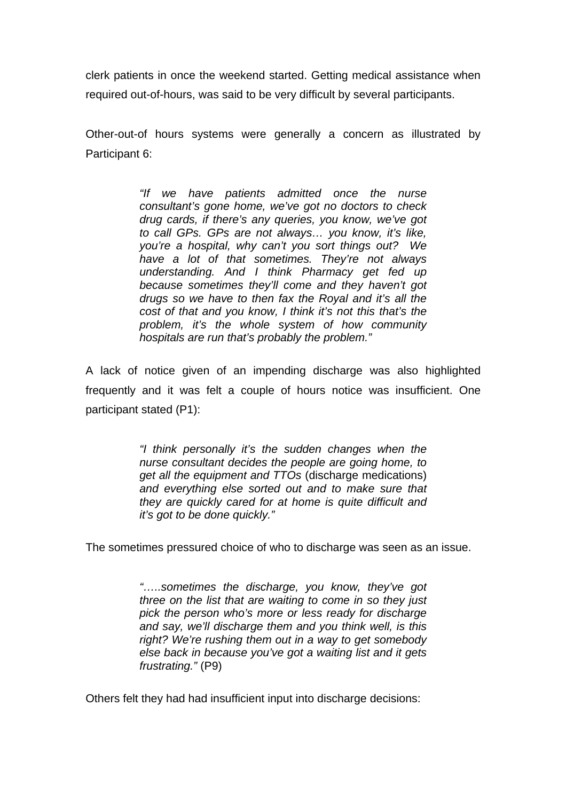clerk patients in once the weekend started. Getting medical assistance when required out-of-hours, was said to be very difficult by several participants.

Other-out-of hours systems were generally a concern as illustrated by Participant 6:

> *"If we have patients admitted once the nurse consultant's gone home, we've got no doctors to check drug cards, if there's any queries, you know, we've got to call GPs. GPs are not always… you know, it's like, you're a hospital, why can't you sort things out? We have a lot of that sometimes. They're not always understanding. And I think Pharmacy get fed up because sometimes they'll come and they haven't got drugs so we have to then fax the Royal and it's all the cost of that and you know, I think it's not this that's the problem, it's the whole system of how community hospitals are run that's probably the problem."*

A lack of notice given of an impending discharge was also highlighted frequently and it was felt a couple of hours notice was insufficient. One participant stated (P1):

> *"I think personally it's the sudden changes when the nurse consultant decides the people are going home, to get all the equipment and TTOs* (discharge medications) *and everything else sorted out and to make sure that they are quickly cared for at home is quite difficult and it's got to be done quickly."*

The sometimes pressured choice of who to discharge was seen as an issue.

*"…..sometimes the discharge, you know, they've got three on the list that are waiting to come in so they just pick the person who's more or less ready for discharge and say, we'll discharge them and you think well, is this right? We're rushing them out in a way to get somebody else back in because you've got a waiting list and it gets frustrating."* (P9)

Others felt they had had insufficient input into discharge decisions: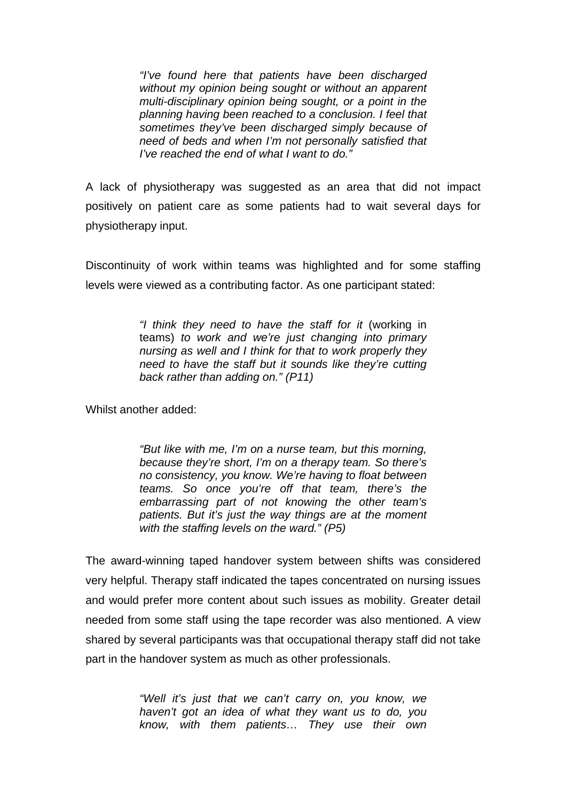*"I've found here that patients have been discharged without my opinion being sought or without an apparent multi-disciplinary opinion being sought, or a point in the planning having been reached to a conclusion. I feel that sometimes they've been discharged simply because of need of beds and when I'm not personally satisfied that I've reached the end of what I want to do."* 

A lack of physiotherapy was suggested as an area that did not impact positively on patient care as some patients had to wait several days for physiotherapy input.

Discontinuity of work within teams was highlighted and for some staffing levels were viewed as a contributing factor. As one participant stated:

> *"I think they need to have the staff for it* (working in teams) *to work and we're just changing into primary nursing as well and I think for that to work properly they need to have the staff but it sounds like they're cutting back rather than adding on." (P11)*

Whilst another added:

*"But like with me, I'm on a nurse team, but this morning, because they're short, I'm on a therapy team. So there's no consistency, you know. We're having to float between teams. So once you're off that team, there's the embarrassing part of not knowing the other team's patients. But it's just the way things are at the moment with the staffing levels on the ward." (P5)* 

The award-winning taped handover system between shifts was considered very helpful. Therapy staff indicated the tapes concentrated on nursing issues and would prefer more content about such issues as mobility. Greater detail needed from some staff using the tape recorder was also mentioned. A view shared by several participants was that occupational therapy staff did not take part in the handover system as much as other professionals.

> *"Well it's just that we can't carry on, you know, we haven't got an idea of what they want us to do, you know, with them patients… They use their own*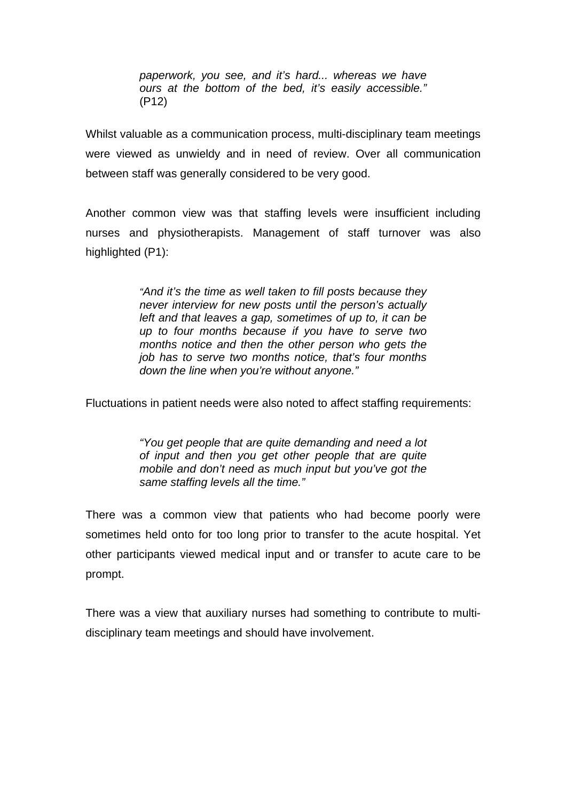*paperwork, you see, and it's hard... whereas we have ours at the bottom of the bed, it's easily accessible."* (P12)

Whilst valuable as a communication process, multi-disciplinary team meetings were viewed as unwieldy and in need of review. Over all communication between staff was generally considered to be very good.

Another common view was that staffing levels were insufficient including nurses and physiotherapists. Management of staff turnover was also highlighted (P1):

> *"And it's the time as well taken to fill posts because they never interview for new posts until the person's actually left and that leaves a gap, sometimes of up to, it can be up to four months because if you have to serve two months notice and then the other person who gets the job has to serve two months notice, that's four months down the line when you're without anyone."*

Fluctuations in patient needs were also noted to affect staffing requirements:

*"You get people that are quite demanding and need a lot of input and then you get other people that are quite mobile and don't need as much input but you've got the same staffing levels all the time."* 

There was a common view that patients who had become poorly were sometimes held onto for too long prior to transfer to the acute hospital. Yet other participants viewed medical input and or transfer to acute care to be prompt.

There was a view that auxiliary nurses had something to contribute to multidisciplinary team meetings and should have involvement.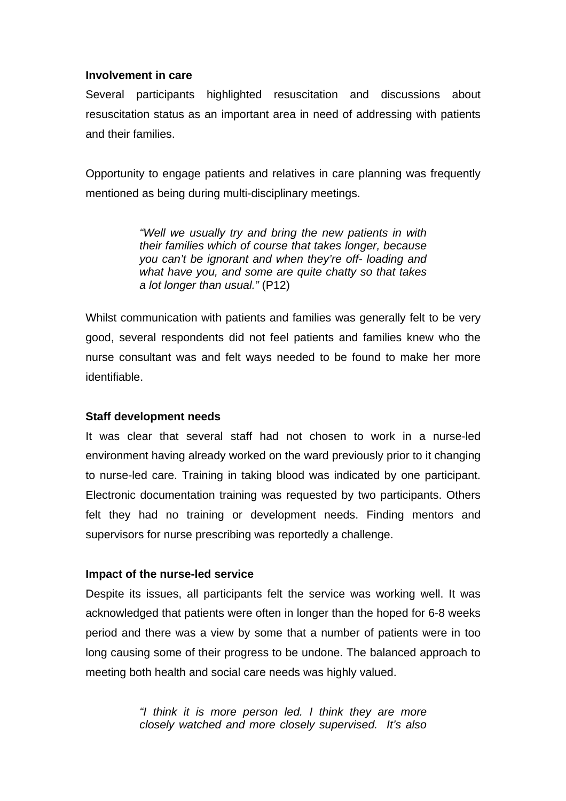#### **Involvement in care**

Several participants highlighted resuscitation and discussions about resuscitation status as an important area in need of addressing with patients and their families.

Opportunity to engage patients and relatives in care planning was frequently mentioned as being during multi-disciplinary meetings.

> *"Well we usually try and bring the new patients in with their families which of course that takes longer, because you can't be ignorant and when they're off- loading and what have you, and some are quite chatty so that takes a lot longer than usual."* (P12)

Whilst communication with patients and families was generally felt to be very good, several respondents did not feel patients and families knew who the nurse consultant was and felt ways needed to be found to make her more identifiable.

## **Staff development needs**

It was clear that several staff had not chosen to work in a nurse-led environment having already worked on the ward previously prior to it changing to nurse-led care. Training in taking blood was indicated by one participant. Electronic documentation training was requested by two participants. Others felt they had no training or development needs. Finding mentors and supervisors for nurse prescribing was reportedly a challenge.

## **Impact of the nurse-led service**

Despite its issues, all participants felt the service was working well. It was acknowledged that patients were often in longer than the hoped for 6-8 weeks period and there was a view by some that a number of patients were in too long causing some of their progress to be undone. The balanced approach to meeting both health and social care needs was highly valued.

> *"I think it is more person led. I think they are more closely watched and more closely supervised. It's also*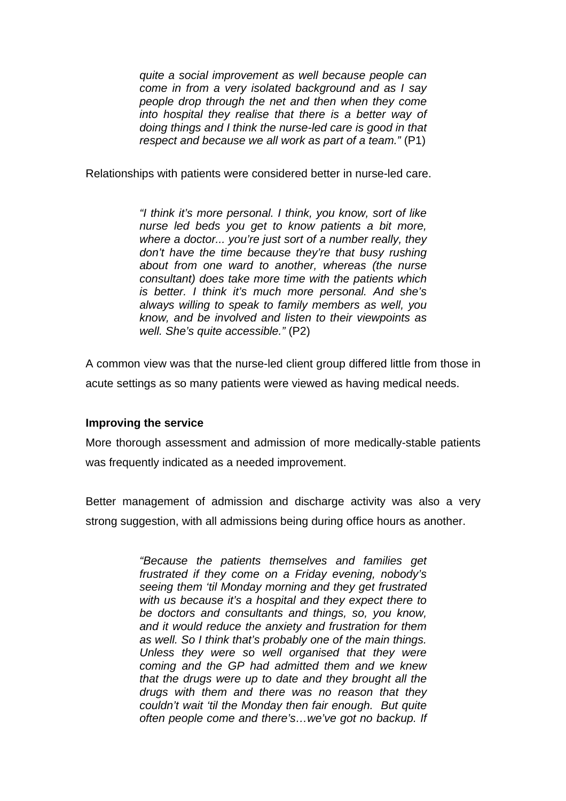*quite a social improvement as well because people can come in from a very isolated background and as I say people drop through the net and then when they come into hospital they realise that there is a better way of doing things and I think the nurse-led care is good in that respect and because we all work as part of a team."* (P1)

Relationships with patients were considered better in nurse-led care.

*"I think it's more personal. I think, you know, sort of like nurse led beds you get to know patients a bit more, where a doctor... you're just sort of a number really, they don't have the time because they're that busy rushing about from one ward to another, whereas (the nurse consultant) does take more time with the patients which is better. I think it's much more personal. And she's always willing to speak to family members as well, you know, and be involved and listen to their viewpoints as well. She's quite accessible."* (P2)

A common view was that the nurse-led client group differed little from those in acute settings as so many patients were viewed as having medical needs.

## **Improving the service**

More thorough assessment and admission of more medically-stable patients was frequently indicated as a needed improvement.

Better management of admission and discharge activity was also a very strong suggestion, with all admissions being during office hours as another.

> *"Because the patients themselves and families get frustrated if they come on a Friday evening, nobody's seeing them 'til Monday morning and they get frustrated with us because it's a hospital and they expect there to be doctors and consultants and things, so, you know, and it would reduce the anxiety and frustration for them as well. So I think that's probably one of the main things. Unless they were so well organised that they were coming and the GP had admitted them and we knew that the drugs were up to date and they brought all the drugs with them and there was no reason that they couldn't wait 'til the Monday then fair enough. But quite often people come and there's…we've got no backup. If*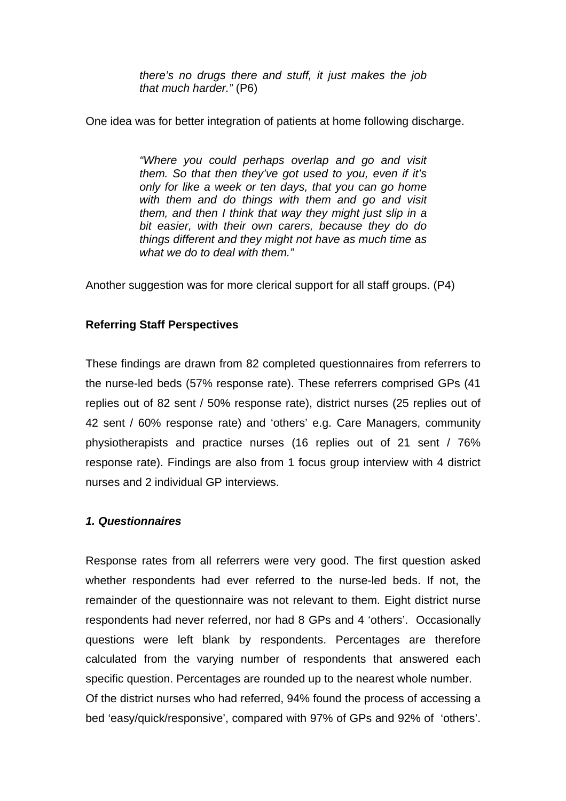*there's no drugs there and stuff, it just makes the job that much harder."* (P6)

One idea was for better integration of patients at home following discharge.

*"Where you could perhaps overlap and go and visit them. So that then they've got used to you, even if it's only for like a week or ten days, that you can go home with them and do things with them and go and visit them, and then I think that way they might just slip in a bit easier, with their own carers, because they do do things different and they might not have as much time as what we do to deal with them."* 

Another suggestion was for more clerical support for all staff groups. (P4)

## **Referring Staff Perspectives**

These findings are drawn from 82 completed questionnaires from referrers to the nurse-led beds (57% response rate). These referrers comprised GPs (41 replies out of 82 sent / 50% response rate), district nurses (25 replies out of 42 sent / 60% response rate) and 'others' e.g. Care Managers, community physiotherapists and practice nurses (16 replies out of 21 sent / 76% response rate). Findings are also from 1 focus group interview with 4 district nurses and 2 individual GP interviews.

## *1. Questionnaires*

Response rates from all referrers were very good. The first question asked whether respondents had ever referred to the nurse-led beds. If not, the remainder of the questionnaire was not relevant to them. Eight district nurse respondents had never referred, nor had 8 GPs and 4 'others'. Occasionally questions were left blank by respondents. Percentages are therefore calculated from the varying number of respondents that answered each specific question. Percentages are rounded up to the nearest whole number. Of the district nurses who had referred, 94% found the process of accessing a bed 'easy/quick/responsive', compared with 97% of GPs and 92% of 'others'.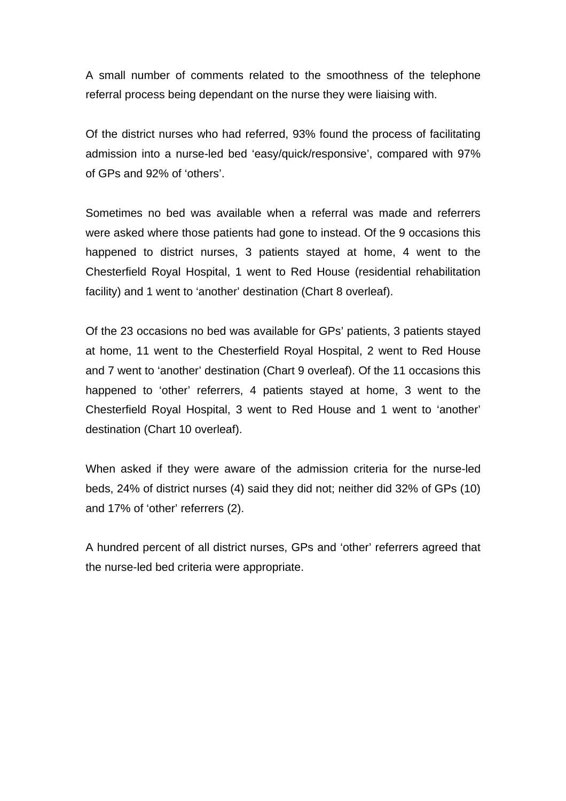A small number of comments related to the smoothness of the telephone referral process being dependant on the nurse they were liaising with.

Of the district nurses who had referred, 93% found the process of facilitating admission into a nurse-led bed 'easy/quick/responsive', compared with 97% of GPs and 92% of 'others'.

Sometimes no bed was available when a referral was made and referrers were asked where those patients had gone to instead. Of the 9 occasions this happened to district nurses, 3 patients stayed at home, 4 went to the Chesterfield Royal Hospital, 1 went to Red House (residential rehabilitation facility) and 1 went to 'another' destination (Chart 8 overleaf).

Of the 23 occasions no bed was available for GPs' patients, 3 patients stayed at home, 11 went to the Chesterfield Royal Hospital, 2 went to Red House and 7 went to 'another' destination (Chart 9 overleaf). Of the 11 occasions this happened to 'other' referrers, 4 patients stayed at home, 3 went to the Chesterfield Royal Hospital, 3 went to Red House and 1 went to 'another' destination (Chart 10 overleaf).

When asked if they were aware of the admission criteria for the nurse-led beds, 24% of district nurses (4) said they did not; neither did 32% of GPs (10) and 17% of 'other' referrers (2).

A hundred percent of all district nurses, GPs and 'other' referrers agreed that the nurse-led bed criteria were appropriate.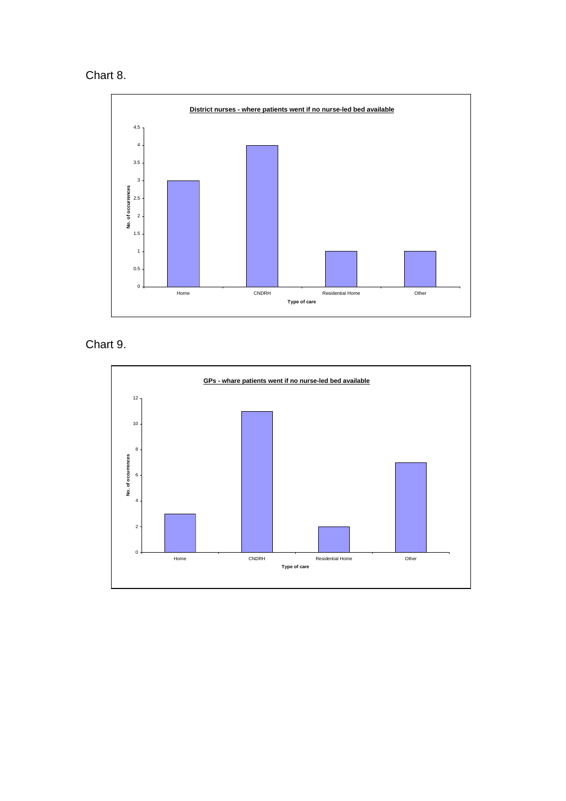# Chart 8.



Chart 9.

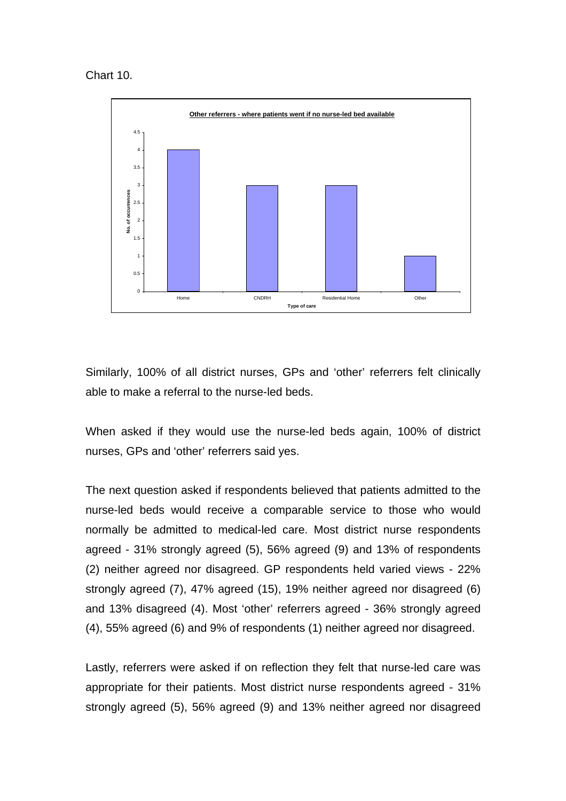Chart 10.



Similarly, 100% of all district nurses, GPs and 'other' referrers felt clinically able to make a referral to the nurse-led beds.

When asked if they would use the nurse-led beds again, 100% of district nurses, GPs and 'other' referrers said yes.

The next question asked if respondents believed that patients admitted to the nurse-led beds would receive a comparable service to those who would normally be admitted to medical-led care. Most district nurse respondents agreed - 31% strongly agreed (5), 56% agreed (9) and 13% of respondents (2) neither agreed nor disagreed. GP respondents held varied views - 22% strongly agreed (7), 47% agreed (15), 19% neither agreed nor disagreed (6) and 13% disagreed (4). Most 'other' referrers agreed - 36% strongly agreed (4), 55% agreed (6) and 9% of respondents (1) neither agreed nor disagreed.

Lastly, referrers were asked if on reflection they felt that nurse-led care was appropriate for their patients. Most district nurse respondents agreed - 31% strongly agreed (5), 56% agreed (9) and 13% neither agreed nor disagreed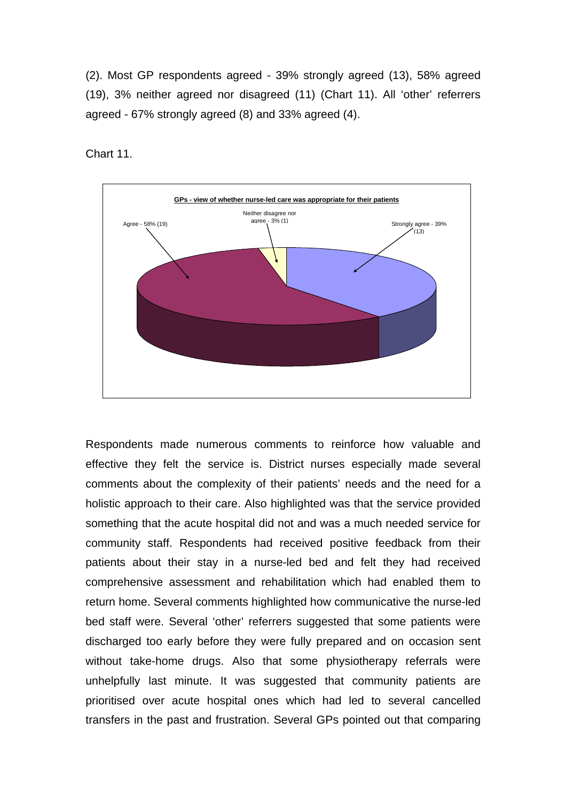(2). Most GP respondents agreed - 39% strongly agreed (13), 58% agreed (19), 3% neither agreed nor disagreed (11) (Chart 11). All 'other' referrers agreed - 67% strongly agreed (8) and 33% agreed (4).

Chart 11.



Respondents made numerous comments to reinforce how valuable and effective they felt the service is. District nurses especially made several comments about the complexity of their patients' needs and the need for a holistic approach to their care. Also highlighted was that the service provided something that the acute hospital did not and was a much needed service for community staff. Respondents had received positive feedback from their patients about their stay in a nurse-led bed and felt they had received comprehensive assessment and rehabilitation which had enabled them to return home. Several comments highlighted how communicative the nurse-led bed staff were. Several 'other' referrers suggested that some patients were discharged too early before they were fully prepared and on occasion sent without take-home drugs. Also that some physiotherapy referrals were unhelpfully last minute. It was suggested that community patients are prioritised over acute hospital ones which had led to several cancelled transfers in the past and frustration. Several GPs pointed out that comparing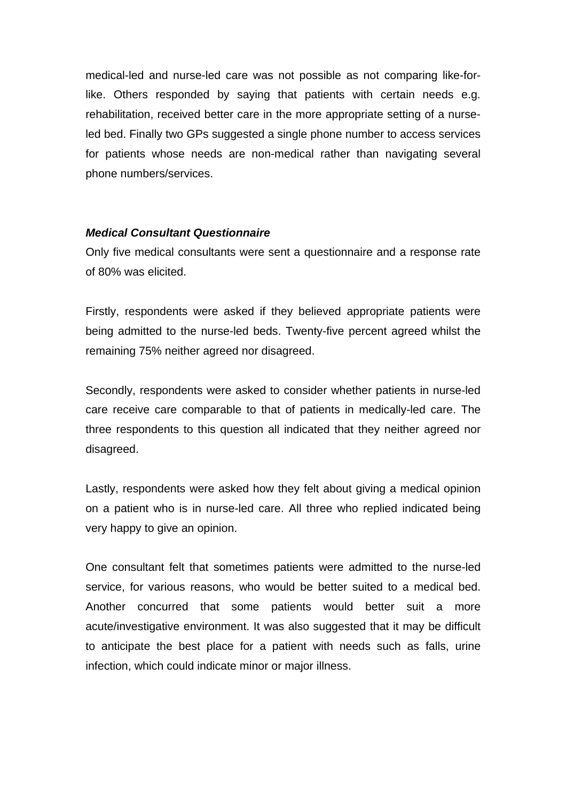medical-led and nurse-led care was not possible as not comparing like-forlike. Others responded by saying that patients with certain needs e.g. rehabilitation, received better care in the more appropriate setting of a nurseled bed. Finally two GPs suggested a single phone number to access services for patients whose needs are non-medical rather than navigating several phone numbers/services.

#### *Medical Consultant Questionnaire*

Only five medical consultants were sent a questionnaire and a response rate of 80% was elicited.

Firstly, respondents were asked if they believed appropriate patients were being admitted to the nurse-led beds. Twenty-five percent agreed whilst the remaining 75% neither agreed nor disagreed.

Secondly, respondents were asked to consider whether patients in nurse-led care receive care comparable to that of patients in medically-led care. The three respondents to this question all indicated that they neither agreed nor disagreed.

Lastly, respondents were asked how they felt about giving a medical opinion on a patient who is in nurse-led care. All three who replied indicated being very happy to give an opinion.

One consultant felt that sometimes patients were admitted to the nurse-led service, for various reasons, who would be better suited to a medical bed. Another concurred that some patients would better suit a more acute/investigative environment. It was also suggested that it may be difficult to anticipate the best place for a patient with needs such as falls, urine infection, which could indicate minor or major illness.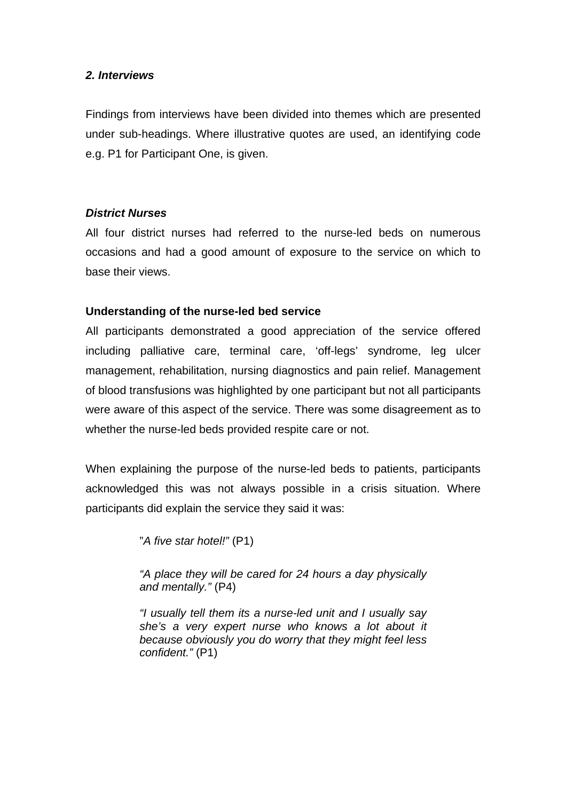## *2. Interviews*

Findings from interviews have been divided into themes which are presented under sub-headings. Where illustrative quotes are used, an identifying code e.g. P1 for Participant One, is given.

## *District Nurses*

All four district nurses had referred to the nurse-led beds on numerous occasions and had a good amount of exposure to the service on which to base their views.

## **Understanding of the nurse-led bed service**

All participants demonstrated a good appreciation of the service offered including palliative care, terminal care, 'off-legs' syndrome, leg ulcer management, rehabilitation, nursing diagnostics and pain relief. Management of blood transfusions was highlighted by one participant but not all participants were aware of this aspect of the service. There was some disagreement as to whether the nurse-led beds provided respite care or not.

When explaining the purpose of the nurse-led beds to patients, participants acknowledged this was not always possible in a crisis situation. Where participants did explain the service they said it was:

"*A five star hotel!"* (P1)

*"A place they will be cared for 24 hours a day physically and mentally."* (P4)

*"I usually tell them its a nurse-led unit and I usually say she's a very expert nurse who knows a lot about it because obviously you do worry that they might feel less confident."* (P1)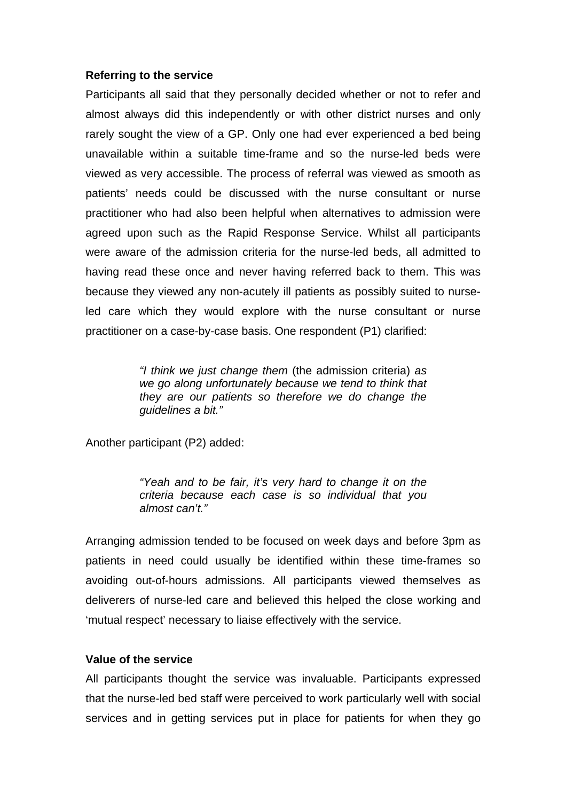#### **Referring to the service**

Participants all said that they personally decided whether or not to refer and almost always did this independently or with other district nurses and only rarely sought the view of a GP. Only one had ever experienced a bed being unavailable within a suitable time-frame and so the nurse-led beds were viewed as very accessible. The process of referral was viewed as smooth as patients' needs could be discussed with the nurse consultant or nurse practitioner who had also been helpful when alternatives to admission were agreed upon such as the Rapid Response Service. Whilst all participants were aware of the admission criteria for the nurse-led beds, all admitted to having read these once and never having referred back to them. This was because they viewed any non-acutely ill patients as possibly suited to nurseled care which they would explore with the nurse consultant or nurse practitioner on a case-by-case basis. One respondent (P1) clarified:

> *"I think we just change them* (the admission criteria) *as we go along unfortunately because we tend to think that they are our patients so therefore we do change the guidelines a bit."*

Another participant (P2) added:

*"Yeah and to be fair, it's very hard to change it on the criteria because each case is so individual that you almost can't."* 

Arranging admission tended to be focused on week days and before 3pm as patients in need could usually be identified within these time-frames so avoiding out-of-hours admissions. All participants viewed themselves as deliverers of nurse-led care and believed this helped the close working and 'mutual respect' necessary to liaise effectively with the service.

#### **Value of the service**

All participants thought the service was invaluable. Participants expressed that the nurse-led bed staff were perceived to work particularly well with social services and in getting services put in place for patients for when they go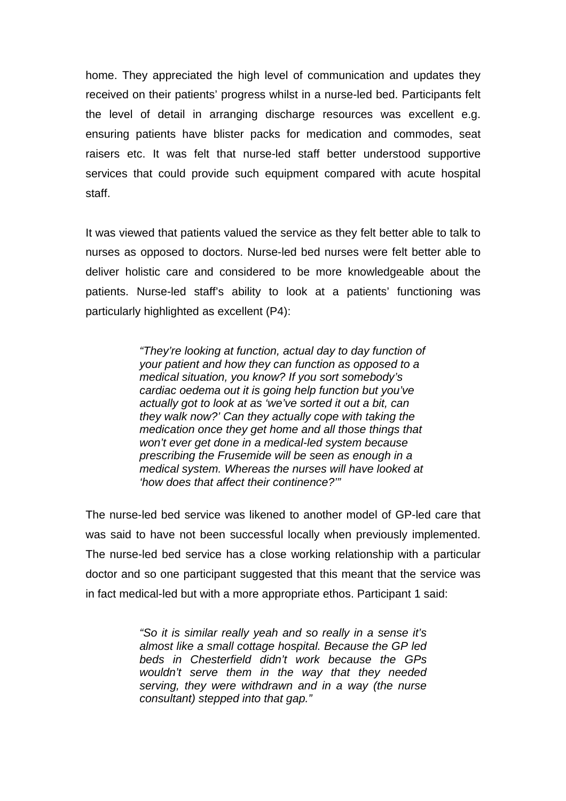home. They appreciated the high level of communication and updates they received on their patients' progress whilst in a nurse-led bed. Participants felt the level of detail in arranging discharge resources was excellent e.g. ensuring patients have blister packs for medication and commodes, seat raisers etc. It was felt that nurse-led staff better understood supportive services that could provide such equipment compared with acute hospital staff.

It was viewed that patients valued the service as they felt better able to talk to nurses as opposed to doctors. Nurse-led bed nurses were felt better able to deliver holistic care and considered to be more knowledgeable about the patients. Nurse-led staff's ability to look at a patients' functioning was particularly highlighted as excellent (P4):

> *"They're looking at function, actual day to day function of your patient and how they can function as opposed to a medical situation, you know? If you sort somebody's cardiac oedema out it is going help function but you've actually got to look at as 'we've sorted it out a bit, can they walk now?' Can they actually cope with taking the medication once they get home and all those things that won't ever get done in a medical-led system because prescribing the Frusemide will be seen as enough in a medical system. Whereas the nurses will have looked at 'how does that affect their continence?'"*

The nurse-led bed service was likened to another model of GP-led care that was said to have not been successful locally when previously implemented. The nurse-led bed service has a close working relationship with a particular doctor and so one participant suggested that this meant that the service was in fact medical-led but with a more appropriate ethos. Participant 1 said:

> *"So it is similar really yeah and so really in a sense it's almost like a small cottage hospital. Because the GP led beds in Chesterfield didn't work because the GPs wouldn't serve them in the way that they needed serving, they were withdrawn and in a way (the nurse consultant) stepped into that gap."*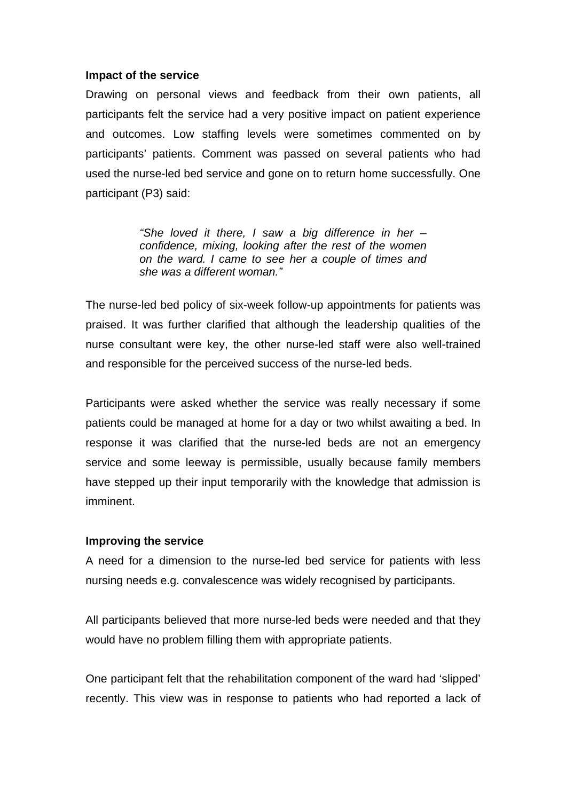#### **Impact of the service**

Drawing on personal views and feedback from their own patients, all participants felt the service had a very positive impact on patient experience and outcomes. Low staffing levels were sometimes commented on by participants' patients. Comment was passed on several patients who had used the nurse-led bed service and gone on to return home successfully. One participant (P3) said:

> *"She loved it there, I saw a big difference in her – confidence, mixing, looking after the rest of the women on the ward. I came to see her a couple of times and she was a different woman."*

The nurse-led bed policy of six-week follow-up appointments for patients was praised. It was further clarified that although the leadership qualities of the nurse consultant were key, the other nurse-led staff were also well-trained and responsible for the perceived success of the nurse-led beds.

Participants were asked whether the service was really necessary if some patients could be managed at home for a day or two whilst awaiting a bed. In response it was clarified that the nurse-led beds are not an emergency service and some leeway is permissible, usually because family members have stepped up their input temporarily with the knowledge that admission is imminent.

#### **Improving the service**

A need for a dimension to the nurse-led bed service for patients with less nursing needs e.g. convalescence was widely recognised by participants.

All participants believed that more nurse-led beds were needed and that they would have no problem filling them with appropriate patients.

One participant felt that the rehabilitation component of the ward had 'slipped' recently. This view was in response to patients who had reported a lack of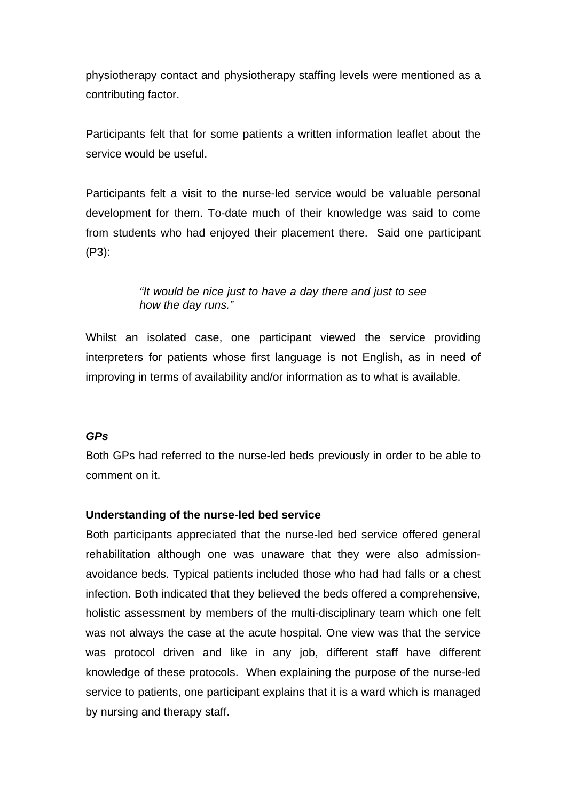physiotherapy contact and physiotherapy staffing levels were mentioned as a contributing factor.

Participants felt that for some patients a written information leaflet about the service would be useful.

Participants felt a visit to the nurse-led service would be valuable personal development for them. To-date much of their knowledge was said to come from students who had enjoyed their placement there. Said one participant (P3):

## *"It would be nice just to have a day there and just to see how the day runs."*

Whilst an isolated case, one participant viewed the service providing interpreters for patients whose first language is not English, as in need of improving in terms of availability and/or information as to what is available.

# *GPs*

Both GPs had referred to the nurse-led beds previously in order to be able to comment on it.

# **Understanding of the nurse-led bed service**

Both participants appreciated that the nurse-led bed service offered general rehabilitation although one was unaware that they were also admissionavoidance beds. Typical patients included those who had had falls or a chest infection. Both indicated that they believed the beds offered a comprehensive, holistic assessment by members of the multi-disciplinary team which one felt was not always the case at the acute hospital. One view was that the service was protocol driven and like in any job, different staff have different knowledge of these protocols. When explaining the purpose of the nurse-led service to patients, one participant explains that it is a ward which is managed by nursing and therapy staff.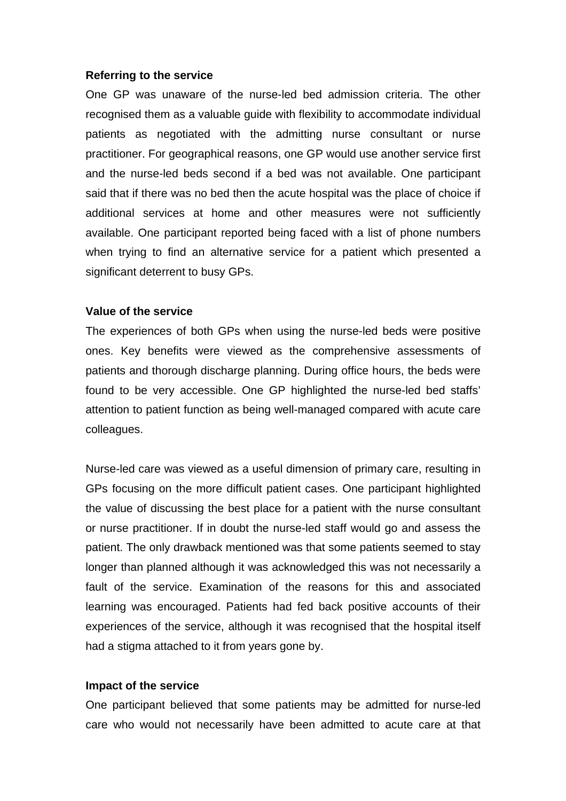#### **Referring to the service**

One GP was unaware of the nurse-led bed admission criteria. The other recognised them as a valuable guide with flexibility to accommodate individual patients as negotiated with the admitting nurse consultant or nurse practitioner. For geographical reasons, one GP would use another service first and the nurse-led beds second if a bed was not available. One participant said that if there was no bed then the acute hospital was the place of choice if additional services at home and other measures were not sufficiently available. One participant reported being faced with a list of phone numbers when trying to find an alternative service for a patient which presented a significant deterrent to busy GPs.

#### **Value of the service**

The experiences of both GPs when using the nurse-led beds were positive ones. Key benefits were viewed as the comprehensive assessments of patients and thorough discharge planning. During office hours, the beds were found to be very accessible. One GP highlighted the nurse-led bed staffs' attention to patient function as being well-managed compared with acute care colleagues.

Nurse-led care was viewed as a useful dimension of primary care, resulting in GPs focusing on the more difficult patient cases. One participant highlighted the value of discussing the best place for a patient with the nurse consultant or nurse practitioner. If in doubt the nurse-led staff would go and assess the patient. The only drawback mentioned was that some patients seemed to stay longer than planned although it was acknowledged this was not necessarily a fault of the service. Examination of the reasons for this and associated learning was encouraged. Patients had fed back positive accounts of their experiences of the service, although it was recognised that the hospital itself had a stigma attached to it from years gone by.

#### **Impact of the service**

One participant believed that some patients may be admitted for nurse-led care who would not necessarily have been admitted to acute care at that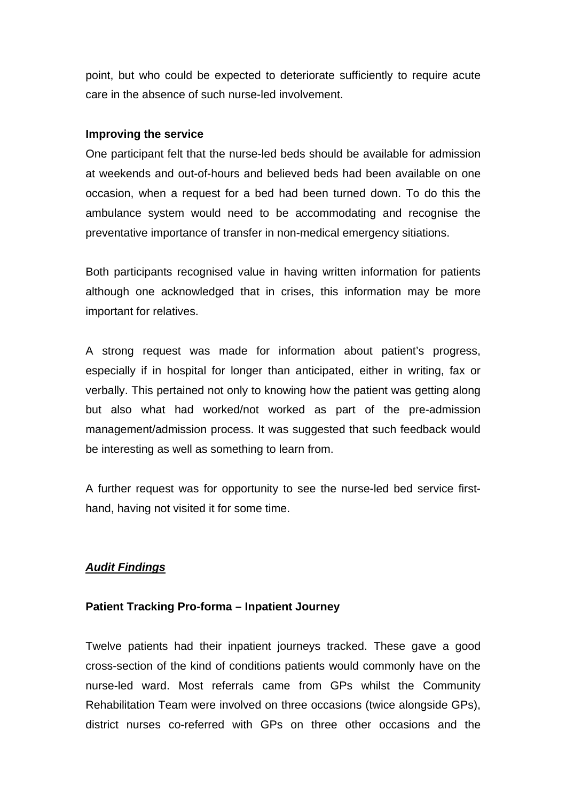point, but who could be expected to deteriorate sufficiently to require acute care in the absence of such nurse-led involvement.

#### **Improving the service**

One participant felt that the nurse-led beds should be available for admission at weekends and out-of-hours and believed beds had been available on one occasion, when a request for a bed had been turned down. To do this the ambulance system would need to be accommodating and recognise the preventative importance of transfer in non-medical emergency sitiations.

Both participants recognised value in having written information for patients although one acknowledged that in crises, this information may be more important for relatives.

A strong request was made for information about patient's progress, especially if in hospital for longer than anticipated, either in writing, fax or verbally. This pertained not only to knowing how the patient was getting along but also what had worked/not worked as part of the pre-admission management/admission process. It was suggested that such feedback would be interesting as well as something to learn from.

A further request was for opportunity to see the nurse-led bed service firsthand, having not visited it for some time.

# *Audit Findings*

## **Patient Tracking Pro-forma – Inpatient Journey**

Twelve patients had their inpatient journeys tracked. These gave a good cross-section of the kind of conditions patients would commonly have on the nurse-led ward. Most referrals came from GPs whilst the Community Rehabilitation Team were involved on three occasions (twice alongside GPs), district nurses co-referred with GPs on three other occasions and the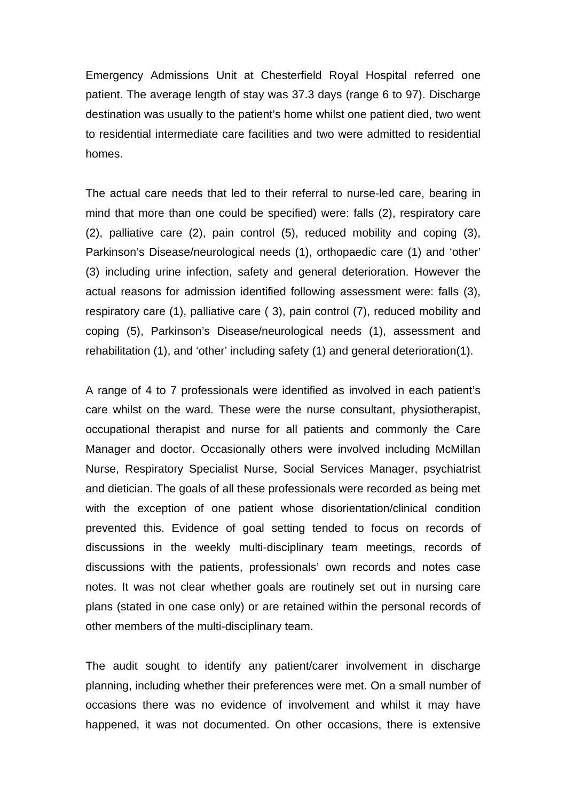Emergency Admissions Unit at Chesterfield Royal Hospital referred one patient. The average length of stay was 37.3 days (range 6 to 97). Discharge destination was usually to the patient's home whilst one patient died, two went to residential intermediate care facilities and two were admitted to residential homes.

The actual care needs that led to their referral to nurse-led care, bearing in mind that more than one could be specified) were: falls (2), respiratory care (2), palliative care (2), pain control (5), reduced mobility and coping (3), Parkinson's Disease/neurological needs (1), orthopaedic care (1) and 'other' (3) including urine infection, safety and general deterioration. However the actual reasons for admission identified following assessment were: falls (3), respiratory care (1), palliative care ( 3), pain control (7), reduced mobility and coping (5), Parkinson's Disease/neurological needs (1), assessment and rehabilitation (1), and 'other' including safety (1) and general deterioration(1).

A range of 4 to 7 professionals were identified as involved in each patient's care whilst on the ward. These were the nurse consultant, physiotherapist, occupational therapist and nurse for all patients and commonly the Care Manager and doctor. Occasionally others were involved including McMillan Nurse, Respiratory Specialist Nurse, Social Services Manager, psychiatrist and dietician. The goals of all these professionals were recorded as being met with the exception of one patient whose disorientation/clinical condition prevented this. Evidence of goal setting tended to focus on records of discussions in the weekly multi-disciplinary team meetings, records of discussions with the patients, professionals' own records and notes case notes. It was not clear whether goals are routinely set out in nursing care plans (stated in one case only) or are retained within the personal records of other members of the multi-disciplinary team.

The audit sought to identify any patient/carer involvement in discharge planning, including whether their preferences were met. On a small number of occasions there was no evidence of involvement and whilst it may have happened, it was not documented. On other occasions, there is extensive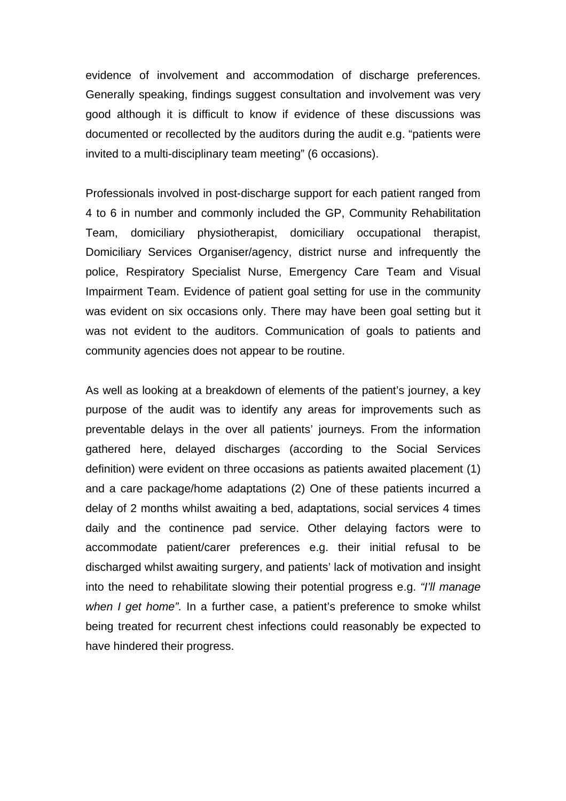evidence of involvement and accommodation of discharge preferences. Generally speaking, findings suggest consultation and involvement was very good although it is difficult to know if evidence of these discussions was documented or recollected by the auditors during the audit e.g. "patients were invited to a multi-disciplinary team meeting" (6 occasions).

Professionals involved in post-discharge support for each patient ranged from 4 to 6 in number and commonly included the GP, Community Rehabilitation Team, domiciliary physiotherapist, domiciliary occupational therapist, Domiciliary Services Organiser/agency, district nurse and infrequently the police, Respiratory Specialist Nurse, Emergency Care Team and Visual Impairment Team. Evidence of patient goal setting for use in the community was evident on six occasions only. There may have been goal setting but it was not evident to the auditors. Communication of goals to patients and community agencies does not appear to be routine.

As well as looking at a breakdown of elements of the patient's journey, a key purpose of the audit was to identify any areas for improvements such as preventable delays in the over all patients' journeys. From the information gathered here, delayed discharges (according to the Social Services definition) were evident on three occasions as patients awaited placement (1) and a care package/home adaptations (2) One of these patients incurred a delay of 2 months whilst awaiting a bed, adaptations, social services 4 times daily and the continence pad service. Other delaying factors were to accommodate patient/carer preferences e.g. their initial refusal to be discharged whilst awaiting surgery, and patients' lack of motivation and insight into the need to rehabilitate slowing their potential progress e.g. *"I'll manage when I get home".* In a further case, a patient's preference to smoke whilst being treated for recurrent chest infections could reasonably be expected to have hindered their progress.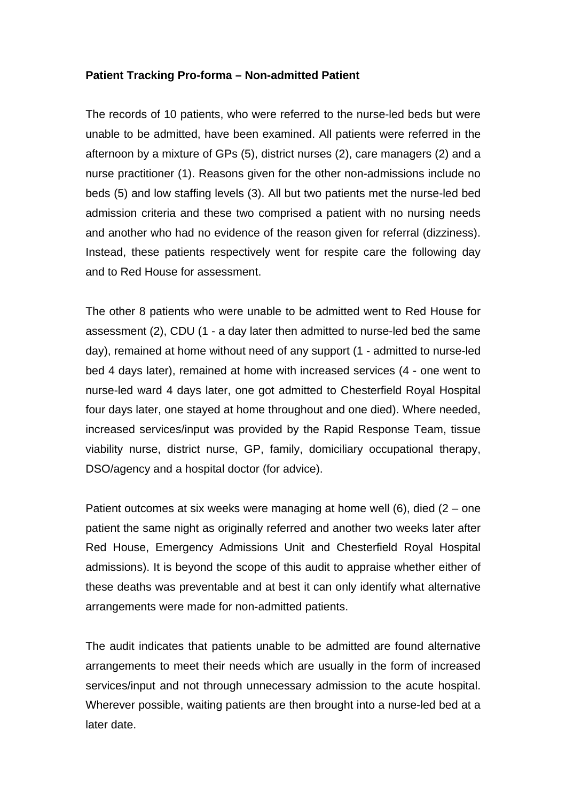#### **Patient Tracking Pro-forma – Non-admitted Patient**

The records of 10 patients, who were referred to the nurse-led beds but were unable to be admitted, have been examined. All patients were referred in the afternoon by a mixture of GPs (5), district nurses (2), care managers (2) and a nurse practitioner (1). Reasons given for the other non-admissions include no beds (5) and low staffing levels (3). All but two patients met the nurse-led bed admission criteria and these two comprised a patient with no nursing needs and another who had no evidence of the reason given for referral (dizziness). Instead, these patients respectively went for respite care the following day and to Red House for assessment.

The other 8 patients who were unable to be admitted went to Red House for assessment (2), CDU (1 - a day later then admitted to nurse-led bed the same day), remained at home without need of any support (1 - admitted to nurse-led bed 4 days later), remained at home with increased services (4 - one went to nurse-led ward 4 days later, one got admitted to Chesterfield Royal Hospital four days later, one stayed at home throughout and one died). Where needed, increased services/input was provided by the Rapid Response Team, tissue viability nurse, district nurse, GP, family, domiciliary occupational therapy, DSO/agency and a hospital doctor (for advice).

Patient outcomes at six weeks were managing at home well  $(6)$ , died  $(2 -$  one patient the same night as originally referred and another two weeks later after Red House, Emergency Admissions Unit and Chesterfield Royal Hospital admissions). It is beyond the scope of this audit to appraise whether either of these deaths was preventable and at best it can only identify what alternative arrangements were made for non-admitted patients.

The audit indicates that patients unable to be admitted are found alternative arrangements to meet their needs which are usually in the form of increased services/input and not through unnecessary admission to the acute hospital. Wherever possible, waiting patients are then brought into a nurse-led bed at a later date.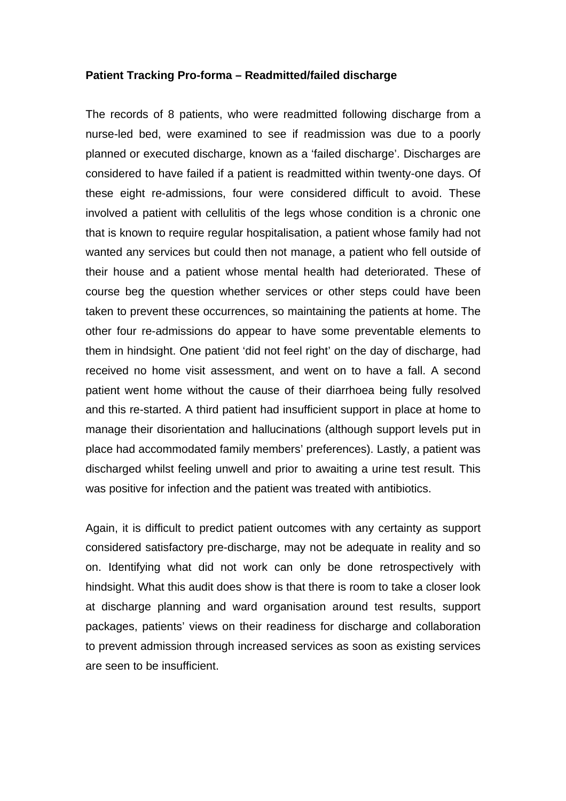#### **Patient Tracking Pro-forma – Readmitted/failed discharge**

The records of 8 patients, who were readmitted following discharge from a nurse-led bed, were examined to see if readmission was due to a poorly planned or executed discharge, known as a 'failed discharge'. Discharges are considered to have failed if a patient is readmitted within twenty-one days. Of these eight re-admissions, four were considered difficult to avoid. These involved a patient with cellulitis of the legs whose condition is a chronic one that is known to require regular hospitalisation, a patient whose family had not wanted any services but could then not manage, a patient who fell outside of their house and a patient whose mental health had deteriorated. These of course beg the question whether services or other steps could have been taken to prevent these occurrences, so maintaining the patients at home. The other four re-admissions do appear to have some preventable elements to them in hindsight. One patient 'did not feel right' on the day of discharge, had received no home visit assessment, and went on to have a fall. A second patient went home without the cause of their diarrhoea being fully resolved and this re-started. A third patient had insufficient support in place at home to manage their disorientation and hallucinations (although support levels put in place had accommodated family members' preferences). Lastly, a patient was discharged whilst feeling unwell and prior to awaiting a urine test result. This was positive for infection and the patient was treated with antibiotics.

Again, it is difficult to predict patient outcomes with any certainty as support considered satisfactory pre-discharge, may not be adequate in reality and so on. Identifying what did not work can only be done retrospectively with hindsight. What this audit does show is that there is room to take a closer look at discharge planning and ward organisation around test results, support packages, patients' views on their readiness for discharge and collaboration to prevent admission through increased services as soon as existing services are seen to be insufficient.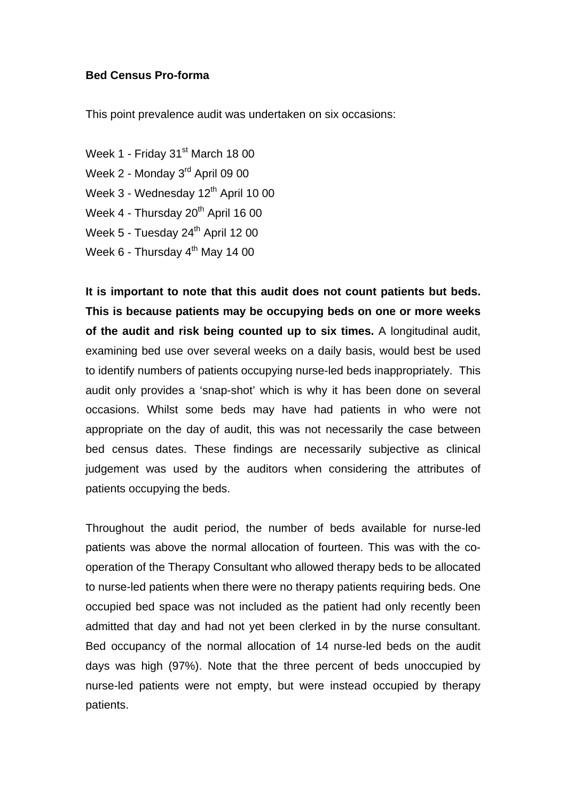#### **Bed Census Pro-forma**

This point prevalence audit was undertaken on six occasions:

Week 1 - Friday 31<sup>st</sup> March 18 00 Week 2 - Monday 3rd April 09 00 Week  $3$  - Wednesday  $12<sup>th</sup>$  April 10 00 Week  $4$  - Thursday  $20<sup>th</sup>$  April 16 00 Week 5 - Tuesday 24<sup>th</sup> April 12 00 Week  $6$  - Thursday  $4^{\text{th}}$  May 14 00

**It is important to note that this audit does not count patients but beds. This is because patients may be occupying beds on one or more weeks of the audit and risk being counted up to six times.** A longitudinal audit, examining bed use over several weeks on a daily basis, would best be used to identify numbers of patients occupying nurse-led beds inappropriately. This audit only provides a 'snap-shot' which is why it has been done on several occasions. Whilst some beds may have had patients in who were not appropriate on the day of audit, this was not necessarily the case between bed census dates. These findings are necessarily subjective as clinical judgement was used by the auditors when considering the attributes of patients occupying the beds.

Throughout the audit period, the number of beds available for nurse-led patients was above the normal allocation of fourteen. This was with the cooperation of the Therapy Consultant who allowed therapy beds to be allocated to nurse-led patients when there were no therapy patients requiring beds. One occupied bed space was not included as the patient had only recently been admitted that day and had not yet been clerked in by the nurse consultant. Bed occupancy of the normal allocation of 14 nurse-led beds on the audit days was high (97%). Note that the three percent of beds unoccupied by nurse-led patients were not empty, but were instead occupied by therapy patients.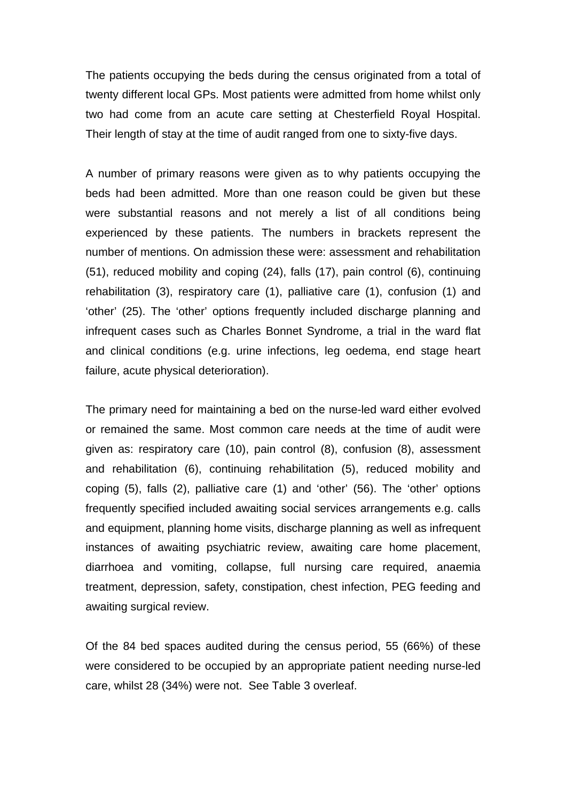The patients occupying the beds during the census originated from a total of twenty different local GPs. Most patients were admitted from home whilst only two had come from an acute care setting at Chesterfield Royal Hospital. Their length of stay at the time of audit ranged from one to sixty-five days.

A number of primary reasons were given as to why patients occupying the beds had been admitted. More than one reason could be given but these were substantial reasons and not merely a list of all conditions being experienced by these patients. The numbers in brackets represent the number of mentions. On admission these were: assessment and rehabilitation (51), reduced mobility and coping (24), falls (17), pain control (6), continuing rehabilitation (3), respiratory care (1), palliative care (1), confusion (1) and 'other' (25). The 'other' options frequently included discharge planning and infrequent cases such as Charles Bonnet Syndrome, a trial in the ward flat and clinical conditions (e.g. urine infections, leg oedema, end stage heart failure, acute physical deterioration).

The primary need for maintaining a bed on the nurse-led ward either evolved or remained the same. Most common care needs at the time of audit were given as: respiratory care (10), pain control (8), confusion (8), assessment and rehabilitation (6), continuing rehabilitation (5), reduced mobility and coping (5), falls (2), palliative care (1) and 'other' (56). The 'other' options frequently specified included awaiting social services arrangements e.g. calls and equipment, planning home visits, discharge planning as well as infrequent instances of awaiting psychiatric review, awaiting care home placement, diarrhoea and vomiting, collapse, full nursing care required, anaemia treatment, depression, safety, constipation, chest infection, PEG feeding and awaiting surgical review.

Of the 84 bed spaces audited during the census period, 55 (66%) of these were considered to be occupied by an appropriate patient needing nurse-led care, whilst 28 (34%) were not. See Table 3 overleaf.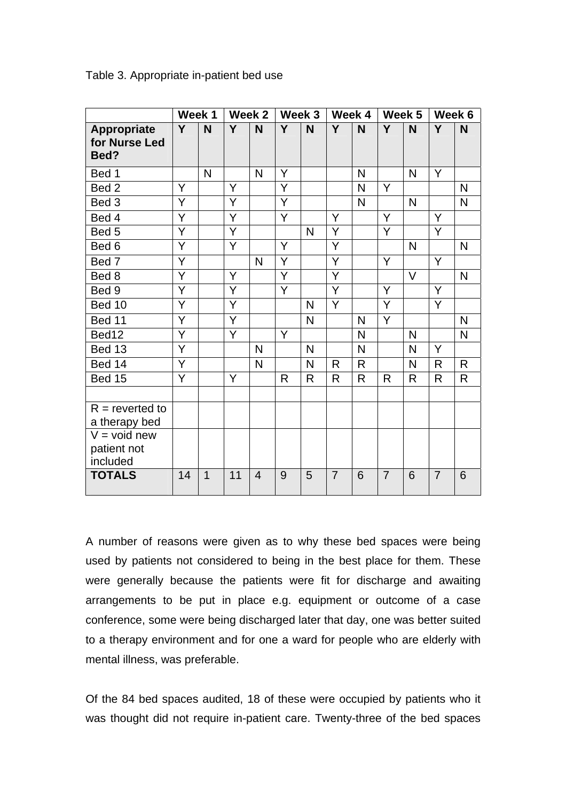|                                             | Week 1 |                | Week 2         |                | Week 3         |                | Week 4         |              | Week 5         |                | Week 6         |              |
|---------------------------------------------|--------|----------------|----------------|----------------|----------------|----------------|----------------|--------------|----------------|----------------|----------------|--------------|
| <b>Appropriate</b><br>for Nurse Led<br>Bed? | Y      | N              | Y              | N              | Y              | N              | Y              | N            | Y              | N              | Y              | N            |
| Bed 1                                       |        | N              |                | N              | Y              |                |                | N            |                | N              | Y              |              |
| Bed <sub>2</sub>                            | Y      |                | Y              |                | Y              |                |                | N            | Y              |                |                | N            |
| Bed 3                                       | Y      |                | Y              |                | Y              |                |                | N            |                | $\mathsf{N}$   |                | $\mathsf{N}$ |
| Bed 4                                       | Y      |                | Y              |                | Y              |                | Y              |              | Y              |                | Y              |              |
| Bed 5                                       | Ÿ      |                | $\overline{Y}$ |                |                | N              | $\overline{Y}$ |              | $\overline{Y}$ |                | Y              |              |
| Bed 6                                       | Ÿ      |                | Y              |                | Y              |                | Y              |              |                | $\overline{N}$ |                | $\mathsf{N}$ |
| Bed 7                                       | Y      |                |                | $\mathsf{N}$   | $\overline{Y}$ |                | Y              |              | Y              |                | Y              |              |
| Bed 8                                       | Y      |                | Y              |                | Ÿ              |                | Y              |              |                | V              |                | N            |
| Bed 9                                       | Ÿ      |                | Y              |                | Y              |                | Ÿ              |              | Y              |                | Y              |              |
| Bed 10                                      | Ÿ      |                | Y              |                |                | $\overline{N}$ | Y              |              | Y              |                | Y              |              |
| Bed 11                                      | Ÿ      |                | Ÿ              |                |                | N              |                | N            | Y              |                |                | N            |
| Bed12                                       | Y      |                | Y              |                | Y              |                |                | $\mathsf{N}$ |                | N              |                | N            |
| Bed 13                                      | Y      |                |                | N              |                | N              |                | N            |                | N              | Y              |              |
| Bed 14                                      | Y      |                |                | $\mathsf{N}$   |                | N              | R              | $\mathsf{R}$ |                | N              | R              | $\mathsf{R}$ |
| Bed 15                                      | Y      |                | Y              |                | R              | R              | R              | R            | R              | R              | R              | $\mathsf{R}$ |
|                                             |        |                |                |                |                |                |                |              |                |                |                |              |
| $R =$ reverted to<br>a therapy bed          |        |                |                |                |                |                |                |              |                |                |                |              |
| $V = void new$<br>patient not<br>included   |        |                |                |                |                |                |                |              |                |                |                |              |
| <b>TOTALS</b>                               | 14     | $\overline{1}$ | 11             | $\overline{4}$ | 9              | 5              | $\overline{7}$ | 6            | $\overline{7}$ | 6              | $\overline{7}$ | 6            |

Table 3. Appropriate in-patient bed use

A number of reasons were given as to why these bed spaces were being used by patients not considered to being in the best place for them. These were generally because the patients were fit for discharge and awaiting arrangements to be put in place e.g. equipment or outcome of a case conference, some were being discharged later that day, one was better suited to a therapy environment and for one a ward for people who are elderly with mental illness, was preferable.

Of the 84 bed spaces audited, 18 of these were occupied by patients who it was thought did not require in-patient care. Twenty-three of the bed spaces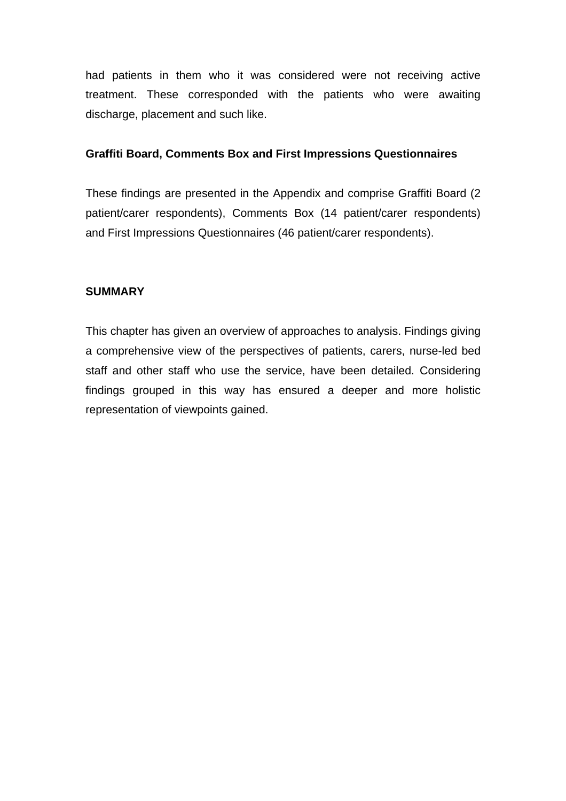had patients in them who it was considered were not receiving active treatment. These corresponded with the patients who were awaiting discharge, placement and such like.

#### **Graffiti Board, Comments Box and First Impressions Questionnaires**

These findings are presented in the Appendix and comprise Graffiti Board (2 patient/carer respondents), Comments Box (14 patient/carer respondents) and First Impressions Questionnaires (46 patient/carer respondents).

## **SUMMARY**

This chapter has given an overview of approaches to analysis. Findings giving a comprehensive view of the perspectives of patients, carers, nurse-led bed staff and other staff who use the service, have been detailed. Considering findings grouped in this way has ensured a deeper and more holistic representation of viewpoints gained.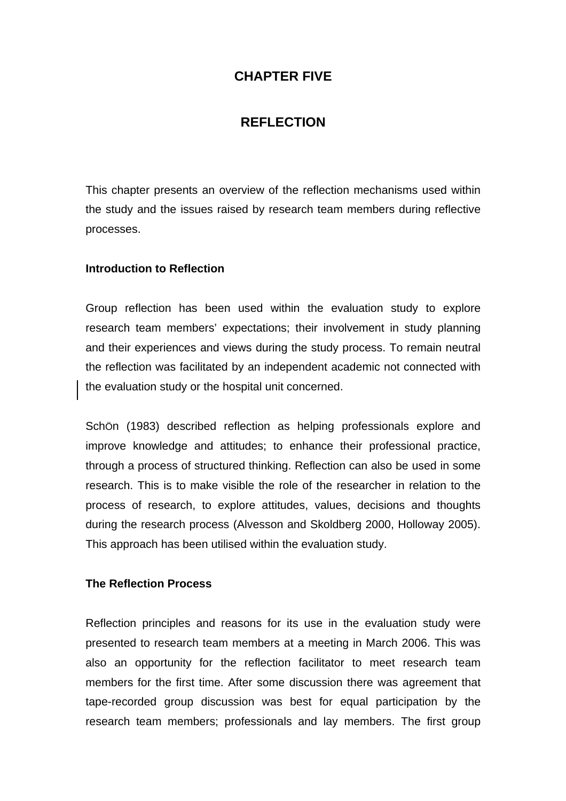# **CHAPTER FIVE**

# **REFLECTION**

This chapter presents an overview of the reflection mechanisms used within the study and the issues raised by research team members during reflective processes.

#### **Introduction to Reflection**

Group reflection has been used within the evaluation study to explore research team members' expectations; their involvement in study planning and their experiences and views during the study process. To remain neutral the reflection was facilitated by an independent academic not connected with the evaluation study or the hospital unit concerned.

SchÖn (1983) described reflection as helping professionals explore and improve knowledge and attitudes; to enhance their professional practice, through a process of structured thinking. Reflection can also be used in some research. This is to make visible the role of the researcher in relation to the process of research, to explore attitudes, values, decisions and thoughts during the research process (Alvesson and Skoldberg 2000, Holloway 2005). This approach has been utilised within the evaluation study.

## **The Reflection Process**

Reflection principles and reasons for its use in the evaluation study were presented to research team members at a meeting in March 2006. This was also an opportunity for the reflection facilitator to meet research team members for the first time. After some discussion there was agreement that tape-recorded group discussion was best for equal participation by the research team members; professionals and lay members. The first group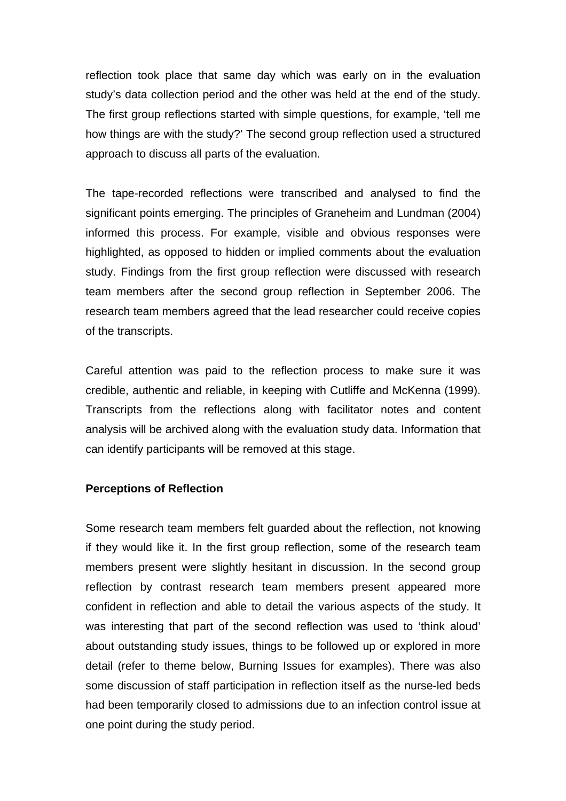reflection took place that same day which was early on in the evaluation study's data collection period and the other was held at the end of the study. The first group reflections started with simple questions, for example, 'tell me how things are with the study?' The second group reflection used a structured approach to discuss all parts of the evaluation.

The tape-recorded reflections were transcribed and analysed to find the significant points emerging. The principles of Graneheim and Lundman (2004) informed this process. For example, visible and obvious responses were highlighted, as opposed to hidden or implied comments about the evaluation study. Findings from the first group reflection were discussed with research team members after the second group reflection in September 2006. The research team members agreed that the lead researcher could receive copies of the transcripts.

Careful attention was paid to the reflection process to make sure it was credible, authentic and reliable, in keeping with Cutliffe and McKenna (1999). Transcripts from the reflections along with facilitator notes and content analysis will be archived along with the evaluation study data. Information that can identify participants will be removed at this stage.

#### **Perceptions of Reflection**

Some research team members felt guarded about the reflection, not knowing if they would like it. In the first group reflection, some of the research team members present were slightly hesitant in discussion. In the second group reflection by contrast research team members present appeared more confident in reflection and able to detail the various aspects of the study. It was interesting that part of the second reflection was used to 'think aloud' about outstanding study issues, things to be followed up or explored in more detail (refer to theme below, Burning Issues for examples). There was also some discussion of staff participation in reflection itself as the nurse-led beds had been temporarily closed to admissions due to an infection control issue at one point during the study period.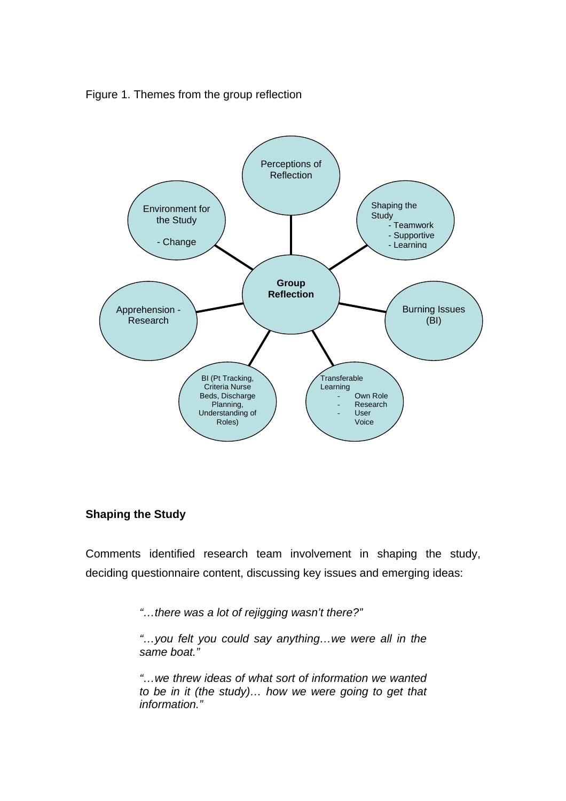Figure 1. Themes from the group reflection



# **Shaping the Study**

Comments identified research team involvement in shaping the study, deciding questionnaire content, discussing key issues and emerging ideas:

*"…there was a lot of rejigging wasn't there?"* 

*"…you felt you could say anything…we were all in the same boat."* 

*"…we threw ideas of what sort of information we wanted to be in it (the study)… how we were going to get that information."*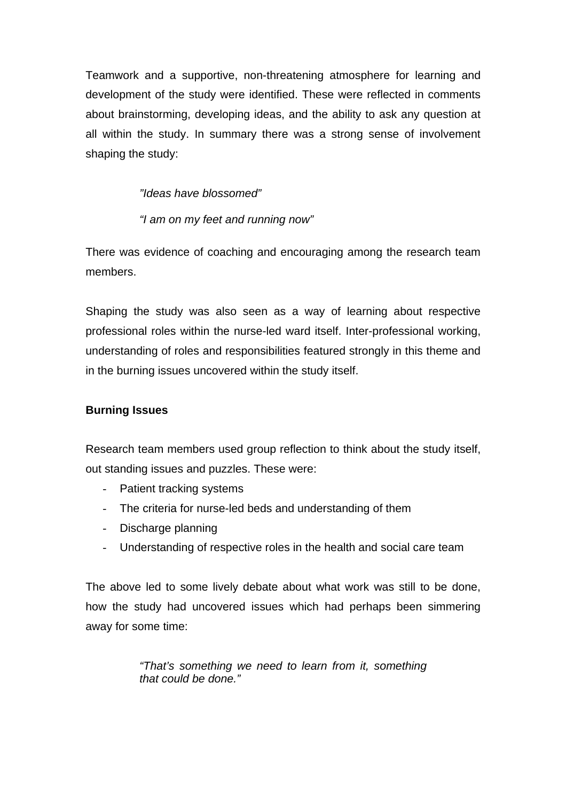Teamwork and a supportive, non-threatening atmosphere for learning and development of the study were identified. These were reflected in comments about brainstorming, developing ideas, and the ability to ask any question at all within the study. In summary there was a strong sense of involvement shaping the study:

*"Ideas have blossomed"* 

*"I am on my feet and running now"* 

There was evidence of coaching and encouraging among the research team members.

Shaping the study was also seen as a way of learning about respective professional roles within the nurse-led ward itself. Inter-professional working, understanding of roles and responsibilities featured strongly in this theme and in the burning issues uncovered within the study itself.

# **Burning Issues**

Research team members used group reflection to think about the study itself, out standing issues and puzzles. These were:

- Patient tracking systems
- The criteria for nurse-led beds and understanding of them
- Discharge planning
- Understanding of respective roles in the health and social care team

The above led to some lively debate about what work was still to be done, how the study had uncovered issues which had perhaps been simmering away for some time:

> *"That's something we need to learn from it, something that could be done."*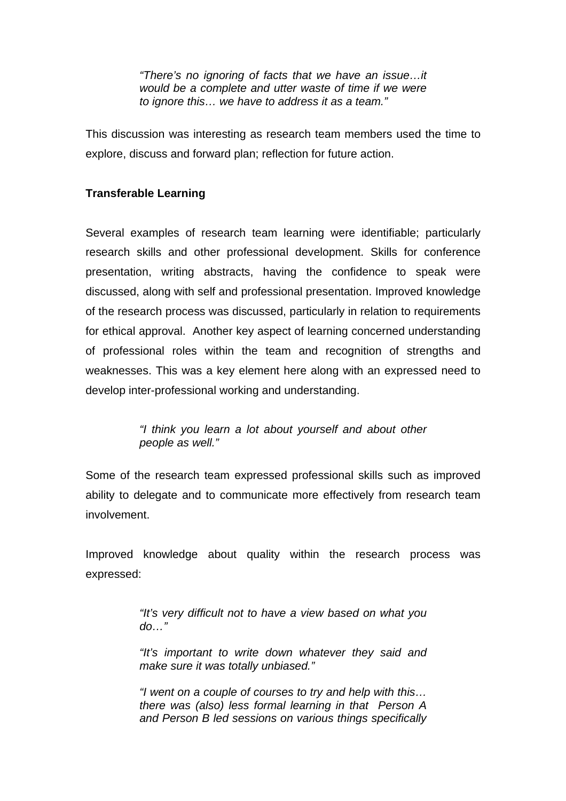*"There's no ignoring of facts that we have an issue…it would be a complete and utter waste of time if we were to ignore this… we have to address it as a team."* 

This discussion was interesting as research team members used the time to explore, discuss and forward plan; reflection for future action.

## **Transferable Learning**

Several examples of research team learning were identifiable; particularly research skills and other professional development. Skills for conference presentation, writing abstracts, having the confidence to speak were discussed, along with self and professional presentation. Improved knowledge of the research process was discussed, particularly in relation to requirements for ethical approval. Another key aspect of learning concerned understanding of professional roles within the team and recognition of strengths and weaknesses. This was a key element here along with an expressed need to develop inter-professional working and understanding.

> *"I think you learn a lot about yourself and about other people as well."*

Some of the research team expressed professional skills such as improved ability to delegate and to communicate more effectively from research team involvement.

Improved knowledge about quality within the research process was expressed:

> *"It's very difficult not to have a view based on what you do…"*

> *"It's important to write down whatever they said and make sure it was totally unbiased."*

> *"I went on a couple of courses to try and help with this… there was (also) less formal learning in that Person A and Person B led sessions on various things specifically*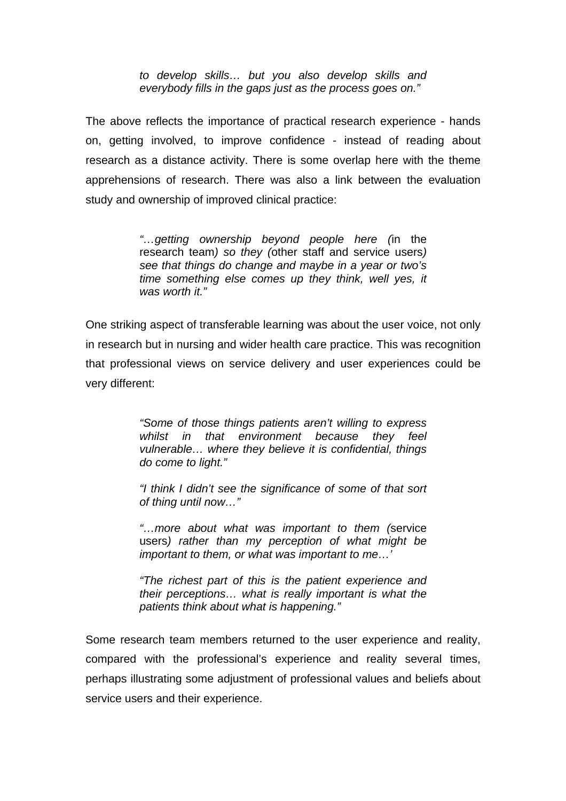*to develop skills… but you also develop skills and everybody fills in the gaps just as the process goes on."*

The above reflects the importance of practical research experience - hands on, getting involved, to improve confidence - instead of reading about research as a distance activity. There is some overlap here with the theme apprehensions of research. There was also a link between the evaluation study and ownership of improved clinical practice:

> *"…getting ownership beyond people here (*in the research team*) so they (*other staff and service users*) see that things do change and maybe in a year or two's time something else comes up they think, well yes, it was worth it."*

One striking aspect of transferable learning was about the user voice, not only in research but in nursing and wider health care practice. This was recognition that professional views on service delivery and user experiences could be very different:

> *"Some of those things patients aren't willing to express whilst in that environment because they feel vulnerable… where they believe it is confidential, things do come to light."*

> *"I think I didn't see the significance of some of that sort of thing until now…"*

> *"…more about what was important to them (*service users*) rather than my perception of what might be important to them, or what was important to me…'*

> *"The richest part of this is the patient experience and their perceptions… what is really important is what the patients think about what is happening."*

Some research team members returned to the user experience and reality, compared with the professional's experience and reality several times, perhaps illustrating some adjustment of professional values and beliefs about service users and their experience.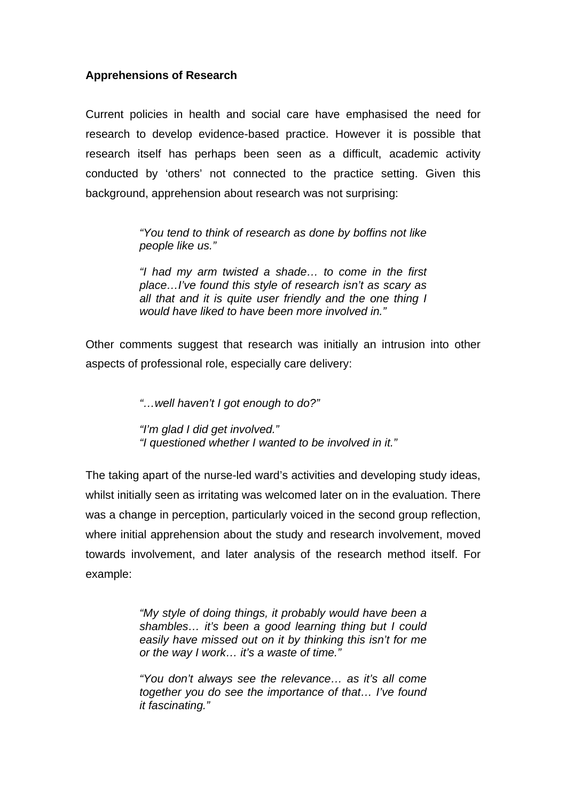## **Apprehensions of Research**

Current policies in health and social care have emphasised the need for research to develop evidence-based practice. However it is possible that research itself has perhaps been seen as a difficult, academic activity conducted by 'others' not connected to the practice setting. Given this background, apprehension about research was not surprising:

> *"You tend to think of research as done by boffins not like people like us."*

> *"I had my arm twisted a shade… to come in the first place…I've found this style of research isn't as scary as all that and it is quite user friendly and the one thing I would have liked to have been more involved in."*

Other comments suggest that research was initially an intrusion into other aspects of professional role, especially care delivery:

*"…well haven't I got enough to do?"* 

*"I'm glad I did get involved." "I questioned whether I wanted to be involved in it."*

The taking apart of the nurse-led ward's activities and developing study ideas, whilst initially seen as irritating was welcomed later on in the evaluation. There was a change in perception, particularly voiced in the second group reflection, where initial apprehension about the study and research involvement, moved towards involvement, and later analysis of the research method itself. For example:

> *"My style of doing things, it probably would have been a shambles… it's been a good learning thing but I could easily have missed out on it by thinking this isn't for me or the way I work… it's a waste of time."*

> *"You don't always see the relevance… as it's all come together you do see the importance of that… I've found it fascinating."*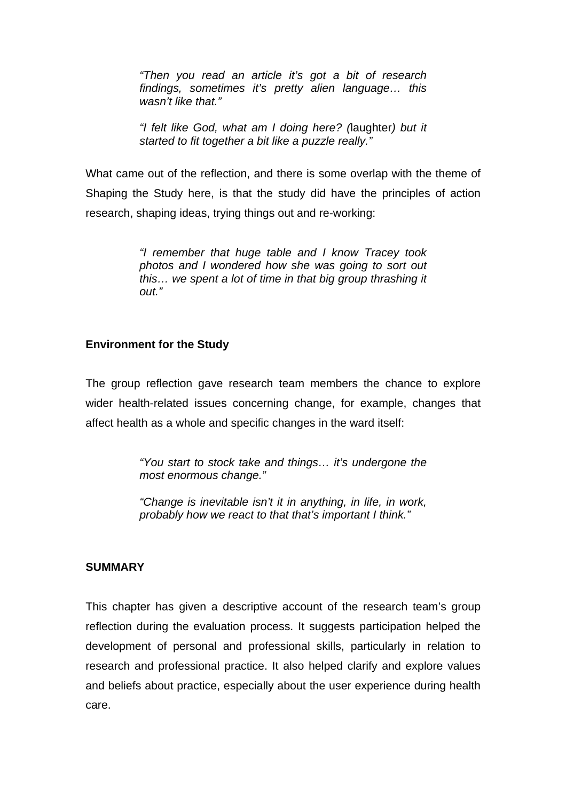*"Then you read an article it's got a bit of research findings, sometimes it's pretty alien language… this wasn't like that."* 

*"I felt like God, what am I doing here? (*laughter*) but it started to fit together a bit like a puzzle really."* 

What came out of the reflection, and there is some overlap with the theme of Shaping the Study here, is that the study did have the principles of action research, shaping ideas, trying things out and re-working:

> *"I remember that huge table and I know Tracey took photos and I wondered how she was going to sort out this… we spent a lot of time in that big group thrashing it out."*

## **Environment for the Study**

The group reflection gave research team members the chance to explore wider health-related issues concerning change, for example, changes that affect health as a whole and specific changes in the ward itself:

> *"You start to stock take and things… it's undergone the most enormous change."*

> *"Change is inevitable isn't it in anything, in life, in work, probably how we react to that that's important I think."*

## **SUMMARY**

This chapter has given a descriptive account of the research team's group reflection during the evaluation process. It suggests participation helped the development of personal and professional skills, particularly in relation to research and professional practice. It also helped clarify and explore values and beliefs about practice, especially about the user experience during health care.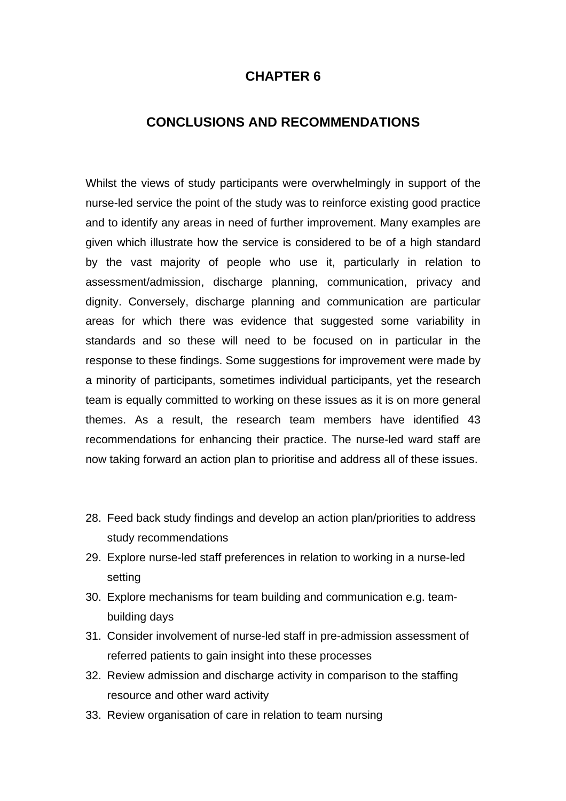# **CHAPTER 6**

# **CONCLUSIONS AND RECOMMENDATIONS**

Whilst the views of study participants were overwhelmingly in support of the nurse-led service the point of the study was to reinforce existing good practice and to identify any areas in need of further improvement. Many examples are given which illustrate how the service is considered to be of a high standard by the vast majority of people who use it, particularly in relation to assessment/admission, discharge planning, communication, privacy and dignity. Conversely, discharge planning and communication are particular areas for which there was evidence that suggested some variability in standards and so these will need to be focused on in particular in the response to these findings. Some suggestions for improvement were made by a minority of participants, sometimes individual participants, yet the research team is equally committed to working on these issues as it is on more general themes. As a result, the research team members have identified 43 recommendations for enhancing their practice. The nurse-led ward staff are now taking forward an action plan to prioritise and address all of these issues.

- 28. Feed back study findings and develop an action plan/priorities to address study recommendations
- 29. Explore nurse-led staff preferences in relation to working in a nurse-led setting
- 30. Explore mechanisms for team building and communication e.g. teambuilding days
- 31. Consider involvement of nurse-led staff in pre-admission assessment of referred patients to gain insight into these processes
- 32. Review admission and discharge activity in comparison to the staffing resource and other ward activity
- 33. Review organisation of care in relation to team nursing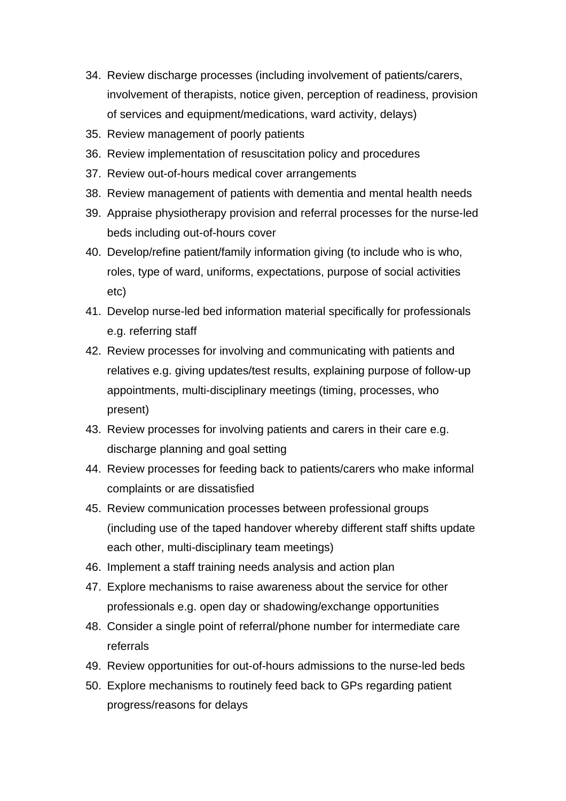- 34. Review discharge processes (including involvement of patients/carers, involvement of therapists, notice given, perception of readiness, provision of services and equipment/medications, ward activity, delays)
- 35. Review management of poorly patients
- 36. Review implementation of resuscitation policy and procedures
- 37. Review out-of-hours medical cover arrangements
- 38. Review management of patients with dementia and mental health needs
- 39. Appraise physiotherapy provision and referral processes for the nurse-led beds including out-of-hours cover
- 40. Develop/refine patient/family information giving (to include who is who, roles, type of ward, uniforms, expectations, purpose of social activities etc)
- 41. Develop nurse-led bed information material specifically for professionals e.g. referring staff
- 42. Review processes for involving and communicating with patients and relatives e.g. giving updates/test results, explaining purpose of follow-up appointments, multi-disciplinary meetings (timing, processes, who present)
- 43. Review processes for involving patients and carers in their care e.g. discharge planning and goal setting
- 44. Review processes for feeding back to patients/carers who make informal complaints or are dissatisfied
- 45. Review communication processes between professional groups (including use of the taped handover whereby different staff shifts update each other, multi-disciplinary team meetings)
- 46. Implement a staff training needs analysis and action plan
- 47. Explore mechanisms to raise awareness about the service for other professionals e.g. open day or shadowing/exchange opportunities
- 48. Consider a single point of referral/phone number for intermediate care referrals
- 49. Review opportunities for out-of-hours admissions to the nurse-led beds
- 50. Explore mechanisms to routinely feed back to GPs regarding patient progress/reasons for delays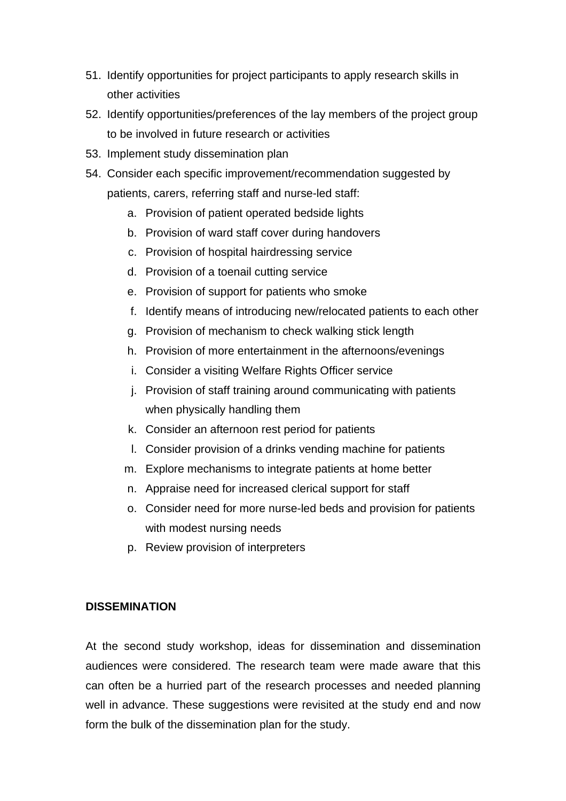- 51. Identify opportunities for project participants to apply research skills in other activities
- 52. Identify opportunities/preferences of the lay members of the project group to be involved in future research or activities
- 53. Implement study dissemination plan
- 54. Consider each specific improvement/recommendation suggested by patients, carers, referring staff and nurse-led staff:
	- a. Provision of patient operated bedside lights
	- b. Provision of ward staff cover during handovers
	- c. Provision of hospital hairdressing service
	- d. Provision of a toenail cutting service
	- e. Provision of support for patients who smoke
	- f. Identify means of introducing new/relocated patients to each other
	- g. Provision of mechanism to check walking stick length
	- h. Provision of more entertainment in the afternoons/evenings
	- i. Consider a visiting Welfare Rights Officer service
	- j. Provision of staff training around communicating with patients when physically handling them
	- k. Consider an afternoon rest period for patients
	- l. Consider provision of a drinks vending machine for patients
	- m. Explore mechanisms to integrate patients at home better
	- n. Appraise need for increased clerical support for staff
	- o. Consider need for more nurse-led beds and provision for patients with modest nursing needs
	- p. Review provision of interpreters

## **DISSEMINATION**

At the second study workshop, ideas for dissemination and dissemination audiences were considered. The research team were made aware that this can often be a hurried part of the research processes and needed planning well in advance. These suggestions were revisited at the study end and now form the bulk of the dissemination plan for the study.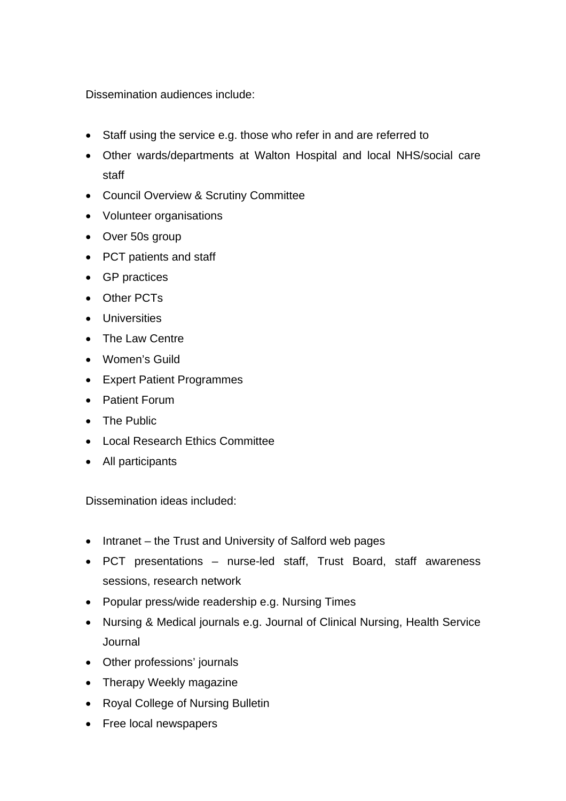Dissemination audiences include:

- Staff using the service e.g. those who refer in and are referred to
- Other wards/departments at Walton Hospital and local NHS/social care staff
- Council Overview & Scrutiny Committee
- Volunteer organisations
- Over 50s group
- PCT patients and staff
- GP practices
- Other PCTs
- Universities
- The Law Centre
- Women's Guild
- Expert Patient Programmes
- Patient Forum
- The Public
- Local Research Ethics Committee
- All participants

Dissemination ideas included:

- Intranet the Trust and University of Salford web pages
- PCT presentations nurse-led staff, Trust Board, staff awareness sessions, research network
- Popular press/wide readership e.g. Nursing Times
- Nursing & Medical journals e.g. Journal of Clinical Nursing, Health Service Journal
- Other professions' journals
- Therapy Weekly magazine
- Royal College of Nursing Bulletin
- Free local newspapers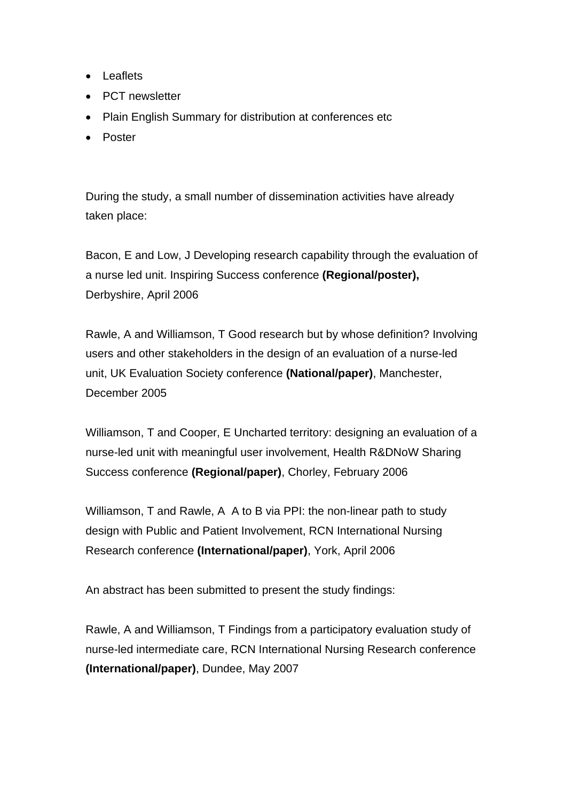- Leaflets
- PCT newsletter
- Plain English Summary for distribution at conferences etc
- Poster

During the study, a small number of dissemination activities have already taken place:

Bacon, E and Low, J Developing research capability through the evaluation of a nurse led unit. Inspiring Success conference **(Regional/poster),**  Derbyshire, April 2006

Rawle, A and Williamson, T Good research but by whose definition? Involving users and other stakeholders in the design of an evaluation of a nurse-led unit, UK Evaluation Society conference **(National/paper)**, Manchester, December 2005

Williamson, T and Cooper, E Uncharted territory: designing an evaluation of a nurse-led unit with meaningful user involvement, Health R&DNoW Sharing Success conference **(Regional/paper)**, Chorley, February 2006

Williamson, T and Rawle, A A to B via PPI: the non-linear path to study design with Public and Patient Involvement, RCN International Nursing Research conference **(International/paper)**, York, April 2006

An abstract has been submitted to present the study findings:

Rawle, A and Williamson, T Findings from a participatory evaluation study of nurse-led intermediate care, RCN International Nursing Research conference **(International/paper)**, Dundee, May 2007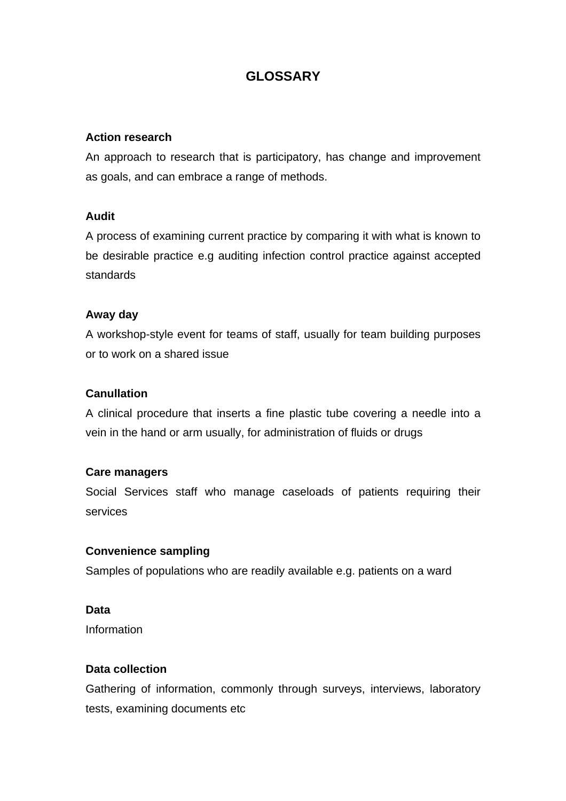# **GLOSSARY**

### **Action research**

An approach to research that is participatory, has change and improvement as goals, and can embrace a range of methods.

#### **Audit**

A process of examining current practice by comparing it with what is known to be desirable practice e.g auditing infection control practice against accepted standards

#### **Away day**

A workshop-style event for teams of staff, usually for team building purposes or to work on a shared issue

#### **Canullation**

A clinical procedure that inserts a fine plastic tube covering a needle into a vein in the hand or arm usually, for administration of fluids or drugs

#### **Care managers**

Social Services staff who manage caseloads of patients requiring their services

#### **Convenience sampling**

Samples of populations who are readily available e.g. patients on a ward

### **Data**

Information

#### **Data collection**

Gathering of information, commonly through surveys, interviews, laboratory tests, examining documents etc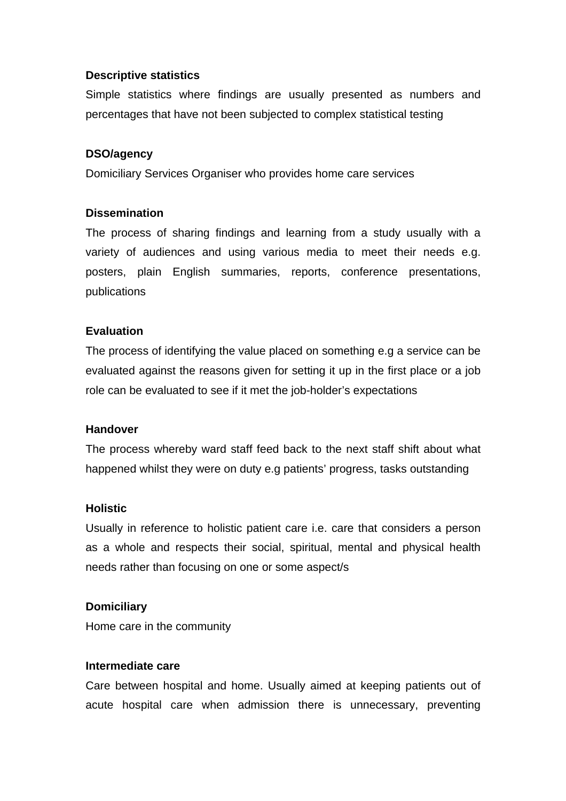### **Descriptive statistics**

Simple statistics where findings are usually presented as numbers and percentages that have not been subjected to complex statistical testing

#### **DSO/agency**

Domiciliary Services Organiser who provides home care services

#### **Dissemination**

The process of sharing findings and learning from a study usually with a variety of audiences and using various media to meet their needs e.g. posters, plain English summaries, reports, conference presentations, publications

#### **Evaluation**

The process of identifying the value placed on something e.g a service can be evaluated against the reasons given for setting it up in the first place or a job role can be evaluated to see if it met the job-holder's expectations

#### **Handover**

The process whereby ward staff feed back to the next staff shift about what happened whilst they were on duty e.g patients' progress, tasks outstanding

#### **Holistic**

Usually in reference to holistic patient care i.e. care that considers a person as a whole and respects their social, spiritual, mental and physical health needs rather than focusing on one or some aspect/s

#### **Domiciliary**

Home care in the community

#### **Intermediate care**

Care between hospital and home. Usually aimed at keeping patients out of acute hospital care when admission there is unnecessary, preventing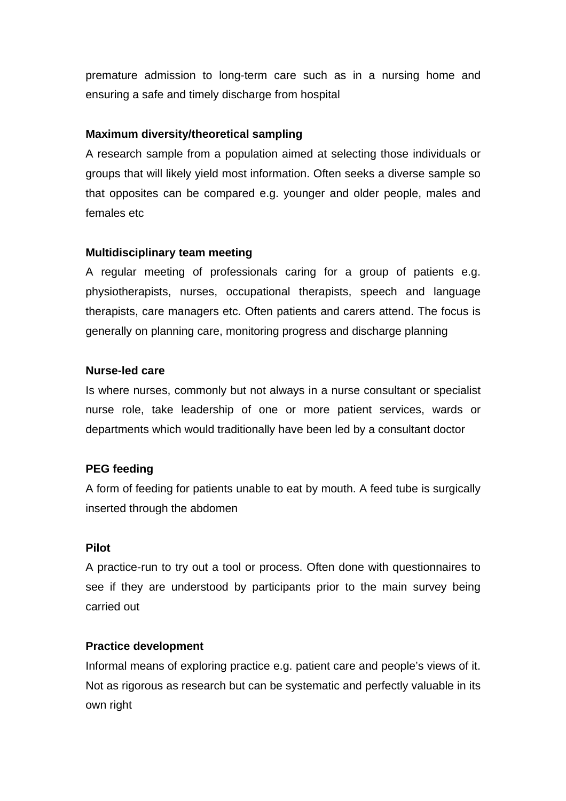premature admission to long-term care such as in a nursing home and ensuring a safe and timely discharge from hospital

## **Maximum diversity/theoretical sampling**

A research sample from a population aimed at selecting those individuals or groups that will likely yield most information. Often seeks a diverse sample so that opposites can be compared e.g. younger and older people, males and females etc

## **Multidisciplinary team meeting**

A regular meeting of professionals caring for a group of patients e.g. physiotherapists, nurses, occupational therapists, speech and language therapists, care managers etc. Often patients and carers attend. The focus is generally on planning care, monitoring progress and discharge planning

## **Nurse-led care**

Is where nurses, commonly but not always in a nurse consultant or specialist nurse role, take leadership of one or more patient services, wards or departments which would traditionally have been led by a consultant doctor

# **PEG feeding**

A form of feeding for patients unable to eat by mouth. A feed tube is surgically inserted through the abdomen

### **Pilot**

A practice-run to try out a tool or process. Often done with questionnaires to see if they are understood by participants prior to the main survey being carried out

# **Practice development**

Informal means of exploring practice e.g. patient care and people's views of it. Not as rigorous as research but can be systematic and perfectly valuable in its own right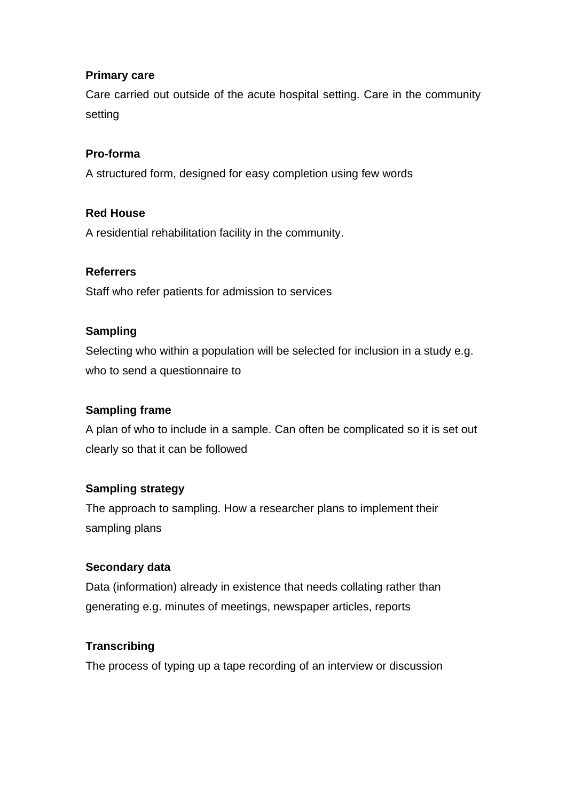## **Primary care**

Care carried out outside of the acute hospital setting. Care in the community setting

## **Pro-forma**

A structured form, designed for easy completion using few words

## **Red House**

A residential rehabilitation facility in the community.

## **Referrers**

Staff who refer patients for admission to services

## **Sampling**

Selecting who within a population will be selected for inclusion in a study e.g. who to send a questionnaire to

# **Sampling frame**

A plan of who to include in a sample. Can often be complicated so it is set out clearly so that it can be followed

# **Sampling strategy**

The approach to sampling. How a researcher plans to implement their sampling plans

### **Secondary data**

Data (information) already in existence that needs collating rather than generating e.g. minutes of meetings, newspaper articles, reports

# **Transcribing**

The process of typing up a tape recording of an interview or discussion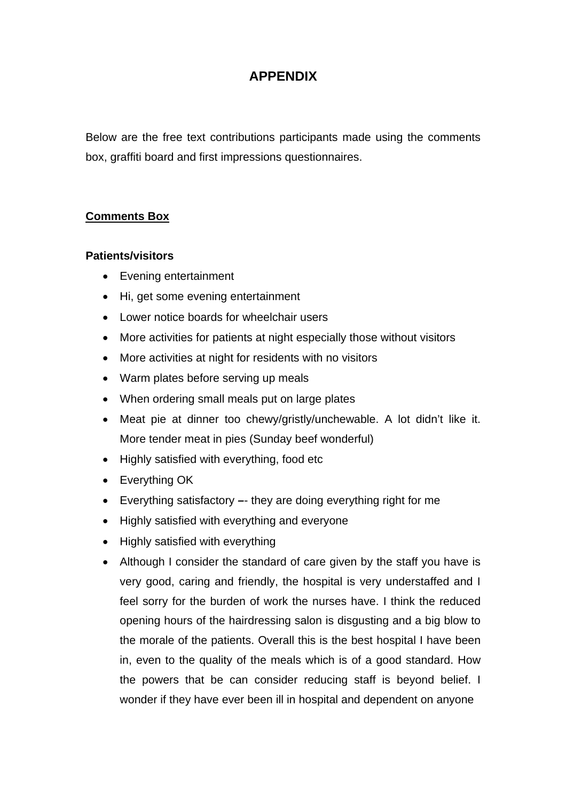# **APPENDIX**

Below are the free text contributions participants made using the comments box, graffiti board and first impressions questionnaires.

## **Comments Box**

#### **Patients/visitors**

- Evening entertainment
- Hi, get some evening entertainment
- Lower notice boards for wheelchair users
- More activities for patients at night especially those without visitors
- More activities at night for residents with no visitors
- Warm plates before serving up meals
- When ordering small meals put on large plates
- Meat pie at dinner too chewy/gristly/unchewable. A lot didn't like it. More tender meat in pies (Sunday beef wonderful)
- Highly satisfied with everything, food etc
- Everything OK
- Everything satisfactory they are doing everything right for me
- Highly satisfied with everything and everyone
- Highly satisfied with everything
- Although I consider the standard of care given by the staff you have is very good, caring and friendly, the hospital is very understaffed and I feel sorry for the burden of work the nurses have. I think the reduced opening hours of the hairdressing salon is disgusting and a big blow to the morale of the patients. Overall this is the best hospital I have been in, even to the quality of the meals which is of a good standard. How the powers that be can consider reducing staff is beyond belief. I wonder if they have ever been ill in hospital and dependent on anyone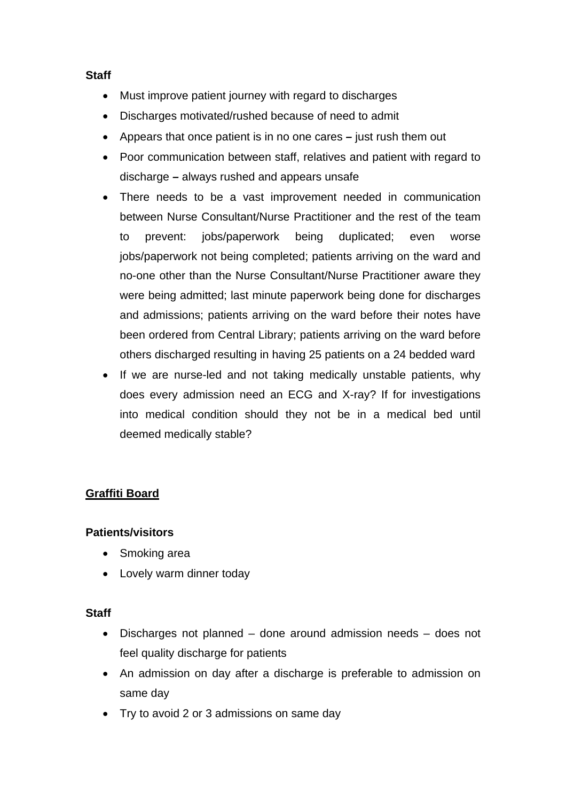## **Staff**

- Must improve patient journey with regard to discharges
- Discharges motivated/rushed because of need to admit
- Appears that once patient is in no one cares just rush them out
- Poor communication between staff, relatives and patient with regard to discharge *–* always rushed and appears unsafe
- There needs to be a vast improvement needed in communication between Nurse Consultant/Nurse Practitioner and the rest of the team to prevent: jobs/paperwork being duplicated; even worse jobs/paperwork not being completed; patients arriving on the ward and no-one other than the Nurse Consultant/Nurse Practitioner aware they were being admitted; last minute paperwork being done for discharges and admissions; patients arriving on the ward before their notes have been ordered from Central Library; patients arriving on the ward before others discharged resulting in having 25 patients on a 24 bedded ward
- If we are nurse-led and not taking medically unstable patients, why does every admission need an ECG and X-ray? If for investigations into medical condition should they not be in a medical bed until deemed medically stable?

# **Graffiti Board**

# **Patients/visitors**

- Smoking area
- Lovely warm dinner today

### **Staff**

- Discharges not planned done around admission needs does not feel quality discharge for patients
- An admission on day after a discharge is preferable to admission on same day
- Try to avoid 2 or 3 admissions on same day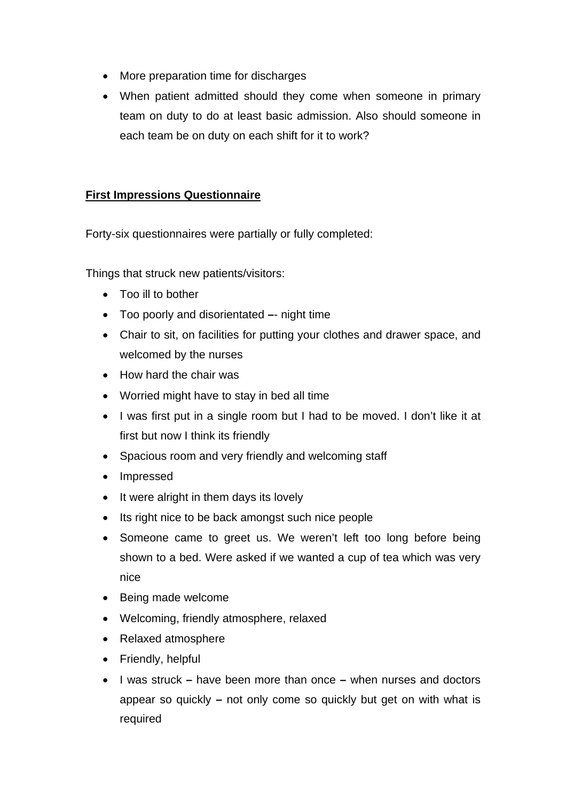- More preparation time for discharges
- When patient admitted should they come when someone in primary team on duty to do at least basic admission. Also should someone in each team be on duty on each shift for it to work?

# **First Impressions Questionnaire**

Forty-six questionnaires were partially or fully completed:

Things that struck new patients/visitors:

- Too ill to bother
- Too poorly and disorientated night time
- Chair to sit, on facilities for putting your clothes and drawer space, and welcomed by the nurses
- How hard the chair was
- Worried might have to stay in bed all time
- I was first put in a single room but I had to be moved. I don't like it at first but now I think its friendly
- Spacious room and very friendly and welcoming staff
- Impressed
- It were alright in them days its lovely
- Its right nice to be back amongst such nice people
- Someone came to greet us. We weren't left too long before being shown to a bed. Were asked if we wanted a cup of tea which was very nice
- Being made welcome
- Welcoming, friendly atmosphere, relaxed
- Relaxed atmosphere
- Friendly, helpful
- I was struck *–* have been more than once *–* when nurses and doctors appear so quickly *–* not only come so quickly but get on with what is required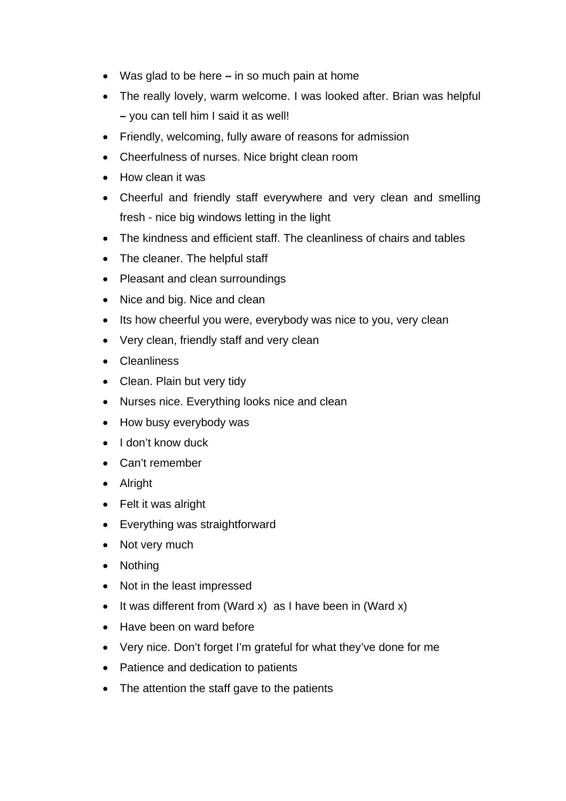- Was glad to be here *–* in so much pain at home
- The really lovely, warm welcome. I was looked after. Brian was helpful *–* you can tell him I said it as well!
- Friendly, welcoming, fully aware of reasons for admission
- Cheerfulness of nurses. Nice bright clean room
- How clean it was
- Cheerful and friendly staff everywhere and very clean and smelling fresh - nice big windows letting in the light
- The kindness and efficient staff. The cleanliness of chairs and tables
- The cleaner. The helpful staff
- Pleasant and clean surroundings
- Nice and big. Nice and clean
- Its how cheerful you were, everybody was nice to you, very clean
- Very clean, friendly staff and very clean
- Cleanliness
- Clean. Plain but very tidy
- Nurses nice. Everything looks nice and clean
- How busy everybody was
- I don't know duck
- Can't remember
- Alright
- Felt it was alright
- Everything was straightforward
- Not very much
- Nothing
- Not in the least impressed
- It was different from (Ward x) as I have been in (Ward x)
- Have been on ward before
- Very nice. Don't forget I'm grateful for what they've done for me
- Patience and dedication to patients
- The attention the staff gave to the patients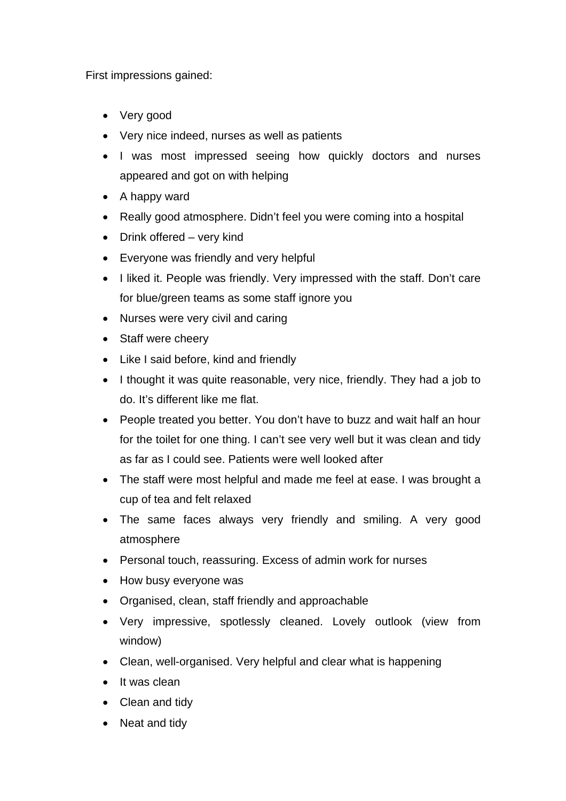First impressions gained:

- Very good
- Very nice indeed, nurses as well as patients
- I was most impressed seeing how quickly doctors and nurses appeared and got on with helping
- A happy ward
- Really good atmosphere. Didn't feel you were coming into a hospital
- Drink offered very kind
- Everyone was friendly and very helpful
- I liked it. People was friendly. Very impressed with the staff. Don't care for blue/green teams as some staff ignore you
- Nurses were very civil and caring
- Staff were cheery
- Like I said before, kind and friendly
- I thought it was quite reasonable, very nice, friendly. They had a job to do. It's different like me flat.
- People treated you better. You don't have to buzz and wait half an hour for the toilet for one thing. I can't see very well but it was clean and tidy as far as I could see. Patients were well looked after
- The staff were most helpful and made me feel at ease. I was brought a cup of tea and felt relaxed
- The same faces always very friendly and smiling. A very good atmosphere
- Personal touch, reassuring. Excess of admin work for nurses
- How busy everyone was
- Organised, clean, staff friendly and approachable
- Very impressive, spotlessly cleaned. Lovely outlook (view from window)
- Clean, well-organised. Very helpful and clear what is happening
- It was clean
- Clean and tidy
- Neat and tidy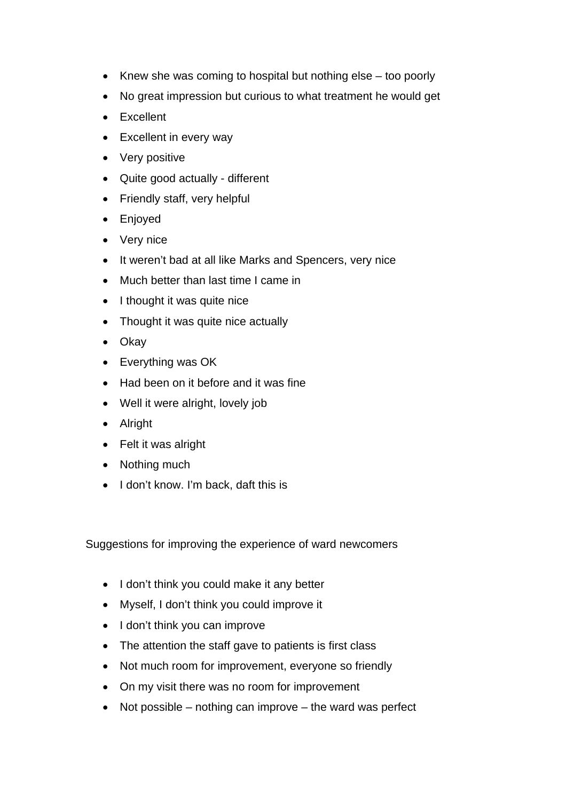- Knew she was coming to hospital but nothing else too poorly
- No great impression but curious to what treatment he would get
- Excellent
- Excellent in every way
- Very positive
- Quite good actually different
- Friendly staff, very helpful
- Enjoyed
- Very nice
- It weren't bad at all like Marks and Spencers, very nice
- Much better than last time I came in
- I thought it was quite nice
- Thought it was quite nice actually
- Okay
- Everything was OK
- Had been on it before and it was fine
- Well it were alright, lovely job
- Alright
- Felt it was alright
- Nothing much
- I don't know. I'm back, daft this is

Suggestions for improving the experience of ward newcomers

- I don't think you could make it any better
- Myself, I don't think you could improve it
- I don't think you can improve
- The attention the staff gave to patients is first class
- Not much room for improvement, everyone so friendly
- On my visit there was no room for improvement
- Not possible  $-$  nothing can improve  $-$  the ward was perfect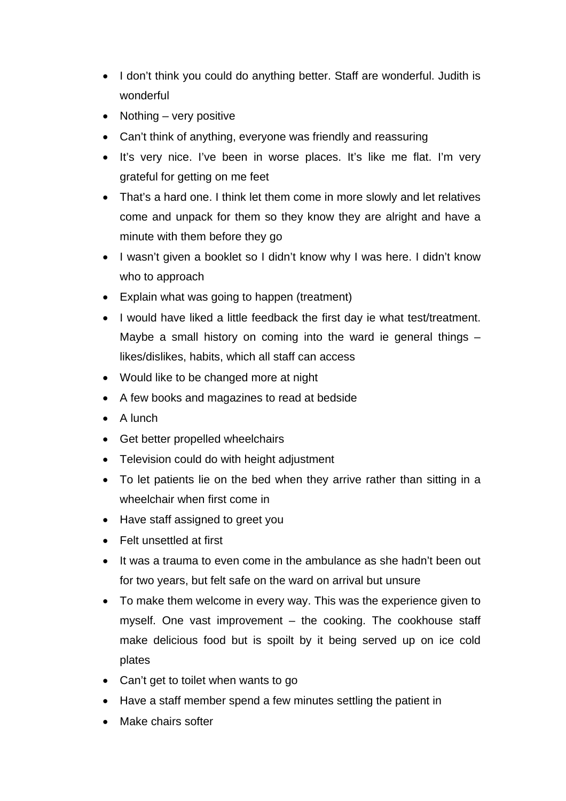- I don't think you could do anything better. Staff are wonderful. Judith is wonderful
- Nothing very positive
- Can't think of anything, everyone was friendly and reassuring
- It's very nice. I've been in worse places. It's like me flat. I'm very grateful for getting on me feet
- That's a hard one. I think let them come in more slowly and let relatives come and unpack for them so they know they are alright and have a minute with them before they go
- I wasn't given a booklet so I didn't know why I was here. I didn't know who to approach
- Explain what was going to happen (treatment)
- I would have liked a little feedback the first day ie what test/treatment. Maybe a small history on coming into the ward ie general things – likes/dislikes, habits, which all staff can access
- Would like to be changed more at night
- A few books and magazines to read at bedside
- A lunch
- Get better propelled wheelchairs
- Television could do with height adjustment
- To let patients lie on the bed when they arrive rather than sitting in a wheelchair when first come in
- Have staff assigned to greet you
- Felt unsettled at first
- It was a trauma to even come in the ambulance as she hadn't been out for two years, but felt safe on the ward on arrival but unsure
- To make them welcome in every way. This was the experience given to myself. One vast improvement – the cooking. The cookhouse staff make delicious food but is spoilt by it being served up on ice cold plates
- Can't get to toilet when wants to go
- Have a staff member spend a few minutes settling the patient in
- Make chairs softer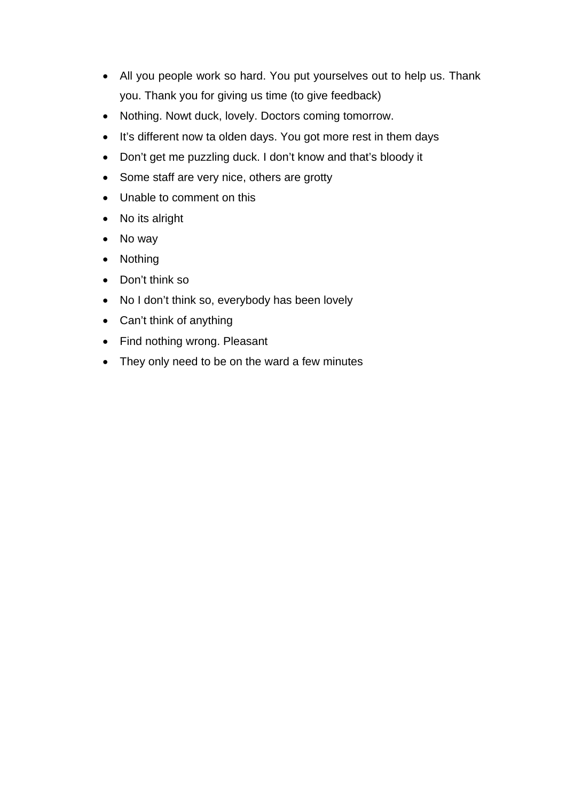- All you people work so hard. You put yourselves out to help us. Thank you. Thank you for giving us time (to give feedback)
- Nothing. Nowt duck, lovely. Doctors coming tomorrow.
- It's different now ta olden days. You got more rest in them days
- Don't get me puzzling duck. I don't know and that's bloody it
- Some staff are very nice, others are grotty
- Unable to comment on this
- No its alright
- No way
- Nothing
- Don't think so
- No I don't think so, everybody has been lovely
- Can't think of anything
- Find nothing wrong. Pleasant
- They only need to be on the ward a few minutes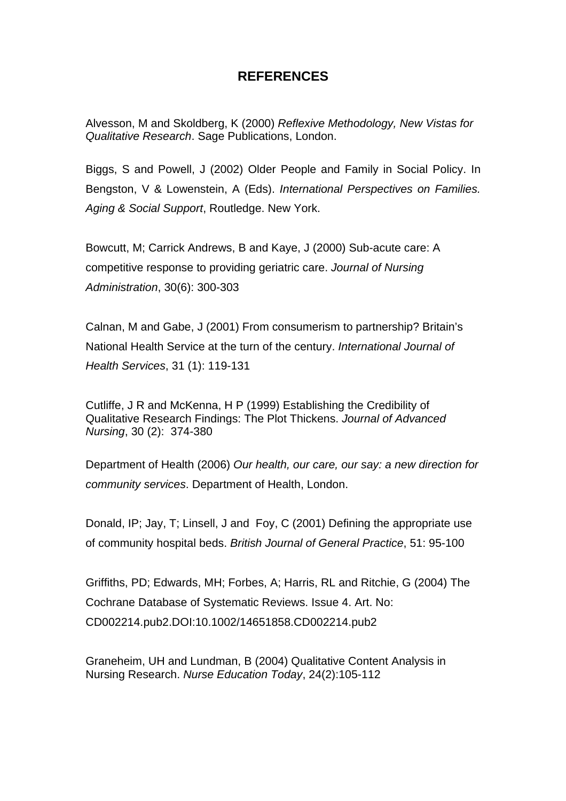# **REFERENCES**

Alvesson, M and Skoldberg, K (2000) *Reflexive Methodology, New Vistas for Qualitative Research*. Sage Publications, London.

Biggs, S and Powell, J (2002) Older People and Family in Social Policy. In Bengston, V & Lowenstein, A (Eds). *International Perspectives on Families. Aging & Social Support*, Routledge. New York.

Bowcutt, M; Carrick Andrews, B and Kaye, J (2000) Sub-acute care: A competitive response to providing geriatric care. *Journal of Nursing Administration*, 30(6): 300-303

Calnan, M and Gabe, J (2001) From consumerism to partnership? Britain's National Health Service at the turn of the century. *International Journal of Health Services*, 31 (1): 119-131

Cutliffe, J R and McKenna, H P (1999) Establishing the Credibility of Qualitative Research Findings: The Plot Thickens. *Journal of Advanced Nursing*, 30 (2): 374-380

Department of Health (2006) *Our health, our care, our say: a new direction for community services*. Department of Health, London.

Donald, IP; Jay, T; Linsell, J and Foy, C (2001) Defining the appropriate use of community hospital beds. *British Journal of General Practice*, 51: 95-100

Griffiths, PD; Edwards, MH; Forbes, A; Harris, RL and Ritchie, G (2004) The Cochrane Database of Systematic Reviews. Issue 4. Art. No: CD002214.pub2.DOI:10.1002/14651858.CD002214.pub2

Graneheim, UH and Lundman, B (2004) Qualitative Content Analysis in Nursing Research. *Nurse Education Today*, 24(2):105-112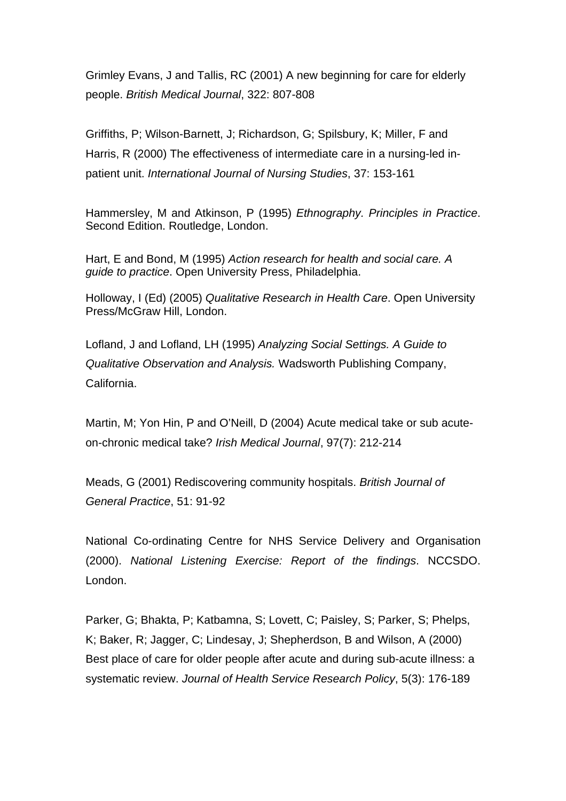Grimley Evans, J and Tallis, RC (2001) A new beginning for care for elderly people. *British Medical Journal*, 322: 807-808

Griffiths, P; Wilson-Barnett, J; Richardson, G; Spilsbury, K; Miller, F and Harris, R (2000) The effectiveness of intermediate care in a nursing-led inpatient unit. *International Journal of Nursing Studies*, 37: 153-161

Hammersley, M and Atkinson, P (1995) *Ethnography. Principles in Practice*. Second Edition. Routledge, London.

Hart, E and Bond, M (1995) *Action research for health and social care. A guide to practice*. Open University Press, Philadelphia.

Holloway, I (Ed) (2005) *Qualitative Research in Health Care*. Open University Press/McGraw Hill, London.

Lofland, J and Lofland, LH (1995) *Analyzing Social Settings. A Guide to Qualitative Observation and Analysis.* Wadsworth Publishing Company, California.

Martin, M; Yon Hin, P and O'Neill, D (2004) Acute medical take or sub acuteon-chronic medical take? *Irish Medical Journal*, 97(7): 212-214

Meads, G (2001) Rediscovering community hospitals. *British Journal of General Practice*, 51: 91-92

National Co-ordinating Centre for NHS Service Delivery and Organisation (2000). *National Listening Exercise: Report of the findings*. NCCSDO. London.

Parker, G; Bhakta, P; Katbamna, S; Lovett, C; Paisley, S; Parker, S; Phelps, K; Baker, R; Jagger, C; Lindesay, J; Shepherdson, B and Wilson, A (2000) Best place of care for older people after acute and during sub-acute illness: a systematic review. *Journal of Health Service Research Policy*, 5(3): 176-189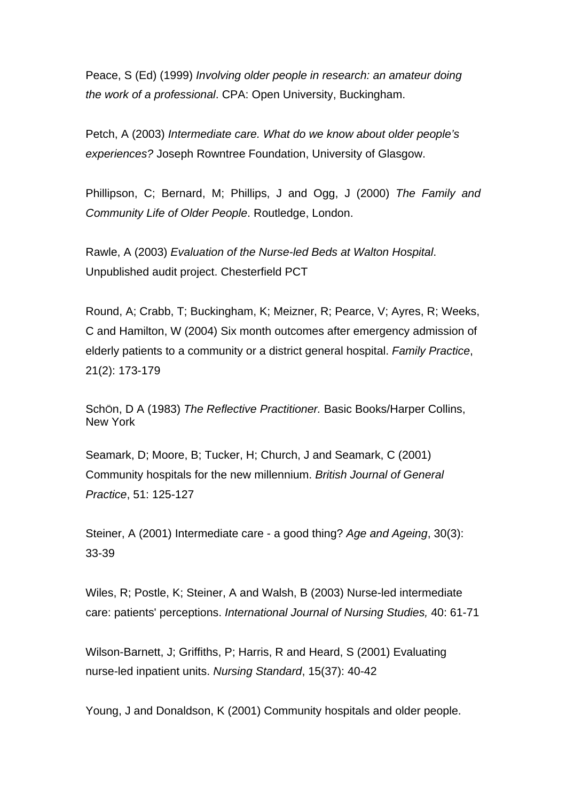Peace, S (Ed) (1999) *Involving older people in research: an amateur doing the work of a professional*. CPA: Open University, Buckingham.

Petch, A (2003) *Intermediate care. What do we know about older people's experiences?* Joseph Rowntree Foundation, University of Glasgow.

Phillipson, C; Bernard, M; Phillips, J and Ogg, J (2000) *The Family and Community Life of Older People*. Routledge, London.

Rawle, A (2003) *Evaluation of the Nurse-led Beds at Walton Hospital*. Unpublished audit project. Chesterfield PCT

Round, A; Crabb, T; Buckingham, K; Meizner, R; Pearce, V; Ayres, R; Weeks, C and Hamilton, W (2004) Six month outcomes after emergency admission of elderly patients to a community or a district general hospital. *Family Practice*, 21(2): 173-179

SchÖn, D A (1983) *The Reflective Practitioner.* Basic Books/Harper Collins, New York

Seamark, D; Moore, B; Tucker, H; Church, J and Seamark, C (2001) Community hospitals for the new millennium. *British Journal of General Practice*, 51: 125-127

Steiner, A (2001) Intermediate care - a good thing? *Age and Ageing*, 30(3): 33-39

Wiles, R; Postle, K; Steiner, A and Walsh, B (2003) Nurse-led intermediate care: patients' perceptions. *International Journal of Nursing Studies,* 40: 61-71

Wilson-Barnett, J; Griffiths, P; Harris, R and Heard, S (2001) Evaluating nurse-led inpatient units. *Nursing Standard*, 15(37): 40-42

Young, J and Donaldson, K (2001) Community hospitals and older people.